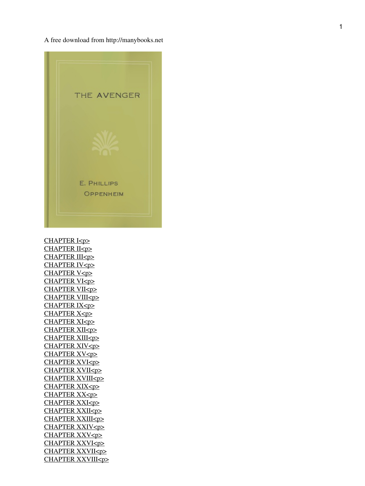A free download from http://manybooks.net



[CHAPTER I<p>](#page-4-0) [CHAPTER II<p>](#page-7-0) [CHAPTER III<p>](#page-10-0) [CHAPTER IV<p>](#page-14-0) [CHAPTER V<p>](#page-16-0) [CHAPTER VI<p>](#page-20-0) [CHAPTER VII<p>](#page-24-0) [CHAPTER VIII<p>](#page-27-0) [CHAPTER IX<p>](#page-31-0) [CHAPTER X<p>](#page-35-0) [CHAPTER XI<p>](#page-39-0) [CHAPTER XII<p>](#page-44-0) [CHAPTER XIII<p>](#page-47-0) [CHAPTER XIV<p>](#page-50-0) [CHAPTER XV<p>](#page-54-0) [CHAPTER XVI<p>](#page-59-0) [CHAPTER XVII<p>](#page-63-0) [CHAPTER XVIII<p>](#page-67-0) [CHAPTER XIX<p>](#page-69-0) [CHAPTER XX<p>](#page-73-0) [CHAPTER XXI<p>](#page-77-0) [CHAPTER XXII<p>](#page-81-0) [CHAPTER XXIII<p>](#page-83-0) [CHAPTER XXIV<p>](#page-86-0) [CHAPTER XXV<p>](#page-90-0) [CHAPTER XXVI<p>](#page-95-0) [CHAPTER XXVII<p>](#page-98-0) [CHAPTER XXVIII<p>](#page-101-0)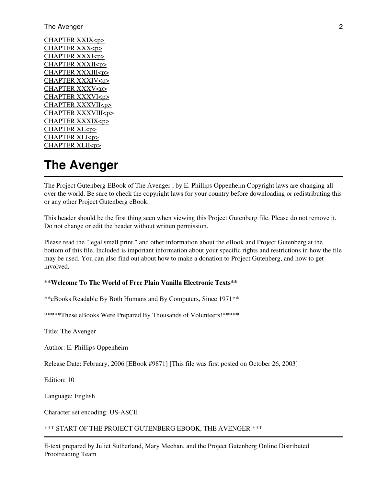#### The Avenger 2

[CHAPTER XXIX<p>](#page-104-0) [CHAPTER XXX<p>](#page-107-0) [CHAPTER XXXI<p>](#page-111-0) [CHAPTER XXXII<p>](#page-115-0) [CHAPTER XXXIII<p>](#page-118-0) [CHAPTER XXXIV<p>](#page-122-0) [CHAPTER XXXV<p>](#page-126-0) [CHAPTER XXXVI<p>](#page-130-0) [CHAPTER XXXVII<p>](#page-134-0) [CHAPTER XXXVIII<p>](#page-139-0) [CHAPTER XXXIX<p>](#page-143-0) [CHAPTER XL<p>](#page-147-0) [CHAPTER XLI<p>](#page-150-0) [CHAPTER XLII<p>](#page-155-0)

# **The Avenger**

The Project Gutenberg EBook of The Avenger , by E. Phillips Oppenheim Copyright laws are changing all over the world. Be sure to check the copyright laws for your country before downloading or redistributing this or any other Project Gutenberg eBook.

This header should be the first thing seen when viewing this Project Gutenberg file. Please do not remove it. Do not change or edit the header without written permission.

Please read the "legal small print," and other information about the eBook and Project Gutenberg at the bottom of this file. Included is important information about your specific rights and restrictions in how the file may be used. You can also find out about how to make a donation to Project Gutenberg, and how to get involved.

#### **\*\*Welcome To The World of Free Plain Vanilla Electronic Texts\*\***

\*\*eBooks Readable By Both Humans and By Computers, Since 1971\*\*

\*\*\*\*\*These eBooks Were Prepared By Thousands of Volunteers!\*\*\*\*\*

Title: The Avenger

Author: E. Phillips Oppenheim

Release Date: February, 2006 [EBook #9871] [This file was first posted on October 26, 2003]

Edition: 10

Language: English

Character set encoding: US-ASCII

\*\*\* START OF THE PROJECT GUTENBERG EBOOK, THE AVENGER \*\*\*

E-text prepared by Juliet Sutherland, Mary Meehan, and the Project Gutenberg Online Distributed Proofreading Team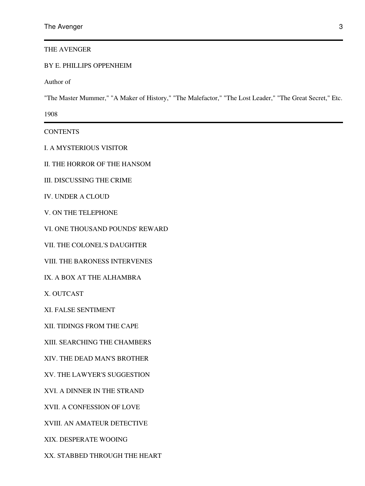THE AVENGER

### BY E. PHILLIPS OPPENHEIM

Author of

"The Master Mummer," "A Maker of History," "The Malefactor," "The Lost Leader," "The Great Secret," Etc.

1908

**CONTENTS** 

I. A MYSTERIOUS VISITOR

II. THE HORROR OF THE HANSOM

III. DISCUSSING THE CRIME

IV. UNDER A CLOUD

V. ON THE TELEPHONE

VI. ONE THOUSAND POUNDS' REWARD

VII. THE COLONEL'S DAUGHTER

VIII. THE BARONESS INTERVENES

IX. A BOX AT THE ALHAMBRA

X. OUTCAST

XI. FALSE SENTIMENT

XII. TIDINGS FROM THE CAPE

XIII. SEARCHING THE CHAMBERS

XIV. THE DEAD MAN'S BROTHER

XV. THE LAWYER'S SUGGESTION

XVI. A DINNER IN THE STRAND

XVII. A CONFESSION OF LOVE

XVIII. AN AMATEUR DETECTIVE

XIX. DESPERATE WOOING

XX. STABBED THROUGH THE HEART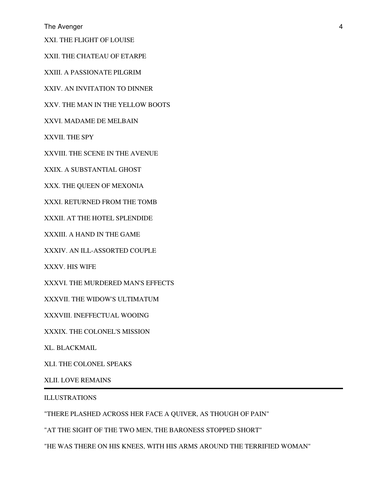The Avenger 4

XXI. THE FLIGHT OF LOUISE

XXII. THE CHATEAU OF ETARPE

XXIII. A PASSIONATE PILGRIM

XXIV. AN INVITATION TO DINNER

XXV. THE MAN IN THE YELLOW BOOTS

XXVI. MADAME DE MELBAIN

XXVII. THE SPY

XXVIII. THE SCENE IN THE AVENUE

XXIX. A SUBSTANTIAL GHOST

XXX. THE QUEEN OF MEXONIA

XXXI. RETURNED FROM THE TOMB

XXXII. AT THE HOTEL SPLENDIDE

XXXIII. A HAND IN THE GAME

XXXIV. AN ILL-ASSORTED COUPLE

XXXV. HIS WIFE

XXXVI. THE MURDERED MAN'S EFFECTS

XXXVII. THE WIDOW'S ULTIMATUM

XXXVIII. INEFFECTUAL WOOING

XXXIX. THE COLONEL'S MISSION

XL. BLACKMAIL

XLI. THE COLONEL SPEAKS

XLII. LOVE REMAINS

ILLUSTRATIONS

"THERE PLASHED ACROSS HER FACE A QUIVER, AS THOUGH OF PAIN"

"AT THE SIGHT OF THE TWO MEN, THE BARONESS STOPPED SHORT"

"HE WAS THERE ON HIS KNEES, WITH HIS ARMS AROUND THE TERRIFIED WOMAN"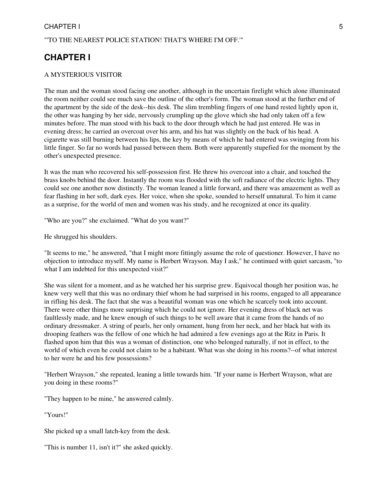### <span id="page-4-0"></span>"'TO THE NEAREST POLICE STATION! THAT'S WHERE I'M OFF.'"

## **CHAPTER I**

### A MYSTERIOUS VISITOR

The man and the woman stood facing one another, although in the uncertain firelight which alone illuminated the room neither could see much save the outline of the other's form. The woman stood at the further end of the apartment by the side of the desk--his desk. The slim trembling fingers of one hand rested lightly upon it, the other was hanging by her side, nervously crumpling up the glove which she had only taken off a few minutes before. The man stood with his back to the door through which he had just entered. He was in evening dress; he carried an overcoat over his arm, and his hat was slightly on the back of his head. A cigarette was still burning between his lips, the key by means of which he had entered was swinging from his little finger. So far no words had passed between them. Both were apparently stupefied for the moment by the other's unexpected presence.

It was the man who recovered his self-possession first. He threw his overcoat into a chair, and touched the brass knobs behind the door. Instantly the room was flooded with the soft radiance of the electric lights. They could see one another now distinctly. The woman leaned a little forward, and there was amazement as well as fear flashing in her soft, dark eyes. Her voice, when she spoke, sounded to herself unnatural. To him it came as a surprise, for the world of men and women was his study, and he recognized at once its quality.

"Who are you?" she exclaimed. "What do you want?"

He shrugged his shoulders.

"It seems to me," he answered, "that I might more fittingly assume the role of questioner. However, I have no objection to introduce myself. My name is Herbert Wrayson. May I ask," he continued with quiet sarcasm, "to what I am indebted for this unexpected visit?"

She was silent for a moment, and as he watched her his surprise grew. Equivocal though her position was, he knew very well that this was no ordinary thief whom he had surprised in his rooms, engaged to all appearance in rifling his desk. The fact that she was a beautiful woman was one which he scarcely took into account. There were other things more surprising which he could not ignore. Her evening dress of black net was faultlessly made, and he knew enough of such things to be well aware that it came from the hands of no ordinary dressmaker. A string of pearls, her only ornament, hung from her neck, and her black hat with its drooping feathers was the fellow of one which he had admired a few evenings ago at the Ritz in Paris. It flashed upon him that this was a woman of distinction, one who belonged naturally, if not in effect, to the world of which even he could not claim to be a habitant. What was she doing in his rooms?--of what interest to her were he and his few possessions?

"Herbert Wrayson," she repeated, leaning a little towards him. "If your name is Herbert Wrayson, what are you doing in these rooms?"

"They happen to be mine," he answered calmly.

"Yours!"

She picked up a small latch-key from the desk.

"This is number 11, isn't it?" she asked quickly.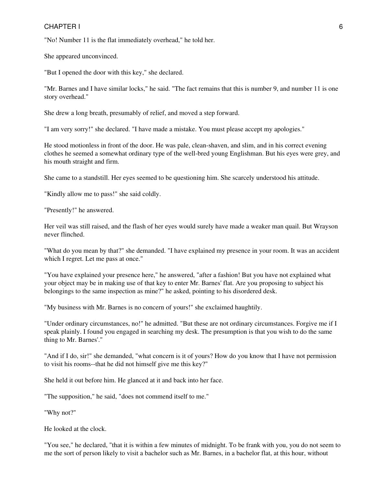### CHAPTER I GEOGRAPHIC CONSTRUCTION CONTROL CONTROL CONTROL CONTROL CONTROL CONTROL CONTROL CONTROL CONTROL CONTROL CONTROL CONTROL CONTROL CONTROL CONTROL CONTROL CONTROL CONTROL CONTROL CONTROL CONTROL CONTROL CONTROL CONT

"No! Number 11 is the flat immediately overhead," he told her.

She appeared unconvinced.

"But I opened the door with this key," she declared.

"Mr. Barnes and I have similar locks," he said. "The fact remains that this is number 9, and number 11 is one story overhead."

She drew a long breath, presumably of relief, and moved a step forward.

"I am very sorry!" she declared. "I have made a mistake. You must please accept my apologies."

He stood motionless in front of the door. He was pale, clean-shaven, and slim, and in his correct evening clothes he seemed a somewhat ordinary type of the well-bred young Englishman. But his eyes were grey, and his mouth straight and firm.

She came to a standstill. Her eyes seemed to be questioning him. She scarcely understood his attitude.

"Kindly allow me to pass!" she said coldly.

"Presently!" he answered.

Her veil was still raised, and the flash of her eyes would surely have made a weaker man quail. But Wrayson never flinched.

"What do you mean by that?" she demanded. "I have explained my presence in your room. It was an accident which I regret. Let me pass at once."

"You have explained your presence here," he answered, "after a fashion! But you have not explained what your object may be in making use of that key to enter Mr. Barnes' flat. Are you proposing to subject his belongings to the same inspection as mine?" he asked, pointing to his disordered desk.

"My business with Mr. Barnes is no concern of yours!" she exclaimed haughtily.

"Under ordinary circumstances, no!" he admitted. "But these are not ordinary circumstances. Forgive me if I speak plainly. I found you engaged in searching my desk. The presumption is that you wish to do the same thing to Mr. Barnes'."

"And if I do, sir!" she demanded, "what concern is it of yours? How do you know that I have not permission to visit his rooms--that he did not himself give me this key?"

She held it out before him. He glanced at it and back into her face.

"The supposition," he said, "does not commend itself to me."

"Why not?"

He looked at the clock.

"You see," he declared, "that it is within a few minutes of midnight. To be frank with you, you do not seem to me the sort of person likely to visit a bachelor such as Mr. Barnes, in a bachelor flat, at this hour, without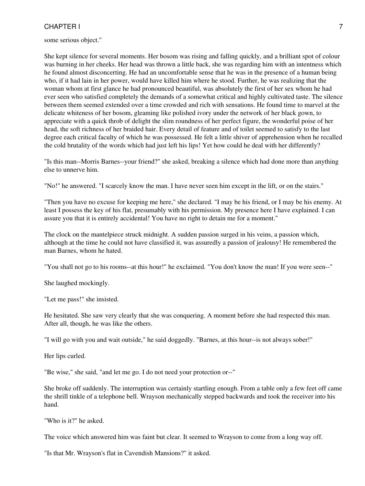some serious object."

She kept silence for several moments. Her bosom was rising and falling quickly, and a brilliant spot of colour was burning in her cheeks. Her head was thrown a little back, she was regarding him with an intentness which he found almost disconcerting. He had an uncomfortable sense that he was in the presence of a human being who, if it had lain in her power, would have killed him where he stood. Further, he was realizing that the woman whom at first glance he had pronounced beautiful, was absolutely the first of her sex whom he had ever seen who satisfied completely the demands of a somewhat critical and highly cultivated taste. The silence between them seemed extended over a time crowded and rich with sensations. He found time to marvel at the delicate whiteness of her bosom, gleaming like polished ivory under the network of her black gown, to appreciate with a quick throb of delight the slim roundness of her perfect figure, the wonderful poise of her head, the soft richness of her braided hair. Every detail of feature and of toilet seemed to satisfy to the last degree each critical faculty of which he was possessed. He felt a little shiver of apprehension when he recalled the cold brutality of the words which had just left his lips! Yet how could he deal with her differently?

"Is this man--Morris Barnes--your friend?" she asked, breaking a silence which had done more than anything else to unnerve him.

"No!" he answered. "I scarcely know the man. I have never seen him except in the lift, or on the stairs."

"Then you have no excuse for keeping me here," she declared. "I may be his friend, or I may be his enemy. At least I possess the key of his flat, presumably with his permission. My presence here I have explained. I can assure you that it is entirely accidental! You have no right to detain me for a moment."

The clock on the mantelpiece struck midnight. A sudden passion surged in his veins, a passion which, although at the time he could not have classified it, was assuredly a passion of jealousy! He remembered the man Barnes, whom he hated.

"You shall not go to his rooms--at this hour!" he exclaimed. "You don't know the man! If you were seen--"

She laughed mockingly.

"Let me pass!" she insisted.

He hesitated. She saw very clearly that she was conquering. A moment before she had respected this man. After all, though, he was like the others.

"I will go with you and wait outside," he said doggedly. "Barnes, at this hour--is not always sober!"

Her lips curled.

"Be wise," she said, "and let me go. I do not need your protection or--"

She broke off suddenly. The interruption was certainly startling enough. From a table only a few feet off came the shrill tinkle of a telephone bell. Wrayson mechanically stepped backwards and took the receiver into his hand.

"Who is it?" he asked.

The voice which answered him was faint but clear. It seemed to Wrayson to come from a long way off.

"Is that Mr. Wrayson's flat in Cavendish Mansions?" it asked.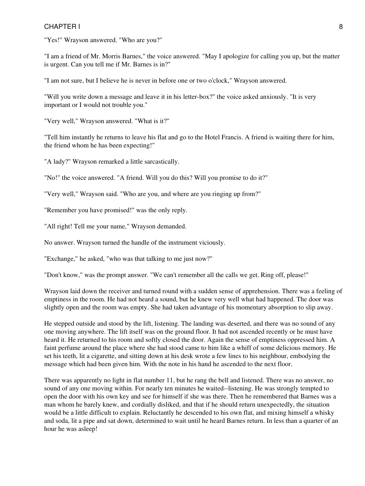### CHAPTER I and the set of the set of the set of the set of the set of the set of the set of the set of the set of the set of the set of the set of the set of the set of the set of the set of the set of the set of the set of

"Yes!" Wrayson answered. "Who are you?"

"I am a friend of Mr. Morris Barnes," the voice answered. "May I apologize for calling you up, but the matter is urgent. Can you tell me if Mr. Barnes is in?"

"I am not sure, but I believe he is never in before one or two o'clock," Wrayson answered.

"Will you write down a message and leave it in his letter-box?" the voice asked anxiously. "It is very important or I would not trouble you."

"Very well," Wrayson answered. "What is it?"

"Tell him instantly he returns to leave his flat and go to the Hotel Francis. A friend is waiting there for him, the friend whom he has been expecting!"

"A lady?" Wrayson remarked a little sarcastically.

"No!" the voice answered. "A friend. Will you do this? Will you promise to do it?"

"Very well," Wrayson said. "Who are you, and where are you ringing up from?"

"Remember you have promised!" was the only reply.

"All right! Tell me your name," Wrayson demanded.

No answer. Wrayson turned the handle of the instrument viciously.

"Exchange," he asked, "who was that talking to me just now?"

"Don't know," was the prompt answer. "We can't remember all the calls we get. Ring off, please!"

Wrayson laid down the receiver and turned round with a sudden sense of apprehension. There was a feeling of emptiness in the room. He had not heard a sound, but he knew very well what had happened. The door was slightly open and the room was empty. She had taken advantage of his momentary absorption to slip away.

He stepped outside and stood by the lift, listening. The landing was deserted, and there was no sound of any one moving anywhere. The lift itself was on the ground floor. It had not ascended recently or he must have heard it. He returned to his room and softly closed the door. Again the sense of emptiness oppressed him. A faint perfume around the place where she had stood came to him like a whiff of some delicious memory. He set his teeth, lit a cigarette, and sitting down at his desk wrote a few lines to his neighbour, embodying the message which had been given him. With the note in his hand he ascended to the next floor.

<span id="page-7-0"></span>There was apparently no light in flat number 11, but he rang the bell and listened. There was no answer, no sound of any one moving within. For nearly ten minutes he waited--listening. He was strongly tempted to open the door with his own key and see for himself if she was there. Then he remembered that Barnes was a man whom he barely knew, and cordially disliked, and that if he should return unexpectedly, the situation would be a little difficult to explain. Reluctantly he descended to his own flat, and mixing himself a whisky and soda, lit a pipe and sat down, determined to wait until he heard Barnes return. In less than a quarter of an hour he was asleep!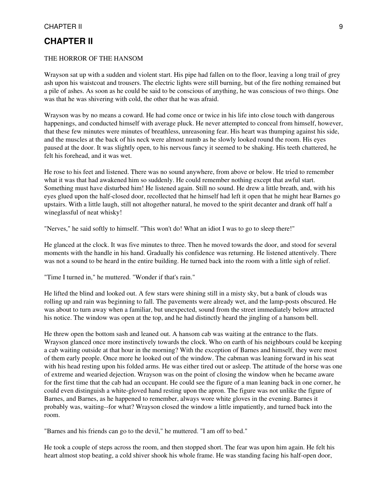### **CHAPTER II**

### THE HORROR OF THE HANSOM

Wrayson sat up with a sudden and violent start. His pipe had fallen on to the floor, leaving a long trail of grey ash upon his waistcoat and trousers. The electric lights were still burning, but of the fire nothing remained but a pile of ashes. As soon as he could be said to be conscious of anything, he was conscious of two things. One was that he was shivering with cold, the other that he was afraid.

Wrayson was by no means a coward. He had come once or twice in his life into close touch with dangerous happenings, and conducted himself with average pluck. He never attempted to conceal from himself, however, that these few minutes were minutes of breathless, unreasoning fear. His heart was thumping against his side, and the muscles at the back of his neck were almost numb as he slowly looked round the room. His eyes paused at the door. It was slightly open, to his nervous fancy it seemed to be shaking. His teeth chattered, he felt his forehead, and it was wet.

He rose to his feet and listened. There was no sound anywhere, from above or below. He tried to remember what it was that had awakened him so suddenly. He could remember nothing except that awful start. Something must have disturbed him! He listened again. Still no sound. He drew a little breath, and, with his eyes glued upon the half-closed door, recollected that he himself had left it open that he might hear Barnes go upstairs. With a little laugh, still not altogether natural, he moved to the spirit decanter and drank off half a wineglassful of neat whisky!

"Nerves," he said softly to himself. "This won't do! What an idiot I was to go to sleep there!"

He glanced at the clock. It was five minutes to three. Then he moved towards the door, and stood for several moments with the handle in his hand. Gradually his confidence was returning. He listened attentively. There was not a sound to be heard in the entire building. He turned back into the room with a little sigh of relief.

"Time I turned in," he muttered. "Wonder if that's rain."

He lifted the blind and looked out. A few stars were shining still in a misty sky, but a bank of clouds was rolling up and rain was beginning to fall. The pavements were already wet, and the lamp-posts obscured. He was about to turn away when a familiar, but unexpected, sound from the street immediately below attracted his notice. The window was open at the top, and he had distinctly heard the jingling of a hansom bell.

He threw open the bottom sash and leaned out. A hansom cab was waiting at the entrance to the flats. Wrayson glanced once more instinctively towards the clock. Who on earth of his neighbours could be keeping a cab waiting outside at that hour in the morning? With the exception of Barnes and himself, they were most of them early people. Once more he looked out of the window. The cabman was leaning forward in his seat with his head resting upon his folded arms. He was either tired out or asleep. The attitude of the horse was one of extreme and wearied dejection. Wrayson was on the point of closing the window when he became aware for the first time that the cab had an occupant. He could see the figure of a man leaning back in one corner, he could even distinguish a white-gloved hand resting upon the apron. The figure was not unlike the figure of Barnes, and Barnes, as he happened to remember, always wore white gloves in the evening. Barnes it probably was, waiting--for what? Wrayson closed the window a little impatiently, and turned back into the room.

"Barnes and his friends can go to the devil," he muttered. "I am off to bed."

He took a couple of steps across the room, and then stopped short. The fear was upon him again. He felt his heart almost stop beating, a cold shiver shook his whole frame. He was standing facing his half-open door,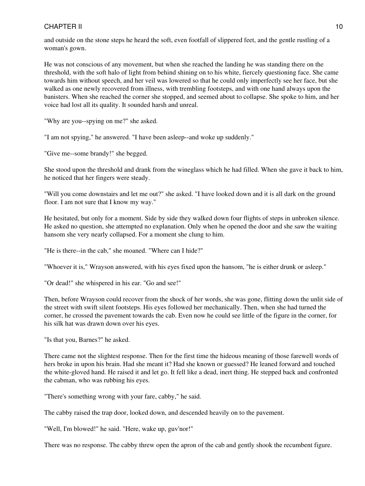and outside on the stone steps he heard the soft, even footfall of slippered feet, and the gentle rustling of a woman's gown.

He was not conscious of any movement, but when she reached the landing he was standing there on the threshold, with the soft halo of light from behind shining on to his white, fiercely questioning face. She came towards him without speech, and her veil was lowered so that he could only imperfectly see her face, but she walked as one newly recovered from illness, with trembling footsteps, and with one hand always upon the banisters. When she reached the corner she stopped, and seemed about to collapse. She spoke to him, and her voice had lost all its quality. It sounded harsh and unreal.

"Why are you--spying on me?" she asked.

"I am not spying," he answered. "I have been asleep--and woke up suddenly."

"Give me--some brandy!" she begged.

She stood upon the threshold and drank from the wineglass which he had filled. When she gave it back to him, he noticed that her fingers were steady.

"Will you come downstairs and let me out?" she asked. "I have looked down and it is all dark on the ground floor. I am not sure that I know my way."

He hesitated, but only for a moment. Side by side they walked down four flights of steps in unbroken silence. He asked no question, she attempted no explanation. Only when he opened the door and she saw the waiting hansom she very nearly collapsed. For a moment she clung to him.

"He is there--in the cab," she moaned. "Where can I hide?"

"Whoever it is," Wrayson answered, with his eyes fixed upon the hansom, "he is either drunk or asleep."

"Or dead!" she whispered in his ear. "Go and see!"

Then, before Wrayson could recover from the shock of her words, she was gone, flitting down the unlit side of the street with swift silent footsteps. His eyes followed her mechanically. Then, when she had turned the corner, he crossed the pavement towards the cab. Even now he could see little of the figure in the corner, for his silk hat was drawn down over his eyes.

"Is that you, Barnes?" he asked.

There came not the slightest response. Then for the first time the hideous meaning of those farewell words of hers broke in upon his brain. Had she meant it? Had she known or guessed? He leaned forward and touched the white-gloved hand. He raised it and let go. It fell like a dead, inert thing. He stepped back and confronted the cabman, who was rubbing his eyes.

"There's something wrong with your fare, cabby," he said.

The cabby raised the trap door, looked down, and descended heavily on to the pavement.

"Well, I'm blowed!" he said. "Here, wake up, guv'nor!"

There was no response. The cabby threw open the apron of the cab and gently shook the recumbent figure.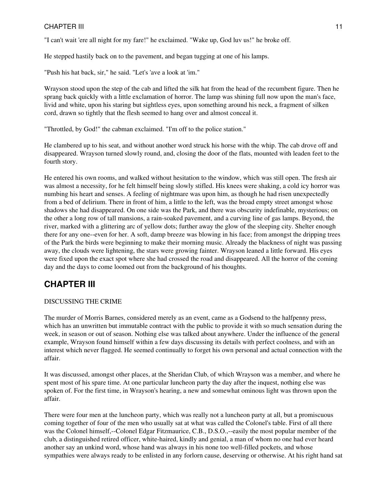"I can't wait 'ere all night for my fare!" he exclaimed. "Wake up, God luv us!" he broke off.

He stepped hastily back on to the pavement, and began tugging at one of his lamps.

"Push his hat back, sir," he said. "Let's 'ave a look at 'im."

Wrayson stood upon the step of the cab and lifted the silk hat from the head of the recumbent figure. Then he sprang back quickly with a little exclamation of horror. The lamp was shining full now upon the man's face, livid and white, upon his staring but sightless eyes, upon something around his neck, a fragment of silken cord, drawn so tightly that the flesh seemed to hang over and almost conceal it.

"Throttled, by God!" the cabman exclaimed. "I'm off to the police station."

He clambered up to his seat, and without another word struck his horse with the whip. The cab drove off and disappeared. Wrayson turned slowly round, and, closing the door of the flats, mounted with leaden feet to the fourth story.

He entered his own rooms, and walked without hesitation to the window, which was still open. The fresh air was almost a necessity, for he felt himself being slowly stifled. His knees were shaking, a cold icy horror was numbing his heart and senses. A feeling of nightmare was upon him, as though he had risen unexpectedly from a bed of delirium. There in front of him, a little to the left, was the broad empty street amongst whose shadows she had disappeared. On one side was the Park, and there was obscurity indefinable, mysterious; on the other a long row of tall mansions, a rain-soaked pavement, and a curving line of gas lamps. Beyond, the river, marked with a glittering arc of yellow dots; further away the glow of the sleeping city. Shelter enough there for any one--even for her. A soft, damp breeze was blowing in his face; from amongst the dripping trees of the Park the birds were beginning to make their morning music. Already the blackness of night was passing away, the clouds were lightening, the stars were growing fainter. Wrayson leaned a little forward. His eyes were fixed upon the exact spot where she had crossed the road and disappeared. All the horror of the coming day and the days to come loomed out from the background of his thoughts.

# <span id="page-10-0"></span>**CHAPTER III**

### DISCUSSING THE CRIME

The murder of Morris Barnes, considered merely as an event, came as a Godsend to the halfpenny press, which has an unwritten but immutable contract with the public to provide it with so much sensation during the week, in season or out of season. Nothing else was talked about anywhere. Under the influence of the general example, Wrayson found himself within a few days discussing its details with perfect coolness, and with an interest which never flagged. He seemed continually to forget his own personal and actual connection with the affair.

It was discussed, amongst other places, at the Sheridan Club, of which Wrayson was a member, and where he spent most of his spare time. At one particular luncheon party the day after the inquest, nothing else was spoken of. For the first time, in Wrayson's hearing, a new and somewhat ominous light was thrown upon the affair.

There were four men at the luncheon party, which was really not a luncheon party at all, but a promiscuous coming together of four of the men who usually sat at what was called the Colonel's table. First of all there was the Colonel himself,--Colonel Edgar Fitzmaurice, C.B., D.S.O.,--easily the most popular member of the club, a distinguished retired officer, white-haired, kindly and genial, a man of whom no one had ever heard another say an unkind word, whose hand was always in his none too well-filled pockets, and whose sympathies were always ready to be enlisted in any forlorn cause, deserving or otherwise. At his right hand sat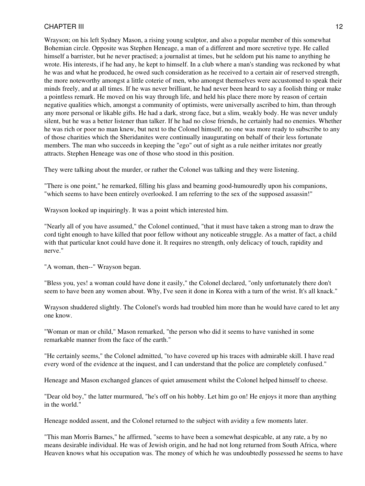Wrayson; on his left Sydney Mason, a rising young sculptor, and also a popular member of this somewhat Bohemian circle. Opposite was Stephen Heneage, a man of a different and more secretive type. He called himself a barrister, but he never practised; a journalist at times, but he seldom put his name to anything he wrote. His interests, if he had any, he kept to himself. In a club where a man's standing was reckoned by what he was and what he produced, he owed such consideration as he received to a certain air of reserved strength, the more noteworthy amongst a little coterie of men, who amongst themselves were accustomed to speak their minds freely, and at all times. If he was never brilliant, he had never been heard to say a foolish thing or make a pointless remark. He moved on his way through life, and held his place there more by reason of certain negative qualities which, amongst a community of optimists, were universally ascribed to him, than through any more personal or likable gifts. He had a dark, strong face, but a slim, weakly body. He was never unduly silent, but he was a better listener than talker. If he had no close friends, he certainly had no enemies. Whether he was rich or poor no man knew, but next to the Colonel himself, no one was more ready to subscribe to any of those charities which the Sheridanites were continually inaugurating on behalf of their less fortunate members. The man who succeeds in keeping the "ego" out of sight as a rule neither irritates nor greatly attracts. Stephen Heneage was one of those who stood in this position.

They were talking about the murder, or rather the Colonel was talking and they were listening.

"There is one point," he remarked, filling his glass and beaming good-humouredly upon his companions, "which seems to have been entirely overlooked. I am referring to the sex of the supposed assassin!"

Wrayson looked up inquiringly. It was a point which interested him.

"Nearly all of you have assumed," the Colonel continued, "that it must have taken a strong man to draw the cord tight enough to have killed that poor fellow without any noticeable struggle. As a matter of fact, a child with that particular knot could have done it. It requires no strength, only delicacy of touch, rapidity and nerve."

"A woman, then--" Wrayson began.

"Bless you, yes! a woman could have done it easily," the Colonel declared, "only unfortunately there don't seem to have been any women about. Why, I've seen it done in Korea with a turn of the wrist. It's all knack."

Wrayson shuddered slightly. The Colonel's words had troubled him more than he would have cared to let any one know.

"Woman or man or child," Mason remarked, "the person who did it seems to have vanished in some remarkable manner from the face of the earth."

"He certainly seems," the Colonel admitted, "to have covered up his traces with admirable skill. I have read every word of the evidence at the inquest, and I can understand that the police are completely confused."

Heneage and Mason exchanged glances of quiet amusement whilst the Colonel helped himself to cheese.

"Dear old boy," the latter murmured, "he's off on his hobby. Let him go on! He enjoys it more than anything in the world."

Heneage nodded assent, and the Colonel returned to the subject with avidity a few moments later.

"This man Morris Barnes," he affirmed, "seems to have been a somewhat despicable, at any rate, a by no means desirable individual. He was of Jewish origin, and he had not long returned from South Africa, where Heaven knows what his occupation was. The money of which he was undoubtedly possessed he seems to have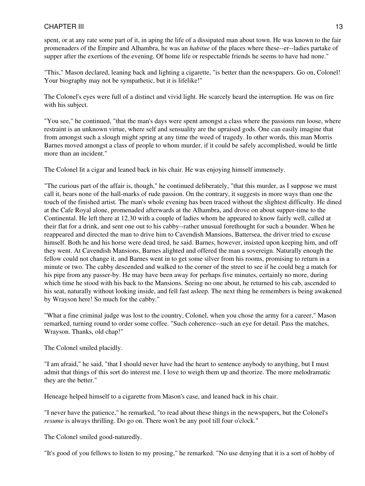spent, or at any rate some part of it, in aping the life of a dissipated man about town. He was known to the fair promenaders of the Empire and Alhambra, he was an *habitue* of the places where these--er--ladies partake of supper after the exertions of the evening. Of home life or respectable friends he seems to have had none."

"This," Mason declared, leaning back and lighting a cigarette, "is better than the newspapers. Go on, Colonel! Your biography may not be sympathetic, but it is lifelike!"

The Colonel's eyes were full of a distinct and vivid light. He scarcely heard the interruption. He was on fire with his subject.

"You see," he continued, "that the man's days were spent amongst a class where the passions run loose, where restraint is an unknown virtue, where self and sensuality are the upraised gods. One can easily imagine that from amongst such a slough might spring at any time the weed of tragedy. In other words, this man Morris Barnes moved amongst a class of people to whom murder, if it could be safely accomplished, would be little more than an incident."

The Colonel lit a cigar and leaned back in his chair. He was enjoying himself immensely.

"The curious part of the affair is, though," he continued deliberately, "that this murder, as I suppose we must call it, bears none of the hall-marks of rude passion. On the contrary, it suggests in more ways than one the touch of the finished artist. The man's whole evening has been traced without the slightest difficulty. He dined at the Cafe Royal alone, promenaded afterwards at the Alhambra, and drove on about supper-time to the Continental. He left there at 12.30 with a couple of ladies whom he appeared to know fairly well, called at their flat for a drink, and sent one out to his cabby--rather unusual forethought for such a bounder. When he reappeared and directed the man to drive him to Cavendish Mansions, Battersea, the driver tried to excuse himself. Both he and his horse were dead tired, he said. Barnes, however, insisted upon keeping him, and off they went. At Cavendish Mansions, Barnes alighted and offered the man a sovereign. Naturally enough the fellow could not change it, and Barnes went in to get some silver from his rooms, promising to return in a minute or two. The cabby descended and walked to the corner of the street to see if he could beg a match for his pipe from any passer-by. He may have been away for perhaps five minutes, certainly no more, during which time he stood with his back to the Mansions. Seeing no one about, he returned to his cab, ascended to his seat, naturally without looking inside, and fell fast asleep. The next thing he remembers is being awakened by Wrayson here! So much for the cabby."

"What a fine criminal judge was lost to the country, Colonel, when you chose the army for a career," Mason remarked, turning round to order some coffee. "Such coherence--such an eye for detail. Pass the matches, Wrayson. Thanks, old chap!"

The Colonel smiled placidly.

"I am afraid," he said, "that I should never have had the heart to sentence anybody to anything, but I must admit that things of this sort do interest me. I love to weigh them up and theorize. The more melodramatic they are the better."

Heneage helped himself to a cigarette from Mason's case, and leaned back in his chair.

"I never have the patience," he remarked, "to read about these things in the newspapers, but the Colonel's *resume* is always thrilling. Do go on. There won't be any pool till four o'clock."

The Colonel smiled good-naturedly.

"It's good of you fellows to listen to my prosing," he remarked. "No use denying that it is a sort of hobby of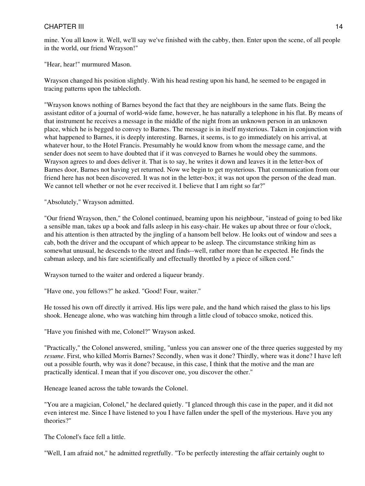mine. You all know it. Well, we'll say we've finished with the cabby, then. Enter upon the scene, of all people in the world, our friend Wrayson!"

"Hear, hear!" murmured Mason.

Wrayson changed his position slightly. With his head resting upon his hand, he seemed to be engaged in tracing patterns upon the tablecloth.

"Wrayson knows nothing of Barnes beyond the fact that they are neighbours in the same flats. Being the assistant editor of a journal of world-wide fame, however, he has naturally a telephone in his flat. By means of that instrument he receives a message in the middle of the night from an unknown person in an unknown place, which he is begged to convey to Barnes. The message is in itself mysterious. Taken in conjunction with what happened to Barnes, it is deeply interesting. Barnes, it seems, is to go immediately on his arrival, at whatever hour, to the Hotel Francis. Presumably he would know from whom the message came, and the sender does not seem to have doubted that if it was conveyed to Barnes he would obey the summons. Wrayson agrees to and does deliver it. That is to say, he writes it down and leaves it in the letter-box of Barnes door, Barnes not having yet returned. Now we begin to get mysterious. That communication from our friend here has not been discovered. It was not in the letter-box; it was not upon the person of the dead man. We cannot tell whether or not he ever received it. I believe that I am right so far?"

"Absolutely," Wrayson admitted.

"Our friend Wrayson, then," the Colonel continued, beaming upon his neighbour, "instead of going to bed like a sensible man, takes up a book and falls asleep in his easy-chair. He wakes up about three or four o'clock, and his attention is then attracted by the jingling of a hansom bell below. He looks out of window and sees a cab, both the driver and the occupant of which appear to be asleep. The circumstance striking him as somewhat unusual, he descends to the street and finds--well, rather more than he expected. He finds the cabman asleep, and his fare scientifically and effectually throttled by a piece of silken cord."

Wrayson turned to the waiter and ordered a liqueur brandy.

"Have one, you fellows?" he asked. "Good! Four, waiter."

He tossed his own off directly it arrived. His lips were pale, and the hand which raised the glass to his lips shook. Heneage alone, who was watching him through a little cloud of tobacco smoke, noticed this.

"Have you finished with me, Colonel?" Wrayson asked.

"Practically," the Colonel answered, smiling, "unless you can answer one of the three queries suggested by my *resume*. First, who killed Morris Barnes? Secondly, when was it done? Thirdly, where was it done? I have left out a possible fourth, why was it done? because, in this case, I think that the motive and the man are practically identical. I mean that if you discover one, you discover the other."

Heneage leaned across the table towards the Colonel.

"You are a magician, Colonel," he declared quietly. "I glanced through this case in the paper, and it did not even interest me. Since I have listened to you I have fallen under the spell of the mysterious. Have you any theories?"

The Colonel's face fell a little.

"Well, I am afraid not," he admitted regretfully. "To be perfectly interesting the affair certainly ought to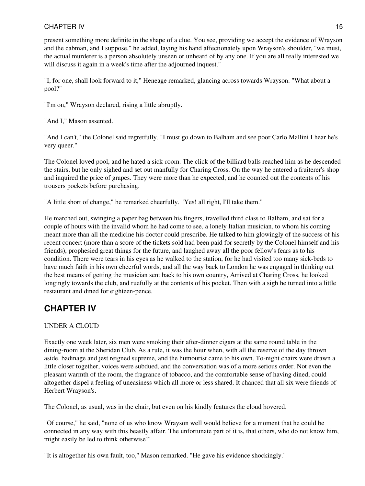present something more definite in the shape of a clue. You see, providing we accept the evidence of Wrayson and the cabman, and I suppose," he added, laying his hand affectionately upon Wrayson's shoulder, "we must, the actual murderer is a person absolutely unseen or unheard of by any one. If you are all really interested we will discuss it again in a week's time after the adjourned inquest."

"I, for one, shall look forward to it," Heneage remarked, glancing across towards Wrayson. "What about a pool?"

"I'm on," Wrayson declared, rising a little abruptly.

"And I," Mason assented.

"And I can't," the Colonel said regretfully. "I must go down to Balham and see poor Carlo Mallini I hear he's very queer."

The Colonel loved pool, and he hated a sick-room. The click of the billiard balls reached him as he descended the stairs, but he only sighed and set out manfully for Charing Cross. On the way he entered a fruiterer's shop and inquired the price of grapes. They were more than he expected, and he counted out the contents of his trousers pockets before purchasing.

"A little short of change," he remarked cheerfully. "Yes! all right, I'll take them."

He marched out, swinging a paper bag between his fingers, travelled third class to Balham, and sat for a couple of hours with the invalid whom he had come to see, a lonely Italian musician, to whom his coming meant more than all the medicine his doctor could prescribe. He talked to him glowingly of the success of his recent concert (more than a score of the tickets sold had been paid for secretly by the Colonel himself and his friends), prophesied great things for the future, and laughed away all the poor fellow's fears as to his condition. There were tears in his eyes as he walked to the station, for he had visited too many sick-beds to have much faith in his own cheerful words, and all the way back to London he was engaged in thinking out the best means of getting the musician sent back to his own country, Arrived at Charing Cross, he looked longingly towards the club, and ruefully at the contents of his pocket. Then with a sigh he turned into a little restaurant and dined for eighteen-pence.

### <span id="page-14-0"></span>**CHAPTER IV**

### UNDER A CLOUD

Exactly one week later, six men were smoking their after-dinner cigars at the same round table in the dining-room at the Sheridan Club. As a rule, it was the hour when, with all the reserve of the day thrown aside, badinage and jest reigned supreme, and the humourist came to his own. To-night chairs were drawn a little closer together, voices were subdued, and the conversation was of a more serious order. Not even the pleasant warmth of the room, the fragrance of tobacco, and the comfortable sense of having dined, could altogether dispel a feeling of uneasiness which all more or less shared. It chanced that all six were friends of Herbert Wrayson's.

The Colonel, as usual, was in the chair, but even on his kindly features the cloud hovered.

"Of course," he said, "none of us who know Wrayson well would believe for a moment that he could be connected in any way with this beastly affair. The unfortunate part of it is, that others, who do not know him, might easily be led to think otherwise!"

"It is altogether his own fault, too," Mason remarked. "He gave his evidence shockingly."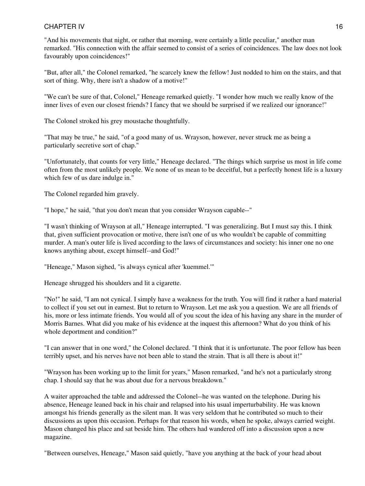"And his movements that night, or rather that morning, were certainly a little peculiar," another man remarked. "His connection with the affair seemed to consist of a series of coincidences. The law does not look favourably upon coincidences!"

"But, after all," the Colonel remarked, "he scarcely knew the fellow! Just nodded to him on the stairs, and that sort of thing. Why, there isn't a shadow of a motive!"

"We can't be sure of that, Colonel," Heneage remarked quietly. "I wonder how much we really know of the inner lives of even our closest friends? I fancy that we should be surprised if we realized our ignorance!"

The Colonel stroked his grey moustache thoughtfully.

"That may be true," he said, "of a good many of us. Wrayson, however, never struck me as being a particularly secretive sort of chap."

"Unfortunately, that counts for very little," Heneage declared. "The things which surprise us most in life come often from the most unlikely people. We none of us mean to be deceitful, but a perfectly honest life is a luxury which few of us dare indulge in."

The Colonel regarded him gravely.

"I hope," he said, "that you don't mean that you consider Wrayson capable--"

"I wasn't thinking of Wrayson at all," Heneage interrupted. "I was generalizing. But I must say this. I think that, given sufficient provocation or motive, there isn't one of us who wouldn't be capable of committing murder. A man's outer life is lived according to the laws of circumstances and society: his inner one no one knows anything about, except himself--and God!"

"Heneage," Mason sighed, "is always cynical after 'kuemmel.'"

Heneage shrugged his shoulders and lit a cigarette.

"No!" he said, "I am not cynical. I simply have a weakness for the truth. You will find it rather a hard material to collect if you set out in earnest. But to return to Wrayson. Let me ask you a question. We are all friends of his, more or less intimate friends. You would all of you scout the idea of his having any share in the murder of Morris Barnes. What did you make of his evidence at the inquest this afternoon? What do you think of his whole deportment and condition?"

"I can answer that in one word," the Colonel declared. "I think that it is unfortunate. The poor fellow has been terribly upset, and his nerves have not been able to stand the strain. That is all there is about it!"

"Wrayson has been working up to the limit for years," Mason remarked, "and he's not a particularly strong chap. I should say that he was about due for a nervous breakdown."

A waiter approached the table and addressed the Colonel--he was wanted on the telephone. During his absence, Heneage leaned back in his chair and relapsed into his usual imperturbability. He was known amongst his friends generally as the silent man. It was very seldom that he contributed so much to their discussions as upon this occasion. Perhaps for that reason his words, when he spoke, always carried weight. Mason changed his place and sat beside him. The others had wandered off into a discussion upon a new magazine.

"Between ourselves, Heneage," Mason said quietly, "have you anything at the back of your head about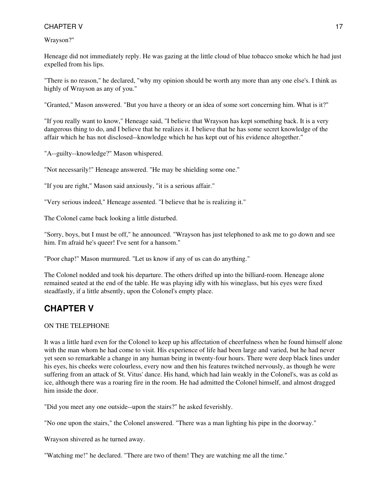Wrayson?"

Heneage did not immediately reply. He was gazing at the little cloud of blue tobacco smoke which he had just expelled from his lips.

"There is no reason," he declared, "why my opinion should be worth any more than any one else's. I think as highly of Wrayson as any of you."

"Granted," Mason answered. "But you have a theory or an idea of some sort concerning him. What is it?"

"If you really want to know," Heneage said, "I believe that Wrayson has kept something back. It is a very dangerous thing to do, and I believe that he realizes it. I believe that he has some secret knowledge of the affair which he has not disclosed--knowledge which he has kept out of his evidence altogether."

"A--guilty--knowledge?" Mason whispered.

"Not necessarily!" Heneage answered. "He may be shielding some one."

"If you are right," Mason said anxiously, "it is a serious affair."

"Very serious indeed," Heneage assented. "I believe that he is realizing it."

The Colonel came back looking a little disturbed.

"Sorry, boys, but I must be off," he announced. "Wrayson has just telephoned to ask me to go down and see him. I'm afraid he's queer! I've sent for a hansom."

"Poor chap!" Mason murmured. "Let us know if any of us can do anything."

<span id="page-16-0"></span>The Colonel nodded and took his departure. The others drifted up into the billiard-room. Heneage alone remained seated at the end of the table. He was playing idly with his wineglass, but his eyes were fixed steadfastly, if a little absently, upon the Colonel's empty place.

# **CHAPTER V**

### ON THE TELEPHONE

It was a little hard even for the Colonel to keep up his affectation of cheerfulness when he found himself alone with the man whom he had come to visit. His experience of life had been large and varied, but he had never yet seen so remarkable a change in any human being in twenty-four hours. There were deep black lines under his eyes, his cheeks were colourless, every now and then his features twitched nervously, as though he were suffering from an attack of St. Vitus' dance. His hand, which had lain weakly in the Colonel's, was as cold as ice, although there was a roaring fire in the room. He had admitted the Colonel himself, and almost dragged him inside the door.

"Did you meet any one outside--upon the stairs?" he asked feverishly.

"No one upon the stairs," the Colonel answered. "There was a man lighting his pipe in the doorway."

Wrayson shivered as he turned away.

"Watching me!" he declared. "There are two of them! They are watching me all the time."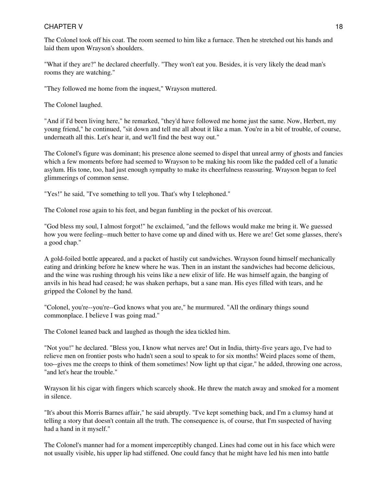The Colonel took off his coat. The room seemed to him like a furnace. Then he stretched out his hands and laid them upon Wrayson's shoulders.

"What if they are?" he declared cheerfully. "They won't eat you. Besides, it is very likely the dead man's rooms they are watching."

"They followed me home from the inquest," Wrayson muttered.

The Colonel laughed.

"And if I'd been living here," he remarked, "they'd have followed me home just the same. Now, Herbert, my young friend," he continued, "sit down and tell me all about it like a man. You're in a bit of trouble, of course, underneath all this. Let's hear it, and we'll find the best way out."

The Colonel's figure was dominant; his presence alone seemed to dispel that unreal army of ghosts and fancies which a few moments before had seemed to Wrayson to be making his room like the padded cell of a lunatic asylum. His tone, too, had just enough sympathy to make its cheerfulness reassuring. Wrayson began to feel glimmerings of common sense.

"Yes!" he said, "I've something to tell you. That's why I telephoned."

The Colonel rose again to his feet, and began fumbling in the pocket of his overcoat.

"God bless my soul, I almost forgot!" he exclaimed, "and the fellows would make me bring it. We guessed how you were feeling--much better to have come up and dined with us. Here we are! Get some glasses, there's a good chap."

A gold-foiled bottle appeared, and a packet of hastily cut sandwiches. Wrayson found himself mechanically eating and drinking before he knew where he was. Then in an instant the sandwiches had become delicious, and the wine was rushing through his veins like a new elixir of life. He was himself again, the banging of anvils in his head had ceased; he was shaken perhaps, but a sane man. His eyes filled with tears, and he gripped the Colonel by the hand.

"Colonel, you're--you're--God knows what you are," he murmured. "All the ordinary things sound commonplace. I believe I was going mad."

The Colonel leaned back and laughed as though the idea tickled him.

"Not you!" he declared. "Bless you, I know what nerves are! Out in India, thirty-five years ago, I've had to relieve men on frontier posts who hadn't seen a soul to speak to for six months! Weird places some of them, too--gives me the creeps to think of them sometimes! Now light up that cigar," he added, throwing one across, "and let's hear the trouble."

Wrayson lit his cigar with fingers which scarcely shook. He threw the match away and smoked for a moment in silence.

"It's about this Morris Barnes affair," he said abruptly. "I've kept something back, and I'm a clumsy hand at telling a story that doesn't contain all the truth. The consequence is, of course, that I'm suspected of having had a hand in it myself."

The Colonel's manner had for a moment imperceptibly changed. Lines had come out in his face which were not usually visible, his upper lip had stiffened. One could fancy that he might have led his men into battle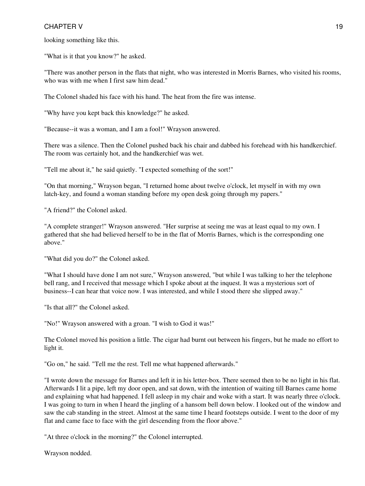looking something like this.

"What is it that you know?" he asked.

"There was another person in the flats that night, who was interested in Morris Barnes, who visited his rooms, who was with me when I first saw him dead."

The Colonel shaded his face with his hand. The heat from the fire was intense.

"Why have you kept back this knowledge?" he asked.

"Because--it was a woman, and I am a fool!" Wrayson answered.

There was a silence. Then the Colonel pushed back his chair and dabbed his forehead with his handkerchief. The room was certainly hot, and the handkerchief was wet.

"Tell me about it," he said quietly. "I expected something of the sort!"

"On that morning," Wrayson began, "I returned home about twelve o'clock, let myself in with my own latch-key, and found a woman standing before my open desk going through my papers."

"A friend?" the Colonel asked.

"A complete stranger!" Wrayson answered. "Her surprise at seeing me was at least equal to my own. I gathered that she had believed herself to be in the flat of Morris Barnes, which is the corresponding one above."

"What did you do?" the Colonel asked.

"What I should have done I am not sure," Wrayson answered, "but while I was talking to her the telephone bell rang, and I received that message which I spoke about at the inquest. It was a mysterious sort of business--I can hear that voice now. I was interested, and while I stood there she slipped away."

"Is that all?" the Colonel asked.

"No!" Wrayson answered with a groan. "I wish to God it was!"

The Colonel moved his position a little. The cigar had burnt out between his fingers, but he made no effort to light it.

"Go on," he said. "Tell me the rest. Tell me what happened afterwards."

"I wrote down the message for Barnes and left it in his letter-box. There seemed then to be no light in his flat. Afterwards I lit a pipe, left my door open, and sat down, with the intention of waiting till Barnes came home and explaining what had happened. I fell asleep in my chair and woke with a start. It was nearly three o'clock. I was going to turn in when I heard the jingling of a hansom bell down below. I looked out of the window and saw the cab standing in the street. Almost at the same time I heard footsteps outside. I went to the door of my flat and came face to face with the girl descending from the floor above."

"At three o'clock in the morning?" the Colonel interrupted.

Wrayson nodded.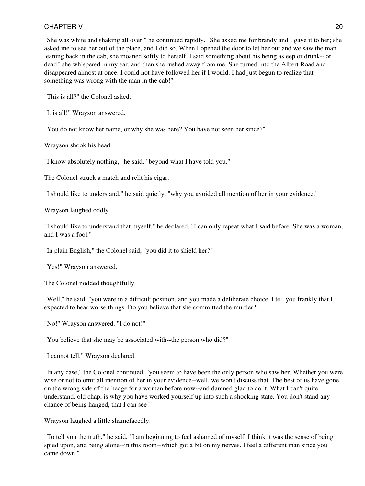"She was white and shaking all over," he continued rapidly. "She asked me for brandy and I gave it to her; she asked me to see her out of the place, and I did so. When I opened the door to let her out and we saw the man leaning back in the cab, she moaned softly to herself. I said something about his being asleep or drunk--'or dead!' she whispered in my ear, and then she rushed away from me. She turned into the Albert Road and disappeared almost at once. I could not have followed her if I would. I had just begun to realize that something was wrong with the man in the cab!"

"This is all?" the Colonel asked.

"It is all!" Wrayson answered.

"You do not know her name, or why she was here? You have not seen her since?"

Wrayson shook his head.

"I know absolutely nothing," he said, "beyond what I have told you."

The Colonel struck a match and relit his cigar.

"I should like to understand," he said quietly, "why you avoided all mention of her in your evidence."

Wrayson laughed oddly.

"I should like to understand that myself," he declared. "I can only repeat what I said before. She was a woman, and I was a fool."

"In plain English," the Colonel said, "you did it to shield her?"

"Yes!" Wrayson answered.

The Colonel nodded thoughtfully.

"Well," he said, "you were in a difficult position, and you made a deliberate choice. I tell you frankly that I expected to hear worse things. Do you believe that she committed the murder?"

"No!" Wrayson answered. "I do not!"

"You believe that she may be associated with--the person who did?"

"I cannot tell," Wrayson declared.

"In any case," the Colonel continued, "you seem to have been the only person who saw her. Whether you were wise or not to omit all mention of her in your evidence--well, we won't discuss that. The best of us have gone on the wrong side of the hedge for a woman before now--and damned glad to do it. What I can't quite understand, old chap, is why you have worked yourself up into such a shocking state. You don't stand any chance of being hanged, that I can see!"

Wrayson laughed a little shamefacedly.

"To tell you the truth," he said, "I am beginning to feel ashamed of myself. I think it was the sense of being spied upon, and being alone--in this room--which got a bit on my nerves. I feel a different man since you came down."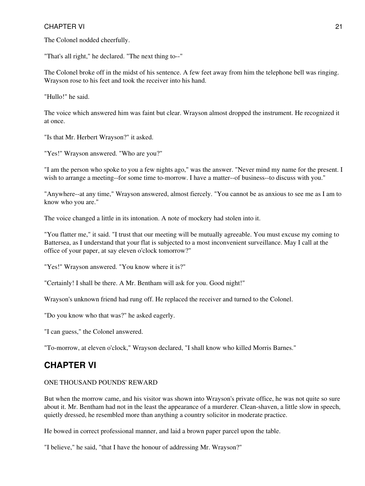The Colonel nodded cheerfully.

"That's all right," he declared. "The next thing to--"

The Colonel broke off in the midst of his sentence. A few feet away from him the telephone bell was ringing. Wrayson rose to his feet and took the receiver into his hand.

"Hullo!" he said.

The voice which answered him was faint but clear. Wrayson almost dropped the instrument. He recognized it at once.

"Is that Mr. Herbert Wrayson?" it asked.

"Yes!" Wrayson answered. "Who are you?"

"I am the person who spoke to you a few nights ago," was the answer. "Never mind my name for the present. I wish to arrange a meeting--for some time to-morrow. I have a matter--of business--to discuss with you."

"Anywhere--at any time," Wrayson answered, almost fiercely. "You cannot be as anxious to see me as I am to know who you are."

The voice changed a little in its intonation. A note of mockery had stolen into it.

"You flatter me," it said. "I trust that our meeting will be mutually agreeable. You must excuse my coming to Battersea, as I understand that your flat is subjected to a most inconvenient surveillance. May I call at the office of your paper, at say eleven o'clock tomorrow?"

"Yes!" Wrayson answered. "You know where it is?"

"Certainly! I shall be there. A Mr. Bentham will ask for you. Good night!"

Wrayson's unknown friend had rung off. He replaced the receiver and turned to the Colonel.

"Do you know who that was?" he asked eagerly.

"I can guess," the Colonel answered.

<span id="page-20-0"></span>"To-morrow, at eleven o'clock," Wrayson declared, "I shall know who killed Morris Barnes."

### **CHAPTER VI**

#### ONE THOUSAND POUNDS' REWARD

But when the morrow came, and his visitor was shown into Wrayson's private office, he was not quite so sure about it. Mr. Bentham had not in the least the appearance of a murderer. Clean-shaven, a little slow in speech, quietly dressed, he resembled more than anything a country solicitor in moderate practice.

He bowed in correct professional manner, and laid a brown paper parcel upon the table.

"I believe," he said, "that I have the honour of addressing Mr. Wrayson?"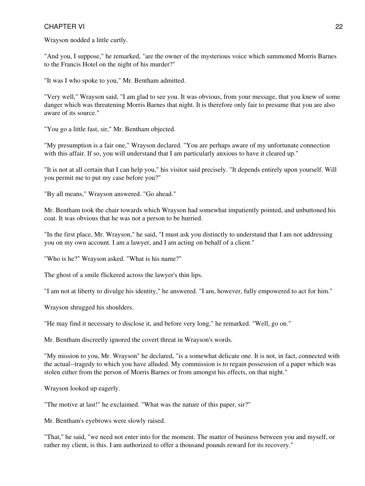Wrayson nodded a little curtly.

"And you, I suppose," he remarked, "are the owner of the mysterious voice which summoned Morris Barnes to the Francis Hotel on the night of his murder?"

"It was I who spoke to you," Mr. Bentham admitted.

"Very well," Wrayson said, "I am glad to see you. It was obvious, from your message, that you knew of some danger which was threatening Morris Barnes that night. It is therefore only fair to presume that you are also aware of its source."

"You go a little fast, sir," Mr. Bentham objected.

"My presumption is a fair one," Wrayson declared. "You are perhaps aware of my unfortunate connection with this affair. If so, you will understand that I am particularly anxious to have it cleared up."

"It is not at all certain that I can help you," his visitor said precisely. "It depends entirely upon yourself. Will you permit me to put my case before you?"

"By all means," Wrayson answered. "Go ahead."

Mr. Bentham took the chair towards which Wrayson had somewhat impatiently pointed, and unbuttoned his coat. It was obvious that he was not a person to be hurried.

"In the first place, Mr. Wrayson," he said, "I must ask you distinctly to understand that I am not addressing you on my own account. I am a lawyer, and I am acting on behalf of a client."

"Who is he?" Wrayson asked. "What is his name?"

The ghost of a smile flickered across the lawyer's thin lips.

"I am not at liberty to divulge his identity," he answered. "I am, however, fully empowered to act for him."

Wrayson shrugged his shoulders.

"He may find it necessary to disclose it, and before very long," he remarked. "Well, go on."

Mr. Bentham discreetly ignored the covert threat in Wrayson's words.

"My mission to you, Mr. Wrayson" he declared, "is a somewhat delicate one. It is not, in fact, connected with the actual--tragedy to which you have alluded. My commission is to regain possession of a paper which was stolen either from the person of Morris Barnes or from amongst his effects, on that night."

Wrayson looked up eagerly.

"The motive at last!" he exclaimed. "What was the nature of this paper, sir?"

Mr. Bentham's eyebrows were slowly raised.

"That," he said, "we need not enter into for the moment. The matter of business between you and myself, or rather my client, is this. I am authorized to offer a thousand pounds reward for its recovery."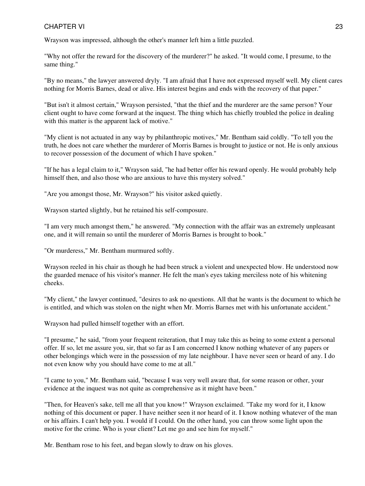Wrayson was impressed, although the other's manner left him a little puzzled.

"Why not offer the reward for the discovery of the murderer?" he asked. "It would come, I presume, to the same thing."

"By no means," the lawyer answered dryly. "I am afraid that I have not expressed myself well. My client cares nothing for Morris Barnes, dead or alive. His interest begins and ends with the recovery of that paper."

"But isn't it almost certain," Wrayson persisted, "that the thief and the murderer are the same person? Your client ought to have come forward at the inquest. The thing which has chiefly troubled the police in dealing with this matter is the apparent lack of motive."

"My client is not actuated in any way by philanthropic motives," Mr. Bentham said coldly. "To tell you the truth, he does not care whether the murderer of Morris Barnes is brought to justice or not. He is only anxious to recover possession of the document of which I have spoken."

"If he has a legal claim to it," Wrayson said, "he had better offer his reward openly. He would probably help himself then, and also those who are anxious to have this mystery solved."

"Are you amongst those, Mr. Wrayson?" his visitor asked quietly.

Wrayson started slightly, but he retained his self-composure.

"I am very much amongst them," he answered. "My connection with the affair was an extremely unpleasant one, and it will remain so until the murderer of Morris Barnes is brought to book."

"Or murderess," Mr. Bentham murmured softly.

Wrayson reeled in his chair as though he had been struck a violent and unexpected blow. He understood now the guarded menace of his visitor's manner. He felt the man's eyes taking merciless note of his whitening cheeks.

"My client," the lawyer continued, "desires to ask no questions. All that he wants is the document to which he is entitled, and which was stolen on the night when Mr. Morris Barnes met with his unfortunate accident."

Wrayson had pulled himself together with an effort.

"I presume," he said, "from your frequent reiteration, that I may take this as being to some extent a personal offer. If so, let me assure you, sir, that so far as I am concerned I know nothing whatever of any papers or other belongings which were in the possession of my late neighbour. I have never seen or heard of any. I do not even know why you should have come to me at all."

"I came to you," Mr. Bentham said, "because I was very well aware that, for some reason or other, your evidence at the inquest was not quite as comprehensive as it might have been."

"Then, for Heaven's sake, tell me all that you know!" Wrayson exclaimed. "Take my word for it, I know nothing of this document or paper. I have neither seen it nor heard of it. I know nothing whatever of the man or his affairs. I can't help you. I would if I could. On the other hand, you can throw some light upon the motive for the crime. Who is your client? Let me go and see him for myself."

Mr. Bentham rose to his feet, and began slowly to draw on his gloves.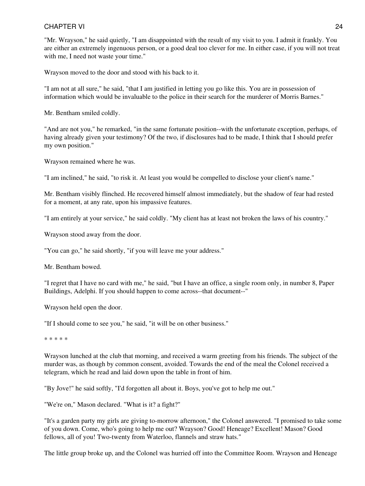"Mr. Wrayson," he said quietly, "I am disappointed with the result of my visit to you. I admit it frankly. You are either an extremely ingenuous person, or a good deal too clever for me. In either case, if you will not treat with me, I need not waste your time."

Wrayson moved to the door and stood with his back to it.

"I am not at all sure," he said, "that I am justified in letting you go like this. You are in possession of information which would be invaluable to the police in their search for the murderer of Morris Barnes."

Mr. Bentham smiled coldly.

"And are not you," he remarked, "in the same fortunate position--with the unfortunate exception, perhaps, of having already given your testimony? Of the two, if disclosures had to be made, I think that I should prefer my own position."

Wrayson remained where he was.

"I am inclined," he said, "to risk it. At least you would be compelled to disclose your client's name."

Mr. Bentham visibly flinched. He recovered himself almost immediately, but the shadow of fear had rested for a moment, at any rate, upon his impassive features.

"I am entirely at your service," he said coldly. "My client has at least not broken the laws of his country."

Wrayson stood away from the door.

"You can go," he said shortly, "if you will leave me your address."

Mr. Bentham bowed.

"I regret that I have no card with me," he said, "but I have an office, a single room only, in number 8, Paper Buildings, Adelphi. If you should happen to come across--that document--"

Wrayson held open the door.

"If I should come to see you," he said, "it will be on other business."

\* \* \* \* \*

Wrayson lunched at the club that morning, and received a warm greeting from his friends. The subject of the murder was, as though by common consent, avoided. Towards the end of the meal the Colonel received a telegram, which he read and laid down upon the table in front of him.

"By Jove!" he said softly, "I'd forgotten all about it. Boys, you've got to help me out."

"We're on," Mason declared. "What is it? a fight?"

"It's a garden party my girls are giving to-morrow afternoon," the Colonel answered. "I promised to take some of you down. Come, who's going to help me out? Wrayson? Good! Heneage? Excellent! Mason? Good fellows, all of you! Two-twenty from Waterloo, flannels and straw hats."

The little group broke up, and the Colonel was hurried off into the Committee Room. Wrayson and Heneage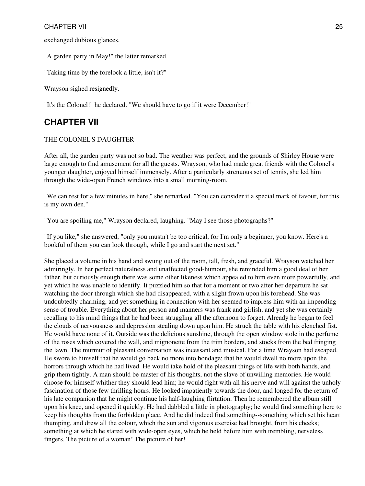exchanged dubious glances.

"A garden party in May!" the latter remarked.

"Taking time by the forelock a little, isn't it?"

Wrayson sighed resignedly.

<span id="page-24-0"></span>"It's the Colonel!" he declared. "We should have to go if it were December!"

### **CHAPTER VII**

#### THE COLONEL'S DAUGHTER

After all, the garden party was not so bad. The weather was perfect, and the grounds of Shirley House were large enough to find amusement for all the guests. Wrayson, who had made great friends with the Colonel's younger daughter, enjoyed himself immensely. After a particularly strenuous set of tennis, she led him through the wide-open French windows into a small morning-room.

"We can rest for a few minutes in here," she remarked. "You can consider it a special mark of favour, for this is my own den."

"You are spoiling me," Wrayson declared, laughing. "May I see those photographs?"

"If you like," she answered, "only you mustn't be too critical, for I'm only a beginner, you know. Here's a bookful of them you can look through, while I go and start the next set."

She placed a volume in his hand and swung out of the room, tall, fresh, and graceful. Wrayson watched her admiringly. In her perfect naturalness and unaffected good-humour, she reminded him a good deal of her father, but curiously enough there was some other likeness which appealed to him even more powerfully, and yet which he was unable to identify. It puzzled him so that for a moment or two after her departure he sat watching the door through which she had disappeared, with a slight frown upon his forehead. She was undoubtedly charming, and yet something in connection with her seemed to impress him with an impending sense of trouble. Everything about her person and manners was frank and girlish, and yet she was certainly recalling to his mind things that he had been struggling all the afternoon to forget. Already he began to feel the clouds of nervousness and depression stealing down upon him. He struck the table with his clenched fist. He would have none of it. Outside was the delicious sunshine, through the open window stole in the perfume of the roses which covered the wall, and mignonette from the trim borders, and stocks from the bed fringing the lawn. The murmur of pleasant conversation was incessant and musical. For a time Wrayson had escaped. He swore to himself that he would go back no more into bondage; that he would dwell no more upon the horrors through which he had lived. He would take hold of the pleasant things of life with both hands, and grip them tightly. A man should be master of his thoughts, not the slave of unwilling memories. He would choose for himself whither they should lead him; he would fight with all his nerve and will against the unholy fascination of those few thrilling hours. He looked impatiently towards the door, and longed for the return of his late companion that he might continue his half-laughing flirtation. Then he remembered the album still upon his knee, and opened it quickly. He had dabbled a little in photography; he would find something here to keep his thoughts from the forbidden place. And he did indeed find something--something which set his heart thumping, and drew all the colour, which the sun and vigorous exercise had brought, from his cheeks; something at which he stared with wide-open eyes, which he held before him with trembling, nerveless fingers. The picture of a woman! The picture of her!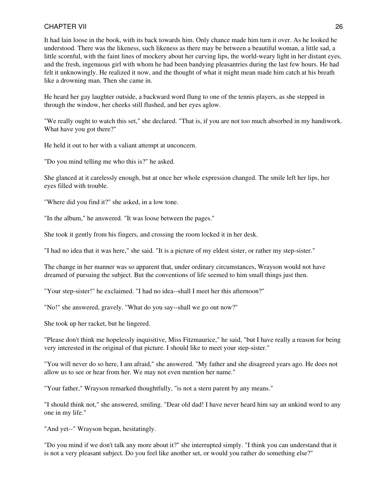It had lain loose in the book, with its back towards him. Only chance made him turn it over. As he looked he understood. There was the likeness, such likeness as there may be between a beautiful woman, a little sad, a little scornful, with the faint lines of mockery about her curving lips, the world-weary light in her distant eyes, and the fresh, ingenuous girl with whom he had been bandying pleasantries during the last few hours. He had felt it unknowingly. He realized it now, and the thought of what it might mean made him catch at his breath like a drowning man. Then she came in.

He heard her gay laughter outside, a backward word flung to one of the tennis players, as she stepped in through the window, her cheeks still flushed, and her eyes aglow.

"We really ought to watch this set," she declared. "That is, if you are not too much absorbed in my handiwork. What have you got there?"

He held it out to her with a valiant attempt at unconcern.

"Do you mind telling me who this is?" he asked.

She glanced at it carelessly enough, but at once her whole expression changed. The smile left her lips, her eyes filled with trouble.

"Where did you find it?" she asked, in a low tone.

"In the album," he answered. "It was loose between the pages."

She took it gently from his fingers, and crossing the room locked it in her desk.

"I had no idea that it was here," she said. "It is a picture of my eldest sister, or rather my step-sister."

The change in her manner was so apparent that, under ordinary circumstances, Wrayson would not have dreamed of pursuing the subject. But the conventions of life seemed to him small things just then.

"Your step-sister!" he exclaimed. "I had no idea--shall I meet her this afternoon?"

"No!" she answered, gravely. "What do you say--shall we go out now?"

She took up her racket, but he lingered.

"Please don't think me hopelessly inquisitive, Miss Fitzmaurice," he said, "but I have really a reason for being very interested in the original of that picture. I should like to meet your step-sister."

"You will never do so here, I am afraid," she answered. "My father and she disagreed years ago. He does not allow us to see or hear from her. We may not even mention her name."

"Your father," Wrayson remarked thoughtfully, "is not a stern parent by any means."

"I should think not," she answered, smiling. "Dear old dad! I have never heard him say an unkind word to any one in my life."

"And yet--" Wrayson began, hesitatingly.

"Do you mind if we don't talk any more about it?" she interrupted simply. "I think you can understand that it is not a very pleasant subject. Do you feel like another set, or would you rather do something else?"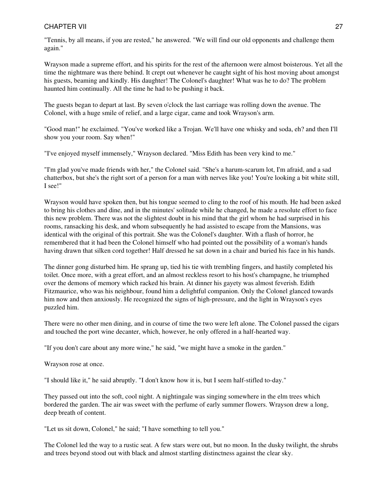"Tennis, by all means, if you are rested," he answered. "We will find our old opponents and challenge them again."

Wrayson made a supreme effort, and his spirits for the rest of the afternoon were almost boisterous. Yet all the time the nightmare was there behind. It crept out whenever he caught sight of his host moving about amongst his guests, beaming and kindly. His daughter! The Colonel's daughter! What was he to do? The problem haunted him continually. All the time he had to be pushing it back.

The guests began to depart at last. By seven o'clock the last carriage was rolling down the avenue. The Colonel, with a huge smile of relief, and a large cigar, came and took Wrayson's arm.

"Good man!" he exclaimed. "You've worked like a Trojan. We'll have one whisky and soda, eh? and then I'll show you your room. Say when!"

"I've enjoyed myself immensely," Wrayson declared. "Miss Edith has been very kind to me."

"I'm glad you've made friends with her," the Colonel said. "She's a harum-scarum lot, I'm afraid, and a sad chatterbox, but she's the right sort of a person for a man with nerves like you! You're looking a bit white still, I see!"

Wrayson would have spoken then, but his tongue seemed to cling to the roof of his mouth. He had been asked to bring his clothes and dine, and in the minutes' solitude while he changed, he made a resolute effort to face this new problem. There was not the slightest doubt in his mind that the girl whom he had surprised in his rooms, ransacking his desk, and whom subsequently he had assisted to escape from the Mansions, was identical with the original of this portrait. She was the Colonel's daughter. With a flash of horror, he remembered that it had been the Colonel himself who had pointed out the possibility of a woman's hands having drawn that silken cord together! Half dressed he sat down in a chair and buried his face in his hands.

The dinner gong disturbed him. He sprang up, tied his tie with trembling fingers, and hastily completed his toilet. Once more, with a great effort, and an almost reckless resort to his host's champagne, he triumphed over the demons of memory which racked his brain. At dinner his gayety was almost feverish. Edith Fitzmaurice, who was his neighbour, found him a delightful companion. Only the Colonel glanced towards him now and then anxiously. He recognized the signs of high-pressure, and the light in Wrayson's eyes puzzled him.

There were no other men dining, and in course of time the two were left alone. The Colonel passed the cigars and touched the port wine decanter, which, however, he only offered in a half-hearted way.

"If you don't care about any more wine," he said, "we might have a smoke in the garden."

Wrayson rose at once.

"I should like it," he said abruptly. "I don't know how it is, but I seem half-stifled to-day."

They passed out into the soft, cool night. A nightingale was singing somewhere in the elm trees which bordered the garden. The air was sweet with the perfume of early summer flowers. Wrayson drew a long, deep breath of content.

"Let us sit down, Colonel," he said; "I have something to tell you."

The Colonel led the way to a rustic seat. A few stars were out, but no moon. In the dusky twilight, the shrubs and trees beyond stood out with black and almost startling distinctness against the clear sky.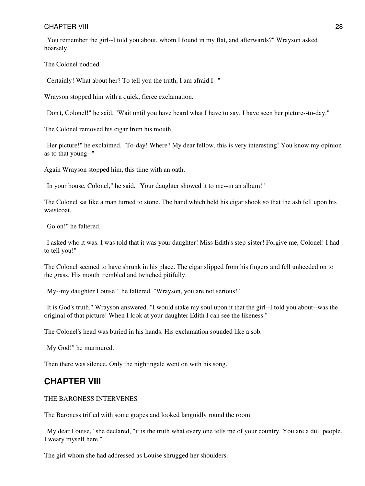"You remember the girl--I told you about, whom I found in my flat, and afterwards?" Wrayson asked hoarsely.

The Colonel nodded.

"Certainly! What about her? To tell you the truth, I am afraid I--"

Wrayson stopped him with a quick, fierce exclamation.

"Don't, Colonel!" he said. "Wait until you have heard what I have to say. I have seen her picture--to-day."

The Colonel removed his cigar from his mouth.

"Her picture!" he exclaimed. "To-day! Where? My dear fellow, this is very interesting! You know my opinion as to that young--"

Again Wrayson stopped him, this time with an oath.

"In your house, Colonel," he said. "Your daughter showed it to me--in an album!"

The Colonel sat like a man turned to stone. The hand which held his cigar shook so that the ash fell upon his waistcoat.

"Go on!" he faltered.

"I asked who it was. I was told that it was your daughter! Miss Edith's step-sister! Forgive me, Colonel! I had to tell you!"

The Colonel seemed to have shrunk in his place. The cigar slipped from his fingers and fell unheeded on to the grass. His mouth trembled and twitched pitifully.

"My--my daughter Louise!" he faltered. "Wrayson, you are not serious!"

"It is God's truth," Wrayson answered. "I would stake my soul upon it that the girl--I told you about--was the original of that picture! When I look at your daughter Edith I can see the likeness."

The Colonel's head was buried in his hands. His exclamation sounded like a sob.

"My God!" he murmured.

<span id="page-27-0"></span>Then there was silence. Only the nightingale went on with his song.

### **CHAPTER VIII**

#### THE BARONESS INTERVENES

The Baroness trifled with some grapes and looked languidly round the room.

"My dear Louise," she declared, "it is the truth what every one tells me of your country. You are a dull people. I weary myself here."

The girl whom she had addressed as Louise shrugged her shoulders.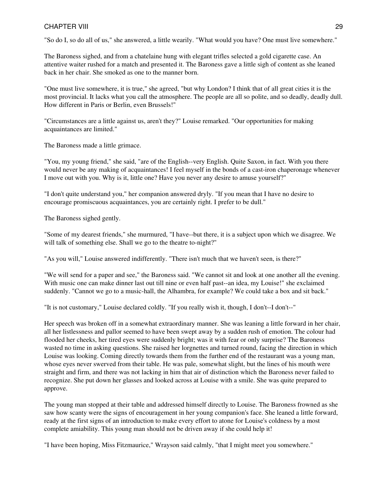"So do I, so do all of us," she answered, a little wearily. "What would you have? One must live somewhere."

The Baroness sighed, and from a chatelaine hung with elegant trifles selected a gold cigarette case. An attentive waiter rushed for a match and presented it. The Baroness gave a little sigh of content as she leaned back in her chair. She smoked as one to the manner born.

"One must live somewhere, it is true," she agreed, "but why London? I think that of all great cities it is the most provincial. It lacks what you call the atmosphere. The people are all so polite, and so deadly, deadly dull. How different in Paris or Berlin, even Brussels!"

"Circumstances are a little against us, aren't they?" Louise remarked. "Our opportunities for making acquaintances are limited."

The Baroness made a little grimace.

"You, my young friend," she said, "are of the English--very English. Quite Saxon, in fact. With you there would never be any making of acquaintances! I feel myself in the bonds of a cast-iron chaperonage whenever I move out with you. Why is it, little one? Have you never any desire to amuse yourself?"

"I don't quite understand you," her companion answered dryly. "If you mean that I have no desire to encourage promiscuous acquaintances, you are certainly right. I prefer to be dull."

The Baroness sighed gently.

"Some of my dearest friends," she murmured, "I have--but there, it is a subject upon which we disagree. We will talk of something else. Shall we go to the theatre to-night?"

"As you will," Louise answered indifferently. "There isn't much that we haven't seen, is there?"

"We will send for a paper and see," the Baroness said. "We cannot sit and look at one another all the evening. With music one can make dinner last out till nine or even half past--an idea, my Louise!" she exclaimed suddenly. "Cannot we go to a music-hall, the Alhambra, for example? We could take a box and sit back."

"It is not customary," Louise declared coldly. "If you really wish it, though, I don't--I don't--"

Her speech was broken off in a somewhat extraordinary manner. She was leaning a little forward in her chair, all her listlessness and pallor seemed to have been swept away by a sudden rush of emotion. The colour had flooded her cheeks, her tired eyes were suddenly bright; was it with fear or only surprise? The Baroness wasted no time in asking questions. She raised her lorgnettes and turned round, facing the direction in which Louise was looking. Coming directly towards them from the further end of the restaurant was a young man, whose eyes never swerved from their table. He was pale, somewhat slight, but the lines of his mouth were straight and firm, and there was not lacking in him that air of distinction which the Baroness never failed to recognize. She put down her glasses and looked across at Louise with a smile. She was quite prepared to approve.

The young man stopped at their table and addressed himself directly to Louise. The Baroness frowned as she saw how scanty were the signs of encouragement in her young companion's face. She leaned a little forward, ready at the first signs of an introduction to make every effort to atone for Louise's coldness by a most complete amiability. This young man should not be driven away if she could help it!

"I have been hoping, Miss Fitzmaurice," Wrayson said calmly, "that I might meet you somewhere."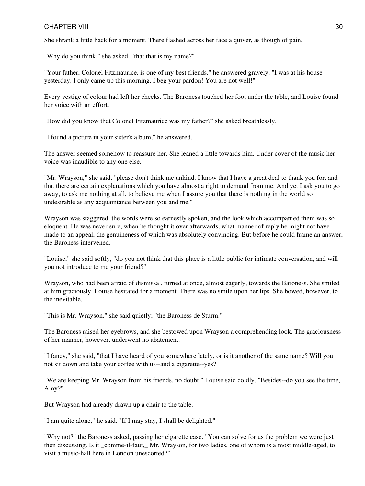She shrank a little back for a moment. There flashed across her face a quiver, as though of pain.

"Why do you think," she asked, "that that is my name?"

"Your father, Colonel Fitzmaurice, is one of my best friends," he answered gravely. "I was at his house yesterday. I only came up this morning. I beg your pardon! You are not well!"

Every vestige of colour had left her cheeks. The Baroness touched her foot under the table, and Louise found her voice with an effort.

"How did you know that Colonel Fitzmaurice was my father?" she asked breathlessly.

"I found a picture in your sister's album," he answered.

The answer seemed somehow to reassure her. She leaned a little towards him. Under cover of the music her voice was inaudible to any one else.

"Mr. Wrayson," she said, "please don't think me unkind. I know that I have a great deal to thank you for, and that there are certain explanations which you have almost a right to demand from me. And yet I ask you to go away, to ask me nothing at all, to believe me when I assure you that there is nothing in the world so undesirable as any acquaintance between you and me."

Wrayson was staggered, the words were so earnestly spoken, and the look which accompanied them was so eloquent. He was never sure, when he thought it over afterwards, what manner of reply he might not have made to an appeal, the genuineness of which was absolutely convincing. But before he could frame an answer, the Baroness intervened.

"Louise," she said softly, "do you not think that this place is a little public for intimate conversation, and will you not introduce to me your friend?"

Wrayson, who had been afraid of dismissal, turned at once, almost eagerly, towards the Baroness. She smiled at him graciously. Louise hesitated for a moment. There was no smile upon her lips. She bowed, however, to the inevitable.

"This is Mr. Wrayson," she said quietly; "the Baroness de Sturm."

The Baroness raised her eyebrows, and she bestowed upon Wrayson a comprehending look. The graciousness of her manner, however, underwent no abatement.

"I fancy," she said, "that I have heard of you somewhere lately, or is it another of the same name? Will you not sit down and take your coffee with us--and a cigarette--yes?"

"We are keeping Mr. Wrayson from his friends, no doubt," Louise said coldly. "Besides--do you see the time, Amy?"

But Wrayson had already drawn up a chair to the table.

"I am quite alone," he said. "If I may stay, I shall be delighted."

"Why not?" the Baroness asked, passing her cigarette case. "You can solve for us the problem we were just then discussing. Is it comme-il-faut, Mr. Wrayson, for two ladies, one of whom is almost middle-aged, to visit a music-hall here in London unescorted?"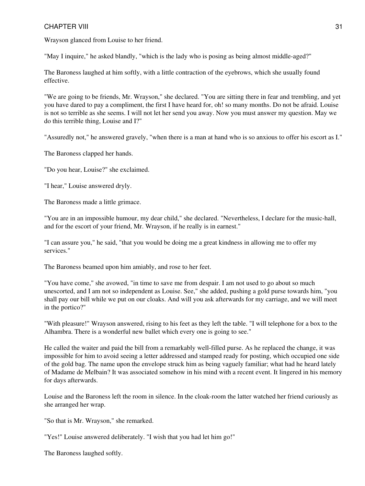Wrayson glanced from Louise to her friend.

"May I inquire," he asked blandly, "which is the lady who is posing as being almost middle-aged?"

The Baroness laughed at him softly, with a little contraction of the eyebrows, which she usually found effective.

"We are going to be friends, Mr. Wrayson," she declared. "You are sitting there in fear and trembling, and yet you have dared to pay a compliment, the first I have heard for, oh! so many months. Do not be afraid. Louise is not so terrible as she seems. I will not let her send you away. Now you must answer my question. May we do this terrible thing, Louise and I?"

"Assuredly not," he answered gravely, "when there is a man at hand who is so anxious to offer his escort as I."

The Baroness clapped her hands.

"Do you hear, Louise?" she exclaimed.

"I hear," Louise answered dryly.

The Baroness made a little grimace.

"You are in an impossible humour, my dear child," she declared. "Nevertheless, I declare for the music-hall, and for the escort of your friend, Mr. Wrayson, if he really is in earnest."

"I can assure you," he said, "that you would be doing me a great kindness in allowing me to offer my services."

The Baroness beamed upon him amiably, and rose to her feet.

"You have come," she avowed, "in time to save me from despair. I am not used to go about so much unescorted, and I am not so independent as Louise. See," she added, pushing a gold purse towards him, "you shall pay our bill while we put on our cloaks. And will you ask afterwards for my carriage, and we will meet in the portico?"

"With pleasure!" Wrayson answered, rising to his feet as they left the table. "I will telephone for a box to the Alhambra. There is a wonderful new ballet which every one is going to see."

He called the waiter and paid the bill from a remarkably well-filled purse. As he replaced the change, it was impossible for him to avoid seeing a letter addressed and stamped ready for posting, which occupied one side of the gold bag. The name upon the envelope struck him as being vaguely familiar; what had he heard lately of Madame de Melbain? It was associated somehow in his mind with a recent event. It lingered in his memory for days afterwards.

Louise and the Baroness left the room in silence. In the cloak-room the latter watched her friend curiously as she arranged her wrap.

"So that is Mr. Wrayson," she remarked.

"Yes!" Louise answered deliberately. "I wish that you had let him go!"

The Baroness laughed softly.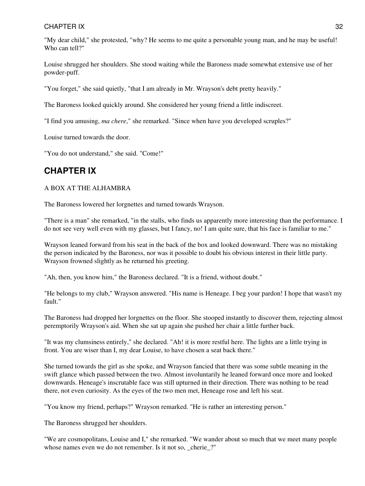"My dear child," she protested, "why? He seems to me quite a personable young man, and he may be useful! Who can tell?"

Louise shrugged her shoulders. She stood waiting while the Baroness made somewhat extensive use of her powder-puff.

"You forget," she said quietly, "that I am already in Mr. Wrayson's debt pretty heavily."

The Baroness looked quickly around. She considered her young friend a little indiscreet.

"I find you amusing, *ma chere*," she remarked. "Since when have you developed scruples?"

Louise turned towards the door.

<span id="page-31-0"></span>"You do not understand," she said. "Come!"

### **CHAPTER IX**

### A BOX AT THE ALHAMBRA

The Baroness lowered her lorgnettes and turned towards Wrayson.

"There is a man" she remarked, "in the stalls, who finds us apparently more interesting than the performance. I do not see very well even with my glasses, but I fancy, no! I am quite sure, that his face is familiar to me."

Wrayson leaned forward from his seat in the back of the box and looked downward. There was no mistaking the person indicated by the Baroness, nor was it possible to doubt his obvious interest in their little party. Wrayson frowned slightly as he returned his greeting.

"Ah, then, you know him," the Baroness declared. "It is a friend, without doubt."

"He belongs to my club," Wrayson answered. "His name is Heneage. I beg your pardon! I hope that wasn't my fault."

The Baroness had dropped her lorgnettes on the floor. She stooped instantly to discover them, rejecting almost peremptorily Wrayson's aid. When she sat up again she pushed her chair a little further back.

"It was my clumsiness entirely," she declared. "Ah! it is more restful here. The lights are a little trying in front. You are wiser than I, my dear Louise, to have chosen a seat back there."

She turned towards the girl as she spoke, and Wrayson fancied that there was some subtle meaning in the swift glance which passed between the two. Almost involuntarily he leaned forward once more and looked downwards. Heneage's inscrutable face was still upturned in their direction. There was nothing to be read there, not even curiosity. As the eyes of the two men met, Heneage rose and left his seat.

"You know my friend, perhaps?" Wrayson remarked. "He is rather an interesting person."

The Baroness shrugged her shoulders.

"We are cosmopolitans, Louise and I," she remarked. "We wander about so much that we meet many people whose names even we do not remember. Is it not so, cherie?"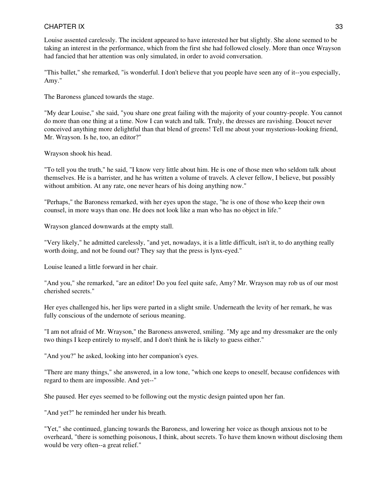Louise assented carelessly. The incident appeared to have interested her but slightly. She alone seemed to be taking an interest in the performance, which from the first she had followed closely. More than once Wrayson had fancied that her attention was only simulated, in order to avoid conversation.

"This ballet," she remarked, "is wonderful. I don't believe that you people have seen any of it--you especially, Amy."

The Baroness glanced towards the stage.

"My dear Louise," she said, "you share one great failing with the majority of your country-people. You cannot do more than one thing at a time. Now I can watch and talk. Truly, the dresses are ravishing. Doucet never conceived anything more delightful than that blend of greens! Tell me about your mysterious-looking friend, Mr. Wrayson. Is he, too, an editor?"

Wrayson shook his head.

"To tell you the truth," he said, "I know very little about him. He is one of those men who seldom talk about themselves. He is a barrister, and he has written a volume of travels. A clever fellow, I believe, but possibly without ambition. At any rate, one never hears of his doing anything now."

"Perhaps," the Baroness remarked, with her eyes upon the stage, "he is one of those who keep their own counsel, in more ways than one. He does not look like a man who has no object in life."

Wrayson glanced downwards at the empty stall.

"Very likely," he admitted carelessly, "and yet, nowadays, it is a little difficult, isn't it, to do anything really worth doing, and not be found out? They say that the press is lynx-eyed."

Louise leaned a little forward in her chair.

"And you," she remarked, "are an editor! Do you feel quite safe, Amy? Mr. Wrayson may rob us of our most cherished secrets."

Her eyes challenged his, her lips were parted in a slight smile. Underneath the levity of her remark, he was fully conscious of the undernote of serious meaning.

"I am not afraid of Mr. Wrayson," the Baroness answered, smiling. "My age and my dressmaker are the only two things I keep entirely to myself, and I don't think he is likely to guess either."

"And you?" he asked, looking into her companion's eyes.

"There are many things," she answered, in a low tone, "which one keeps to oneself, because confidences with regard to them are impossible. And yet--"

She paused. Her eyes seemed to be following out the mystic design painted upon her fan.

"And yet?" he reminded her under his breath.

"Yet," she continued, glancing towards the Baroness, and lowering her voice as though anxious not to be overheard, "there is something poisonous, I think, about secrets. To have them known without disclosing them would be very often--a great relief."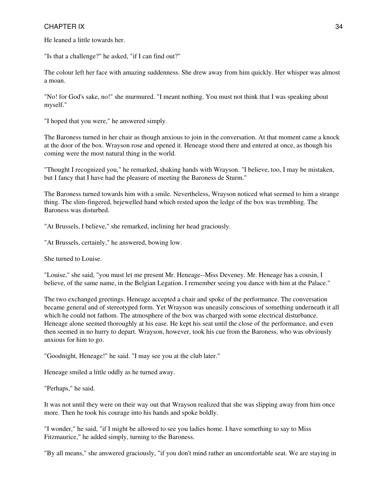He leaned a little towards her.

"Is that a challenge?" he asked, "if I can find out?"

The colour left her face with amazing suddenness. She drew away from him quickly. Her whisper was almost a moan.

"No! for God's sake, no!" she murmured. "I meant nothing. You must not think that I was speaking about myself."

"I hoped that you were," he answered simply.

The Baroness turned in her chair as though anxious to join in the conversation. At that moment came a knock at the door of the box. Wrayson rose and opened it. Heneage stood there and entered at once, as though his coming were the most natural thing in the world.

"Thought I recognized you," he remarked, shaking hands with Wrayson. "I believe, too, I may be mistaken, but I fancy that I have had the pleasure of meeting the Baroness de Sturm."

The Baroness turned towards him with a smile. Nevertheless, Wrayson noticed what seemed to him a strange thing. The slim-fingered, bejewelled hand which rested upon the ledge of the box was trembling. The Baroness was disturbed.

"At Brussels, I believe," she remarked, inclining her head graciously.

"At Brussels, certainly," he answered, bowing low.

She turned to Louise.

"Louise," she said, "you must let me present Mr. Heneage--Miss Deveney. Mr. Heneage has a cousin, I believe, of the same name, in the Belgian Legation. I remember seeing you dance with him at the Palace."

The two exchanged greetings. Heneage accepted a chair and spoke of the performance. The conversation became general and of stereotyped form. Yet Wrayson was uneasily conscious of something underneath it all which he could not fathom. The atmosphere of the box was charged with some electrical disturbance. Heneage alone seemed thoroughly at his ease. He kept his seat until the close of the performance, and even then seemed in no hurry to depart. Wrayson, however, took his cue from the Baroness, who was obviously anxious for him to go.

"Goodnight, Heneage!" he said. "I may see you at the club later."

Heneage smiled a little oddly as he turned away.

"Perhaps," he said.

It was not until they were on their way out that Wrayson realized that she was slipping away from him once more. Then he took his courage into his hands and spoke boldly.

"I wonder," he said, "if I might be allowed to see you ladies home. I have something to say to Miss Fitzmaurice," he added simply, turning to the Baroness.

"By all means," she answered graciously, "if you don't mind rather an uncomfortable seat. We are staying in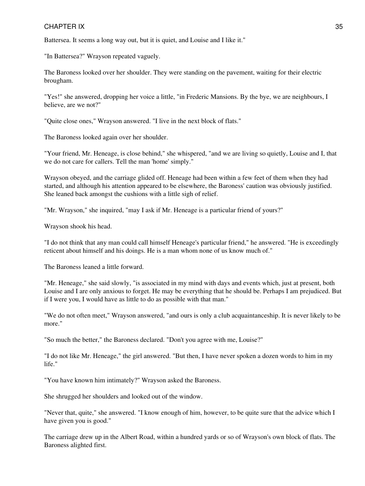Battersea. It seems a long way out, but it is quiet, and Louise and I like it."

"In Battersea?" Wrayson repeated vaguely.

The Baroness looked over her shoulder. They were standing on the pavement, waiting for their electric brougham.

"Yes!" she answered, dropping her voice a little, "in Frederic Mansions. By the bye, we are neighbours, I believe, are we not?"

"Quite close ones," Wrayson answered. "I live in the next block of flats."

The Baroness looked again over her shoulder.

"Your friend, Mr. Heneage, is close behind," she whispered, "and we are living so quietly, Louise and I, that we do not care for callers. Tell the man 'home' simply."

Wrayson obeyed, and the carriage glided off. Heneage had been within a few feet of them when they had started, and although his attention appeared to be elsewhere, the Baroness' caution was obviously justified. She leaned back amongst the cushions with a little sigh of relief.

"Mr. Wrayson," she inquired, "may I ask if Mr. Heneage is a particular friend of yours?"

Wrayson shook his head.

"I do not think that any man could call himself Heneage's particular friend," he answered. "He is exceedingly reticent about himself and his doings. He is a man whom none of us know much of."

The Baroness leaned a little forward.

"Mr. Heneage," she said slowly, "is associated in my mind with days and events which, just at present, both Louise and I are only anxious to forget. He may be everything that he should be. Perhaps I am prejudiced. But if I were you, I would have as little to do as possible with that man."

"We do not often meet," Wrayson answered, "and ours is only a club acquaintanceship. It is never likely to be more."

"So much the better," the Baroness declared. "Don't you agree with me, Louise?"

"I do not like Mr. Heneage," the girl answered. "But then, I have never spoken a dozen words to him in my life."

"You have known him intimately?" Wrayson asked the Baroness.

She shrugged her shoulders and looked out of the window.

"Never that, quite," she answered. "I know enough of him, however, to be quite sure that the advice which I have given you is good."

The carriage drew up in the Albert Road, within a hundred yards or so of Wrayson's own block of flats. The Baroness alighted first.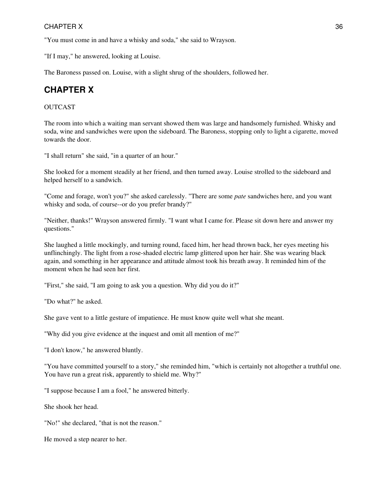"You must come in and have a whisky and soda," she said to Wrayson.

"If I may," he answered, looking at Louise.

<span id="page-35-0"></span>The Baroness passed on. Louise, with a slight shrug of the shoulders, followed her.

# **CHAPTER X**

### OUTCAST

The room into which a waiting man servant showed them was large and handsomely furnished. Whisky and soda, wine and sandwiches were upon the sideboard. The Baroness, stopping only to light a cigarette, moved towards the door.

"I shall return" she said, "in a quarter of an hour."

She looked for a moment steadily at her friend, and then turned away. Louise strolled to the sideboard and helped herself to a sandwich.

"Come and forage, won't you?" she asked carelessly. "There are some *pate* sandwiches here, and you want whisky and soda, of course--or do you prefer brandy?"

"Neither, thanks!" Wrayson answered firmly. "I want what I came for. Please sit down here and answer my questions."

She laughed a little mockingly, and turning round, faced him, her head thrown back, her eyes meeting his unflinchingly. The light from a rose-shaded electric lamp glittered upon her hair. She was wearing black again, and something in her appearance and attitude almost took his breath away. It reminded him of the moment when he had seen her first.

"First," she said, "I am going to ask you a question. Why did you do it?"

"Do what?" he asked.

She gave vent to a little gesture of impatience. He must know quite well what she meant.

"Why did you give evidence at the inquest and omit all mention of me?"

"I don't know," he answered bluntly.

"You have committed yourself to a story," she reminded him, "which is certainly not altogether a truthful one. You have run a great risk, apparently to shield me. Why?"

"I suppose because I am a fool," he answered bitterly.

She shook her head.

"No!" she declared, "that is not the reason."

He moved a step nearer to her.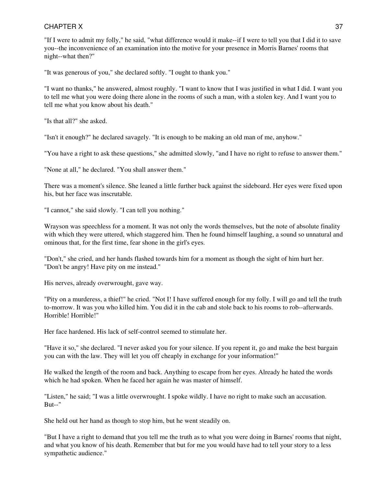"If I were to admit my folly," he said, "what difference would it make--if I were to tell you that I did it to save you--the inconvenience of an examination into the motive for your presence in Morris Barnes' rooms that night--what then?"

"It was generous of you," she declared softly. "I ought to thank you."

"I want no thanks," he answered, almost roughly. "I want to know that I was justified in what I did. I want you to tell me what you were doing there alone in the rooms of such a man, with a stolen key. And I want you to tell me what you know about his death."

"Is that all?" she asked.

"Isn't it enough?" he declared savagely. "It is enough to be making an old man of me, anyhow."

"You have a right to ask these questions," she admitted slowly, "and I have no right to refuse to answer them."

"None at all," he declared. "You shall answer them."

There was a moment's silence. She leaned a little further back against the sideboard. Her eyes were fixed upon his, but her face was inscrutable.

"I cannot," she said slowly. "I can tell you nothing."

Wrayson was speechless for a moment. It was not only the words themselves, but the note of absolute finality with which they were uttered, which staggered him. Then he found himself laughing, a sound so unnatural and ominous that, for the first time, fear shone in the girl's eyes.

"Don't," she cried, and her hands flashed towards him for a moment as though the sight of him hurt her. "Don't be angry! Have pity on me instead."

His nerves, already overwrought, gave way.

"Pity on a murderess, a thief!" he cried. "Not I! I have suffered enough for my folly. I will go and tell the truth to-morrow. It was you who killed him. You did it in the cab and stole back to his rooms to rob--afterwards. Horrible! Horrible!"

Her face hardened. His lack of self-control seemed to stimulate her.

"Have it so," she declared. "I never asked you for your silence. If you repent it, go and make the best bargain you can with the law. They will let you off cheaply in exchange for your information!"

He walked the length of the room and back. Anything to escape from her eyes. Already he hated the words which he had spoken. When he faced her again he was master of himself.

"Listen," he said; "I was a little overwrought. I spoke wildly. I have no right to make such an accusation. But--"

She held out her hand as though to stop him, but he went steadily on.

"But I have a right to demand that you tell me the truth as to what you were doing in Barnes' rooms that night, and what you know of his death. Remember that but for me you would have had to tell your story to a less sympathetic audience."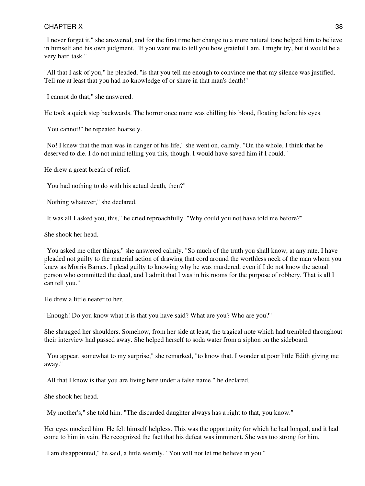"I never forget it," she answered, and for the first time her change to a more natural tone helped him to believe in himself and his own judgment. "If you want me to tell you how grateful I am, I might try, but it would be a very hard task."

"All that I ask of you," he pleaded, "is that you tell me enough to convince me that my silence was justified. Tell me at least that you had no knowledge of or share in that man's death!"

"I cannot do that," she answered.

He took a quick step backwards. The horror once more was chilling his blood, floating before his eyes.

"You cannot!" he repeated hoarsely.

"No! I knew that the man was in danger of his life," she went on, calmly. "On the whole, I think that he deserved to die. I do not mind telling you this, though. I would have saved him if I could."

He drew a great breath of relief.

"You had nothing to do with his actual death, then?"

"Nothing whatever," she declared.

"It was all I asked you, this," he cried reproachfully. "Why could you not have told me before?"

She shook her head.

"You asked me other things," she answered calmly. "So much of the truth you shall know, at any rate. I have pleaded not guilty to the material action of drawing that cord around the worthless neck of the man whom you knew as Morris Barnes. I plead guilty to knowing why he was murdered, even if I do not know the actual person who committed the deed, and I admit that I was in his rooms for the purpose of robbery. That is all I can tell you."

He drew a little nearer to her.

"Enough! Do you know what it is that you have said? What are you? Who are you?"

She shrugged her shoulders. Somehow, from her side at least, the tragical note which had trembled throughout their interview had passed away. She helped herself to soda water from a siphon on the sideboard.

"You appear, somewhat to my surprise," she remarked, "to know that. I wonder at poor little Edith giving me away."

"All that I know is that you are living here under a false name," he declared.

She shook her head.

"My mother's," she told him. "The discarded daughter always has a right to that, you know."

Her eyes mocked him. He felt himself helpless. This was the opportunity for which he had longed, and it had come to him in vain. He recognized the fact that his defeat was imminent. She was too strong for him.

"I am disappointed," he said, a little wearily. "You will not let me believe in you."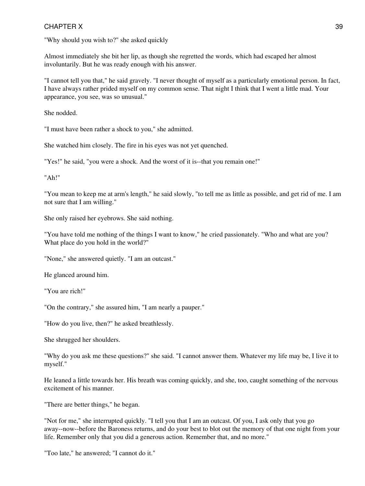"Why should you wish to?" she asked quickly

Almost immediately she bit her lip, as though she regretted the words, which had escaped her almost involuntarily. But he was ready enough with his answer.

"I cannot tell you that," he said gravely. "I never thought of myself as a particularly emotional person. In fact, I have always rather prided myself on my common sense. That night I think that I went a little mad. Your appearance, you see, was so unusual."

She nodded.

"I must have been rather a shock to you," she admitted.

She watched him closely. The fire in his eyes was not yet quenched.

"Yes!" he said, "you were a shock. And the worst of it is--that you remain one!"

"Ah!"

"You mean to keep me at arm's length," he said slowly, "to tell me as little as possible, and get rid of me. I am not sure that I am willing."

She only raised her eyebrows. She said nothing.

"You have told me nothing of the things I want to know," he cried passionately. "Who and what are you? What place do you hold in the world?"

"None," she answered quietly. "I am an outcast."

He glanced around him.

"You are rich!"

"On the contrary," she assured him, "I am nearly a pauper."

"How do you live, then?" he asked breathlessly.

She shrugged her shoulders.

"Why do you ask me these questions?" she said. "I cannot answer them. Whatever my life may be, I live it to myself."

He leaned a little towards her. His breath was coming quickly, and she, too, caught something of the nervous excitement of his manner.

"There are better things," he began.

"Not for me," she interrupted quickly. "I tell you that I am an outcast. Of you, I ask only that you go away--now--before the Baroness returns, and do your best to blot out the memory of that one night from your life. Remember only that you did a generous action. Remember that, and no more."

"Too late," he answered; "I cannot do it."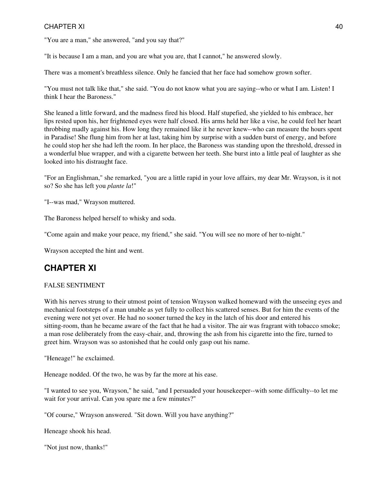"You are a man," she answered, "and you say that?"

"It is because I am a man, and you are what you are, that I cannot," he answered slowly.

There was a moment's breathless silence. Only he fancied that her face had somehow grown softer.

"You must not talk like that," she said. "You do not know what you are saying--who or what I am. Listen! I think I hear the Baroness."

She leaned a little forward, and the madness fired his blood. Half stupefied, she yielded to his embrace, her lips rested upon his, her frightened eyes were half closed. His arms held her like a vise, he could feel her heart throbbing madly against his. How long they remained like it he never knew--who can measure the hours spent in Paradise! She flung him from her at last, taking him by surprise with a sudden burst of energy, and before he could stop her she had left the room. In her place, the Baroness was standing upon the threshold, dressed in a wonderful blue wrapper, and with a cigarette between her teeth. She burst into a little peal of laughter as she looked into his distraught face.

"For an Englishman," she remarked, "you are a little rapid in your love affairs, my dear Mr. Wrayson, is it not so? So she has left you *plante la*!"

"I--was mad," Wrayson muttered.

The Baroness helped herself to whisky and soda.

"Come again and make your peace, my friend," she said. "You will see no more of her to-night."

Wrayson accepted the hint and went.

# **CHAPTER XI**

### FALSE SENTIMENT

With his nerves strung to their utmost point of tension Wrayson walked homeward with the unseeing eyes and mechanical footsteps of a man unable as yet fully to collect his scattered senses. But for him the events of the evening were not yet over. He had no sooner turned the key in the latch of his door and entered his sitting-room, than he became aware of the fact that he had a visitor. The air was fragrant with tobacco smoke; a man rose deliberately from the easy-chair, and, throwing the ash from his cigarette into the fire, turned to greet him. Wrayson was so astonished that he could only gasp out his name.

"Heneage!" he exclaimed.

Heneage nodded. Of the two, he was by far the more at his ease.

"I wanted to see you, Wrayson," he said, "and I persuaded your housekeeper--with some difficulty--to let me wait for your arrival. Can you spare me a few minutes?"

"Of course," Wrayson answered. "Sit down. Will you have anything?"

Heneage shook his head.

"Not just now, thanks!"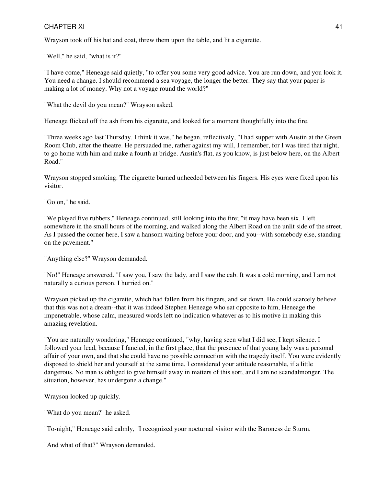Wrayson took off his hat and coat, threw them upon the table, and lit a cigarette.

"Well," he said, "what is it?"

"I have come," Heneage said quietly, "to offer you some very good advice. You are run down, and you look it. You need a change. I should recommend a sea voyage, the longer the better. They say that your paper is making a lot of money. Why not a voyage round the world?"

"What the devil do you mean?" Wrayson asked.

Heneage flicked off the ash from his cigarette, and looked for a moment thoughtfully into the fire.

"Three weeks ago last Thursday, I think it was," he began, reflectively, "I had supper with Austin at the Green Room Club, after the theatre. He persuaded me, rather against my will, I remember, for I was tired that night, to go home with him and make a fourth at bridge. Austin's flat, as you know, is just below here, on the Albert Road."

Wrayson stopped smoking. The cigarette burned unheeded between his fingers. His eyes were fixed upon his visitor.

"Go on," he said.

"We played five rubbers," Heneage continued, still looking into the fire; "it may have been six. I left somewhere in the small hours of the morning, and walked along the Albert Road on the unlit side of the street. As I passed the corner here, I saw a hansom waiting before your door, and you--with somebody else, standing on the pavement."

"Anything else?" Wrayson demanded.

"No!" Heneage answered. "I saw you, I saw the lady, and I saw the cab. It was a cold morning, and I am not naturally a curious person. I hurried on."

Wrayson picked up the cigarette, which had fallen from his fingers, and sat down. He could scarcely believe that this was not a dream--that it was indeed Stephen Heneage who sat opposite to him, Heneage the impenetrable, whose calm, measured words left no indication whatever as to his motive in making this amazing revelation.

"You are naturally wondering," Heneage continued, "why, having seen what I did see, I kept silence. I followed your lead, because I fancied, in the first place, that the presence of that young lady was a personal affair of your own, and that she could have no possible connection with the tragedy itself. You were evidently disposed to shield her and yourself at the same time. I considered your attitude reasonable, if a little dangerous. No man is obliged to give himself away in matters of this sort, and I am no scandalmonger. The situation, however, has undergone a change."

Wrayson looked up quickly.

"What do you mean?" he asked.

"To-night," Heneage said calmly, "I recognized your nocturnal visitor with the Baroness de Sturm.

"And what of that?" Wrayson demanded.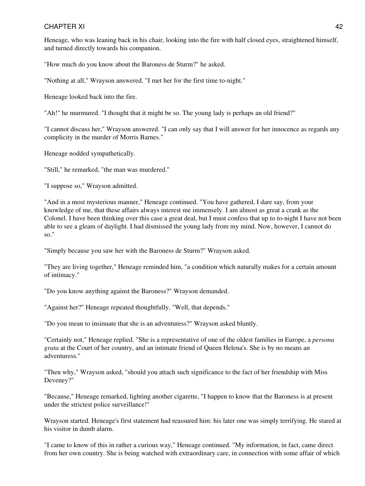Heneage, who was leaning back in his chair, looking into the fire with half closed eyes, straightened himself, and turned directly towards his companion.

"How much do you know about the Baroness de Sturm?" he asked.

"Nothing at all," Wrayson answered. "I met her for the first time to-night."

Heneage looked back into the fire.

"Ah!" he murmured. "I thought that it might be so. The young lady is perhaps an old friend?"

"I cannot discuss her," Wrayson answered. "I can only say that I will answer for her innocence as regards any complicity in the murder of Morris Barnes."

Heneage nodded sympathetically.

"Still," he remarked, "the man was murdered."

"I suppose so," Wrayson admitted.

"And in a most mysterious manner," Heneage continued. "You have gathered, I dare say, from your knowledge of me, that these affairs always interest me immensely. I am almost as great a crank as the Colonel. I have been thinking over this case a great deal, but I must confess that up to to-night I have not been able to see a gleam of daylight. I had dismissed the young lady from my mind. Now, however, I cannot do so."

"Simply because you saw her with the Baroness de Sturm?" Wrayson asked.

"They are living together," Heneage reminded him, "a condition which naturally makes for a certain amount of intimacy."

"Do you know anything against the Baroness?" Wrayson demanded.

"Against her?" Heneage repeated thoughtfully. "Well, that depends."

"Do you mean to insinuate that she is an adventuress?" Wrayson asked bluntly.

"Certainly not," Heneage replied. "She is a representative of one of the oldest families in Europe, a *persona grata* at the Court of her country, and an intimate friend of Queen Helena's. She is by no means an adventuress."

"Then why," Wrayson asked, "should you attach such significance to the fact of her friendship with Miss Deveney?"

"Because," Heneage remarked, lighting another cigarette, "I happen to know that the Baroness is at present under the strictest police surveillance!"

Wrayson started. Heneage's first statement had reassured him: his later one was simply terrifying. He stared at his visitor in dumb alarm.

"I came to know of this in rather a curious way," Heneage continued. "My information, in fact, came direct from her own country. She is being watched with extraordinary care, in connection with some affair of which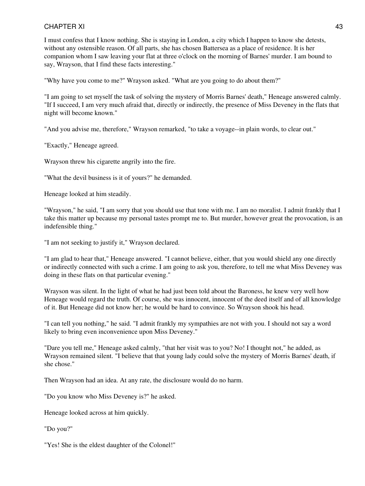I must confess that I know nothing. She is staying in London, a city which I happen to know she detests, without any ostensible reason. Of all parts, she has chosen Battersea as a place of residence. It is her companion whom I saw leaving your flat at three o'clock on the morning of Barnes' murder. I am bound to say, Wrayson, that I find these facts interesting."

"Why have you come to me?" Wrayson asked. "What are you going to do about them?"

"I am going to set myself the task of solving the mystery of Morris Barnes' death," Heneage answered calmly. "If I succeed, I am very much afraid that, directly or indirectly, the presence of Miss Deveney in the flats that night will become known."

"And you advise me, therefore," Wrayson remarked, "to take a voyage--in plain words, to clear out."

"Exactly," Heneage agreed.

Wrayson threw his cigarette angrily into the fire.

"What the devil business is it of yours?" he demanded.

Heneage looked at him steadily.

"Wrayson," he said, "I am sorry that you should use that tone with me. I am no moralist. I admit frankly that I take this matter up because my personal tastes prompt me to. But murder, however great the provocation, is an indefensible thing."

"I am not seeking to justify it," Wrayson declared.

"I am glad to hear that," Heneage answered. "I cannot believe, either, that you would shield any one directly or indirectly connected with such a crime. I am going to ask you, therefore, to tell me what Miss Deveney was doing in these flats on that particular evening."

Wrayson was silent. In the light of what he had just been told about the Baroness, he knew very well how Heneage would regard the truth. Of course, she was innocent, innocent of the deed itself and of all knowledge of it. But Heneage did not know her; he would be hard to convince. So Wrayson shook his head.

"I can tell you nothing," he said. "I admit frankly my sympathies are not with you. I should not say a word likely to bring even inconvenience upon Miss Deveney."

"Dare you tell me," Heneage asked calmly, "that her visit was to you? No! I thought not," he added, as Wrayson remained silent. "I believe that that young lady could solve the mystery of Morris Barnes' death, if she chose."

Then Wrayson had an idea. At any rate, the disclosure would do no harm.

"Do you know who Miss Deveney is?" he asked.

Heneage looked across at him quickly.

"Do you?"

"Yes! She is the eldest daughter of the Colonel!"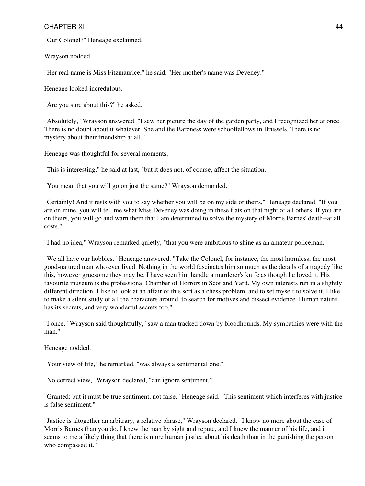"Our Colonel?" Heneage exclaimed.

Wrayson nodded.

"Her real name is Miss Fitzmaurice," he said. "Her mother's name was Deveney."

Heneage looked incredulous.

"Are you sure about this?" he asked.

"Absolutely," Wrayson answered. "I saw her picture the day of the garden party, and I recognized her at once. There is no doubt about it whatever. She and the Baroness were schoolfellows in Brussels. There is no mystery about their friendship at all."

Heneage was thoughtful for several moments.

"This is interesting," he said at last, "but it does not, of course, affect the situation."

"You mean that you will go on just the same?" Wrayson demanded.

"Certainly! And it rests with you to say whether you will be on my side or theirs," Heneage declared. "If you are on mine, you will tell me what Miss Deveney was doing in these flats on that night of all others. If you are on theirs, you will go and warn them that I am determined to solve the mystery of Morris Barnes' death--at all costs."

"I had no idea," Wrayson remarked quietly, "that you were ambitious to shine as an amateur policeman."

"We all have our hobbies," Heneage answered. "Take the Colonel, for instance, the most harmless, the most good-natured man who ever lived. Nothing in the world fascinates him so much as the details of a tragedy like this, however gruesome they may be. I have seen him handle a murderer's knife as though he loved it. His favourite museum is the professional Chamber of Horrors in Scotland Yard. My own interests run in a slightly different direction. I like to look at an affair of this sort as a chess problem, and to set myself to solve it. I like to make a silent study of all the characters around, to search for motives and dissect evidence. Human nature has its secrets, and very wonderful secrets too."

"I once," Wrayson said thoughtfully, "saw a man tracked down by bloodhounds. My sympathies were with the man."

Heneage nodded.

"Your view of life," he remarked, "was always a sentimental one."

"No correct view," Wrayson declared, "can ignore sentiment."

"Granted; but it must be true sentiment, not false," Heneage said. "This sentiment which interferes with justice is false sentiment."

"Justice is altogether an arbitrary, a relative phrase," Wrayson declared. "I know no more about the case of Morris Barnes than you do. I knew the man by sight and repute, and I knew the manner of his life, and it seems to me a likely thing that there is more human justice about his death than in the punishing the person who compassed it."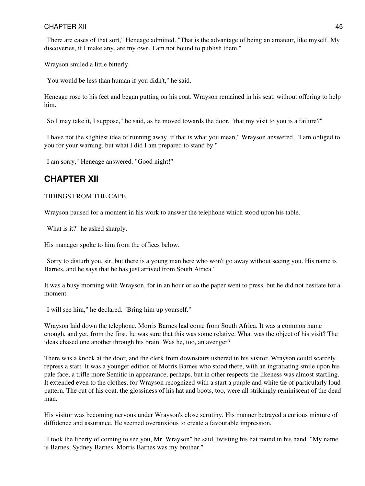"There are cases of that sort," Heneage admitted. "That is the advantage of being an amateur, like myself. My discoveries, if I make any, are my own. I am not bound to publish them."

Wrayson smiled a little bitterly.

"You would be less than human if you didn't," he said.

Heneage rose to his feet and began putting on his coat. Wrayson remained in his seat, without offering to help him.

"So I may take it, I suppose," he said, as he moved towards the door, "that my visit to you is a failure?"

"I have not the slightest idea of running away, if that is what you mean," Wrayson answered. "I am obliged to you for your warning, but what I did I am prepared to stand by."

"I am sorry," Heneage answered. "Good night!"

## **CHAPTER XII**

### TIDINGS FROM THE CAPE

Wrayson paused for a moment in his work to answer the telephone which stood upon his table.

"What is it?" he asked sharply.

His manager spoke to him from the offices below.

"Sorry to disturb you, sir, but there is a young man here who won't go away without seeing you. His name is Barnes, and he says that he has just arrived from South Africa."

It was a busy morning with Wrayson, for in an hour or so the paper went to press, but he did not hesitate for a moment.

"I will see him," he declared. "Bring him up yourself."

Wrayson laid down the telephone. Morris Barnes had come from South Africa. It was a common name enough, and yet, from the first, he was sure that this was some relative. What was the object of his visit? The ideas chased one another through his brain. Was he, too, an avenger?

There was a knock at the door, and the clerk from downstairs ushered in his visitor. Wrayson could scarcely repress a start. It was a younger edition of Morris Barnes who stood there, with an ingratiating smile upon his pale face, a trifle more Semitic in appearance, perhaps, but in other respects the likeness was almost startling. It extended even to the clothes, for Wrayson recognized with a start a purple and white tie of particularly loud pattern. The cut of his coat, the glossiness of his hat and boots, too, were all strikingly reminiscent of the dead man.

His visitor was becoming nervous under Wrayson's close scrutiny. His manner betrayed a curious mixture of diffidence and assurance. He seemed overanxious to create a favourable impression.

"I took the liberty of coming to see you, Mr. Wrayson" he said, twisting his hat round in his hand. "My name is Barnes, Sydney Barnes. Morris Barnes was my brother."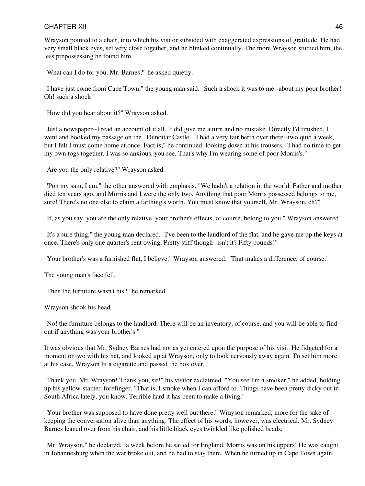Wrayson pointed to a chair, into which his visitor subsided with exaggerated expressions of gratitude. He had very small black eyes, set very close together, and he blinked continually. The more Wrayson studied him, the less prepossessing he found him.

"What can I do for you, Mr. Barnes?" he asked quietly.

"I have just come from Cape Town," the young man said. "Such a shock it was to me--about my poor brother! Oh! such a shock!"

"How did you hear about it?" Wrayson asked.

"Just a newspaper--I read an account of it all. It did give me a turn and no mistake. Directly I'd finished, I went and booked my passage on the \_Dunottar Castle.\_ I had a very fair berth over there--two quid a week, but I felt I must come home at once. Fact is," he continued, looking down at his trousers, "I had no time to get my own togs together. I was so anxious, you see. That's why I'm wearing some of poor Morris's."

"Are you the only relative?" Wrayson asked.

"'Pon my sam, I am," the other answered with emphasis. "We hadn't a relation in the world. Father and mother died ten years ago, and Morris and I were the only two. Anything that poor Morris possessed belongs to me, sure! There's no one else to claim a farthing's worth. You must know that yourself, Mr. Wrayson, eh?"

"If, as you say, you are the only relative, your brother's effects, of course, belong to you," Wrayson answered.

"It's a sure thing," the young man declared. "I've been to the landlord of the flat, and he gave me up the keys at once. There's only one quarter's rent owing. Pretty stiff though--isn't it? Fifty pounds!"

"Your brother's was a furnished flat, I believe," Wrayson answered. "That makes a difference, of course."

The young man's face fell.

"Then the furniture wasn't his?" he remarked.

Wrayson shook his head.

"No! the furniture belongs to the landlord. There will be an inventory, of course, and you will be able to find out if anything was your brother's."

It was obvious that Mr. Sydney Barnes had not as yet entered upon the purpose of his visit. He fidgeted for a moment or two with his hat, and looked up at Wrayson, only to look nervously away again. To set him more at his ease, Wrayson lit a cigarette and passed the box over.

"Thank you, Mr. Wrayson! Thank you, sir!" his visitor exclaimed. "You see I'm a smoker," he added, holding up his yellow-stained forefinger. "That is, I smoke when I can afford to. Things have been pretty dicky out in South Africa lately, you know. Terrible hard it has been to make a living."

"Your brother was supposed to have done pretty well out there," Wrayson remarked, more for the sake of keeping the conversation alive than anything. The effect of his words, however, was electrical. Mr. Sydney Barnes leaned over from his chair, and his little black eyes twinkled like polished beads.

"Mr. Wrayson," he declared, "a week before he sailed for England, Morris was on his uppers! He was caught in Johannesburg when the war broke out, and he had to stay there. When he turned up in Cape Town again,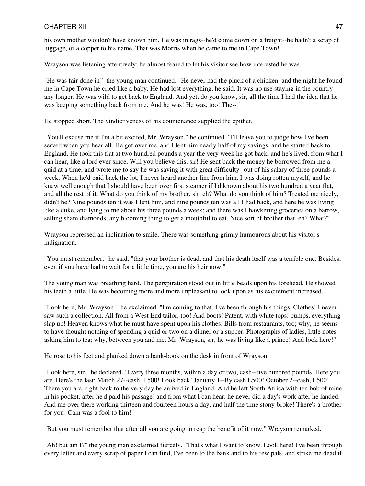his own mother wouldn't have known him. He was in rags--he'd come down on a freight--he hadn't a scrap of luggage, or a copper to his name. That was Morris when he came to me in Cape Town!"

Wrayson was listening attentively; he almost feared to let his visitor see how interested he was.

"He was fair done in!" the young man continued. "He never had the pluck of a chicken, and the night he found me in Cape Town he cried like a baby. He had lost everything, he said. It was no use staying in the country any longer. He was wild to get back to England. And yet, do you know, sir, all the time I had the idea that he was keeping something back from me. And he was! He was, too! The--!"

He stopped short. The vindictiveness of his countenance supplied the epithet.

"You'll excuse me if I'm a bit excited, Mr. Wrayson," he continued. "I'll leave you to judge how I've been served when you hear all. He got over me, and I lent him nearly half of my savings, and he started back to England. He took this flat at two hundred pounds a year the very week he got back, and he's lived, from what I can hear, like a lord ever since. Will you believe this, sir! He sent back the money he borrowed from me a quid at a time, and wrote me to say he was saving it with great difficulty--out of his salary of three pounds a week. When he'd paid back the lot, I never heard another line from him. I was doing rotten myself, and he knew well enough that I should have been over first steamer if I'd known about his two hundred a year flat, and all the rest of it. What do you think of my brother, sir, eh? What do you think of him? Treated me nicely, didn't he? Nine pounds ten it was I lent him, and nine pounds ten was all I had back, and here he was living like a duke, and lying to me about his three pounds a week; and there was I hawkering groceries on a barrow, selling sham diamonds, any blooming thing to get a mouthful to eat. Nice sort of brother that, eh? What?"

Wrayson repressed an inclination to smile. There was something grimly humourous about his visitor's indignation.

"You must remember," he said, "that your brother is dead, and that his death itself was a terrible one. Besides, even if you have had to wait for a little time, you are his heir now."

The young man was breathing hard. The perspiration stood out in little beads upon his forehead. He showed his teeth a little. He was becoming more and more unpleasant to look upon as his excitement increased.

"Look here, Mr. Wrayson!" he exclaimed. "I'm coming to that. I've been through his things. Clothes! I never saw such a collection. All from a West End tailor, too! And boots! Patent, with white tops; pumps, everything slap up! Heaven knows what he must have spent upon his clothes. Bills from restaurants, too; why, he seems to have thought nothing of spending a quid or two on a dinner or a supper. Photographs of ladies, little notes asking him to tea; why, between you and me, Mr. Wrayson, sir, he was living like a prince! And look here!"

He rose to his feet and planked down a bank-book on the desk in front of Wrayson.

"Look here, sir," he declared. "Every three months, within a day or two, cash--five hundred pounds. Here you are. Here's the last: March 27--cash, L500! Look back! January 1--By cash L500! October 2--cash, L500! There you are, right back to the very day he arrived in England. And he left South Africa with ten bob of mine in his pocket, after he'd paid his passage! and from what I can hear, he never did a day's work after he landed. And me over there working thirteen and fourteen hours a day, and half the time stony-broke! There's a brother for you! Cain was a fool to him!"

"But you must remember that after all you are going to reap the benefit of it now," Wrayson remarked.

"Ah! but am I?" the young man exclaimed fiercely. "That's what I want to know. Look here! I've been through every letter and every scrap of paper I can find, I've been to the bank and to his few pals, and strike me dead if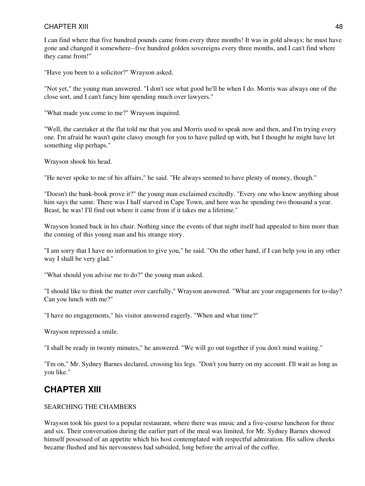I can find where that five hundred pounds came from every three months! It was in gold always; he must have gone and changed it somewhere--five hundred golden sovereigns every three months, and I can't find where they came from!"

"Have you been to a solicitor?" Wrayson asked.

"Not yet," the young man answered. "I don't see what good he'll be when I do. Morris was always one of the close sort, and I can't fancy him spending much over lawyers."

"What made you come to me?" Wrayson inquired.

"Well, the caretaker at the flat told me that you and Morris used to speak now and then, and I'm trying every one. I'm afraid he wasn't quite classy enough for you to have palled up with, but I thought he might have let something slip perhaps."

Wrayson shook his head.

"He never spoke to me of his affairs," he said. "He always seemed to have plenty of money, though."

"Doesn't the bank-book prove it?" the young man exclaimed excitedly. "Every one who knew anything about him says the same. There was I half starved in Cape Town, and here was he spending two thousand a year. Beast, he was! I'll find out where it came from if it takes me a lifetime."

Wrayson leaned back in his chair. Nothing since the events of that night itself had appealed to him more than the coming of this young man and his strange story.

"I am sorry that I have no information to give you," he said. "On the other hand, if I can help you in any other way I shall be very glad."

"What should you advise me to do?" the young man asked.

"I should like to think the matter over carefully," Wrayson answered. "What are your engagements for to-day? Can you lunch with me?"

"I have no engagements," his visitor answered eagerly. "When and what time?"

Wrayson repressed a smile.

"I shall be ready in twenty minutes," he answered. "We will go out together if you don't mind waiting."

"I'm on," Mr. Sydney Barnes declared, crossing his legs. "Don't you hurry on my account. I'll wait as long as you like."

# **CHAPTER XIII**

### SEARCHING THE CHAMBERS

Wrayson took his guest to a popular restaurant, where there was music and a five-course luncheon for three and six. Their conversation during the earlier part of the meal was limited, for Mr. Sydney Barnes showed himself possessed of an appetite which his host contemplated with respectful admiration. His sallow cheeks became flushed and his nervousness had subsided, long before the arrival of the coffee.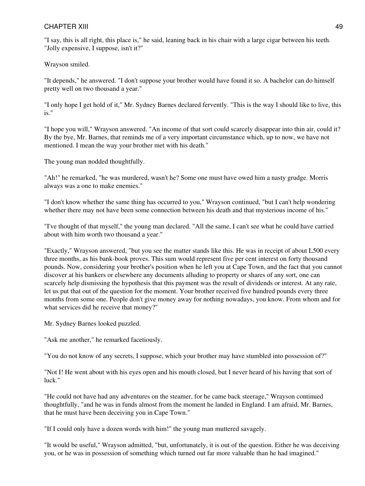"I say, this is all right, this place is," he said, leaning back in his chair with a large cigar between his teeth. "Jolly expensive, I suppose, isn't it?"

Wrayson smiled.

"It depends," he answered. "I don't suppose your brother would have found it so. A bachelor can do himself pretty well on two thousand a year."

"I only hope I get hold of it," Mr. Sydney Barnes declared fervently. "This is the way I should like to live, this is."

"I hope you will," Wrayson answered. "An income of that sort could scarcely disappear into thin air, could it? By the bye, Mr. Barnes, that reminds me of a very important circumstance which, up to now, we have not mentioned. I mean the way your brother met with his death."

The young man nodded thoughtfully.

"Ah!" he remarked, "he was murdered, wasn't he? Some one must have owed him a nasty grudge. Morris always was a one to make enemies."

"I don't know whether the same thing has occurred to you," Wrayson continued, "but I can't help wondering whether there may not have been some connection between his death and that mysterious income of his."

"I've thought of that myself," the young man declared. "All the same, I can't see what he could have carried about with him worth two thousand a year."

"Exactly," Wrayson answered, "but you see the matter stands like this. He was in receipt of about L500 every three months, as his bank-book proves. This sum would represent five per cent interest on forty thousand pounds. Now, considering your brother's position when he left you at Cape Town, and the fact that you cannot discover at his bankers or elsewhere any documents alluding to property or shares of any sort, one can scarcely help dismissing the hypothesis that this payment was the result of dividends or interest. At any rate, let us put that out of the question for the moment. Your brother received five hundred pounds every three months from some one. People don't give money away for nothing nowadays, you know. From whom and for what services did he receive that money?"

Mr. Sydney Barnes looked puzzled.

"Ask me another," he remarked facetiously.

"You do not know of any secrets, I suppose, which your brother may have stumbled into possession of?"

"Not I! He went about with his eyes open and his mouth closed, but I never heard of his having that sort of luck."

"He could not have had any adventures on the steamer, for he came back steerage," Wrayson continued thoughtfully, "and he was in funds almost from the moment he landed in England. I am afraid, Mr. Barnes, that he must have been deceiving you in Cape Town."

"If I could only have a dozen words with him!" the young man muttered savagely.

"It would be useful," Wrayson admitted, "but, unfortunately, it is out of the question. Either he was deceiving you, or he was in possession of something which turned out far more valuable than he had imagined."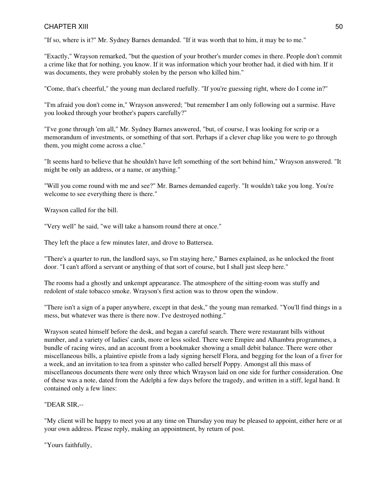"If so, where is it?" Mr. Sydney Barnes demanded. "If it was worth that to him, it may be to me."

"Exactly," Wrayson remarked, "but the question of your brother's murder comes in there. People don't commit a crime like that for nothing, you know. If it was information which your brother had, it died with him. If it was documents, they were probably stolen by the person who killed him."

"Come, that's cheerful," the young man declared ruefully. "If you're guessing right, where do I come in?"

"I'm afraid you don't come in," Wrayson answered; "but remember I am only following out a surmise. Have you looked through your brother's papers carefully?"

"I've gone through 'em all," Mr. Sydney Barnes answered, "but, of course, I was looking for scrip or a memorandum of investments, or something of that sort. Perhaps if a clever chap like you were to go through them, you might come across a clue."

"It seems hard to believe that he shouldn't have left something of the sort behind him," Wrayson answered. "It might be only an address, or a name, or anything."

"Will you come round with me and see?" Mr. Barnes demanded eagerly. "It wouldn't take you long. You're welcome to see everything there is there."

Wrayson called for the bill.

"Very well" he said, "we will take a hansom round there at once."

They left the place a few minutes later, and drove to Battersea.

"There's a quarter to run, the landlord says, so I'm staying here," Barnes explained, as he unlocked the front door. "I can't afford a servant or anything of that sort of course, but I shall just sleep here."

The rooms had a ghostly and unkempt appearance. The atmosphere of the sitting-room was stuffy and redolent of stale tobacco smoke. Wrayson's first action was to throw open the window.

"There isn't a sign of a paper anywhere, except in that desk," the young man remarked. "You'll find things in a mess, but whatever was there is there now. I've destroyed nothing."

Wrayson seated himself before the desk, and began a careful search. There were restaurant bills without number, and a variety of ladies' cards, more or less soiled. There were Empire and Alhambra programmes, a bundle of racing wires, and an account from a bookmaker showing a small debit balance. There were other miscellaneous bills, a plaintive epistle from a lady signing herself Flora, and begging for the loan of a fiver for a week, and an invitation to tea from a spinster who called herself Poppy. Amongst all this mass of miscellaneous documents there were only three which Wrayson laid on one side for further consideration. One of these was a note, dated from the Adelphi a few days before the tragedy, and written in a stiff, legal hand. It contained only a few lines:

#### "DEAR SIR,--

"My client will be happy to meet you at any time on Thursday you may be pleased to appoint, either here or at your own address. Please reply, making an appointment, by return of post.

"Yours faithfully,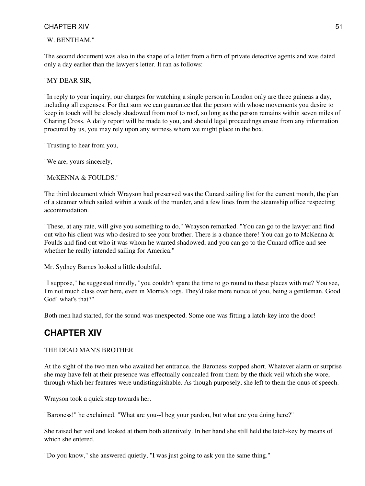#### "W. BENTHAM."

The second document was also in the shape of a letter from a firm of private detective agents and was dated only a day earlier than the lawyer's letter. It ran as follows:

#### "MY DEAR SIR,--

"In reply to your inquiry, our charges for watching a single person in London only are three guineas a day, including all expenses. For that sum we can guarantee that the person with whose movements you desire to keep in touch will be closely shadowed from roof to roof, so long as the person remains within seven miles of Charing Cross. A daily report will be made to you, and should legal proceedings ensue from any information procured by us, you may rely upon any witness whom we might place in the box.

"Trusting to hear from you,

"We are, yours sincerely,

"McKENNA & FOULDS."

The third document which Wrayson had preserved was the Cunard sailing list for the current month, the plan of a steamer which sailed within a week of the murder, and a few lines from the steamship office respecting accommodation.

"These, at any rate, will give you something to do," Wrayson remarked. "You can go to the lawyer and find out who his client was who desired to see your brother. There is a chance there! You can go to McKenna & Foulds and find out who it was whom he wanted shadowed, and you can go to the Cunard office and see whether he really intended sailing for America."

Mr. Sydney Barnes looked a little doubtful.

"I suppose," he suggested timidly, "you couldn't spare the time to go round to these places with me? You see, I'm not much class over here, even in Morris's togs. They'd take more notice of you, being a gentleman. Good God! what's that?"

Both men had started, for the sound was unexpected. Some one was fitting a latch-key into the door!

## **CHAPTER XIV**

#### THE DEAD MAN'S BROTHER

At the sight of the two men who awaited her entrance, the Baroness stopped short. Whatever alarm or surprise she may have felt at their presence was effectually concealed from them by the thick veil which she wore, through which her features were undistinguishable. As though purposely, she left to them the onus of speech.

Wrayson took a quick step towards her.

"Baroness!" he exclaimed. "What are you--I beg your pardon, but what are you doing here?"

She raised her veil and looked at them both attentively. In her hand she still held the latch-key by means of which she entered.

"Do you know," she answered quietly, "I was just going to ask you the same thing."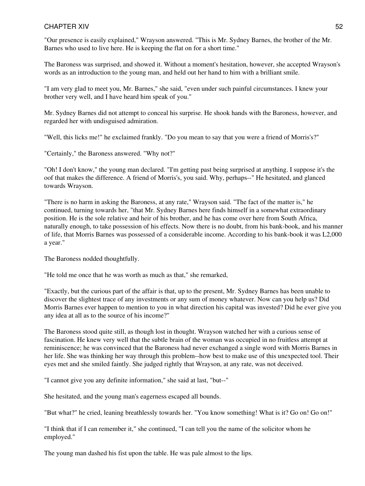"Our presence is easily explained," Wrayson answered. "This is Mr. Sydney Barnes, the brother of the Mr. Barnes who used to live here. He is keeping the flat on for a short time."

The Baroness was surprised, and showed it. Without a moment's hesitation, however, she accepted Wrayson's words as an introduction to the young man, and held out her hand to him with a brilliant smile.

"I am very glad to meet you, Mr. Barnes," she said, "even under such painful circumstances. I knew your brother very well, and I have heard him speak of you."

Mr. Sydney Barnes did not attempt to conceal his surprise. He shook hands with the Baroness, however, and regarded her with undisguised admiration.

"Well, this licks me!" he exclaimed frankly. "Do you mean to say that you were a friend of Morris's?"

"Certainly," the Baroness answered. "Why not?"

"Oh! I don't know," the young man declared. "I'm getting past being surprised at anything. I suppose it's the oof that makes the difference. A friend of Morris's, you said. Why, perhaps--" He hesitated, and glanced towards Wrayson.

"There is no harm in asking the Baroness, at any rate," Wrayson said. "The fact of the matter is," he continued, turning towards her, "that Mr. Sydney Barnes here finds himself in a somewhat extraordinary position. He is the sole relative and heir of his brother, and he has come over here from South Africa, naturally enough, to take possession of his effects. Now there is no doubt, from his bank-book, and his manner of life, that Morris Barnes was possessed of a considerable income. According to his bank-book it was L2,000 a year."

The Baroness nodded thoughtfully.

"He told me once that he was worth as much as that," she remarked,

"Exactly, but the curious part of the affair is that, up to the present, Mr. Sydney Barnes has been unable to discover the slightest trace of any investments or any sum of money whatever. Now can you help us? Did Morris Barnes ever happen to mention to you in what direction his capital was invested? Did he ever give you any idea at all as to the source of his income?"

The Baroness stood quite still, as though lost in thought. Wrayson watched her with a curious sense of fascination. He knew very well that the subtle brain of the woman was occupied in no fruitless attempt at reminiscence; he was convinced that the Baroness had never exchanged a single word with Morris Barnes in her life. She was thinking her way through this problem--how best to make use of this unexpected tool. Their eyes met and she smiled faintly. She judged rightly that Wrayson, at any rate, was not deceived.

"I cannot give you any definite information," she said at last, "but--"

She hesitated, and the young man's eagerness escaped all bounds.

"But what?" he cried, leaning breathlessly towards her. "You know something! What is it? Go on! Go on!"

"I think that if I can remember it," she continued, "I can tell you the name of the solicitor whom he employed."

The young man dashed his fist upon the table. He was pale almost to the lips.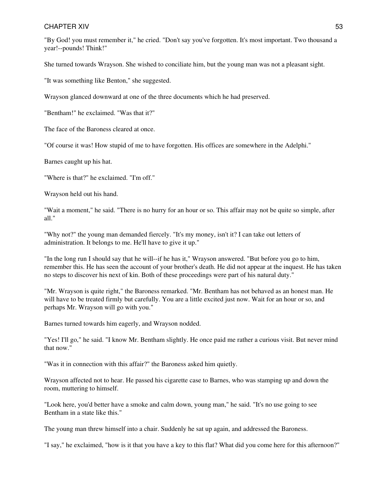"By God! you must remember it," he cried. "Don't say you've forgotten. It's most important. Two thousand a year!--pounds! Think!"

She turned towards Wrayson. She wished to conciliate him, but the young man was not a pleasant sight.

"It was something like Benton," she suggested.

Wrayson glanced downward at one of the three documents which he had preserved.

"Bentham!" he exclaimed. "Was that it?"

The face of the Baroness cleared at once.

"Of course it was! How stupid of me to have forgotten. His offices are somewhere in the Adelphi."

Barnes caught up his hat.

"Where is that?" he exclaimed. "I'm off."

Wrayson held out his hand.

"Wait a moment," he said. "There is no hurry for an hour or so. This affair may not be quite so simple, after all."

"Why not?" the young man demanded fiercely. "It's my money, isn't it? I can take out letters of administration. It belongs to me. He'll have to give it up."

"In the long run I should say that he will--if he has it," Wrayson answered. "But before you go to him, remember this. He has seen the account of your brother's death. He did not appear at the inquest. He has taken no steps to discover his next of kin. Both of these proceedings were part of his natural duty."

"Mr. Wrayson is quite right," the Baroness remarked. "Mr. Bentham has not behaved as an honest man. He will have to be treated firmly but carefully. You are a little excited just now. Wait for an hour or so, and perhaps Mr. Wrayson will go with you."

Barnes turned towards him eagerly, and Wrayson nodded.

"Yes! I'll go," he said. "I know Mr. Bentham slightly. He once paid me rather a curious visit. But never mind that now."

"Was it in connection with this affair?" the Baroness asked him quietly.

Wrayson affected not to hear. He passed his cigarette case to Barnes, who was stamping up and down the room, muttering to himself.

"Look here, you'd better have a smoke and calm down, young man," he said. "It's no use going to see Bentham in a state like this."

The young man threw himself into a chair. Suddenly he sat up again, and addressed the Baroness.

"I say," he exclaimed, "how is it that you have a key to this flat? What did you come here for this afternoon?"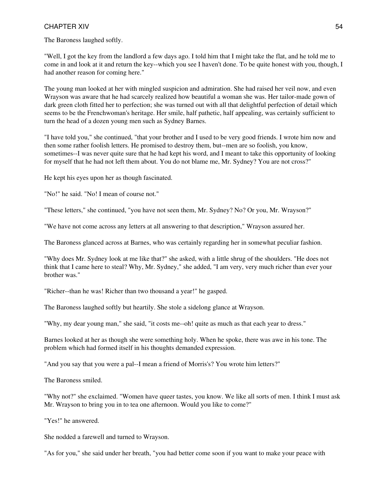The Baroness laughed softly.

"Well, I got the key from the landlord a few days ago. I told him that I might take the flat, and he told me to come in and look at it and return the key--which you see I haven't done. To be quite honest with you, though, I had another reason for coming here."

The young man looked at her with mingled suspicion and admiration. She had raised her veil now, and even Wrayson was aware that he had scarcely realized how beautiful a woman she was. Her tailor-made gown of dark green cloth fitted her to perfection; she was turned out with all that delightful perfection of detail which seems to be the Frenchwoman's heritage. Her smile, half pathetic, half appealing, was certainly sufficient to turn the head of a dozen young men such as Sydney Barnes.

"I have told you," she continued, "that your brother and I used to be very good friends. I wrote him now and then some rather foolish letters. He promised to destroy them, but--men are so foolish, you know, sometimes--I was never quite sure that he had kept his word, and I meant to take this opportunity of looking for myself that he had not left them about. You do not blame me, Mr. Sydney? You are not cross?"

He kept his eyes upon her as though fascinated.

"No!" he said. "No! I mean of course not."

"These letters," she continued, "you have not seen them, Mr. Sydney? No? Or you, Mr. Wrayson?"

"We have not come across any letters at all answering to that description," Wrayson assured her.

The Baroness glanced across at Barnes, who was certainly regarding her in somewhat peculiar fashion.

"Why does Mr. Sydney look at me like that?" she asked, with a little shrug of the shoulders. "He does not think that I came here to steal? Why, Mr. Sydney," she added, "I am very, very much richer than ever your brother was."

"Richer--than he was! Richer than two thousand a year!" he gasped.

The Baroness laughed softly but heartily. She stole a sidelong glance at Wrayson.

"Why, my dear young man," she said, "it costs me--oh! quite as much as that each year to dress."

Barnes looked at her as though she were something holy. When he spoke, there was awe in his tone. The problem which had formed itself in his thoughts demanded expression.

"And you say that you were a pal--I mean a friend of Morris's? You wrote him letters?"

The Baroness smiled.

"Why not?" she exclaimed. "Women have queer tastes, you know. We like all sorts of men. I think I must ask Mr. Wrayson to bring you in to tea one afternoon. Would you like to come?"

"Yes!" he answered.

She nodded a farewell and turned to Wrayson.

"As for you," she said under her breath, "you had better come soon if you want to make your peace with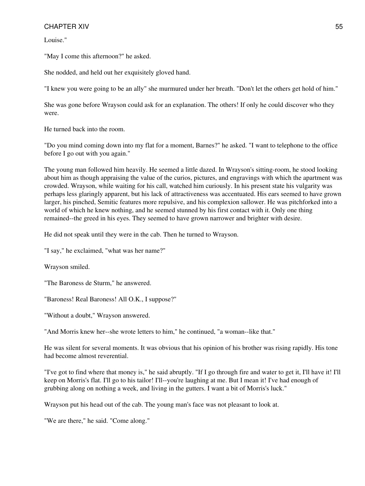Louise."

"May I come this afternoon?" he asked.

She nodded, and held out her exquisitely gloved hand.

"I knew you were going to be an ally" she murmured under her breath. "Don't let the others get hold of him."

She was gone before Wrayson could ask for an explanation. The others! If only he could discover who they were.

He turned back into the room.

"Do you mind coming down into my flat for a moment, Barnes?" he asked. "I want to telephone to the office before I go out with you again."

The young man followed him heavily. He seemed a little dazed. In Wrayson's sitting-room, he stood looking about him as though appraising the value of the curios, pictures, and engravings with which the apartment was crowded. Wrayson, while waiting for his call, watched him curiously. In his present state his vulgarity was perhaps less glaringly apparent, but his lack of attractiveness was accentuated. His ears seemed to have grown larger, his pinched, Semitic features more repulsive, and his complexion sallower. He was pitchforked into a world of which he knew nothing, and he seemed stunned by his first contact with it. Only one thing remained--the greed in his eyes. They seemed to have grown narrower and brighter with desire.

He did not speak until they were in the cab. Then he turned to Wrayson.

"I say," he exclaimed, "what was her name?"

Wrayson smiled.

"The Baroness de Sturm," he answered.

"Baroness! Real Baroness! All O.K., I suppose?"

"Without a doubt," Wrayson answered.

"And Morris knew her--she wrote letters to him," he continued, "a woman--like that."

He was silent for several moments. It was obvious that his opinion of his brother was rising rapidly. His tone had become almost reverential.

"I've got to find where that money is," he said abruptly. "If I go through fire and water to get it, I'll have it! I'll keep on Morris's flat. I'll go to his tailor! I'll--you're laughing at me. But I mean it! I've had enough of grubbing along on nothing a week, and living in the gutters. I want a bit of Morris's luck."

Wrayson put his head out of the cab. The young man's face was not pleasant to look at.

"We are there," he said. "Come along."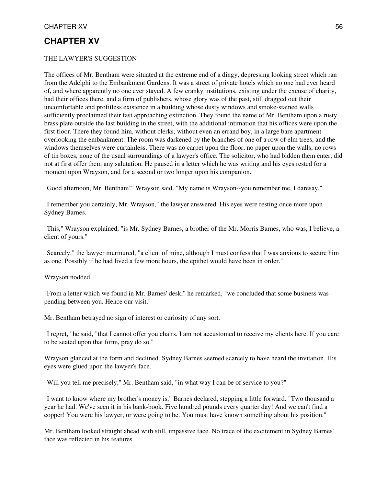### THE LAWYER'S SUGGESTION

The offices of Mr. Bentham were situated at the extreme end of a dingy, depressing looking street which ran from the Adelphi to the Embankment Gardens. It was a street of private hotels which no one had ever heard of, and where apparently no one ever stayed. A few cranky institutions, existing under the excuse of charity, had their offices there, and a firm of publishers, whose glory was of the past, still dragged out their uncomfortable and profitless existence in a building whose dusty windows and smoke-stained walls sufficiently proclaimed their fast approaching extinction. They found the name of Mr. Bentham upon a rusty brass plate outside the last building in the street, with the additional intimation that his offices were upon the first floor. There they found him, without clerks, without even an errand boy, in a large bare apartment overlooking the embankment. The room was darkened by the branches of one of a row of elm trees, and the windows themselves were curtainless. There was no carpet upon the floor, no paper upon the walls, no rows of tin boxes, none of the usual surroundings of a lawyer's office. The solicitor, who had bidden them enter, did not at first offer them any salutation. He paused in a letter which he was writing and his eyes rested for a moment upon Wrayson, and for a second or two longer upon his companion.

"Good afternoon, Mr. Bentham!" Wrayson said. "My name is Wrayson--you remember me, I daresay."

"I remember you certainly, Mr. Wrayson," the lawyer answered. His eyes were resting once more upon Sydney Barnes.

"This," Wrayson explained, "is Mr. Sydney Barnes, a brother of the Mr. Morris Barnes, who was, I believe, a client of yours."

"Scarcely," the lawyer murmured, "a client of mine, although I must confess that I was anxious to secure him as one. Possibly if he had lived a few more hours, the epithet would have been in order."

Wrayson nodded.

"From a letter which we found in Mr. Barnes' desk," he remarked, "we concluded that some business was pending between you. Hence our visit."

Mr. Bentham betrayed no sign of interest or curiosity of any sort.

"I regret," he said, "that I cannot offer you chairs. I am not accustomed to receive my clients here. If you care to be seated upon that form, pray do so."

Wrayson glanced at the form and declined. Sydney Barnes seemed scarcely to have heard the invitation. His eyes were glued upon the lawyer's face.

"Will you tell me precisely," Mr. Bentham said, "in what way I can be of service to you?"

"I want to know where my brother's money is," Barnes declared, stepping a little forward. "Two thousand a year he had. We've seen it in his bank-book. Five hundred pounds every quarter day! And we can't find a copper! You were his lawyer, or were going to be. You must have known something about his position."

Mr. Bentham looked straight ahead with still, impassive face. No trace of the excitement in Sydney Barnes' face was reflected in his features.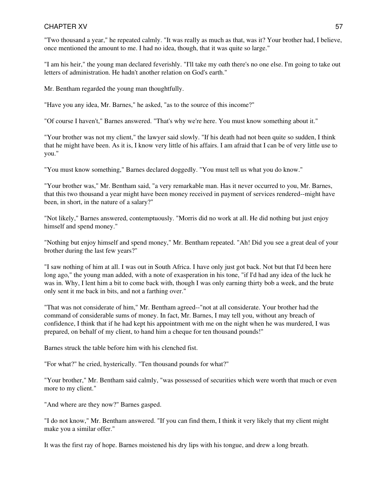"Two thousand a year," he repeated calmly. "It was really as much as that, was it? Your brother had, I believe, once mentioned the amount to me. I had no idea, though, that it was quite so large."

"I am his heir," the young man declared feverishly. "I'll take my oath there's no one else. I'm going to take out letters of administration. He hadn't another relation on God's earth."

Mr. Bentham regarded the young man thoughtfully.

"Have you any idea, Mr. Barnes," he asked, "as to the source of this income?"

"Of course I haven't," Barnes answered. "That's why we're here. You must know something about it."

"Your brother was not my client," the lawyer said slowly. "If his death had not been quite so sudden, I think that he might have been. As it is, I know very little of his affairs. I am afraid that I can be of very little use to you."

"You must know something," Barnes declared doggedly. "You must tell us what you do know."

"Your brother was," Mr. Bentham said, "a very remarkable man. Has it never occurred to you, Mr. Barnes, that this two thousand a year might have been money received in payment of services rendered--might have been, in short, in the nature of a salary?"

"Not likely," Barnes answered, contemptuously. "Morris did no work at all. He did nothing but just enjoy himself and spend money."

"Nothing but enjoy himself and spend money," Mr. Bentham repeated. "Ah! Did you see a great deal of your brother during the last few years?"

"I saw nothing of him at all. I was out in South Africa. I have only just got back. Not but that I'd been here long ago," the young man added, with a note of exasperation in his tone, "if I'd had any idea of the luck he was in. Why, I lent him a bit to come back with, though I was only earning thirty bob a week, and the brute only sent it me back in bits, and not a farthing over."

"That was not considerate of him," Mr. Bentham agreed--"not at all considerate. Your brother had the command of considerable sums of money. In fact, Mr. Barnes, I may tell you, without any breach of confidence, I think that if he had kept his appointment with me on the night when he was murdered, I was prepared, on behalf of my client, to hand him a cheque for ten thousand pounds!"

Barnes struck the table before him with his clenched fist.

"For what?" he cried, hysterically. "Ten thousand pounds for what?"

"Your brother," Mr. Bentham said calmly, "was possessed of securities which were worth that much or even more to my client."

"And where are they now?" Barnes gasped.

"I do not know," Mr. Bentham answered. "If you can find them, I think it very likely that my client might make you a similar offer."

It was the first ray of hope. Barnes moistened his dry lips with his tongue, and drew a long breath.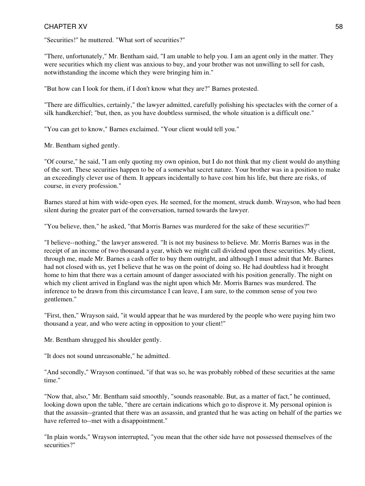"Securities!" he muttered. "What sort of securities?"

"There, unfortunately," Mr. Bentham said, "I am unable to help you. I am an agent only in the matter. They were securities which my client was anxious to buy, and your brother was not unwilling to sell for cash, notwithstanding the income which they were bringing him in."

"But how can I look for them, if I don't know what they are?" Barnes protested.

"There are difficulties, certainly," the lawyer admitted, carefully polishing his spectacles with the corner of a silk handkerchief; "but, then, as you have doubtless surmised, the whole situation is a difficult one."

"You can get to know," Barnes exclaimed. "Your client would tell you."

Mr. Bentham sighed gently.

"Of course," he said, "I am only quoting my own opinion, but I do not think that my client would do anything of the sort. These securities happen to be of a somewhat secret nature. Your brother was in a position to make an exceedingly clever use of them. It appears incidentally to have cost him his life, but there are risks, of course, in every profession."

Barnes stared at him with wide-open eyes. He seemed, for the moment, struck dumb. Wrayson, who had been silent during the greater part of the conversation, turned towards the lawyer.

"You believe, then," he asked, "that Morris Barnes was murdered for the sake of these securities?"

"I believe--nothing," the lawyer answered. "It is not my business to believe. Mr. Morris Barnes was in the receipt of an income of two thousand a year, which we might call dividend upon these securities. My client, through me, made Mr. Barnes a cash offer to buy them outright, and although I must admit that Mr. Barnes had not closed with us, yet I believe that he was on the point of doing so. He had doubtless had it brought home to him that there was a certain amount of danger associated with his position generally. The night on which my client arrived in England was the night upon which Mr. Morris Barnes was murdered. The inference to be drawn from this circumstance I can leave, I am sure, to the common sense of you two gentlemen."

"First, then," Wrayson said, "it would appear that he was murdered by the people who were paying him two thousand a year, and who were acting in opposition to your client!"

Mr. Bentham shrugged his shoulder gently.

"It does not sound unreasonable," he admitted.

"And secondly," Wrayson continued, "if that was so, he was probably robbed of these securities at the same time."

"Now that, also," Mr. Bentham said smoothly, "sounds reasonable. But, as a matter of fact," he continued, looking down upon the table, "there are certain indications which go to disprove it. My personal opinion is that the assassin--granted that there was an assassin, and granted that he was acting on behalf of the parties we have referred to--met with a disappointment."

"In plain words," Wrayson interrupted, "you mean that the other side have not possessed themselves of the securities?"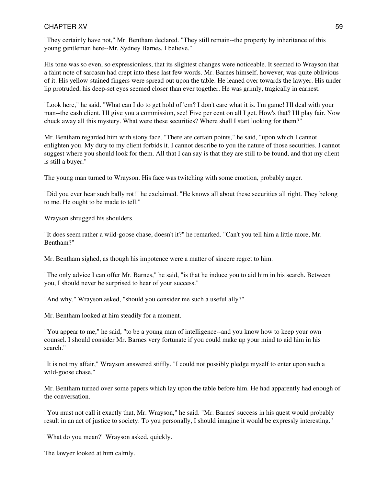"They certainly have not," Mr. Bentham declared. "They still remain--the property by inheritance of this young gentleman here--Mr. Sydney Barnes, I believe."

His tone was so even, so expressionless, that its slightest changes were noticeable. It seemed to Wrayson that a faint note of sarcasm had crept into these last few words. Mr. Barnes himself, however, was quite oblivious of it. His yellow-stained fingers were spread out upon the table. He leaned over towards the lawyer. His under lip protruded, his deep-set eyes seemed closer than ever together. He was grimly, tragically in earnest.

"Look here," he said. "What can I do to get hold of 'em? I don't care what it is. I'm game! I'll deal with your man--the cash client. I'll give you a commission, see! Five per cent on all I get. How's that? I'll play fair. Now chuck away all this mystery. What were these securities? Where shall I start looking for them?"

Mr. Bentham regarded him with stony face. "There are certain points," he said, "upon which I cannot enlighten you. My duty to my client forbids it. I cannot describe to you the nature of those securities. I cannot suggest where you should look for them. All that I can say is that they are still to be found, and that my client is still a buyer."

The young man turned to Wrayson. His face was twitching with some emotion, probably anger.

"Did you ever hear such bally rot!" he exclaimed. "He knows all about these securities all right. They belong to me. He ought to be made to tell."

Wrayson shrugged his shoulders.

"It does seem rather a wild-goose chase, doesn't it?" he remarked. "Can't you tell him a little more, Mr. Bentham?"

Mr. Bentham sighed, as though his impotence were a matter of sincere regret to him.

"The only advice I can offer Mr. Barnes," he said, "is that he induce you to aid him in his search. Between you, I should never be surprised to hear of your success."

"And why," Wrayson asked, "should you consider me such a useful ally?"

Mr. Bentham looked at him steadily for a moment.

"You appear to me," he said, "to be a young man of intelligence--and you know how to keep your own counsel. I should consider Mr. Barnes very fortunate if you could make up your mind to aid him in his search."

"It is not my affair," Wrayson answered stiffly. "I could not possibly pledge myself to enter upon such a wild-goose chase."

Mr. Bentham turned over some papers which lay upon the table before him. He had apparently had enough of the conversation.

"You must not call it exactly that, Mr. Wrayson," he said. "Mr. Barnes' success in his quest would probably result in an act of justice to society. To you personally, I should imagine it would be expressly interesting."

"What do you mean?" Wrayson asked, quickly.

The lawyer looked at him calmly.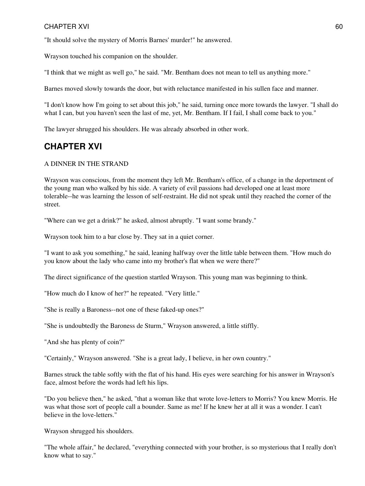"It should solve the mystery of Morris Barnes' murder!" he answered.

Wrayson touched his companion on the shoulder.

"I think that we might as well go," he said. "Mr. Bentham does not mean to tell us anything more."

Barnes moved slowly towards the door, but with reluctance manifested in his sullen face and manner.

"I don't know how I'm going to set about this job," he said, turning once more towards the lawyer. "I shall do what I can, but you haven't seen the last of me, yet, Mr. Bentham. If I fail, I shall come back to you."

The lawyer shrugged his shoulders. He was already absorbed in other work.

## **CHAPTER XVI**

### A DINNER IN THE STRAND

Wrayson was conscious, from the moment they left Mr. Bentham's office, of a change in the deportment of the young man who walked by his side. A variety of evil passions had developed one at least more tolerable--he was learning the lesson of self-restraint. He did not speak until they reached the corner of the street.

"Where can we get a drink?" he asked, almost abruptly. "I want some brandy."

Wrayson took him to a bar close by. They sat in a quiet corner.

"I want to ask you something," he said, leaning halfway over the little table between them. "How much do you know about the lady who came into my brother's flat when we were there?"

The direct significance of the question startled Wrayson. This young man was beginning to think.

"How much do I know of her?" he repeated. "Very little."

"She is really a Baroness--not one of these faked-up ones?"

"She is undoubtedly the Baroness de Sturm," Wrayson answered, a little stiffly.

"And she has plenty of coin?"

"Certainly," Wrayson answered. "She is a great lady, I believe, in her own country."

Barnes struck the table softly with the flat of his hand. His eyes were searching for his answer in Wrayson's face, almost before the words had left his lips.

"Do you believe then," he asked, "that a woman like that wrote love-letters to Morris? You knew Morris. He was what those sort of people call a bounder. Same as me! If he knew her at all it was a wonder. I can't believe in the love-letters."

Wrayson shrugged his shoulders.

"The whole affair," he declared, "everything connected with your brother, is so mysterious that I really don't know what to say."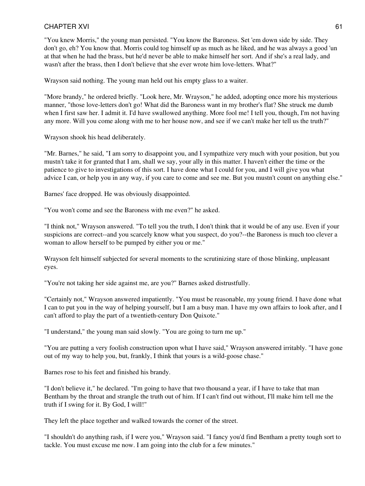"You knew Morris," the young man persisted. "You know the Baroness. Set 'em down side by side. They don't go, eh? You know that. Morris could tog himself up as much as he liked, and he was always a good 'un at that when he had the brass, but he'd never be able to make himself her sort. And if she's a real lady, and wasn't after the brass, then I don't believe that she ever wrote him love-letters. What?"

Wrayson said nothing. The young man held out his empty glass to a waiter.

"More brandy," he ordered briefly. "Look here, Mr. Wrayson," he added, adopting once more his mysterious manner, "those love-letters don't go! What did the Baroness want in my brother's flat? She struck me dumb when I first saw her. I admit it. I'd have swallowed anything. More fool me! I tell you, though, I'm not having any more. Will you come along with me to her house now, and see if we can't make her tell us the truth?"

Wrayson shook his head deliberately.

"Mr. Barnes," he said, "I am sorry to disappoint you, and I sympathize very much with your position, but you mustn't take it for granted that I am, shall we say, your ally in this matter. I haven't either the time or the patience to give to investigations of this sort. I have done what I could for you, and I will give you what advice I can, or help you in any way, if you care to come and see me. But you mustn't count on anything else."

Barnes' face dropped. He was obviously disappointed.

"You won't come and see the Baroness with me even?" he asked.

"I think not," Wrayson answered. "To tell you the truth, I don't think that it would be of any use. Even if your suspicions are correct--and you scarcely know what you suspect, do you?--the Baroness is much too clever a woman to allow herself to be pumped by either you or me."

Wrayson felt himself subjected for several moments to the scrutinizing stare of those blinking, unpleasant eyes.

"You're not taking her side against me, are you?" Barnes asked distrustfully.

"Certainly not," Wrayson answered impatiently. "You must be reasonable, my young friend. I have done what I can to put you in the way of helping yourself, but I am a busy man. I have my own affairs to look after, and I can't afford to play the part of a twentieth-century Don Quixote."

"I understand," the young man said slowly. "You are going to turn me up."

"You are putting a very foolish construction upon what I have said," Wrayson answered irritably. "I have gone out of my way to help you, but, frankly, I think that yours is a wild-goose chase."

Barnes rose to his feet and finished his brandy.

"I don't believe it," he declared. "I'm going to have that two thousand a year, if I have to take that man Bentham by the throat and strangle the truth out of him. If I can't find out without, I'll make him tell me the truth if I swing for it. By God, I will!"

They left the place together and walked towards the corner of the street.

"I shouldn't do anything rash, if I were you," Wrayson said. "I fancy you'd find Bentham a pretty tough sort to tackle. You must excuse me now. I am going into the club for a few minutes."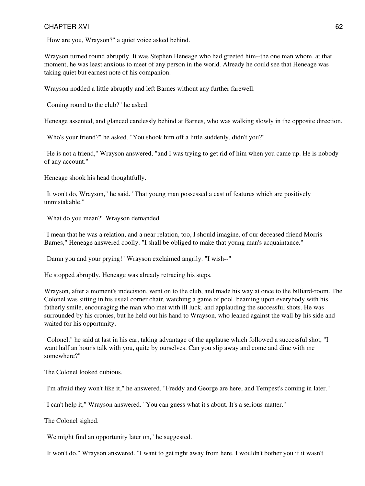"How are you, Wrayson?" a quiet voice asked behind.

Wrayson turned round abruptly. It was Stephen Heneage who had greeted him--the one man whom, at that moment, he was least anxious to meet of any person in the world. Already he could see that Heneage was taking quiet but earnest note of his companion.

Wrayson nodded a little abruptly and left Barnes without any further farewell.

"Coming round to the club?" he asked.

Heneage assented, and glanced carelessly behind at Barnes, who was walking slowly in the opposite direction.

"Who's your friend?" he asked. "You shook him off a little suddenly, didn't you?"

"He is not a friend," Wrayson answered, "and I was trying to get rid of him when you came up. He is nobody of any account."

Heneage shook his head thoughtfully.

"It won't do, Wrayson," he said. "That young man possessed a cast of features which are positively unmistakable."

"What do you mean?" Wrayson demanded.

"I mean that he was a relation, and a near relation, too, I should imagine, of our deceased friend Morris Barnes," Heneage answered coolly. "I shall be obliged to make that young man's acquaintance."

"Damn you and your prying!" Wrayson exclaimed angrily. "I wish--"

He stopped abruptly. Heneage was already retracing his steps.

Wrayson, after a moment's indecision, went on to the club, and made his way at once to the billiard-room. The Colonel was sitting in his usual corner chair, watching a game of pool, beaming upon everybody with his fatherly smile, encouraging the man who met with ill luck, and applauding the successful shots. He was surrounded by his cronies, but he held out his hand to Wrayson, who leaned against the wall by his side and waited for his opportunity.

"Colonel," he said at last in his ear, taking advantage of the applause which followed a successful shot, "I want half an hour's talk with you, quite by ourselves. Can you slip away and come and dine with me somewhere?"

The Colonel looked dubious.

"I'm afraid they won't like it," he answered. "Freddy and George are here, and Tempest's coming in later."

"I can't help it," Wrayson answered. "You can guess what it's about. It's a serious matter."

The Colonel sighed.

"We might find an opportunity later on," he suggested.

"It won't do," Wrayson answered. "I want to get right away from here. I wouldn't bother you if it wasn't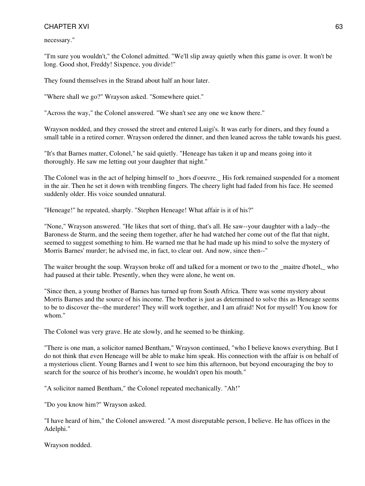necessary."

"I'm sure you wouldn't," the Colonel admitted. "We'll slip away quietly when this game is over. It won't be long. Good shot, Freddy! Sixpence, you divide!"

They found themselves in the Strand about half an hour later.

"Where shall we go?" Wrayson asked. "Somewhere quiet."

"Across the way," the Colonel answered. "We shan't see any one we know there."

Wrayson nodded, and they crossed the street and entered Luigi's. It was early for diners, and they found a small table in a retired corner. Wrayson ordered the dinner, and then leaned across the table towards his guest.

"It's that Barnes matter, Colonel," he said quietly. "Heneage has taken it up and means going into it thoroughly. He saw me letting out your daughter that night."

The Colonel was in the act of helping himself to hors d'oeuvre. His fork remained suspended for a moment in the air. Then he set it down with trembling fingers. The cheery light had faded from his face. He seemed suddenly older. His voice sounded unnatural.

"Heneage!" he repeated, sharply. "Stephen Heneage! What affair is it of his?"

"None," Wrayson answered. "He likes that sort of thing, that's all. He saw--your daughter with a lady--the Baroness de Sturm, and the seeing them together, after he had watched her come out of the flat that night, seemed to suggest something to him. He warned me that he had made up his mind to solve the mystery of Morris Barnes' murder; he advised me, in fact, to clear out. And now, since then--"

The waiter brought the soup. Wrayson broke off and talked for a moment or two to the \_maitre d'hotel,\_ who had paused at their table. Presently, when they were alone, he went on.

"Since then, a young brother of Barnes has turned up from South Africa. There was some mystery about Morris Barnes and the source of his income. The brother is just as determined to solve this as Heneage seems to be to discover the--the murderer! They will work together, and I am afraid! Not for myself! You know for whom<sup>"</sup>

The Colonel was very grave. He ate slowly, and he seemed to be thinking.

"There is one man, a solicitor named Bentham," Wrayson continued, "who I believe knows everything. But I do not think that even Heneage will be able to make him speak. His connection with the affair is on behalf of a mysterious client. Young Barnes and I went to see him this afternoon, but beyond encouraging the boy to search for the source of his brother's income, he wouldn't open his mouth."

"A solicitor named Bentham," the Colonel repeated mechanically. "Ah!"

"Do you know him?" Wrayson asked.

"I have heard of him," the Colonel answered. "A most disreputable person, I believe. He has offices in the Adelphi."

Wrayson nodded.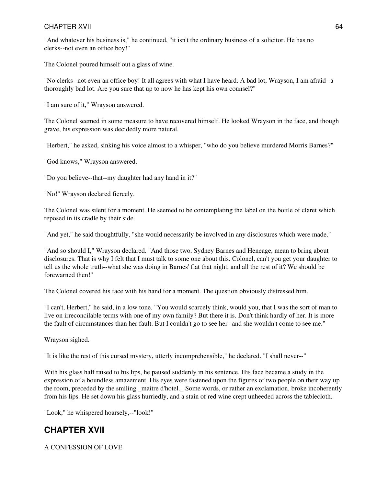"And whatever his business is," he continued, "it isn't the ordinary business of a solicitor. He has no clerks--not even an office boy!"

The Colonel poured himself out a glass of wine.

"No clerks--not even an office boy! It all agrees with what I have heard. A bad lot, Wrayson, I am afraid--a thoroughly bad lot. Are you sure that up to now he has kept his own counsel?"

"I am sure of it," Wrayson answered.

The Colonel seemed in some measure to have recovered himself. He looked Wrayson in the face, and though grave, his expression was decidedly more natural.

"Herbert," he asked, sinking his voice almost to a whisper, "who do you believe murdered Morris Barnes?"

"God knows," Wrayson answered.

"Do you believe--that--my daughter had any hand in it?"

"No!" Wrayson declared fiercely.

The Colonel was silent for a moment. He seemed to be contemplating the label on the bottle of claret which reposed in its cradle by their side.

"And yet," he said thoughtfully, "she would necessarily be involved in any disclosures which were made."

"And so should I," Wrayson declared. "And those two, Sydney Barnes and Heneage, mean to bring about disclosures. That is why I felt that I must talk to some one about this. Colonel, can't you get your daughter to tell us the whole truth--what she was doing in Barnes' flat that night, and all the rest of it? We should be forewarned then!"

The Colonel covered his face with his hand for a moment. The question obviously distressed him.

"I can't, Herbert," he said, in a low tone. "You would scarcely think, would you, that I was the sort of man to live on irreconcilable terms with one of my own family? But there it is. Don't think hardly of her. It is more the fault of circumstances than her fault. But I couldn't go to see her--and she wouldn't come to see me."

Wrayson sighed.

"It is like the rest of this cursed mystery, utterly incomprehensible," he declared. "I shall never--"

With his glass half raised to his lips, he paused suddenly in his sentence. His face became a study in the expression of a boundless amazement. His eyes were fastened upon the figures of two people on their way up the room, preceded by the smiling maitre d'hotel. Some words, or rather an exclamation, broke incoherently from his lips. He set down his glass hurriedly, and a stain of red wine crept unheeded across the tablecloth.

"Look," he whispered hoarsely,--"look!"

# **CHAPTER XVII**

A CONFESSION OF LOVE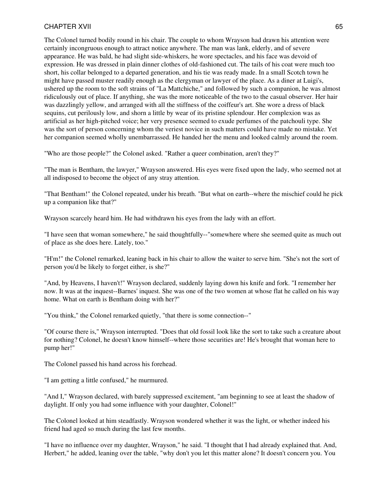The Colonel turned bodily round in his chair. The couple to whom Wrayson had drawn his attention were certainly incongruous enough to attract notice anywhere. The man was lank, elderly, and of severe appearance. He was bald, he had slight side-whiskers, he wore spectacles, and his face was devoid of expression. He was dressed in plain dinner clothes of old-fashioned cut. The tails of his coat were much too short, his collar belonged to a departed generation, and his tie was ready made. In a small Scotch town he might have passed muster readily enough as the clergyman or lawyer of the place. As a diner at Luigi's, ushered up the room to the soft strains of "La Mattchiche," and followed by such a companion, he was almost ridiculously out of place. If anything, she was the more noticeable of the two to the casual observer. Her hair was dazzlingly yellow, and arranged with all the stiffness of the coiffeur's art. She wore a dress of black sequins, cut perilously low, and shorn a little by wear of its pristine splendour. Her complexion was as artificial as her high-pitched voice; her very presence seemed to exude perfumes of the patchouli type. She was the sort of person concerning whom the veriest novice in such matters could have made no mistake. Yet her companion seemed wholly unembarrassed. He handed her the menu and looked calmly around the room.

"Who are those people?" the Colonel asked. "Rather a queer combination, aren't they?"

"The man is Bentham, the lawyer," Wrayson answered. His eyes were fixed upon the lady, who seemed not at all indisposed to become the object of any stray attention.

"That Bentham!" the Colonel repeated, under his breath. "But what on earth--where the mischief could he pick up a companion like that?"

Wrayson scarcely heard him. He had withdrawn his eyes from the lady with an effort.

"I have seen that woman somewhere," he said thoughtfully--"somewhere where she seemed quite as much out of place as she does here. Lately, too."

"H'm!" the Colonel remarked, leaning back in his chair to allow the waiter to serve him. "She's not the sort of person you'd be likely to forget either, is she?"

"And, by Heavens, I haven't!" Wrayson declared, suddenly laying down his knife and fork. "I remember her now. It was at the inquest--Barnes' inquest. She was one of the two women at whose flat he called on his way home. What on earth is Bentham doing with her?"

"You think," the Colonel remarked quietly, "that there is some connection--"

"Of course there is," Wrayson interrupted. "Does that old fossil look like the sort to take such a creature about for nothing? Colonel, he doesn't know himself--where those securities are! He's brought that woman here to pump her!"

The Colonel passed his hand across his forehead.

"I am getting a little confused," he murmured.

"And I," Wrayson declared, with barely suppressed excitement, "am beginning to see at least the shadow of daylight. If only you had some influence with your daughter, Colonel!"

The Colonel looked at him steadfastly. Wrayson wondered whether it was the light, or whether indeed his friend had aged so much during the last few months.

"I have no influence over my daughter, Wrayson," he said. "I thought that I had already explained that. And, Herbert," he added, leaning over the table, "why don't you let this matter alone? It doesn't concern you. You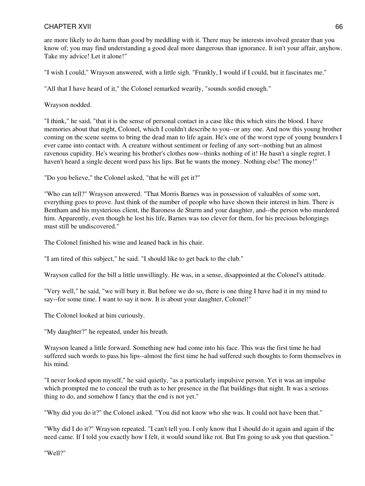are more likely to do harm than good by meddling with it. There may be interests involved greater than you know of; you may find understanding a good deal more dangerous than ignorance. It isn't your affair, anyhow. Take my advice! Let it alone!"

"I wish I could," Wrayson answered, with a little sigh. "Frankly, I would if I could, but it fascinates me."

"All that I have heard of it," the Colonel remarked wearily, "sounds sordid enough."

Wrayson nodded.

"I think," he said, "that it is the sense of personal contact in a case like this which stirs the blood. I have memories about that night, Colonel, which I couldn't describe to you--or any one. And now this young brother coming on the scene seems to bring the dead man to life again. He's one of the worst type of young bounders I ever came into contact with. A creature without sentiment or feeling of any sort--nothing but an almost ravenous cupidity. He's wearing his brother's clothes now--thinks nothing of it! He hasn't a single regret. I haven't heard a single decent word pass his lips. But he wants the money. Nothing else! The money!"

"Do you believe," the Colonel asked, "that he will get it?"

"Who can tell?" Wrayson answered. "That Morris Barnes was in possession of valuables of some sort, everything goes to prove. Just think of the number of people who have shown their interest in him. There is Bentham and his mysterious client, the Baroness de Sturm and your daughter, and--the person who murdered him. Apparently, even though he lost his life, Barnes was too clever for them, for his precious belongings must still be undiscovered."

The Colonel finished his wine and leaned back in his chair.

"I am tired of this subject," he said. "I should like to get back to the club."

Wrayson called for the bill a little unwillingly. He was, in a sense, disappointed at the Colonel's attitude.

"Very well," he said, "we will bury it. But before we do so, there is one thing I have had it in my mind to say--for some time. I want to say it now. It is about your daughter, Colonel!"

The Colonel looked at him curiously.

"My daughter?" he repeated, under his breath.

Wrayson leaned a little forward. Something new had come into his face. This was the first time he had suffered such words to pass his lips--almost the first time he had suffered such thoughts to form themselves in his mind.

"I never looked upon myself," he said quietly, "as a particularly impulsive person. Yet it was an impulse which prompted me to conceal the truth as to her presence in the flat buildings that night. It was a serious thing to do, and somehow I fancy that the end is not yet."

"Why did you do it?" the Colonel asked. "You did not know who she was. It could not have been that."

"Why did I do it?" Wrayson repeated. "I can't tell you. I only know that I should do it again and again if the need came. If I told you exactly how I felt, it would sound like rot. But I'm going to ask you that question."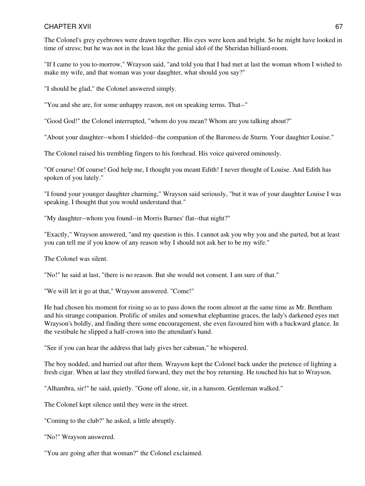The Colonel's grey eyebrows were drawn together. His eyes were keen and bright. So he might have looked in time of stress; but he was not in the least like the genial idol of the Sheridan billiard-room.

"If I came to you to-morrow," Wrayson said, "and told you that I had met at last the woman whom I wished to make my wife, and that woman was your daughter, what should you say?"

"I should be glad," the Colonel answered simply.

"You and she are, for some unhappy reason, not on speaking terms. That--"

"Good God!" the Colonel interrupted, "whom do you mean? Whom are you talking about?"

"About your daughter--whom I shielded--the companion of the Baroness de Sturm. Your daughter Louise."

The Colonel raised his trembling fingers to his forehead. His voice quivered ominously.

"Of course! Of course! God help me, I thought you meant Edith! I never thought of Louise. And Edith has spoken of you lately."

"I found your younger daughter charming," Wrayson said seriously, "but it was of your daughter Louise I was speaking. I thought that you would understand that."

"My daughter--whom you found--in Morris Barnes' flat--that night?"

"Exactly," Wrayson answered, "and my question is this. I cannot ask you why you and she parted, but at least you can tell me if you know of any reason why I should not ask her to be my wife."

The Colonel was silent.

"No!" he said at last, "there is no reason. But she would not consent. I am sure of that."

"We will let it go at that," Wrayson answered. "Come!"

He had chosen his moment for rising so as to pass down the room almost at the same time as Mr. Bentham and his strange companion. Prolific of smiles and somewhat elephantine graces, the lady's darkened eyes met Wrayson's boldly, and finding there some encouragement, she even favoured him with a backward glance. In the vestibule he slipped a half-crown into the attendant's hand.

"See if you can hear the address that lady gives her cabman," he whispered.

The boy nodded, and hurried out after them. Wrayson kept the Colonel back under the pretence of lighting a fresh cigar. When at last they strolled forward, they met the boy returning. He touched his hat to Wrayson.

"Alhambra, sir!" he said, quietly. "Gone off alone, sir, in a hansom. Gentleman walked."

The Colonel kept silence until they were in the street.

"Coming to the club?" he asked, a little abruptly.

"No!" Wrayson answered.

"You are going after that woman?" the Colonel exclaimed.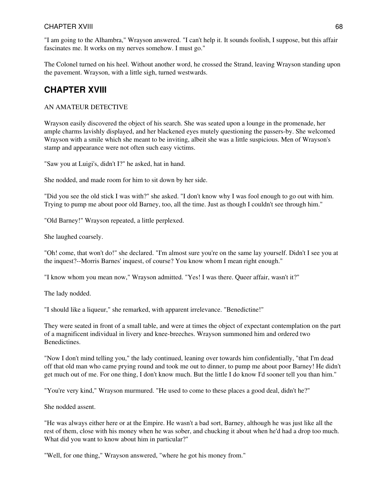"I am going to the Alhambra," Wrayson answered. "I can't help it. It sounds foolish, I suppose, but this affair fascinates me. It works on my nerves somehow. I must go."

The Colonel turned on his heel. Without another word, he crossed the Strand, leaving Wrayson standing upon the pavement. Wrayson, with a little sigh, turned westwards.

## **CHAPTER XVIII**

### AN AMATEUR DETECTIVE

Wrayson easily discovered the object of his search. She was seated upon a lounge in the promenade, her ample charms lavishly displayed, and her blackened eyes mutely questioning the passers-by. She welcomed Wrayson with a smile which she meant to be inviting, albeit she was a little suspicious. Men of Wrayson's stamp and appearance were not often such easy victims.

"Saw you at Luigi's, didn't I?" he asked, hat in hand.

She nodded, and made room for him to sit down by her side.

"Did you see the old stick I was with?" she asked. "I don't know why I was fool enough to go out with him. Trying to pump me about poor old Barney, too, all the time. Just as though I couldn't see through him."

"Old Barney!" Wrayson repeated, a little perplexed.

She laughed coarsely.

"Oh! come, that won't do!" she declared. "I'm almost sure you're on the same lay yourself. Didn't I see you at the inquest?--Morris Barnes' inquest, of course? You know whom I mean right enough."

"I know whom you mean now," Wrayson admitted. "Yes! I was there. Queer affair, wasn't it?"

The lady nodded.

"I should like a liqueur," she remarked, with apparent irrelevance. "Benedictine!"

They were seated in front of a small table, and were at times the object of expectant contemplation on the part of a magnificent individual in livery and knee-breeches. Wrayson summoned him and ordered two Benedictines.

"Now I don't mind telling you," the lady continued, leaning over towards him confidentially, "that I'm dead off that old man who came prying round and took me out to dinner, to pump me about poor Barney! He didn't get much out of me. For one thing, I don't know much. But the little I do know I'd sooner tell you than him."

"You're very kind," Wrayson murmured. "He used to come to these places a good deal, didn't he?"

She nodded assent.

"He was always either here or at the Empire. He wasn't a bad sort, Barney, although he was just like all the rest of them, close with his money when he was sober, and chucking it about when he'd had a drop too much. What did you want to know about him in particular?"

"Well, for one thing," Wrayson answered, "where he got his money from."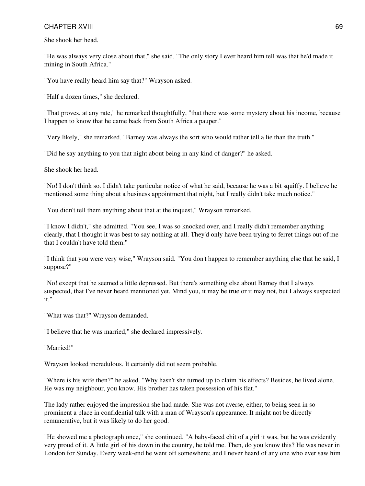She shook her head.

"He was always very close about that," she said. "The only story I ever heard him tell was that he'd made it mining in South Africa."

"You have really heard him say that?" Wrayson asked.

"Half a dozen times," she declared.

"That proves, at any rate," he remarked thoughtfully, "that there was some mystery about his income, because I happen to know that he came back from South Africa a pauper."

"Very likely," she remarked. "Barney was always the sort who would rather tell a lie than the truth."

"Did he say anything to you that night about being in any kind of danger?" he asked.

She shook her head.

"No! I don't think so. I didn't take particular notice of what he said, because he was a bit squiffy. I believe he mentioned some thing about a business appointment that night, but I really didn't take much notice."

"You didn't tell them anything about that at the inquest," Wrayson remarked.

"I know I didn't," she admitted. "You see, I was so knocked over, and I really didn't remember anything clearly, that I thought it was best to say nothing at all. They'd only have been trying to ferret things out of me that I couldn't have told them."

"I think that you were very wise," Wrayson said. "You don't happen to remember anything else that he said, I suppose?"

"No! except that he seemed a little depressed. But there's something else about Barney that I always suspected, that I've never heard mentioned yet. Mind you, it may be true or it may not, but I always suspected it."

"What was that?" Wrayson demanded.

"I believe that he was married," she declared impressively.

"Married!"

Wrayson looked incredulous. It certainly did not seem probable.

"Where is his wife then?" he asked. "Why hasn't she turned up to claim his effects? Besides, he lived alone. He was my neighbour, you know. His brother has taken possession of his flat."

The lady rather enjoyed the impression she had made. She was not averse, either, to being seen in so prominent a place in confidential talk with a man of Wrayson's appearance. It might not be directly remunerative, but it was likely to do her good.

"He showed me a photograph once," she continued. "A baby-faced chit of a girl it was, but he was evidently very proud of it. A little girl of his down in the country, he told me. Then, do you know this? He was never in London for Sunday. Every week-end he went off somewhere; and I never heard of any one who ever saw him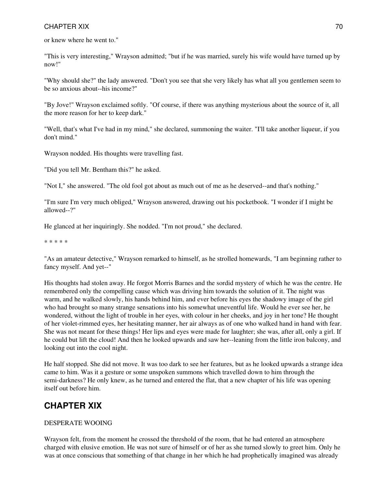or knew where he went to."

"This is very interesting," Wrayson admitted; "but if he was married, surely his wife would have turned up by now!"

"Why should she?" the lady answered. "Don't you see that she very likely has what all you gentlemen seem to be so anxious about--his income?"

"By Jove!" Wrayson exclaimed softly. "Of course, if there was anything mysterious about the source of it, all the more reason for her to keep dark."

"Well, that's what I've had in my mind," she declared, summoning the waiter. "I'll take another liqueur, if you don't mind."

Wrayson nodded. His thoughts were travelling fast.

"Did you tell Mr. Bentham this?" he asked.

"Not I," she answered. "The old fool got about as much out of me as he deserved--and that's nothing."

"I'm sure I'm very much obliged," Wrayson answered, drawing out his pocketbook. "I wonder if I might be allowed--?"

He glanced at her inquiringly. She nodded. "I'm not proud," she declared.

\* \* \* \* \*

"As an amateur detective," Wrayson remarked to himself, as he strolled homewards, "I am beginning rather to fancy myself. And yet--"

His thoughts had stolen away. He forgot Morris Barnes and the sordid mystery of which he was the centre. He remembered only the compelling cause which was driving him towards the solution of it. The night was warm, and he walked slowly, his hands behind him, and ever before his eyes the shadowy image of the girl who had brought so many strange sensations into his somewhat uneventful life. Would he ever see her, he wondered, without the light of trouble in her eyes, with colour in her cheeks, and joy in her tone? He thought of her violet-rimmed eyes, her hesitating manner, her air always as of one who walked hand in hand with fear. She was not meant for these things! Her lips and eyes were made for laughter; she was, after all, only a girl. If he could but lift the cloud! And then he looked upwards and saw her--leaning from the little iron balcony, and looking out into the cool night.

He half stopped. She did not move. It was too dark to see her features, but as he looked upwards a strange idea came to him. Was it a gesture or some unspoken summons which travelled down to him through the semi-darkness? He only knew, as he turned and entered the flat, that a new chapter of his life was opening itself out before him.

## **CHAPTER XIX**

### DESPERATE WOOING

Wrayson felt, from the moment he crossed the threshold of the room, that he had entered an atmosphere charged with elusive emotion. He was not sure of himself or of her as she turned slowly to greet him. Only he was at once conscious that something of that change in her which he had prophetically imagined was already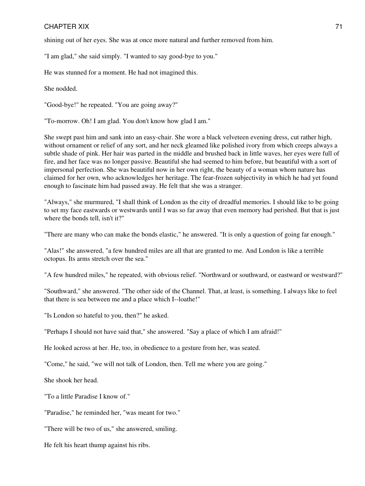shining out of her eyes. She was at once more natural and further removed from him.

"I am glad," she said simply. "I wanted to say good-bye to you."

He was stunned for a moment. He had not imagined this.

She nodded.

"Good-bye!" he repeated. "You are going away?"

"To-morrow. Oh! I am glad. You don't know how glad I am."

She swept past him and sank into an easy-chair. She wore a black velveteen evening dress, cut rather high, without ornament or relief of any sort, and her neck gleamed like polished ivory from which creeps always a subtle shade of pink. Her hair was parted in the middle and brushed back in little waves, her eyes were full of fire, and her face was no longer passive. Beautiful she had seemed to him before, but beautiful with a sort of impersonal perfection. She was beautiful now in her own right, the beauty of a woman whom nature has claimed for her own, who acknowledges her heritage. The fear-frozen subjectivity in which he had yet found enough to fascinate him had passed away. He felt that she was a stranger.

"Always," she murmured, "I shall think of London as the city of dreadful memories. I should like to be going to set my face eastwards or westwards until I was so far away that even memory had perished. But that is just where the bonds tell, isn't it?"

"There are many who can make the bonds elastic," he answered. "It is only a question of going far enough."

"Alas!" she answered, "a few hundred miles are all that are granted to me. And London is like a terrible octopus. Its arms stretch over the sea."

"A few hundred miles," he repeated, with obvious relief. "Northward or southward, or eastward or westward?"

"Southward," she answered. "The other side of the Channel. That, at least, is something. I always like to feel that there is sea between me and a place which I--loathe!"

"Is London so hateful to you, then?" he asked.

"Perhaps I should not have said that," she answered. "Say a place of which I am afraid!"

He looked across at her. He, too, in obedience to a gesture from her, was seated.

"Come," he said, "we will not talk of London, then. Tell me where you are going."

She shook her head.

"To a little Paradise I know of."

"Paradise," he reminded her, "was meant for two."

"There will be two of us," she answered, smiling.

He felt his heart thump against his ribs.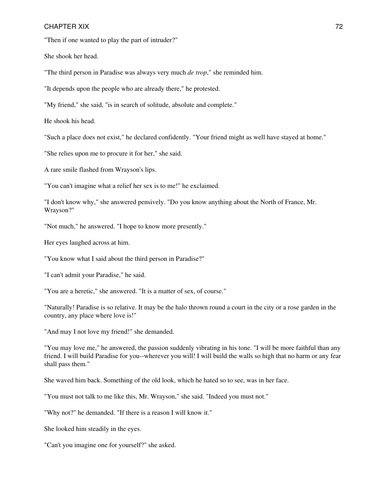"Then if one wanted to play the part of intruder?"

She shook her head.

"The third person in Paradise was always very much *de trop*," she reminded him.

"It depends upon the people who are already there," he protested.

"My friend," she said, "is in search of solitude, absolute and complete."

He shook his head.

"Such a place does not exist," he declared confidently. "Your friend might as well have stayed at home."

"She relies upon me to procure it for her," she said.

A rare smile flashed from Wrayson's lips.

"You can't imagine what a relief her sex is to me!" he exclaimed.

"I don't know why," she answered pensively. "Do you know anything about the North of France, Mr. Wrayson?"

"Not much," he answered. "I hope to know more presently."

Her eyes laughed across at him.

"You know what I said about the third person in Paradise?"

"I can't admit your Paradise," he said.

"You are a heretic," she answered. "It is a matter of sex, of course."

"Naturally! Paradise is so relative. It may be the halo thrown round a court in the city or a rose garden in the country, any place where love is!"

"And may I not love my friend!" she demanded.

"You may love me," he answered, the passion suddenly vibrating in his tone. "I will be more faithful than any friend. I will build Paradise for you--wherever you will! I will build the walls so high that no harm or any fear shall pass them."

She waved him back. Something of the old look, which he hated so to see, was in her face.

"You must not talk to me like this, Mr. Wrayson," she said. "Indeed you must not."

"Why not?" he demanded. "If there is a reason I will know it."

She looked him steadily in the eyes.

"Can't you imagine one for yourself?" she asked.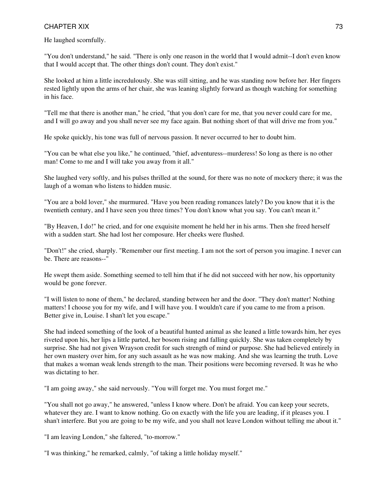He laughed scornfully.

"You don't understand," he said. "There is only one reason in the world that I would admit--I don't even know that I would accept that. The other things don't count. They don't exist."

She looked at him a little incredulously. She was still sitting, and he was standing now before her. Her fingers rested lightly upon the arms of her chair, she was leaning slightly forward as though watching for something in his face.

"Tell me that there is another man," he cried, "that you don't care for me, that you never could care for me, and I will go away and you shall never see my face again. But nothing short of that will drive me from you."

He spoke quickly, his tone was full of nervous passion. It never occurred to her to doubt him.

"You can be what else you like," he continued, "thief, adventuress--murderess! So long as there is no other man! Come to me and I will take you away from it all."

She laughed very softly, and his pulses thrilled at the sound, for there was no note of mockery there; it was the laugh of a woman who listens to hidden music.

"You are a bold lover," she murmured. "Have you been reading romances lately? Do you know that it is the twentieth century, and I have seen you three times? You don't know what you say. You can't mean it."

"By Heaven, I do!" he cried, and for one exquisite moment he held her in his arms. Then she freed herself with a sudden start. She had lost her composure. Her cheeks were flushed.

"Don't!" she cried, sharply. "Remember our first meeting. I am not the sort of person you imagine. I never can be. There are reasons--"

He swept them aside. Something seemed to tell him that if he did not succeed with her now, his opportunity would be gone forever.

"I will listen to none of them," he declared, standing between her and the door. "They don't matter! Nothing matters! I choose you for my wife, and I will have you. I wouldn't care if you came to me from a prison. Better give in, Louise. I shan't let you escape."

She had indeed something of the look of a beautiful hunted animal as she leaned a little towards him, her eyes riveted upon his, her lips a little parted, her bosom rising and falling quickly. She was taken completely by surprise. She had not given Wrayson credit for such strength of mind or purpose. She had believed entirely in her own mastery over him, for any such assault as he was now making. And she was learning the truth. Love that makes a woman weak lends strength to the man. Their positions were becoming reversed. It was he who was dictating to her.

"I am going away," she said nervously. "You will forget me. You must forget me."

"You shall not go away," he answered, "unless I know where. Don't be afraid. You can keep your secrets, whatever they are. I want to know nothing. Go on exactly with the life you are leading, if it pleases you. I shan't interfere. But you are going to be my wife, and you shall not leave London without telling me about it."

"I am leaving London," she faltered, "to-morrow."

"I was thinking," he remarked, calmly, "of taking a little holiday myself."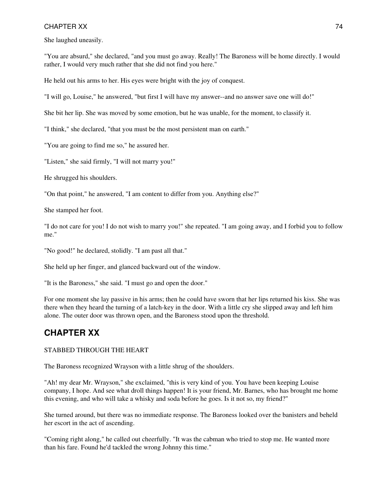She laughed uneasily.

"You are absurd," she declared, "and you must go away. Really! The Baroness will be home directly. I would rather, I would very much rather that she did not find you here."

He held out his arms to her. His eyes were bright with the joy of conquest.

"I will go, Louise," he answered, "but first I will have my answer--and no answer save one will do!"

She bit her lip. She was moved by some emotion, but he was unable, for the moment, to classify it.

"I think," she declared, "that you must be the most persistent man on earth."

"You are going to find me so," he assured her.

"Listen," she said firmly, "I will not marry you!"

He shrugged his shoulders.

"On that point," he answered, "I am content to differ from you. Anything else?"

She stamped her foot.

"I do not care for you! I do not wish to marry you!" she repeated. "I am going away, and I forbid you to follow me."

"No good!" he declared, stolidly. "I am past all that."

She held up her finger, and glanced backward out of the window.

"It is the Baroness," she said. "I must go and open the door."

For one moment she lay passive in his arms; then he could have sworn that her lips returned his kiss. She was there when they heard the turning of a latch-key in the door. With a little cry she slipped away and left him alone. The outer door was thrown open, and the Baroness stood upon the threshold.

## **CHAPTER XX**

## STABBED THROUGH THE HEART

The Baroness recognized Wrayson with a little shrug of the shoulders.

"Ah! my dear Mr. Wrayson," she exclaimed, "this is very kind of you. You have been keeping Louise company, I hope. And see what droll things happen! It is your friend, Mr. Barnes, who has brought me home this evening, and who will take a whisky and soda before he goes. Is it not so, my friend?"

She turned around, but there was no immediate response. The Baroness looked over the banisters and beheld her escort in the act of ascending.

"Coming right along," he called out cheerfully. "It was the cabman who tried to stop me. He wanted more than his fare. Found he'd tackled the wrong Johnny this time."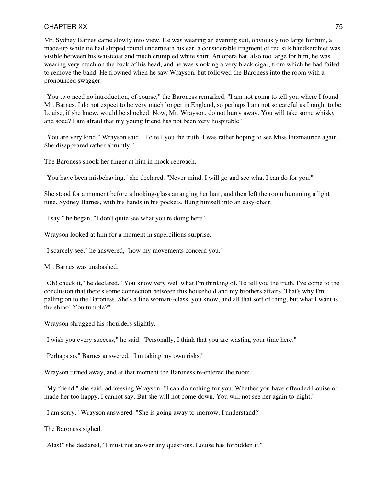Mr. Sydney Barnes came slowly into view. He was wearing an evening suit, obviously too large for him, a made-up white tie had slipped round underneath his ear, a considerable fragment of red silk handkerchief was visible between his waistcoat and much crumpled white shirt. An opera hat, also too large for him, he was wearing very much on the back of his head, and he was smoking a very black cigar, from which he had failed to remove the band. He frowned when he saw Wrayson, but followed the Baroness into the room with a pronounced swagger.

"You two need no introduction, of course," the Baroness remarked. "I am not going to tell you where I found Mr. Barnes. I do not expect to be very much longer in England, so perhaps I am not so careful as I ought to be. Louise, if she knew, would be shocked. Now, Mr. Wrayson, do not hurry away. You will take some whisky and soda? I am afraid that my young friend has not been very hospitable."

"You are very kind," Wrayson said. "To tell you the truth, I was rather hoping to see Miss Fitzmaurice again. She disappeared rather abruptly."

The Baroness shook her finger at him in mock reproach.

"You have been misbehaving," she declared. "Never mind. I will go and see what I can do for you."

She stood for a moment before a looking-glass arranging her hair, and then left the room humming a light tune. Sydney Barnes, with his hands in his pockets, flung himself into an easy-chair.

"I say," he began, "I don't quite see what you're doing here."

Wrayson looked at him for a moment in supercilious surprise.

"I scarcely see," he answered, "how my movements concern you."

Mr. Barnes was unabashed.

"Oh! chuck it," he declared. "You know very well what I'm thinking of. To tell you the truth, I've come to the conclusion that there's some connection between this household and my brothers affairs. That's why I'm palling on to the Baroness. She's a fine woman--class, you know, and all that sort of thing, but what I want is the shino! You tumble?"

Wrayson shrugged his shoulders slightly.

"I wish you every success," he said. "Personally, I think that you are wasting your time here."

"Perhaps so," Barnes answered. "I'm taking my own risks."

Wrayson turned away, and at that moment the Baroness re-entered the room.

"My friend," she said, addressing Wrayson, "I can do nothing for you. Whether you have offended Louise or made her too happy, I cannot say. But she will not come down. You will not see her again to-night."

"I am sorry," Wrayson answered. "She is going away to-morrow, I understand?"

The Baroness sighed.

"Alas!" she declared, "I must not answer any questions. Louise has forbidden it."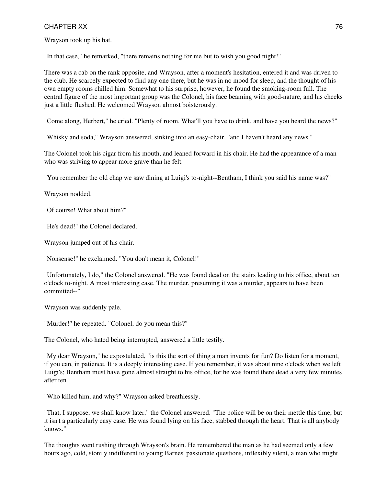Wrayson took up his hat.

"In that case," he remarked, "there remains nothing for me but to wish you good night!"

There was a cab on the rank opposite, and Wrayson, after a moment's hesitation, entered it and was driven to the club. He scarcely expected to find any one there, but he was in no mood for sleep, and the thought of his own empty rooms chilled him. Somewhat to his surprise, however, he found the smoking-room full. The central figure of the most important group was the Colonel, his face beaming with good-nature, and his cheeks just a little flushed. He welcomed Wrayson almost boisterously.

"Come along, Herbert," he cried. "Plenty of room. What'll you have to drink, and have you heard the news?"

"Whisky and soda," Wrayson answered, sinking into an easy-chair, "and I haven't heard any news."

The Colonel took his cigar from his mouth, and leaned forward in his chair. He had the appearance of a man who was striving to appear more grave than he felt.

"You remember the old chap we saw dining at Luigi's to-night--Bentham, I think you said his name was?"

Wrayson nodded.

"Of course! What about him?"

"He's dead!" the Colonel declared.

Wrayson jumped out of his chair.

"Nonsense!" he exclaimed. "You don't mean it, Colonel!"

"Unfortunately, I do," the Colonel answered. "He was found dead on the stairs leading to his office, about ten o'clock to-night. A most interesting case. The murder, presuming it was a murder, appears to have been committed--"

Wrayson was suddenly pale.

"Murder!" he repeated. "Colonel, do you mean this?"

The Colonel, who hated being interrupted, answered a little testily.

"My dear Wrayson," he expostulated, "is this the sort of thing a man invents for fun? Do listen for a moment, if you can, in patience. It is a deeply interesting case. If you remember, it was about nine o'clock when we left Luigi's; Bentham must have gone almost straight to his office, for he was found there dead a very few minutes after ten."

"Who killed him, and why?" Wrayson asked breathlessly.

"That, I suppose, we shall know later," the Colonel answered. "The police will be on their mettle this time, but it isn't a particularly easy case. He was found lying on his face, stabbed through the heart. That is all anybody knows."

The thoughts went rushing through Wrayson's brain. He remembered the man as he had seemed only a few hours ago, cold, stonily indifferent to young Barnes' passionate questions, inflexibly silent, a man who might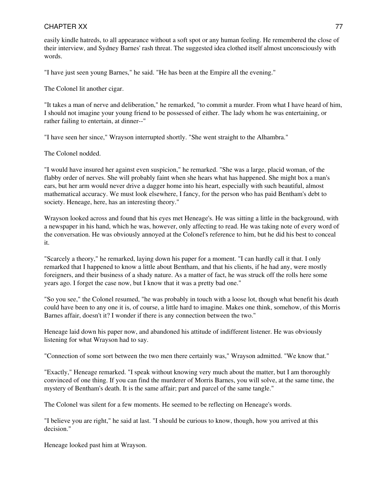easily kindle hatreds, to all appearance without a soft spot or any human feeling. He remembered the close of their interview, and Sydney Barnes' rash threat. The suggested idea clothed itself almost unconsciously with words.

"I have just seen young Barnes," he said. "He has been at the Empire all the evening."

The Colonel lit another cigar.

"It takes a man of nerve and deliberation," he remarked, "to commit a murder. From what I have heard of him, I should not imagine your young friend to be possessed of either. The lady whom he was entertaining, or rather failing to entertain, at dinner--"

"I have seen her since," Wrayson interrupted shortly. "She went straight to the Alhambra."

The Colonel nodded.

"I would have insured her against even suspicion," he remarked. "She was a large, placid woman, of the flabby order of nerves. She will probably faint when she hears what has happened. She might box a man's ears, but her arm would never drive a dagger home into his heart, especially with such beautiful, almost mathematical accuracy. We must look elsewhere, I fancy, for the person who has paid Bentham's debt to society. Heneage, here, has an interesting theory."

Wrayson looked across and found that his eyes met Heneage's. He was sitting a little in the background, with a newspaper in his hand, which he was, however, only affecting to read. He was taking note of every word of the conversation. He was obviously annoyed at the Colonel's reference to him, but he did his best to conceal it.

"Scarcely a theory," he remarked, laying down his paper for a moment. "I can hardly call it that. I only remarked that I happened to know a little about Bentham, and that his clients, if he had any, were mostly foreigners, and their business of a shady nature. As a matter of fact, he was struck off the rolls here some years ago. I forget the case now, but I know that it was a pretty bad one."

"So you see," the Colonel resumed, "he was probably in touch with a loose lot, though what benefit his death could have been to any one it is, of course, a little hard to imagine. Makes one think, somehow, of this Morris Barnes affair, doesn't it? I wonder if there is any connection between the two."

Heneage laid down his paper now, and abandoned his attitude of indifferent listener. He was obviously listening for what Wrayson had to say.

"Connection of some sort between the two men there certainly was," Wrayson admitted. "We know that."

"Exactly," Heneage remarked. "I speak without knowing very much about the matter, but I am thoroughly convinced of one thing. If you can find the murderer of Morris Barnes, you will solve, at the same time, the mystery of Bentham's death. It is the same affair; part and parcel of the same tangle."

The Colonel was silent for a few moments. He seemed to be reflecting on Heneage's words.

"I believe you are right," he said at last. "I should be curious to know, though, how you arrived at this decision."

Heneage looked past him at Wrayson.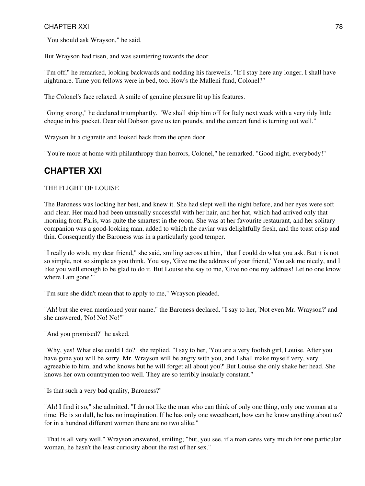"You should ask Wrayson," he said.

But Wrayson had risen, and was sauntering towards the door.

"I'm off," he remarked, looking backwards and nodding his farewells. "If I stay here any longer, I shall have nightmare. Time you fellows were in bed, too. How's the Malleni fund, Colonel?"

The Colonel's face relaxed. A smile of genuine pleasure lit up his features.

"Going strong," he declared triumphantly. "We shall ship him off for Italy next week with a very tidy little cheque in his pocket. Dear old Dobson gave us ten pounds, and the concert fund is turning out well."

Wrayson lit a cigarette and looked back from the open door.

"You're more at home with philanthropy than horrors, Colonel," he remarked. "Good night, everybody!"

## **CHAPTER XXI**

#### THE FLIGHT OF LOUISE

The Baroness was looking her best, and knew it. She had slept well the night before, and her eyes were soft and clear. Her maid had been unusually successful with her hair, and her hat, which had arrived only that morning from Paris, was quite the smartest in the room. She was at her favourite restaurant, and her solitary companion was a good-looking man, added to which the caviar was delightfully fresh, and the toast crisp and thin. Consequently the Baroness was in a particularly good temper.

"I really do wish, my dear friend," she said, smiling across at him, "that I could do what you ask. But it is not so simple, not so simple as you think. You say, 'Give me the address of your friend,' You ask me nicely, and I like you well enough to be glad to do it. But Louise she say to me, 'Give no one my address! Let no one know where I am gone.'"

"I'm sure she didn't mean that to apply to me," Wrayson pleaded.

"Ah! but she even mentioned your name," the Baroness declared. "I say to her, 'Not even Mr. Wrayson?' and she answered, 'No! No! No!'"

"And you promised?" he asked.

"Why, yes! What else could I do?" she replied. "I say to her, 'You are a very foolish girl, Louise. After you have gone you will be sorry. Mr. Wrayson will be angry with you, and I shall make myself very, very agreeable to him, and who knows but he will forget all about you?' But Louise she only shake her head. She knows her own countrymen too well. They are so terribly insularly constant."

"Is that such a very bad quality, Baroness?"

"Ah! I find it so," she admitted. "I do not like the man who can think of only one thing, only one woman at a time. He is so dull, he has no imagination. If he has only one sweetheart, how can he know anything about us? for in a hundred different women there are no two alike."

"That is all very well," Wrayson answered, smiling; "but, you see, if a man cares very much for one particular woman, he hasn't the least curiosity about the rest of her sex."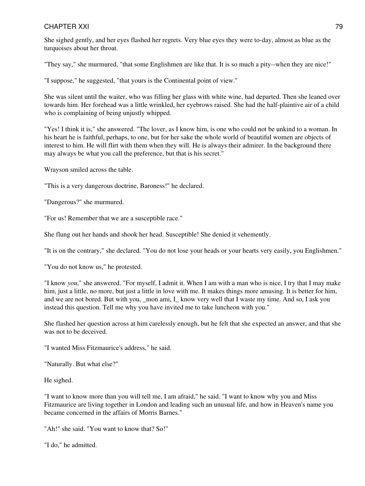She sighed gently, and her eyes flashed her regrets. Very blue eyes they were to-day, almost as blue as the turquoises about her throat.

"They say," she murmured, "that some Englishmen are like that. It is so much a pity--when they are nice!"

"I suppose," he suggested, "that yours is the Continental point of view."

She was silent until the waiter, who was filling her glass with white wine, had departed. Then she leaned over towards him. Her forehead was a little wrinkled, her eyebrows raised. She had the half-plaintive air of a child who is complaining of being unjustly whipped.

"Yes! I think it is," she answered. "The lover, as I know him, is one who could not be unkind to a woman. In his heart he is faithful, perhaps, to one, but for her sake the whole world of beautiful women are objects of interest to him. He will flirt with them when they will. He is always their admirer. In the background there may always be what you call the preference, but that is his secret."

Wrayson smiled across the table.

"This is a very dangerous doctrine, Baroness!" he declared.

"Dangerous?" she murmured.

"For us! Remember that we are a susceptible race."

She flung out her hands and shook her head. Susceptible! She denied it vehemently.

"It is on the contrary," she declared. "You do not lose your heads or your hearts very easily, you Englishmen."

"You do not know us," he protested.

"I know *you*," she answered. "For myself, I admit it. When I am with a man who is nice, I try that I may make him, just a little, no more, but just a little in love with me. It makes things more amusing. It is better for him, and we are not bored. But with you, mon ami, I\_ know very well that I waste my time. And so, I ask you instead this question. Tell me why you have invited me to take luncheon with you."

She flashed her question across at him carelessly enough, but he felt that she expected an answer, and that she was not to be deceived.

"I wanted Miss Fitzmaurice's address," he said.

"Naturally. But what else?"

He sighed.

"I want to know more than you will tell me, I am afraid," he said. "I want to know why you and Miss Fitzmaurice are living together in London and leading such an unusual life, and how in Heaven's name you became concerned in the affairs of Morris Barnes."

"Ah!" she said. "You want to know that? So!"

"I do," he admitted.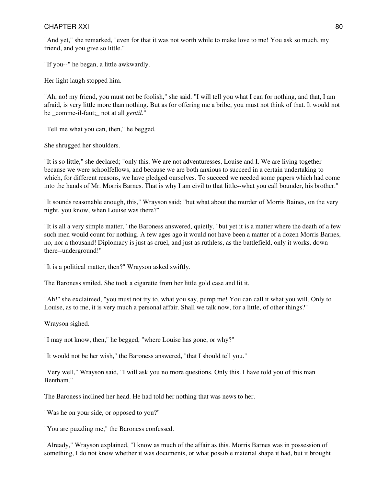"And yet," she remarked, "even for that it was not worth while to make love to me! You ask so much, my friend, and you give so little."

"If you--" he began, a little awkwardly.

Her light laugh stopped him.

"Ah, no! my friend, you must not be foolish," she said. "I will tell you what I can for nothing, and that, I am afraid, is very little more than nothing. But as for offering me a bribe, you must not think of that. It would not be comme-il-faut; not at all *gentil*."

"Tell me what you can, then," he begged.

She shrugged her shoulders.

"It is so little," she declared; "only this. We are not adventuresses, Louise and I. We are living together because we were schoolfellows, and because we are both anxious to succeed in a certain undertaking to which, for different reasons, we have pledged ourselves. To succeed we needed some papers which had come into the hands of Mr. Morris Barnes. That is why I am civil to that little--what you call bounder, his brother."

"It sounds reasonable enough, this," Wrayson said; "but what about the murder of Morris Baines, on the very night, you know, when Louise was there?"

"It is all a very simple matter," the Baroness answered, quietly, "but yet it is a matter where the death of a few such men would count for nothing. A few ages ago it would not have been a matter of a dozen Morris Barnes, no, nor a thousand! Diplomacy is just as cruel, and just as ruthless, as the battlefield, only it works, down there--underground!"

"It is a political matter, then?" Wrayson asked swiftly.

The Baroness smiled. She took a cigarette from her little gold case and lit it.

"Ah!" she exclaimed, "you must not try to, what you say, pump me! You can call it what you will. Only to Louise, as to me, it is very much a personal affair. Shall we talk now, for a little, of other things?"

Wrayson sighed.

"I may not know, then," he begged, "where Louise has gone, or why?"

"It would not be her wish," the Baroness answered, "that I should tell you."

"Very well," Wrayson said, "I will ask you no more questions. Only this. I have told you of this man Bentham."

The Baroness inclined her head. He had told her nothing that was news to her.

"Was he on your side, or opposed to you?"

"You are puzzling me," the Baroness confessed.

"Already," Wrayson explained, "I know as much of the affair as this. Morris Barnes was in possession of something, I do not know whether it was documents, or what possible material shape it had, but it brought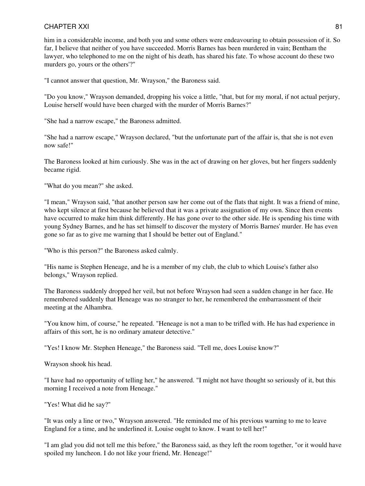him in a considerable income, and both you and some others were endeavouring to obtain possession of it. So far, I believe that neither of you have succeeded. Morris Barnes has been murdered in vain; Bentham the lawyer, who telephoned to me on the night of his death, has shared his fate. To whose account do these two murders go, yours or the others'?"

"I cannot answer that question, Mr. Wrayson," the Baroness said.

"Do you know," Wrayson demanded, dropping his voice a little, "that, but for my moral, if not actual perjury, Louise herself would have been charged with the murder of Morris Barnes?"

"She had a narrow escape," the Baroness admitted.

"She had a narrow escape," Wrayson declared, "but the unfortunate part of the affair is, that she is not even now safe!"

The Baroness looked at him curiously. She was in the act of drawing on her gloves, but her fingers suddenly became rigid.

"What do you mean?" she asked.

"I mean," Wrayson said, "that another person saw her come out of the flats that night. It was a friend of mine, who kept silence at first because he believed that it was a private assignation of my own. Since then events have occurred to make him think differently. He has gone over to the other side. He is spending his time with young Sydney Barnes, and he has set himself to discover the mystery of Morris Barnes' murder. He has even gone so far as to give me warning that I should be better out of England."

"Who is this person?" the Baroness asked calmly.

"His name is Stephen Heneage, and he is a member of my club, the club to which Louise's father also belongs," Wrayson replied.

The Baroness suddenly dropped her veil, but not before Wrayson had seen a sudden change in her face. He remembered suddenly that Heneage was no stranger to her, he remembered the embarrassment of their meeting at the Alhambra.

"You know him, of course," he repeated. "Heneage is not a man to be trifled with. He has had experience in affairs of this sort, he is no ordinary amateur detective."

"Yes! I know Mr. Stephen Heneage," the Baroness said. "Tell me, does Louise know?"

Wrayson shook his head.

"I have had no opportunity of telling her," he answered. "I might not have thought so seriously of it, but this morning I received a note from Heneage."

"Yes! What did he say?"

"It was only a line or two," Wrayson answered. "He reminded me of his previous warning to me to leave England for a time, and he underlined it. Louise ought to know. I want to tell her!"

"I am glad you did not tell me this before," the Baroness said, as they left the room together, "or it would have spoiled my luncheon. I do not like your friend, Mr. Heneage!"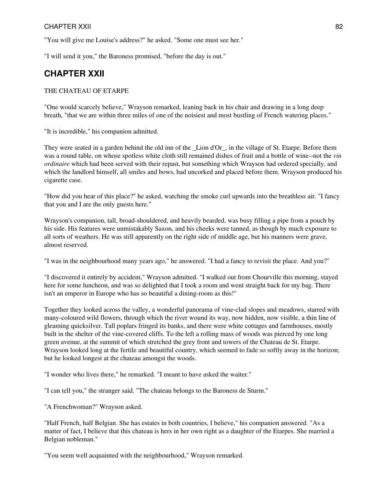"You will give me Louise's address?" he asked. "Some one must see her."

"I will send it you," the Baroness promised, "before the day is out."

## **CHAPTER XXII**

#### THE CHATEAU OF ETARPE

"One would scarcely believe," Wrayson remarked, leaning back in his chair and drawing in a long deep breath, "that we are within three miles of one of the noisiest and most bustling of French watering places."

"It is incredible," his companion admitted.

They were seated in a garden behind the old inn of the \_Lion d'Or\_, in the village of St. Etarpe. Before them was a round table, on whose spotless white cloth still remained dishes of fruit and a bottle of wine--not the *vin ordinaire* which had been served with their repast, but something which Wrayson had ordered specially, and which the landlord himself, all smiles and bows, had uncorked and placed before them. Wrayson produced his cigarette case.

"How did you hear of this place?" he asked, watching the smoke curl upwards into the breathless air. "I fancy that you and I are the only guests here."

Wrayson's companion, tall, broad-shouldered, and heavily bearded, was busy filling a pipe from a pouch by his side. His features were unmistakably Saxon, and his cheeks were tanned, as though by much exposure to all sorts of weathers. He was still apparently on the right side of middle age, but his manners were grave, almost reserved.

"I was in the neighbourhood many years ago," he answered. "I had a fancy to revisit the place. And you?"

"I discovered it entirely by accident," Wrayson admitted. "I walked out from Chourville this morning, stayed here for some luncheon, and was so delighted that I took a room and went straight back for my bag. There isn't an emperor in Europe who has so beautiful a dining-room as this!"

Together they looked across the valley, a wonderful panorama of vine-clad slopes and meadows, starred with many-coloured wild flowers, through which the river wound its way, now hidden, now visible, a thin line of gleaming quicksilver. Tall poplars fringed its banks, and there were white cottages and farmhouses, mostly built in the shelter of the vine-covered cliffs. To the left a rolling mass of woods was pierced by one long green avenue, at the summit of which stretched the grey front and towers of the Chateau de St. Etarpe. Wrayson looked long at the fertile and beautiful country, which seemed to fade so softly away in the horizon; but he looked longest at the chateau amongst the woods.

"I wonder who lives there," he remarked. "I meant to have asked the waiter."

"I can tell you," the stranger said. "The chateau belongs to the Baroness de Sturm."

"A Frenchwoman?" Wrayson asked.

"Half French, half Belgian. She has estates in both countries, I believe," his companion answered. "As a matter of fact, I believe that this chateau is hers in her own right as a daughter of the Etarpes. She married a Belgian nobleman."

"You seem well acquainted with the neighbourhood," Wrayson remarked.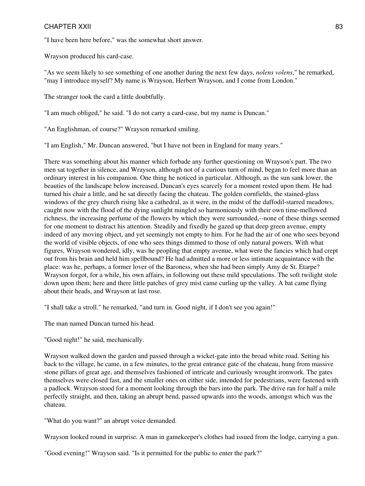"I have been here before," was the somewhat short answer.

Wrayson produced his card-case.

"As we seem likely to see something of one another during the next few days, *nolens volens*," he remarked, "may I introduce myself? My name is Wrayson, Herbert Wrayson, and I come from London."

The stranger took the card a little doubtfully.

"I am much obliged," he said. "I do not carry a card-case, but my name is Duncan."

"An Englishman, of course?" Wrayson remarked smiling.

"I am English," Mr. Duncan answered, "but I have not been in England for many years."

There was something about his manner which forbade any further questioning on Wrayson's part. The two men sat together in silence, and Wrayson, although not of a curious turn of mind, began to feel more than an ordinary interest in his companion. One thing he noticed in particular. Although, as the sun sank lower, the beauties of the landscape below increased, Duncan's eyes scarcely for a moment rested upon them. He had turned his chair a little, and he sat directly facing the chateau. The golden cornfields, the stained-glass windows of the grey church rising like a cathedral, as it were, in the midst of the daffodil-starred meadows, caught now with the flood of the dying sunlight mingled so harmoniously with their own time-mellowed richness, the increasing perfume of the flowers by which they were surrounded,--none of these things seemed for one moment to distract his attention. Steadily and fixedly he gazed up that deep green avenue, empty indeed of any moving object, and yet seemingly not empty to him. For he had the air of one who sees beyond the world of visible objects, of one who sees things dimmed to those of only natural powers. With what figures, Wrayson wondered, idly, was he peopling that empty avenue, what were the fancies which had crept out from his brain and held him spellbound? He had admitted a more or less intimate acquaintance with the place: was he, perhaps, a former lover of the Baroness, when she had been simply Amy de St. Etarpe? Wrayson forgot, for a while, his own affairs, in following out these mild speculations. The soft twilight stole down upon them; here and there little patches of grey mist came curling up the valley. A bat came flying about their heads, and Wrayson at last rose.

"I shall take a stroll." he remarked, "and turn in. Good night, if I don't see you again!"

The man named Duncan turned his head.

"Good night!" he said, mechanically.

Wrayson walked down the garden and passed through a wicket-gate into the broad white road. Setting his back to the village, he came, in a few minutes, to the great entrance gate of the chateau, hung from massive stone pillars of great age, and themselves fashioned of intricate and curiously wrought ironwork. The gates themselves were closed fast, and the smaller ones on either side, intended for pedestrians, were fastened with a padlock. Wrayson stood for a moment looking through the bars into the park. The drive ran for half a mile perfectly straight, and then, taking an abrupt bend, passed upwards into the woods, amongst which was the chateau.

"What do you want?" an abrupt voice demanded.

Wrayson looked round in surprise. A man in gamekeeper's clothes had issued from the lodge, carrying a gun.

"Good evening!" Wrayson said. "Is it permitted for the public to enter the park?"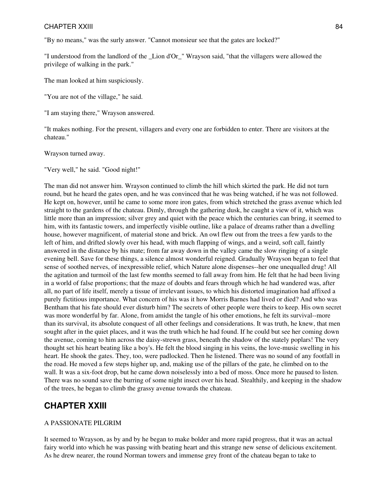"By no means," was the surly answer. "Cannot monsieur see that the gates are locked?"

"I understood from the landlord of the \_Lion d'Or\_" Wrayson said, "that the villagers were allowed the privilege of walking in the park."

The man looked at him suspiciously.

"You are not of the village," he said.

"I am staying there," Wrayson answered.

"It makes nothing. For the present, villagers and every one are forbidden to enter. There are visitors at the chateau."

Wrayson turned away.

"Very well," he said. "Good night!"

The man did not answer him. Wrayson continued to climb the hill which skirted the park. He did not turn round, but he heard the gates open, and he was convinced that he was being watched, if he was not followed. He kept on, however, until he came to some more iron gates, from which stretched the grass avenue which led straight to the gardens of the chateau. Dimly, through the gathering dusk, he caught a view of it, which was little more than an impression; silver grey and quiet with the peace which the centuries can bring, it seemed to him, with its fantastic towers, and imperfectly visible outline, like a palace of dreams rather than a dwelling house, however magnificent, of material stone and brick. An owl flew out from the trees a few yards to the left of him, and drifted slowly over his head, with much flapping of wings, and a weird, soft call, faintly answered in the distance by his mate; from far away down in the valley came the slow ringing of a single evening bell. Save for these things, a silence almost wonderful reigned. Gradually Wrayson began to feel that sense of soothed nerves, of inexpressible relief, which Nature alone dispenses--her one unequalled drug! All the agitation and turmoil of the last few months seemed to fall away from him. He felt that he had been living in a world of false proportions; that the maze of doubts and fears through which he had wandered was, after all, no part of life itself, merely a tissue of irrelevant issues, to which his distorted imagination had affixed a purely fictitious importance. What concern of his was it how Morris Barnes had lived or died? And who was Bentham that his fate should ever disturb him? The secrets of other people were theirs to keep. His own secret was more wonderful by far. Alone, from amidst the tangle of his other emotions, he felt its survival--more than its survival, its absolute conquest of all other feelings and considerations. It was truth, he knew, that men sought after in the quiet places, and it was the truth which he had found. If he could but see her coming down the avenue, coming to him across the daisy-strewn grass, beneath the shadow of the stately poplars! The very thought set his heart beating like a boy's. He felt the blood singing in his veins, the love-music swelling in his heart. He shook the gates. They, too, were padlocked. Then he listened. There was no sound of any footfall in the road. He moved a few steps higher up, and, making use of the pillars of the gate, he climbed on to the wall. It was a six-foot drop, but he came down noiselessly into a bed of moss. Once more he paused to listen. There was no sound save the burring of some night insect over his head. Stealthily, and keeping in the shadow of the trees, he began to climb the grassy avenue towards the chateau.

## **CHAPTER XXIII**

#### A PASSIONATE PILGRIM

It seemed to Wrayson, as by and by he began to make bolder and more rapid progress, that it was an actual fairy world into which he was passing with beating heart and this strange new sense of delicious excitement. As he drew nearer, the round Norman towers and immense grey front of the chateau began to take to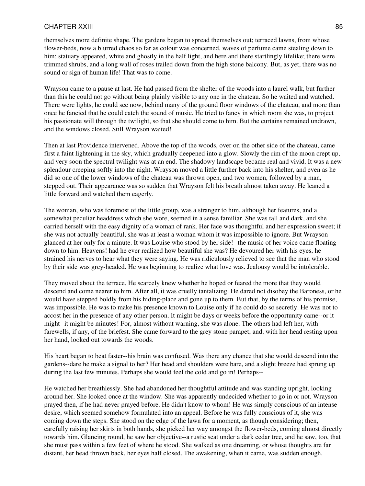themselves more definite shape. The gardens began to spread themselves out; terraced lawns, from whose flower-beds, now a blurred chaos so far as colour was concerned, waves of perfume came stealing down to him; statuary appeared, white and ghostly in the half light, and here and there startlingly lifelike; there were trimmed shrubs, and a long wall of roses trailed down from the high stone balcony. But, as yet, there was no sound or sign of human life! That was to come.

Wrayson came to a pause at last. He had passed from the shelter of the woods into a laurel walk, but further than this he could not go without being plainly visible to any one in the chateau. So he waited and watched. There were lights, he could see now, behind many of the ground floor windows of the chateau, and more than once he fancied that he could catch the sound of music. He tried to fancy in which room she was, to project his passionate will through the twilight, so that she should come to him. But the curtains remained undrawn, and the windows closed. Still Wrayson waited!

Then at last Providence intervened. Above the top of the woods, over on the other side of the chateau, came first a faint lightening in the sky, which gradually deepened into a glow. Slowly the rim of the moon crept up, and very soon the spectral twilight was at an end. The shadowy landscape became real and vivid. It was a new splendour creeping softly into the night. Wrayson moved a little further back into his shelter, and even as he did so one of the lower windows of the chateau was thrown open, and two women, followed by a man, stepped out. Their appearance was so sudden that Wrayson felt his breath almost taken away. He leaned a little forward and watched them eagerly.

The woman, who was foremost of the little group, was a stranger to him, although her features, and a somewhat peculiar headdress which she wore, seemed in a sense familiar. She was tall and dark, and she carried herself with the easy dignity of a woman of rank. Her face was thoughtful and her expression sweet; if she was not actually beautiful, she was at least a woman whom it was impossible to ignore. But Wrayson glanced at her only for a minute. It was Louise who stood by her side!--the music of her voice came floating down to him. Heavens! had he ever realized how beautiful she was? He devoured her with his eyes, he strained his nerves to hear what they were saying. He was ridiculously relieved to see that the man who stood by their side was grey-headed. He was beginning to realize what love was. Jealousy would be intolerable.

They moved about the terrace. He scarcely knew whether he hoped or feared the more that they would descend and come nearer to him. After all, it was cruelly tantalizing. He dared not disobey the Baroness, or he would have stepped boldly from his hiding-place and gone up to them. But that, by the terms of his promise, was impossible. He was to make his presence known to Louise only if he could do so secretly. He was not to accost her in the presence of any other person. It might be days or weeks before the opportunity came--or it might--it might be minutes! For, almost without warning, she was alone. The others had left her, with farewells, if any, of the briefest. She came forward to the grey stone parapet, and, with her head resting upon her hand, looked out towards the woods.

His heart began to beat faster--his brain was confused. Was there any chance that she would descend into the gardens--dare he make a signal to her? Her head and shoulders were bare, and a slight breeze had sprung up during the last few minutes. Perhaps she would feel the cold and go in! Perhaps--

He watched her breathlessly. She had abandoned her thoughtful attitude and was standing upright, looking around her. She looked once at the window. She was apparently undecided whether to go in or not. Wrayson prayed then, if he had never prayed before. He didn't know to whom! He was simply conscious of an intense desire, which seemed somehow formulated into an appeal. Before he was fully conscious of it, she was coming down the steps. She stood on the edge of the lawn for a moment, as though considering; then, carefully raising her skirts in both hands, she picked her way amongst the flower-beds, coming almost directly towards him. Glancing round, he saw her objective--a rustic seat under a dark cedar tree, and he saw, too, that she must pass within a few feet of where he stood. She walked as one dreaming, or whose thoughts are far distant, her head thrown back, her eyes half closed. The awakening, when it came, was sudden enough.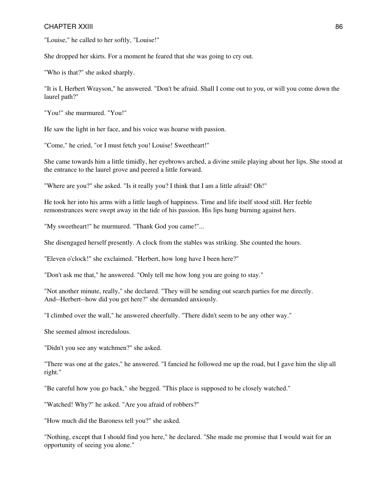"Louise," he called to her softly, "Louise!"

She dropped her skirts. For a moment he feared that she was going to cry out.

"Who is that?" she asked sharply.

"It is I, Herbert Wrayson," he answered. "Don't be afraid. Shall I come out to you, or will you come down the laurel path?"

"You!" she murmured. "You!"

He saw the light in her face, and his voice was hoarse with passion.

"Come," he cried, "or I must fetch you! Louise! Sweetheart!"

She came towards him a little timidly, her eyebrows arched, a divine smile playing about her lips. She stood at the entrance to the laurel grove and peered a little forward.

"Where are you?" she asked. "Is it really you? I think that I am a little afraid! Oh!"

He took her into his arms with a little laugh of happiness. Time and life itself stood still. Her feeble remonstrances were swept away in the tide of his passion. His lips hung burning against hers.

"My sweetheart!" he murmured. "Thank God you came!"...

She disengaged herself presently. A clock from the stables was striking. She counted the hours.

"Eleven o'clock!" she exclaimed. "Herbert, how long have I been here?"

"Don't ask me that," he answered. "Only tell me how long you are going to stay."

"Not another minute, really," she declared. "They will be sending out search parties for me directly. And--Herbert--how did you get here?" she demanded anxiously.

"I climbed over the wall," he answered cheerfully. "There didn't seem to be any other way."

She seemed almost incredulous.

"Didn't you see any watchmen?" she asked.

"There was one at the gates," he answered. "I fancied he followed me up the road, but I gave him the slip all right."

"Be careful how you go back," she begged. "This place is supposed to be closely watched."

"Watched! Why?" he asked. "Are you afraid of robbers?"

"How much did the Baroness tell you?" she asked.

"Nothing, except that I should find you here," he declared. "She made me promise that I would wait for an opportunity of seeing you alone."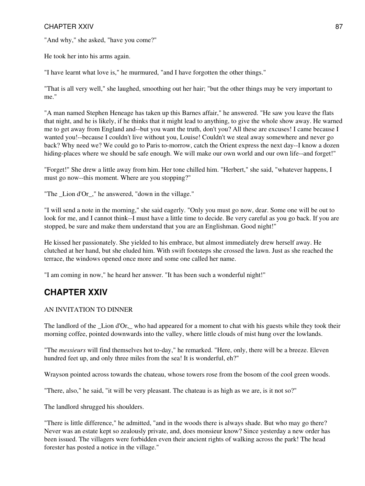"And why," she asked, "have you come?"

He took her into his arms again.

"I have learnt what love is," he murmured, "and I have forgotten the other things."

"That is all very well," she laughed, smoothing out her hair; "but the other things may be very important to me."

"A man named Stephen Heneage has taken up this Barnes affair," he answered. "He saw you leave the flats that night, and he is likely, if he thinks that it might lead to anything, to give the whole show away. He warned me to get away from England and--but you want the truth, don't you? All these are excuses! I came because I wanted you!--because I couldn't live without you, Louise! Couldn't we steal away somewhere and never go back? Why need we? We could go to Paris to-morrow, catch the Orient express the next day--I know a dozen hiding-places where we should be safe enough. We will make our own world and our own life--and forget!"

"Forget!" She drew a little away from him. Her tone chilled him. "Herbert," she said, "whatever happens, I must go now--this moment. Where are you stopping?"

"The Lion d'Or, " he answered, "down in the village."

"I will send a note in the morning," she said eagerly. "Only you must go now, dear. Some one will be out to look for me, and I cannot think--I must have a little time to decide. Be very careful as you go back. If you are stopped, be sure and make them understand that you are an Englishman. Good night!"

He kissed her passionately. She yielded to his embrace, but almost immediately drew herself away. He clutched at her hand, but she eluded him. With swift footsteps she crossed the lawn. Just as she reached the terrace, the windows opened once more and some one called her name.

"I am coming in now," he heard her answer. "It has been such a wonderful night!"

## **CHAPTER XXIV**

## AN INVITATION TO DINNER

The landlord of the Lion d'Or, who had appeared for a moment to chat with his guests while they took their morning coffee, pointed downwards into the valley, where little clouds of mist hung over the lowlands.

"The *messieurs* will find themselves hot to-day," he remarked. "Here, only, there will be a breeze. Eleven hundred feet up, and only three miles from the sea! It is wonderful, eh?"

Wrayson pointed across towards the chateau, whose towers rose from the bosom of the cool green woods.

"There, also," he said, "it will be very pleasant. The chateau is as high as we are, is it not so?"

The landlord shrugged his shoulders.

"There is little difference," he admitted, "and in the woods there is always shade. But who may go there? Never was an estate kept so zealously private, and, does monsieur know? Since yesterday a new order has been issued. The villagers were forbidden even their ancient rights of walking across the park! The head forester has posted a notice in the village."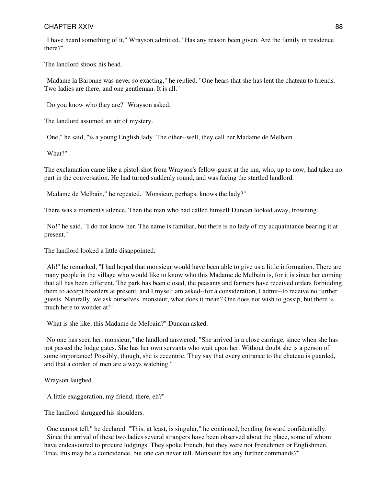"I have heard something of it," Wrayson admitted. "Has any reason been given. Are the family in residence there?"

The landlord shook his head.

"Madame la Baronne was never so exacting," he replied. "One hears that she has lent the chateau to friends. Two ladies are there, and one gentleman. It is all."

"Do you know who they are?" Wrayson asked.

The landlord assumed an air of mystery.

"One," he said, "is a young English lady. The other--well, they call her Madame de Melbain."

"What?"

The exclamation came like a pistol-shot from Wrayson's fellow-guest at the inn, who, up to now, had taken no part in the conversation. He had turned suddenly round, and was facing the startled landlord.

"Madame de Melbain," he repeated. "Monsieur, perhaps, knows the lady?"

There was a moment's silence. Then the man who had called himself Duncan looked away, frowning.

"No!" he said, "I do not know her. The name is familiar, but there is no lady of my acquaintance bearing it at present."

The landlord looked a little disappointed.

"Ah!" he remarked, "I had hoped that monsieur would have been able to give us a little information. There are many people in the village who would like to know who this Madame de Melbain is, for it is since her coming that all has been different. The park has been closed, the peasants and farmers have received orders forbidding them to accept boarders at present, and I myself am asked--for a consideration, I admit--to receive no further guests. Naturally, we ask ourselves, monsieur, what does it mean? One does not wish to gossip, but there is much here to wonder at!"

"What is she like, this Madame de Melbain?" Duncan asked.

"No one has seen her, monsieur," the landlord answered. "She arrived in a close carriage, since when she has not passed the lodge gates. She has her own servants who wait upon her. Without doubt she is a person of some importance! Possibly, though, she is eccentric. They say that every entrance to the chateau is guarded, and that a cordon of men are always watching."

Wrayson laughed.

"A little exaggeration, my friend, there, eh?"

The landlord shrugged his shoulders.

"One cannot tell," he declared. "This, at least, is singular," he continued, bending forward confidentially. "Since the arrival of these two ladies several strangers have been observed about the place, some of whom have endeavoured to procure lodgings. They spoke French, but they were not Frenchmen or Englishmen. True, this may be a coincidence, but one can never tell. Monsieur has any further commands?"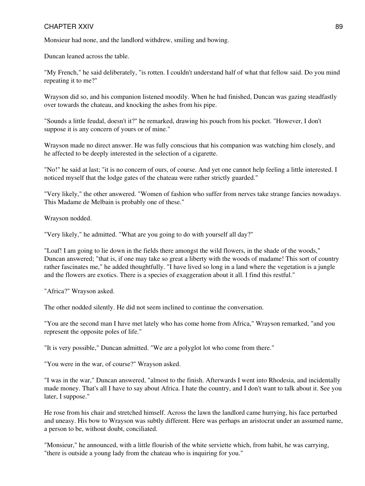Monsieur had none, and the landlord withdrew, smiling and bowing.

Duncan leaned across the table.

"My French," he said deliberately, "is rotten. I couldn't understand half of what that fellow said. Do you mind repeating it to me?"

Wrayson did so, and his companion listened moodily. When he had finished, Duncan was gazing steadfastly over towards the chateau, and knocking the ashes from his pipe.

"Sounds a little feudal, doesn't it?" he remarked, drawing his pouch from his pocket. "However, I don't suppose it is any concern of yours or of mine."

Wrayson made no direct answer. He was fully conscious that his companion was watching him closely, and he affected to be deeply interested in the selection of a cigarette.

"No!" he said at last; "it is no concern of ours, of course. And yet one cannot help feeling a little interested. I noticed myself that the lodge gates of the chateau were rather strictly guarded."

"Very likely," the other answered. "Women of fashion who suffer from nerves take strange fancies nowadays. This Madame de Melbain is probably one of these."

Wrayson nodded.

"Very likely," he admitted. "What are you going to do with yourself all day?"

"Loaf! I am going to lie down in the fields there amongst the wild flowers, in the shade of the woods," Duncan answered; "that is, if one may take so great a liberty with the woods of madame! This sort of country rather fascinates me," he added thoughtfully. "I have lived so long in a land where the vegetation is a jungle and the flowers are exotics. There is a species of exaggeration about it all. I find this restful."

"Africa?" Wrayson asked.

The other nodded silently. He did not seem inclined to continue the conversation.

"You are the second man I have met lately who has come home from Africa," Wrayson remarked, "and you represent the opposite poles of life."

"It is very possible," Duncan admitted. "We are a polyglot lot who come from there."

"You were in the war, of course?" Wrayson asked.

"I was in the war," Duncan answered, "almost to the finish. Afterwards I went into Rhodesia, and incidentally made money. That's all I have to say about Africa. I hate the country, and I don't want to talk about it. See you later, I suppose."

He rose from his chair and stretched himself. Across the lawn the landlord came hurrying, his face perturbed and uneasy. His bow to Wrayson was subtly different. Here was perhaps an aristocrat under an assumed name, a person to be, without doubt, conciliated.

"Monsieur," he announced, with a little flourish of the white serviette which, from habit, he was carrying, "there is outside a young lady from the chateau who is inquiring for you."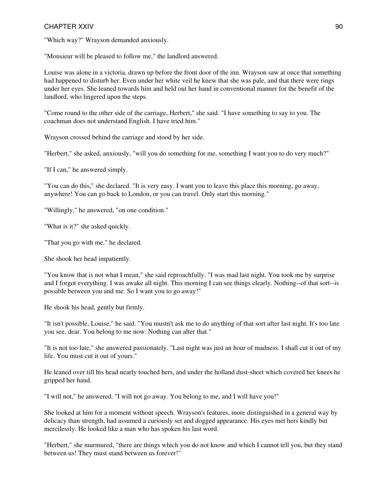"Which way?" Wrayson demanded anxiously.

"Monsieur will be pleased to follow me," the landlord answered.

Louise was alone in a victoria, drawn up before the front door of the inn. Wrayson saw at once that something had happened to disturb her. Even under her white veil he knew that she was pale, and that there were rings under her eyes. She leaned towards him and held out her hand in conventional manner for the benefit of the landlord, who lingered upon the steps.

"Come round to the other side of the carriage, Herbert," she said. "I have something to say to you. The coachman does not understand English. I have tried him."

Wrayson crossed behind the carriage and stood by her side.

"Herbert," she asked, anxiously, "will you do something for me, something I want you to do very much?"

"If I can," he answered simply.

"You can do this," she declared. "It is very easy. I want you to leave this place this morning, go away, anywhere! You can go back to London, or you can travel. Only start this morning."

"Willingly," he answered, "on one condition."

"What is it?" she asked quickly.

"That you go with me," he declared.

She shook her head impatiently.

"You know that is not what I mean," she said reproachfully. "I was mad last night. You took me by surprise and I forgot everything. I was awake all night. This morning I can see things clearly. Nothing--of that sort--is possible between you and me. So I want you to go away!"

He shook his head, gently but firmly.

"It isn't possible, Louise," he said. "You mustn't ask me to do anything of that sort after last night. It's too late you see, dear. You belong to me now. Nothing can alter that."

"It is not too late," she answered passionately. "Last night was just an hour of madness. I shall cut it out of my life. You must cut it out of yours."

He leaned over till his head nearly touched hers, and under the holland dust-sheet which covered her knees he gripped her hand.

"I will not," he answered. "I will not go away. You belong to me, and I will have you!"

She looked at him for a moment without speech. Wrayson's features, more distinguished in a general way by delicacy than strength, had assumed a curiously set and dogged appearance. His eyes met hers kindly but mercilessly. He looked like a man who has spoken his last word.

"Herbert," she murmured, "there are things which you do not know and which I cannot tell you, but they stand between us! They must stand between us forever!"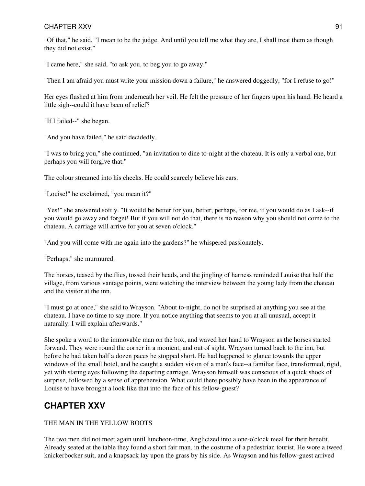"Of that," he said, "I mean to be the judge. And until you tell me what they are, I shall treat them as though they did not exist."

"I came here," she said, "to ask you, to beg you to go away."

"Then I am afraid you must write your mission down a failure," he answered doggedly, "for I refuse to go!"

Her eyes flashed at him from underneath her veil. He felt the pressure of her fingers upon his hand. He heard a little sigh--could it have been of relief?

"If I failed--" she began.

"And you have failed," he said decidedly.

"I was to bring you," she continued, "an invitation to dine to-night at the chateau. It is only a verbal one, but perhaps you will forgive that."

The colour streamed into his cheeks. He could scarcely believe his ears.

"Louise!" he exclaimed, "you mean it?"

"Yes!" she answered softly. "It would be better for you, better, perhaps, for me, if you would do as I ask--if you would go away and forget! But if you will not do that, there is no reason why you should not come to the chateau. A carriage will arrive for you at seven o'clock."

"And you will come with me again into the gardens?" he whispered passionately.

"Perhaps," she murmured.

The horses, teased by the flies, tossed their heads, and the jingling of harness reminded Louise that half the village, from various vantage points, were watching the interview between the young lady from the chateau and the visitor at the inn.

"I must go at once," she said to Wrayson. "About to-night, do not be surprised at anything you see at the chateau. I have no time to say more. If you notice anything that seems to you at all unusual, accept it naturally. I will explain afterwards."

She spoke a word to the immovable man on the box, and waved her hand to Wrayson as the horses started forward. They were round the corner in a moment, and out of sight. Wrayson turned back to the inn, but before he had taken half a dozen paces he stopped short. He had happened to glance towards the upper windows of the small hotel, and he caught a sudden vision of a man's face--a familiar face, transformed, rigid, yet with staring eyes following the departing carriage. Wrayson himself was conscious of a quick shock of surprise, followed by a sense of apprehension. What could there possibly have been in the appearance of Louise to have brought a look like that into the face of his fellow-guest?

# **CHAPTER XXV**

## THE MAN IN THE YELLOW BOOTS

The two men did not meet again until luncheon-time, Anglicized into a one-o'clock meal for their benefit. Already seated at the table they found a short fair man, in the costume of a pedestrian tourist. He wore a tweed knickerbocker suit, and a knapsack lay upon the grass by his side. As Wrayson and his fellow-guest arrived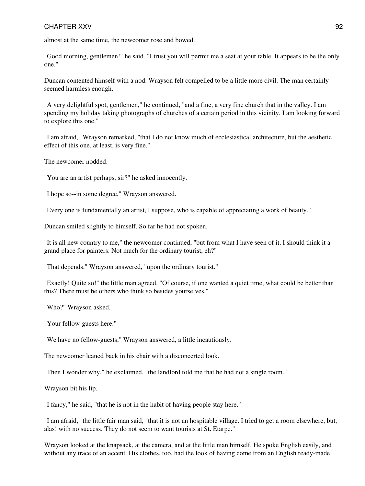almost at the same time, the newcomer rose and bowed.

"Good morning, gentlemen!" he said. "I trust you will permit me a seat at your table. It appears to be the only one."

Duncan contented himself with a nod. Wrayson felt compelled to be a little more civil. The man certainly seemed harmless enough.

"A very delightful spot, gentlemen," he continued, "and a fine, a very fine church that in the valley. I am spending my holiday taking photographs of churches of a certain period in this vicinity. I am looking forward to explore this one."

"I am afraid," Wrayson remarked, "that I do not know much of ecclesiastical architecture, but the aesthetic effect of this one, at least, is very fine."

The newcomer nodded.

"You are an artist perhaps, sir?" he asked innocently.

"I hope so--in some degree," Wrayson answered.

"Every one is fundamentally an artist, I suppose, who is capable of appreciating a work of beauty."

Duncan smiled slightly to himself. So far he had not spoken.

"It is all new country to me," the newcomer continued, "but from what I have seen of it, I should think it a grand place for painters. Not much for the ordinary tourist, eh?"

"That depends," Wrayson answered, "upon the ordinary tourist."

"Exactly! Quite so!" the little man agreed. "Of course, if one wanted a quiet time, what could be better than this? There must be others who think so besides yourselves."

"Who?" Wrayson asked.

"Your fellow-guests here."

"We have no fellow-guests," Wrayson answered, a little incautiously.

The newcomer leaned back in his chair with a disconcerted look.

"Then I wonder why," he exclaimed, "the landlord told me that he had not a single room."

Wrayson bit his lip.

"I fancy," he said, "that he is not in the habit of having people stay here."

"I am afraid," the little fair man said, "that it is not an hospitable village. I tried to get a room elsewhere, but, alas! with no success. They do not seem to want tourists at St. Etarpe."

Wrayson looked at the knapsack, at the camera, and at the little man himself. He spoke English easily, and without any trace of an accent. His clothes, too, had the look of having come from an English ready-made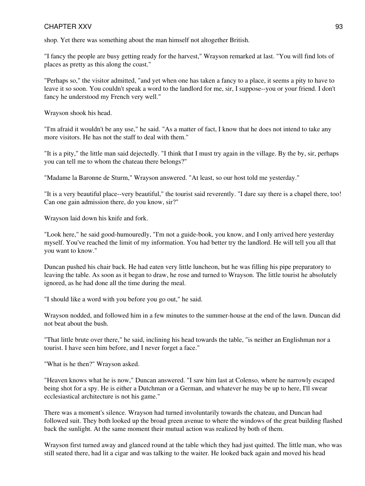shop. Yet there was something about the man himself not altogether British.

"I fancy the people are busy getting ready for the harvest," Wrayson remarked at last. "You will find lots of places as pretty as this along the coast."

"Perhaps so," the visitor admitted, "and yet when one has taken a fancy to a place, it seems a pity to have to leave it so soon. You couldn't speak a word to the landlord for me, sir, I suppose--you or your friend. I don't fancy he understood my French very well."

Wrayson shook his head.

"I'm afraid it wouldn't be any use," he said. "As a matter of fact, I know that he does not intend to take any more visitors. He has not the staff to deal with them."

"It is a pity," the little man said dejectedly. "I think that I must try again in the village. By the by, sir, perhaps you can tell me to whom the chateau there belongs?"

"Madame la Baronne de Sturm," Wrayson answered. "At least, so our host told me yesterday."

"It is a very beautiful place--very beautiful," the tourist said reverently. "I dare say there is a chapel there, too! Can one gain admission there, do you know, sir?"

Wrayson laid down his knife and fork.

"Look here," he said good-humouredly, "I'm not a guide-book, you know, and I only arrived here yesterday myself. You've reached the limit of my information. You had better try the landlord. He will tell you all that you want to know."

Duncan pushed his chair back. He had eaten very little luncheon, but he was filling his pipe preparatory to leaving the table. As soon as it began to draw, he rose and turned to Wrayson. The little tourist he absolutely ignored, as he had done all the time during the meal.

"I should like a word with you before you go out," he said.

Wrayson nodded, and followed him in a few minutes to the summer-house at the end of the lawn. Duncan did not beat about the bush.

"That little brute over there," he said, inclining his head towards the table, "is neither an Englishman nor a tourist. I have seen him before, and I never forget a face."

"What is he then?" Wrayson asked.

"Heaven knows what he is now," Duncan answered. "I saw him last at Colenso, where he narrowly escaped being shot for a spy. He is either a Dutchman or a German, and whatever he may be up to here, I'll swear ecclesiastical architecture is not his game."

There was a moment's silence. Wrayson had turned involuntarily towards the chateau, and Duncan had followed suit. They both looked up the broad green avenue to where the windows of the great building flashed back the sunlight. At the same moment their mutual action was realized by both of them.

Wrayson first turned away and glanced round at the table which they had just quitted. The little man, who was still seated there, had lit a cigar and was talking to the waiter. He looked back again and moved his head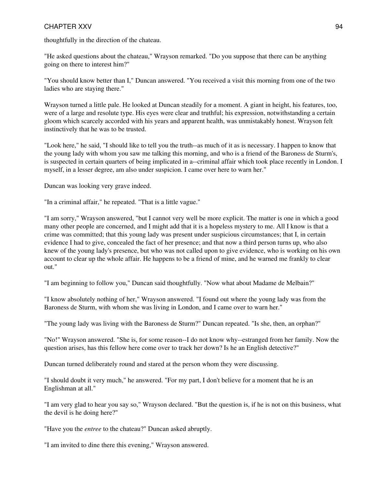thoughtfully in the direction of the chateau.

"He asked questions about the chateau," Wrayson remarked. "Do you suppose that there can be anything going on there to interest him?"

"You should know better than I," Duncan answered. "You received a visit this morning from one of the two ladies who are staying there."

Wrayson turned a little pale. He looked at Duncan steadily for a moment. A giant in height, his features, too, were of a large and resolute type. His eyes were clear and truthful; his expression, notwithstanding a certain gloom which scarcely accorded with his years and apparent health, was unmistakably honest. Wrayson felt instinctively that he was to be trusted.

"Look here," he said, "I should like to tell you the truth--as much of it as is necessary. I happen to know that the young lady with whom you saw me talking this morning, and who is a friend of the Baroness de Sturm's, is suspected in certain quarters of being implicated in a--criminal affair which took place recently in London. I myself, in a lesser degree, am also under suspicion. I came over here to warn her."

Duncan was looking very grave indeed.

"In a criminal affair," he repeated. "That is a little vague."

"I am sorry," Wrayson answered, "but I cannot very well be more explicit. The matter is one in which a good many other people are concerned, and I might add that it is a hopeless mystery to me. All I know is that a crime was committed; that this young lady was present under suspicious circumstances; that I, in certain evidence I had to give, concealed the fact of her presence; and that now a third person turns up, who also knew of the young lady's presence, but who was not called upon to give evidence, who is working on his own account to clear up the whole affair. He happens to be a friend of mine, and he warned me frankly to clear out."

"I am beginning to follow you," Duncan said thoughtfully. "Now what about Madame de Melbain?"

"I know absolutely nothing of her," Wrayson answered. "I found out where the young lady was from the Baroness de Sturm, with whom she was living in London, and I came over to warn her."

"The young lady was living with the Baroness de Sturm?" Duncan repeated. "Is she, then, an orphan?"

"No!" Wrayson answered. "She is, for some reason--I do not know why--estranged from her family. Now the question arises, has this fellow here come over to track her down? Is he an English detective?"

Duncan turned deliberately round and stared at the person whom they were discussing.

"I should doubt it very much," he answered. "For my part, I don't believe for a moment that he is an Englishman at all."

"I am very glad to hear you say so," Wrayson declared. "But the question is, if he is not on this business, what the devil is he doing here?"

"Have you the *entree* to the chateau?" Duncan asked abruptly.

"I am invited to dine there this evening," Wrayson answered.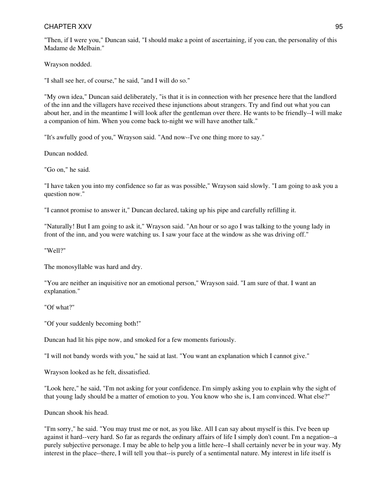"Then, if I were you," Duncan said, "I should make a point of ascertaining, if you can, the personality of this Madame de Melbain."

Wrayson nodded.

"I shall see her, of course," he said, "and I will do so."

"My own idea," Duncan said deliberately, "is that it is in connection with her presence here that the landlord of the inn and the villagers have received these injunctions about strangers. Try and find out what you can about her, and in the meantime I will look after the gentleman over there. He wants to be friendly--I will make a companion of him. When you come back to-night we will have another talk."

"It's awfully good of you," Wrayson said. "And now--I've one thing more to say."

Duncan nodded.

"Go on," he said.

"I have taken you into my confidence so far as was possible," Wrayson said slowly. "I am going to ask you a question now."

"I cannot promise to answer it," Duncan declared, taking up his pipe and carefully refilling it.

"Naturally! But I am going to ask it," Wrayson said. "An hour or so ago I was talking to the young lady in front of the inn, and you were watching us. I saw your face at the window as she was driving off."

"Well?"

The monosyllable was hard and dry.

"You are neither an inquisitive nor an emotional person," Wrayson said. "I am sure of that. I want an explanation."

"Of what?"

"Of your suddenly becoming both!"

Duncan had lit his pipe now, and smoked for a few moments furiously.

"I will not bandy words with you," he said at last. "You want an explanation which I cannot give."

Wrayson looked as he felt, dissatisfied.

"Look here," he said, "I'm not asking for your confidence. I'm simply asking you to explain why the sight of that young lady should be a matter of emotion to you. You know who she is, I am convinced. What else?"

Duncan shook his head.

"I'm sorry," he said. "You may trust me or not, as you like. All I can say about myself is this. I've been up against it hard--very hard. So far as regards the ordinary affairs of life I simply don't count. I'm a negation--a purely subjective personage. I may be able to help you a little here--I shall certainly never be in your way. My interest in the place--there, I will tell you that--is purely of a sentimental nature. My interest in life itself is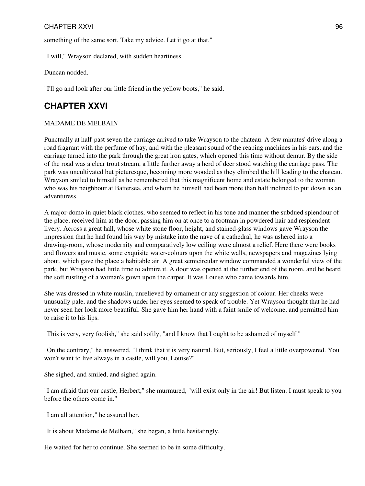something of the same sort. Take my advice. Let it go at that."

"I will," Wrayson declared, with sudden heartiness.

Duncan nodded.

"I'll go and look after our little friend in the yellow boots," he said.

## **CHAPTER XXVI**

#### MADAME DE MELBAIN

Punctually at half-past seven the carriage arrived to take Wrayson to the chateau. A few minutes' drive along a road fragrant with the perfume of hay, and with the pleasant sound of the reaping machines in his ears, and the carriage turned into the park through the great iron gates, which opened this time without demur. By the side of the road was a clear trout stream, a little further away a herd of deer stood watching the carriage pass. The park was uncultivated but picturesque, becoming more wooded as they climbed the hill leading to the chateau. Wrayson smiled to himself as he remembered that this magnificent home and estate belonged to the woman who was his neighbour at Battersea, and whom he himself had been more than half inclined to put down as an adventuress.

A major-domo in quiet black clothes, who seemed to reflect in his tone and manner the subdued splendour of the place, received him at the door, passing him on at once to a footman in powdered hair and resplendent livery. Across a great hall, whose white stone floor, height, and stained-glass windows gave Wrayson the impression that he had found his way by mistake into the nave of a cathedral, he was ushered into a drawing-room, whose modernity and comparatively low ceiling were almost a relief. Here there were books and flowers and music, some exquisite water-colours upon the white walls, newspapers and magazines lying about, which gave the place a habitable air. A great semicircular window commanded a wonderful view of the park, but Wrayson had little time to admire it. A door was opened at the further end of the room, and he heard the soft rustling of a woman's gown upon the carpet. It was Louise who came towards him.

She was dressed in white muslin, unrelieved by ornament or any suggestion of colour. Her cheeks were unusually pale, and the shadows under her eyes seemed to speak of trouble. Yet Wrayson thought that he had never seen her look more beautiful. She gave him her hand with a faint smile of welcome, and permitted him to raise it to his lips.

"This is very, very foolish," she said softly, "and I know that I ought to be ashamed of myself."

"On the contrary," he answered, "I think that it is very natural. But, seriously, I feel a little overpowered. You won't want to live always in a castle, will you, Louise?"

She sighed, and smiled, and sighed again.

"I am afraid that our castle, Herbert," she murmured, "will exist only in the air! But listen. I must speak to you before the others come in."

"I am all attention," he assured her.

"It is about Madame de Melbain," she began, a little hesitatingly.

He waited for her to continue. She seemed to be in some difficulty.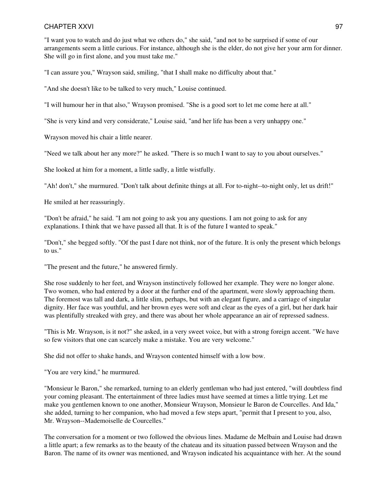"I want you to watch and do just what we others do," she said, "and not to be surprised if some of our arrangements seem a little curious. For instance, although she is the elder, do not give her your arm for dinner. She will go in first alone, and you must take me."

"I can assure you," Wrayson said, smiling, "that I shall make no difficulty about that."

"And she doesn't like to be talked to very much," Louise continued.

"I will humour her in that also," Wrayson promised. "She is a good sort to let me come here at all."

"She is very kind and very considerate," Louise said, "and her life has been a very unhappy one."

Wrayson moved his chair a little nearer.

"Need we talk about her any more?" he asked. "There is so much I want to say to you about ourselves."

She looked at him for a moment, a little sadly, a little wistfully.

"Ah! don't," she murmured. "Don't talk about definite things at all. For to-night--to-night only, let us drift!"

He smiled at her reassuringly.

"Don't be afraid," he said. "I am not going to ask you any questions. I am not going to ask for any explanations. I think that we have passed all that. It is of the future I wanted to speak."

"Don't," she begged softly. "Of the past I dare not think, nor of the future. It is only the present which belongs to us."

"The present and the future," he answered firmly.

She rose suddenly to her feet, and Wrayson instinctively followed her example. They were no longer alone. Two women, who had entered by a door at the further end of the apartment, were slowly approaching them. The foremost was tall and dark, a little slim, perhaps, but with an elegant figure, and a carriage of singular dignity. Her face was youthful, and her brown eyes were soft and clear as the eyes of a girl, but her dark hair was plentifully streaked with grey, and there was about her whole appearance an air of repressed sadness.

"This is Mr. Wrayson, is it not?" she asked, in a very sweet voice, but with a strong foreign accent. "We have so few visitors that one can scarcely make a mistake. You are very welcome."

She did not offer to shake hands, and Wrayson contented himself with a low bow.

"You are very kind," he murmured.

"Monsieur le Baron," she remarked, turning to an elderly gentleman who had just entered, "will doubtless find your coming pleasant. The entertainment of three ladies must have seemed at times a little trying. Let me make you gentlemen known to one another, Monsieur Wrayson, Monsieur le Baron de Courcelles. And Ida," she added, turning to her companion, who had moved a few steps apart, "permit that I present to you, also, Mr. Wrayson--Mademoiselle de Courcelles."

The conversation for a moment or two followed the obvious lines. Madame de Melbain and Louise had drawn a little apart; a few remarks as to the beauty of the chateau and its situation passed between Wrayson and the Baron. The name of its owner was mentioned, and Wrayson indicated his acquaintance with her. At the sound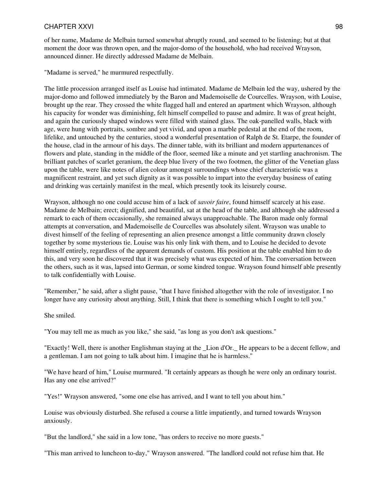of her name, Madame de Melbain turned somewhat abruptly round, and seemed to be listening; but at that moment the door was thrown open, and the major-domo of the household, who had received Wrayson, announced dinner. He directly addressed Madame de Melbain.

"Madame is served," he murmured respectfully.

The little procession arranged itself as Louise had intimated. Madame de Melbain led the way, ushered by the major-domo and followed immediately by the Baron and Mademoiselle de Courcelles. Wrayson, with Louise, brought up the rear. They crossed the white flagged hall and entered an apartment which Wrayson, although his capacity for wonder was diminishing, felt himself compelled to pause and admire. It was of great height, and again the curiously shaped windows were filled with stained glass. The oak-panelled walls, black with age, were hung with portraits, sombre and yet vivid, and upon a marble pedestal at the end of the room, lifelike, and untouched by the centuries, stood a wonderful presentation of Ralph de St. Etarpe, the founder of the house, clad in the armour of his days. The dinner table, with its brilliant and modern appurtenances of flowers and plate, standing in the middle of the floor, seemed like a minute and yet startling anachronism. The brilliant patches of scarlet geranium, the deep blue livery of the two footmen, the glitter of the Venetian glass upon the table, were like notes of alien colour amongst surroundings whose chief characteristic was a magnificent restraint, and yet such dignity as it was possible to impart into the everyday business of eating and drinking was certainly manifest in the meal, which presently took its leisurely course.

Wrayson, although no one could accuse him of a lack of *savoir faire*, found himself scarcely at his ease. Madame de Melbain; erect; dignified, and beautiful, sat at the head of the table, and although she addressed a remark to each of them occasionally, she remained always unapproachable. The Baron made only formal attempts at conversation, and Mademoiselle de Courcelles was absolutely silent. Wrayson was unable to divest himself of the feeling of representing an alien presence amongst a little community drawn closely together by some mysterious tie. Louise was his only link with them, and to Louise he decided to devote himself entirely, regardless of the apparent demands of custom. His position at the table enabled him to do this, and very soon he discovered that it was precisely what was expected of him. The conversation between the others, such as it was, lapsed into German, or some kindred tongue. Wrayson found himself able presently to talk confidentially with Louise.

"Remember," he said, after a slight pause, "that I have finished altogether with the role of investigator. I no longer have any curiosity about anything. Still, I think that there is something which I ought to tell you."

She smiled.

"You may tell me as much as you like," she said, "as long as you don't ask questions."

"Exactly! Well, there is another Englishman staying at the \_Lion d'Or.\_ He appears to be a decent fellow, and a gentleman. I am not going to talk about him. I imagine that he is harmless."

"We have heard of him," Louise murmured. "It certainly appears as though he were only an ordinary tourist. Has any one else arrived?"

"Yes!" Wrayson answered, "some one else has arrived, and I want to tell you about him."

Louise was obviously disturbed. She refused a course a little impatiently, and turned towards Wrayson anxiously.

"But the landlord," she said in a low tone, "has orders to receive no more guests."

"This man arrived to luncheon to-day," Wrayson answered. "The landlord could not refuse him that. He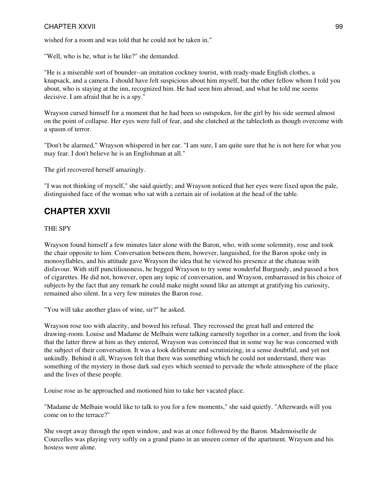wished for a room and was told that he could not be taken in."

"Well, who is he, what is he like?" she demanded.

"He is a miserable sort of bounder--an imitation cockney tourist, with ready-made English clothes, a knapsack, and a camera. I should have felt suspicious about him myself, but the other fellow whom I told you about, who is staying at the inn, recognized him. He had seen him abroad, and what he told me seems decisive. I am afraid that he is a spy."

Wrayson cursed himself for a moment that he had been so outspoken, for the girl by his side seemed almost on the point of collapse. Her eyes were full of fear, and she clutched at the tablecloth as though overcome with a spasm of terror.

"Don't be alarmed," Wrayson whispered in her ear. "I am sure, I am quite sure that he is not here for what you may fear. I don't believe he is an Englishman at all."

The girl recovered herself amazingly.

"I was not thinking of myself," she said quietly; and Wrayson noticed that her eyes were fixed upon the pale, distinguished face of the woman who sat with a certain air of isolation at the head of the table.

# **CHAPTER XXVII**

#### THE SPY

Wrayson found himself a few minutes later alone with the Baron, who, with some solemnity, rose and took the chair opposite to him. Conversation between them, however, languished, for the Baron spoke only in monosyllables, and his attitude gave Wrayson the idea that he viewed his presence at the chateau with disfavour. With stiff punctiliousness, he begged Wrayson to try some wonderful Burgundy, and passed a box of cigarettes. He did not, however, open any topic of conversation, and Wrayson, embarrassed in his choice of subjects by the fact that any remark he could make might sound like an attempt at gratifying his curiosity, remained also silent. In a very few minutes the Baron rose.

"You will take another glass of wine, sir?" he asked.

Wrayson rose too with alacrity, and bowed his refusal. They recrossed the great hall and entered the drawing-room. Louise and Madame de Melbain were talking earnestly together in a corner, and from the look that the latter threw at him as they entered, Wrayson was convinced that in some way he was concerned with the subject of their conversation. It was a look deliberate and scrutinizing, in a sense doubtful, and yet not unkindly. Behind it all, Wrayson felt that there was something which he could not understand, there was something of the mystery in those dark sad eyes which seemed to pervade the whole atmosphere of the place and the lives of these people.

Louise rose as he approached and motioned him to take her vacated place.

"Madame de Melbain would like to talk to you for a few moments," she said quietly. "Afterwards will you come on to the terrace?"

She swept away through the open window, and was at once followed by the Baron. Mademoiselle de Courcelles was playing very softly on a grand piano in an unseen corner of the apartment. Wrayson and his hostess were alone.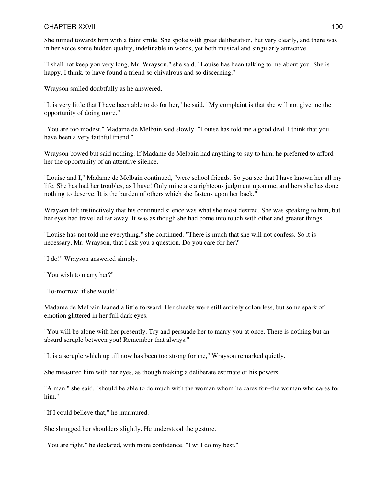She turned towards him with a faint smile. She spoke with great deliberation, but very clearly, and there was in her voice some hidden quality, indefinable in words, yet both musical and singularly attractive.

"I shall not keep you very long, Mr. Wrayson," she said. "Louise has been talking to me about you. She is happy, I think, to have found a friend so chivalrous and so discerning."

Wrayson smiled doubtfully as he answered.

"It is very little that I have been able to do for her," he said. "My complaint is that she will not give me the opportunity of doing more."

"You are too modest," Madame de Melbain said slowly. "Louise has told me a good deal. I think that you have been a very faithful friend."

Wrayson bowed but said nothing. If Madame de Melbain had anything to say to him, he preferred to afford her the opportunity of an attentive silence.

"Louise and I," Madame de Melbain continued, "were school friends. So you see that I have known her all my life. She has had her troubles, as I have! Only mine are a righteous judgment upon me, and hers she has done nothing to deserve. It is the burden of others which she fastens upon her back."

Wrayson felt instinctively that his continued silence was what she most desired. She was speaking to him, but her eyes had travelled far away. It was as though she had come into touch with other and greater things.

"Louise has not told me everything," she continued. "There is much that she will not confess. So it is necessary, Mr. Wrayson, that I ask you a question. Do you care for her?"

"I do!" Wrayson answered simply.

"You wish to marry her?"

"To-morrow, if she would!"

Madame de Melbain leaned a little forward. Her cheeks were still entirely colourless, but some spark of emotion glittered in her full dark eyes.

"You will be alone with her presently. Try and persuade her to marry you at once. There is nothing but an absurd scruple between you! Remember that always."

"It is a scruple which up till now has been too strong for me," Wrayson remarked quietly.

She measured him with her eyes, as though making a deliberate estimate of his powers.

"A man," she said, "should be able to do much with the woman whom he cares for--the woman who cares for him."

"If I could believe that," he murmured.

She shrugged her shoulders slightly. He understood the gesture.

"You are right," he declared, with more confidence. "I will do my best."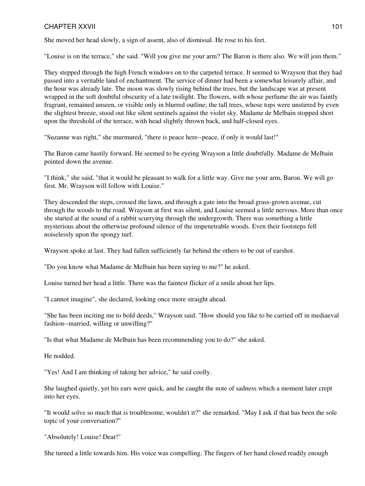She moved her head slowly, a sign of assent, also of dismissal. He rose to his feet.

"Louise is on the terrace," she said. "Will you give me your arm? The Baron is there also. We will join them."

They stepped through the high French windows on to the carpeted terrace. It seemed to Wrayson that they had passed into a veritable land of enchantment. The service of dinner had been a somewhat leisurely affair, and the hour was already late. The moon was slowly rising behind the trees, but the landscape was at present wrapped in the soft doubtful obscurity of a late twilight. The flowers, with whose perfume the air was faintly fragrant, remained unseen, or visible only in blurred outline; the tall trees, whose tops were unstirred by even the slightest breeze, stood out like silent sentinels against the violet sky. Madame de Melbain stopped short upon the threshold of the terrace, with head slightly thrown back, and half-closed eyes.

"Suzanne was right," she murmured, "there is peace here--peace, if only it would last!"

The Baron came hastily forward. He seemed to be eyeing Wrayson a little doubtfully. Madame de Melbain pointed down the avenue.

"I think," she said, "that it would be pleasant to walk for a little way. Give me your arm, Baron. We will go first. Mr. Wrayson will follow with Louise."

They descended the steps, crossed the lawn, and through a gate into the broad grass-grown avenue, cut through the woods to the road. Wrayson at first was silent, and Louise seemed a little nervous. More than once she started at the sound of a rabbit scurrying through the undergrowth. There was something a little mysterious about the otherwise profound silence of the impenetrable woods. Even their footsteps fell noiselessly upon the spongy turf.

Wrayson spoke at last. They had fallen sufficiently far behind the others to be out of earshot.

"Do you know what Madame de Melbain has been saying to me?" he asked.

Louise turned her head a little. There was the faintest flicker of a smile about her lips.

"I cannot imagine", she declared, looking once more straight ahead.

"She has been inciting me to bold deeds," Wrayson said. "How should you like to be carried off in mediaeval fashion--married, willing or unwilling?"

"Is that what Madame de Melbain has been recommending you to do?" she asked.

He nodded.

"Yes! And I am thinking of taking her advice," he said coolly.

She laughed quietly, yet his ears were quick, and he caught the note of sadness which a moment later crept into her eyes.

"It would solve so much that is troublesome, wouldn't it?" she remarked. "May I ask if that has been the sole topic of your conversation?"

"Absolutely! Louise! Dear!"

She turned a little towards him. His voice was compelling. The fingers of her hand closed readily enough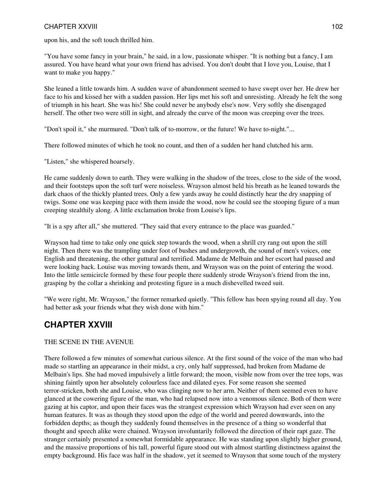## CHAPTER XXVIII 102

upon his, and the soft touch thrilled him.

"You have some fancy in your brain," he said, in a low, passionate whisper. "It is nothing but a fancy, I am assured. You have heard what your own friend has advised. You don't doubt that I love you, Louise, that I want to make you happy."

She leaned a little towards him. A sudden wave of abandonment seemed to have swept over her. He drew her face to his and kissed her with a sudden passion. Her lips met his soft and unresisting. Already he felt the song of triumph in his heart. She was his! She could never be anybody else's now. Very softly she disengaged herself. The other two were still in sight, and already the curve of the moon was creeping over the trees.

"Don't spoil it," she murmured. "Don't talk of to-morrow, or the future! We have to-night."...

There followed minutes of which he took no count, and then of a sudden her hand clutched his arm.

"Listen," she whispered hoarsely.

He came suddenly down to earth. They were walking in the shadow of the trees, close to the side of the wood, and their footsteps upon the soft turf were noiseless. Wrayson almost held his breath as he leaned towards the dark chaos of the thickly planted trees. Only a few yards away he could distinctly hear the dry snapping of twigs. Some one was keeping pace with them inside the wood, now he could see the stooping figure of a man creeping stealthily along. A little exclamation broke from Louise's lips.

"It is a spy after all," she muttered. "They said that every entrance to the place was guarded."

Wrayson had time to take only one quick step towards the wood, when a shrill cry rang out upon the still night. Then there was the trampling under foot of bushes and undergrowth, the sound of men's voices, one English and threatening, the other guttural and terrified. Madame de Melbain and her escort had paused and were looking back. Louise was moving towards them, and Wrayson was on the point of entering the wood. Into the little semicircle formed by these four people there suddenly strode Wrayson's friend from the inn, grasping by the collar a shrinking and protesting figure in a much dishevelled tweed suit.

"We were right, Mr. Wrayson," the former remarked quietly. "This fellow has been spying round all day. You had better ask your friends what they wish done with him."

# **CHAPTER XXVIII**

## THE SCENE IN THE AVENUE

There followed a few minutes of somewhat curious silence. At the first sound of the voice of the man who had made so startling an appearance in their midst, a cry, only half suppressed, had broken from Madame de Melbain's lips. She had moved impulsively a little forward; the moon, visible now from over the tree tops, was shining faintly upon her absolutely colourless face and dilated eyes. For some reason she seemed terror-stricken, both she and Louise, who was clinging now to her arm. Neither of them seemed even to have glanced at the cowering figure of the man, who had relapsed now into a venomous silence. Both of them were gazing at his captor, and upon their faces was the strangest expression which Wrayson had ever seen on any human features. It was as though they stood upon the edge of the world and peered downwards, into the forbidden depths; as though they suddenly found themselves in the presence of a thing so wonderful that thought and speech alike were chained. Wrayson involuntarily followed the direction of their rapt gaze. The stranger certainly presented a somewhat formidable appearance. He was standing upon slightly higher ground, and the massive proportions of his tall, powerful figure stood out with almost startling distinctness against the empty background. His face was half in the shadow, yet it seemed to Wrayson that some touch of the mystery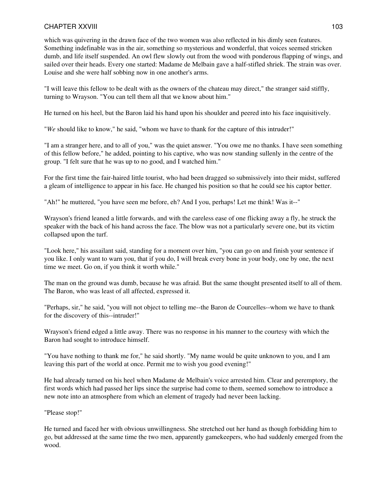## CHAPTER XXVIII 103

which was quivering in the drawn face of the two women was also reflected in his dimly seen features. Something indefinable was in the air, something so mysterious and wonderful, that voices seemed stricken dumb, and life itself suspended. An owl flew slowly out from the wood with ponderous flapping of wings, and sailed over their heads. Every one started: Madame de Melbain gave a half-stifled shriek. The strain was over. Louise and she were half sobbing now in one another's arms.

"I will leave this fellow to be dealt with as the owners of the chateau may direct," the stranger said stiffly, turning to Wrayson. "You can tell them all that we know about him."

He turned on his heel, but the Baron laid his hand upon his shoulder and peered into his face inquisitively.

"*We* should like to know," he said, "whom we have to thank for the capture of this intruder!"

"I am a stranger here, and to all of you," was the quiet answer. "You owe me no thanks. I have seen something of this fellow before," he added, pointing to his captive, who was now standing sullenly in the centre of the group. "I felt sure that he was up to no good, and I watched him."

For the first time the fair-haired little tourist, who had been dragged so submissively into their midst, suffered a gleam of intelligence to appear in his face. He changed his position so that he could see his captor better.

"Ah!" he muttered, "you have seen me before, eh? And I you, perhaps! Let me think! Was it--"

Wrayson's friend leaned a little forwards, and with the careless ease of one flicking away a fly, he struck the speaker with the back of his hand across the face. The blow was not a particularly severe one, but its victim collapsed upon the turf.

"Look here," his assailant said, standing for a moment over him, "you can go on and finish your sentence if you like. I only want to warn you, that if you do, I will break every bone in your body, one by one, the next time we meet. Go on, if you think it worth while."

The man on the ground was dumb, because he was afraid. But the same thought presented itself to all of them. The Baron, who was least of all affected, expressed it.

"Perhaps, sir," he said, "you will not object to telling me--the Baron de Courcelles--whom we have to thank for the discovery of this--intruder!"

Wrayson's friend edged a little away. There was no response in his manner to the courtesy with which the Baron had sought to introduce himself.

"You have nothing to thank me for," he said shortly. "My name would be quite unknown to you, and I am leaving this part of the world at once. Permit me to wish you good evening!"

He had already turned on his heel when Madame de Melbain's voice arrested him. Clear and peremptory, the first words which had passed her lips since the surprise had come to them, seemed somehow to introduce a new note into an atmosphere from which an element of tragedy had never been lacking.

"Please stop!"

He turned and faced her with obvious unwillingness. She stretched out her hand as though forbidding him to go, but addressed at the same time the two men, apparently gamekeepers, who had suddenly emerged from the wood.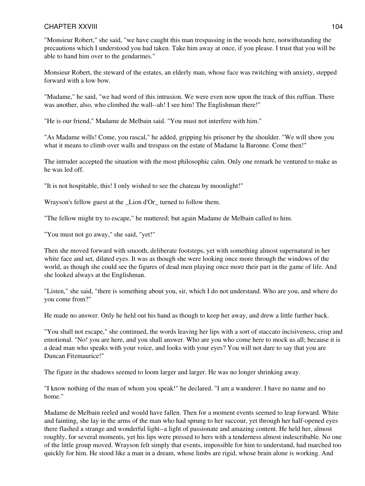### CHAPTER XXVIII 104

"Monsieur Robert," she said, "we have caught this man trespassing in the woods here, notwithstanding the precautions which I understood you had taken. Take him away at once, if you please. I trust that you will be able to hand him over to the gendarmes."

Monsieur Robert, the steward of the estates, an elderly man, whose face was twitching with anxiety, stepped forward with a low bow.

"Madame," he said, "we had word of this intrusion. We were even now upon the track of this ruffian. There was another, also, who climbed the wall--ah! I see him! The Englishman there!"

"He is our friend," Madame de Melbain said. "You must not interfere with him."

"As Madame wills! Come, you rascal," he added, gripping his prisoner by the shoulder. "We will show you what it means to climb over walls and trespass on the estate of Madame la Baronne. Come then!"

The intruder accepted the situation with the most philosophic calm. Only one remark he ventured to make as he was led off.

"It is not hospitable, this! I only wished to see the chateau by moonlight!"

Wrayson's fellow guest at the \_Lion d'Or\_ turned to follow them.

"The fellow might try to escape," he muttered; but again Madame de Melbain called to him.

"You must not go away," she said, "yet!"

Then she moved forward with smooth, deliberate footsteps, yet with something almost supernatural in her white face and set, dilated eyes. It was as though she were looking once more through the windows of the world, as though she could see the figures of dead men playing once more their part in the game of life. And she looked always at the Englishman.

"Listen," she said, "there is something about you, sir, which I do not understand. Who are you, and where do you come from?"

He made no answer. Only he held out his hand as though to keep her away, and drew a little further back.

"You shall not escape," she continued, the words leaving her lips with a sort of staccato incisiveness, crisp and emotional. "No! you are here, and you shall answer. Who are you who come here to mock us all; because it is a dead man who speaks with your voice, and looks with your eyes? You will not dare to say that you are Duncan Fitzmaurice!"

The figure in the shadows seemed to loom larger and larger. He was no longer shrinking away.

"I know nothing of the man of whom you speak!" he declared. "I am a wanderer. I have no name and no home."

Madame de Melbain reeled and would have fallen. Then for a moment events seemed to leap forward. White and fainting, she lay in the arms of the man who had sprung to her succour, yet through her half-opened eyes there flashed a strange and wonderful light--a light of passionate and amazing content. He held her, almost roughly, for several moments, yet his lips were pressed to hers with a tenderness almost indescribable. No one of the little group moved. Wrayson felt simply that events, impossible for him to understand, had marched too quickly for him. He stood like a man in a dream, whose limbs are rigid, whose brain alone is working. And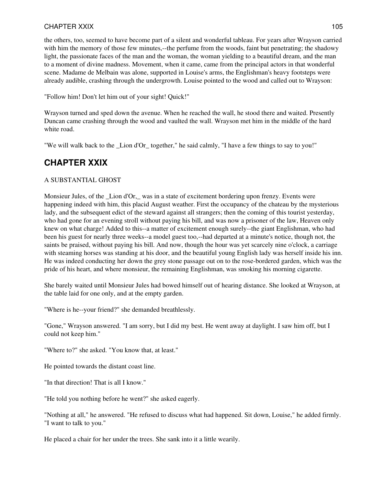the others, too, seemed to have become part of a silent and wonderful tableau. For years after Wrayson carried with him the memory of those few minutes,--the perfume from the woods, faint but penetrating; the shadowy light, the passionate faces of the man and the woman, the woman yielding to a beautiful dream, and the man to a moment of divine madness. Movement, when it came, came from the principal actors in that wonderful scene. Madame de Melbain was alone, supported in Louise's arms, the Englishman's heavy footsteps were already audible, crashing through the undergrowth. Louise pointed to the wood and called out to Wrayson:

"Follow him! Don't let him out of your sight! Quick!"

Wrayson turned and sped down the avenue. When he reached the wall, he stood there and waited. Presently Duncan came crashing through the wood and vaulted the wall. Wrayson met him in the middle of the hard white road.

"We will walk back to the Lion d'Or together," he said calmly, "I have a few things to say to you!"

# **CHAPTER XXIX**

## A SUBSTANTIAL GHOST

Monsieur Jules, of the Lion d'Or, was in a state of excitement bordering upon frenzy. Events were happening indeed with him, this placid August weather. First the occupancy of the chateau by the mysterious lady, and the subsequent edict of the steward against all strangers; then the coming of this tourist yesterday, who had gone for an evening stroll without paying his bill, and was now a prisoner of the law, Heaven only knew on what charge! Added to this--a matter of excitement enough surely--the giant Englishman, who had been his guest for nearly three weeks--a model guest too,--had departed at a minute's notice, though not, the saints be praised, without paying his bill. And now, though the hour was yet scarcely nine o'clock, a carriage with steaming horses was standing at his door, and the beautiful young English lady was herself inside his inn. He was indeed conducting her down the grey stone passage out on to the rose-bordered garden, which was the pride of his heart, and where monsieur, the remaining Englishman, was smoking his morning cigarette.

She barely waited until Monsieur Jules had bowed himself out of hearing distance. She looked at Wrayson, at the table laid for one only, and at the empty garden.

"Where is he--your friend?" she demanded breathlessly.

"Gone," Wrayson answered. "I am sorry, but I did my best. He went away at daylight. I saw him off, but I could not keep him."

"Where to?" she asked. "You know that, at least."

He pointed towards the distant coast line.

"In that direction! That is all I know."

"He told you nothing before he went?" she asked eagerly.

"Nothing at all," he answered. "He refused to discuss what had happened. Sit down, Louise," he added firmly. "I want to talk to you."

He placed a chair for her under the trees. She sank into it a little wearily.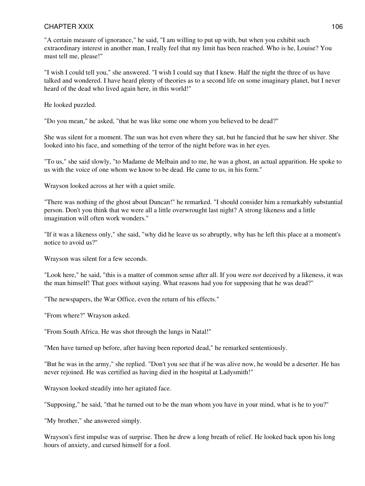"A certain measure of ignorance," he said, "I am willing to put up with, but when you exhibit such extraordinary interest in another man, I really feel that my limit has been reached. Who is he, Louise? You must tell me, please!"

"I wish I could tell you," she answered. "I wish I could say that I knew. Half the night the three of us have talked and wondered. I have heard plenty of theories as to a second life on some imaginary planet, but I never heard of the dead who lived again here, in this world!"

He looked puzzled.

"Do you mean," he asked, "that he was like some one whom you believed to be dead?"

She was silent for a moment. The sun was hot even where they sat, but he fancied that he saw her shiver. She looked into his face, and something of the terror of the night before was in her eyes.

"To us," she said slowly, "to Madame de Melbain and to me, he was a ghost, an actual apparition. He spoke to us with the voice of one whom we know to be dead. He came to us, in his form."

Wrayson looked across at her with a quiet smile.

"There was nothing of the ghost about Duncan!" he remarked. "I should consider him a remarkably substantial person. Don't you think that we were all a little overwrought last night? A strong likeness and a little imagination will often work wonders."

"If it was a likeness only," she said, "why did he leave us so abruptly, why has he left this place at a moment's notice to avoid us?"

Wrayson was silent for a few seconds.

"Look here," he said, "this is a matter of common sense after all. If you were *not* deceived by a likeness, it was the man himself! That goes without saying. What reasons had you for supposing that he was dead?"

"The newspapers, the War Office, even the return of his effects."

"From where?" Wrayson asked.

"From South Africa. He was shot through the lungs in Natal!"

"Men have turned up before, after having been reported dead," he remarked sententiously.

"But he was in the army," she replied. "Don't you see that if he was alive now, he would be a deserter. He has never rejoined. He was certified as having died in the hospital at Ladysmith!"

Wrayson looked steadily into her agitated face.

"Supposing," he said, "that he turned out to be the man whom you have in your mind, what is he to you?"

"My brother," she answered simply.

Wrayson's first impulse was of surprise. Then he drew a long breath of relief. He looked back upon his long hours of anxiety, and cursed himself for a fool.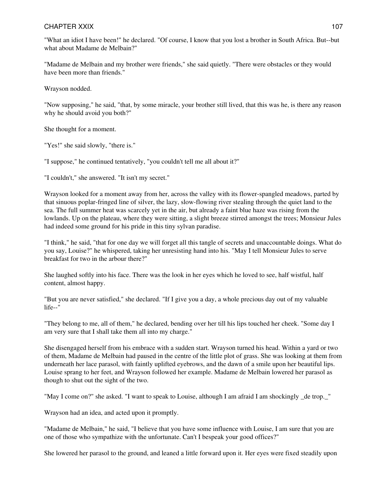"What an idiot I have been!" he declared. "Of course, I know that you lost a brother in South Africa. But--but what about Madame de Melbain?"

"Madame de Melbain and my brother were friends," she said quietly. "There were obstacles or they would have been more than friends."

Wrayson nodded.

"Now supposing," he said, "that, by some miracle, your brother still lived, that this was he, is there any reason why he should avoid you both?"

She thought for a moment.

"Yes!" she said slowly, "there is."

"I suppose," he continued tentatively, "you couldn't tell me all about it?"

"I couldn't," she answered. "It isn't my secret."

Wrayson looked for a moment away from her, across the valley with its flower-spangled meadows, parted by that sinuous poplar-fringed line of silver, the lazy, slow-flowing river stealing through the quiet land to the sea. The full summer heat was scarcely yet in the air, but already a faint blue haze was rising from the lowlands. Up on the plateau, where they were sitting, a slight breeze stirred amongst the trees; Monsieur Jules had indeed some ground for his pride in this tiny sylvan paradise.

"I think," he said, "that for one day we will forget all this tangle of secrets and unaccountable doings. What do you say, Louise?" he whispered, taking her unresisting hand into his. "May I tell Monsieur Jules to serve breakfast for two in the arbour there?"

She laughed softly into his face. There was the look in her eyes which he loved to see, half wistful, half content, almost happy.

"But you are never satisfied," she declared. "If I give you a day, a whole precious day out of my valuable life--"

"They belong to me, all of them," he declared, bending over her till his lips touched her cheek. "Some day I am very sure that I shall take them all into my charge."

She disengaged herself from his embrace with a sudden start. Wrayson turned his head. Within a yard or two of them, Madame de Melbain had paused in the centre of the little plot of grass. She was looking at them from underneath her lace parasol, with faintly uplifted eyebrows, and the dawn of a smile upon her beautiful lips. Louise sprang to her feet, and Wrayson followed her example. Madame de Melbain lowered her parasol as though to shut out the sight of the two.

"May I come on?" she asked. "I want to speak to Louise, although I am afraid I am shockingly de trop. "

Wrayson had an idea, and acted upon it promptly.

"Madame de Melbain," he said, "I believe that you have some influence with Louise, I am sure that you are one of those who sympathize with the unfortunate. Can't I bespeak your good offices?"

She lowered her parasol to the ground, and leaned a little forward upon it. Her eyes were fixed steadily upon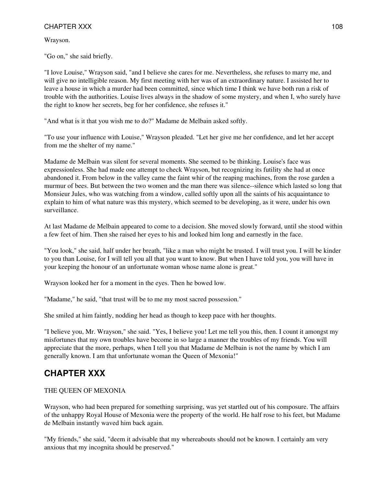## CHAPTER XXX and the state of the state of the state of the state of the state of the state of the state of the state of the state of the state of the state of the state of the state of the state of the state of the state o

Wrayson.

"Go on," she said briefly.

"I love Louise," Wrayson said, "and I believe she cares for me. Nevertheless, she refuses to marry me, and will give no intelligible reason. My first meeting with her was of an extraordinary nature. I assisted her to leave a house in which a murder had been committed, since which time I think we have both run a risk of trouble with the authorities. Louise lives always in the shadow of some mystery, and when I, who surely have the right to know her secrets, beg for her confidence, she refuses it."

"And what is it that you wish me to do?" Madame de Melbain asked softly.

"To use your influence with Louise," Wrayson pleaded. "Let her give me her confidence, and let her accept from me the shelter of my name."

Madame de Melbain was silent for several moments. She seemed to be thinking. Louise's face was expressionless. She had made one attempt to check Wrayson, but recognizing its futility she had at once abandoned it. From below in the valley came the faint whir of the reaping machines, from the rose garden a murmur of bees. But between the two women and the man there was silence--silence which lasted so long that Monsieur Jules, who was watching from a window, called softly upon all the saints of his acquaintance to explain to him of what nature was this mystery, which seemed to be developing, as it were, under his own surveillance.

At last Madame de Melbain appeared to come to a decision. She moved slowly forward, until she stood within a few feet of him. Then she raised her eyes to his and looked him long and earnestly in the face.

"You look," she said, half under her breath, "like a man who might be trusted. I will trust you. I will be kinder to you than Louise, for I will tell you all that you want to know. But when I have told you, you will have in your keeping the honour of an unfortunate woman whose name alone is great."

Wrayson looked her for a moment in the eyes. Then he bowed low.

"Madame," he said, "that trust will be to me my most sacred possession."

She smiled at him faintly, nodding her head as though to keep pace with her thoughts.

"I believe you, Mr. Wrayson," she said. "Yes, I believe you! Let me tell you this, then. I count it amongst my misfortunes that my own troubles have become in so large a manner the troubles of my friends. You will appreciate that the more, perhaps, when I tell you that Madame de Melbain is not the name by which I am generally known. I am that unfortunate woman the Queen of Mexonia!"

## **CHAPTER XXX**

## THE QUEEN OF MEXONIA

Wrayson, who had been prepared for something surprising, was yet startled out of his composure. The affairs of the unhappy Royal House of Mexonia were the property of the world. He half rose to his feet, but Madame de Melbain instantly waved him back again.

"My friends," she said, "deem it advisable that my whereabouts should not be known. I certainly am very anxious that my incognita should be preserved."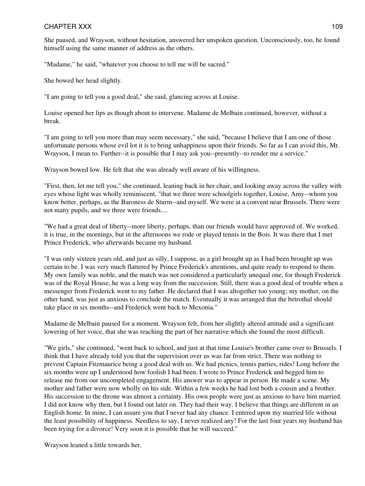She paused, and Wrayson, without hesitation, answered her unspoken question. Unconsciously, too, he found himself using the same manner of address as the others.

"Madame," he said, "whatever you choose to tell me will be sacred."

She bowed her head slightly.

"I am going to tell you a good deal," she said, glancing across at Louise.

Louise opened her lips as though about to intervene. Madame de Melbain continued, however, without a break.

"I am going to tell you more than may seem necessary," she said, "because I believe that I am one of those unfortunate persons whose evil lot it is to bring unhappiness upon their friends. So far as I can avoid this, Mr. Wrayson, I mean to. Further--it is possible that I may ask you--presently--to render me a service."

Wrayson bowed low. He felt that she was already well aware of his willingness.

"First, then, let me tell you," she continued, leaning back in her chair, and looking away across the valley with eyes whose light was wholly reminiscent, "that we three were schoolgirls together, Louise, Amy--whom you know better, perhaps, as the Baroness de Sturm--and myself. We were at a convent near Brussels. There were not many pupils, and we three were friends....

"We had a great deal of liberty--more liberty, perhaps, than our friends would have approved of. We worked, it is true, in the mornings, but in the afternoons we rode or played tennis in the Bois. It was there that I met Prince Frederick, who afterwards became my husband.

"I was only sixteen years old, and just as silly, I suppose, as a girl brought up as I had been brought up was certain to be. I was very much flattered by Prince Frederick's attentions, and quite ready to respond to them. My own family was noble, and the match was not considered a particularly unequal one, for though Frederick was of the Royal House, he was a long way from the succession. Still, there was a good deal of trouble when a messenger from Frederick went to my father. He declared that I was altogether too young; my mother, on the other hand, was just as anxious to conclude the match. Eventually it was arranged that the betrothal should take place in six months--and Frederick went back to Mexonia."

Madame de Melbain paused for a moment. Wrayson felt, from her slightly altered attitude and a significant lowering of her voice, that she was reaching the part of her narrative which she found the most difficult.

"We girls," she continued, "went back to school, and just at that time Louise's brother came over to Brussels. I think that I have already told you that the supervision over us was far from strict. There was nothing to prevent Captain Fitzmaurice being a good deal with us. We had picnics, tennis parties, rides! Long before the six months were up I understood how foolish I had been. I wrote to Prince Frederick and begged him to release me from our uncompleted engagement. His answer was to appear in person. He made a scene. My mother and father were now wholly on his side. Within a few weeks he had lost both a cousin and a brother. His succession to the throne was almost a certainty. His own people were just as anxious to have him married. I did not know why then, but I found out later on. They had their way. I believe that things are different in an English home. In mine, I can assure you that I never had any chance. I entered upon my married life without the least possibility of happiness. Needless to say, I never realized any! For the last four years my husband has been trying for a divorce! Very soon it is possible that he will succeed."

Wrayson leaned a little towards her.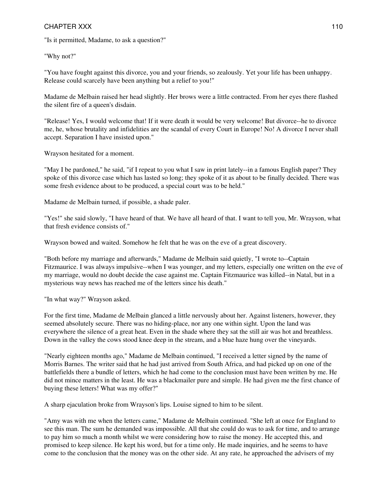"Is it permitted, Madame, to ask a question?"

"Why not?"

"You have fought against this divorce, you and your friends, so zealously. Yet your life has been unhappy. Release could scarcely have been anything but a relief to you!"

Madame de Melbain raised her head slightly. Her brows were a little contracted. From her eyes there flashed the silent fire of a queen's disdain.

"Release! Yes, I would welcome that! If it were death it would be very welcome! But divorce--he to divorce me, he, whose brutality and infidelities are the scandal of every Court in Europe! No! A divorce I never shall accept. Separation I have insisted upon."

Wrayson hesitated for a moment.

"May I be pardoned," he said, "if I repeat to you what I saw in print lately--in a famous English paper? They spoke of this divorce case which has lasted so long; they spoke of it as about to be finally decided. There was some fresh evidence about to be produced, a special court was to be held."

Madame de Melbain turned, if possible, a shade paler.

"Yes!" she said slowly, "I have heard of that. We have all heard of that. I want to tell you, Mr. Wrayson, what that fresh evidence consists of."

Wrayson bowed and waited. Somehow he felt that he was on the eve of a great discovery.

"Both before my marriage and afterwards," Madame de Melbain said quietly, "I wrote to--Captain Fitzmaurice. I was always impulsive--when I was younger, and my letters, especially one written on the eve of my marriage, would no doubt decide the case against me. Captain Fitzmaurice was killed--in Natal, but in a mysterious way news has reached me of the letters since his death."

"In what way?" Wrayson asked.

For the first time, Madame de Melbain glanced a little nervously about her. Against listeners, however, they seemed absolutely secure. There was no hiding-place, nor any one within sight. Upon the land was everywhere the silence of a great heat. Even in the shade where they sat the still air was hot and breathless. Down in the valley the cows stood knee deep in the stream, and a blue haze hung over the vineyards.

"Nearly eighteen months ago," Madame de Melbain continued, "I received a letter signed by the name of Morris Barnes. The writer said that he had just arrived from South Africa, and had picked up on one of the battlefields there a bundle of letters, which he had come to the conclusion must have been written by me. He did not mince matters in the least. He was a blackmailer pure and simple. He had given me the first chance of buying these letters! What was my offer?"

A sharp ejaculation broke from Wrayson's lips. Louise signed to him to be silent.

"Amy was with me when the letters came," Madame de Melbain continued. "She left at once for England to see this man. The sum he demanded was impossible. All that she could do was to ask for time, and to arrange to pay him so much a month whilst we were considering how to raise the money. He accepted this, and promised to keep silence. He kept his word, but for a time only. He made inquiries, and he seems to have come to the conclusion that the money was on the other side. At any rate, he approached the advisers of my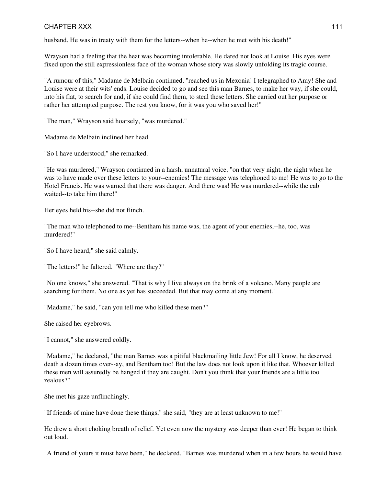husband. He was in treaty with them for the letters--when he--when he met with his death!"

Wrayson had a feeling that the heat was becoming intolerable. He dared not look at Louise. His eyes were fixed upon the still expressionless face of the woman whose story was slowly unfolding its tragic course.

"A rumour of this," Madame de Melbain continued, "reached us in Mexonia! I telegraphed to Amy! She and Louise were at their wits' ends. Louise decided to go and see this man Barnes, to make her way, if she could, into his flat, to search for and, if she could find them, to steal these letters. She carried out her purpose or rather her attempted purpose. The rest you know, for it was you who saved her!"

"The man," Wrayson said hoarsely, "was murdered."

Madame de Melbain inclined her head.

"So I have understood," she remarked.

"He was murdered," Wrayson continued in a harsh, unnatural voice, "on that very night, the night when he was to have made over these letters to your--enemies! The message was telephoned to me! He was to go to the Hotel Francis. He was warned that there was danger. And there was! He was murdered--while the cab waited--to take him there!"

Her eyes held his--she did not flinch.

"The man who telephoned to me--Bentham his name was, the agent of your enemies,--he, too, was murdered!"

"So I have heard," she said calmly.

"The letters!" he faltered. "Where are they?"

"No one knows," she answered. "That is why I live always on the brink of a volcano. Many people are searching for them. No one as yet has succeeded. But that may come at any moment."

"Madame," he said, "can you tell me who killed these men?"

She raised her eyebrows.

"I cannot," she answered coldly.

"Madame," he declared, "the man Barnes was a pitiful blackmailing little Jew! For all I know, he deserved death a dozen times over--ay, and Bentham too! But the law does not look upon it like that. Whoever killed these men will assuredly be hanged if they are caught. Don't you think that your friends are a little too zealous?"

She met his gaze unflinchingly.

"If friends of mine have done these things," she said, "they are at least unknown to me!"

He drew a short choking breath of relief. Yet even now the mystery was deeper than ever! He began to think out loud.

"A friend of yours it must have been," he declared. "Barnes was murdered when in a few hours he would have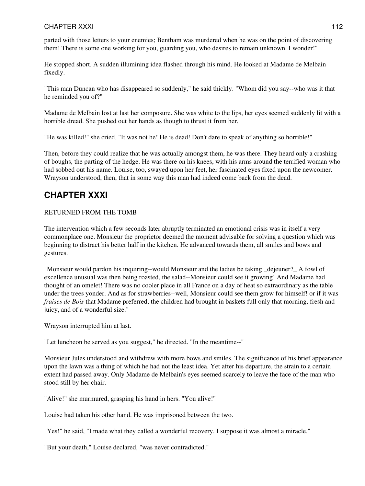parted with those letters to your enemies; Bentham was murdered when he was on the point of discovering them! There is some one working for you, guarding you, who desires to remain unknown. I wonder!"

He stopped short. A sudden illumining idea flashed through his mind. He looked at Madame de Melbain fixedly.

"This man Duncan who has disappeared so suddenly," he said thickly. "Whom did you say--who was it that he reminded you of?"

Madame de Melbain lost at last her composure. She was white to the lips, her eyes seemed suddenly lit with a horrible dread. She pushed out her hands as though to thrust it from her.

"He was killed!" she cried. "It was not he! He is dead! Don't dare to speak of anything so horrible!"

Then, before they could realize that he was actually amongst them, he was there. They heard only a crashing of boughs, the parting of the hedge. He was there on his knees, with his arms around the terrified woman who had sobbed out his name. Louise, too, swayed upon her feet, her fascinated eyes fixed upon the newcomer. Wrayson understood, then, that in some way this man had indeed come back from the dead.

# **CHAPTER XXXI**

#### RETURNED FROM THE TOMB

The intervention which a few seconds later abruptly terminated an emotional crisis was in itself a very commonplace one. Monsieur the proprietor deemed the moment advisable for solving a question which was beginning to distract his better half in the kitchen. He advanced towards them, all smiles and bows and gestures.

"Monsieur would pardon his inquiring--would Monsieur and the ladies be taking \_dejeuner?\_ A fowl of excellence unusual was then being roasted, the salad--Monsieur could see it growing! And Madame had thought of an omelet! There was no cooler place in all France on a day of heat so extraordinary as the table under the trees yonder. And as for strawberries--well, Monsieur could see them grow for himself! or if it was *fraises de Bois* that Madame preferred, the children had brought in baskets full only that morning, fresh and juicy, and of a wonderful size."

Wrayson interrupted him at last.

"Let luncheon be served as you suggest," he directed. "In the meantime--"

Monsieur Jules understood and withdrew with more bows and smiles. The significance of his brief appearance upon the lawn was a thing of which he had not the least idea. Yet after his departure, the strain to a certain extent had passed away. Only Madame de Melbain's eyes seemed scarcely to leave the face of the man who stood still by her chair.

"Alive!" she murmured, grasping his hand in hers. "You alive!"

Louise had taken his other hand. He was imprisoned between the two.

"Yes!" he said, "I made what they called a wonderful recovery. I suppose it was almost a miracle."

"But your death," Louise declared, "was never contradicted."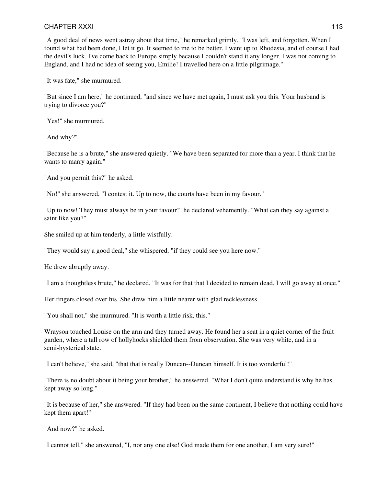"A good deal of news went astray about that time," he remarked grimly. "I was left, and forgotten. When I found what had been done, I let it go. It seemed to me to be better. I went up to Rhodesia, and of course I had the devil's luck. I've come back to Europe simply because I couldn't stand it any longer. I was not coming to England, and I had no idea of seeing you, Emilie! I travelled here on a little pilgrimage."

"It was fate," she murmured.

"But since I am here," he continued, "and since we have met again, I must ask you this. Your husband is trying to divorce you?"

"Yes!" she murmured.

"And why?"

"Because he is a brute," she answered quietly. "We have been separated for more than a year. I think that he wants to marry again."

"And you permit this?" he asked.

"No!" she answered, "I contest it. Up to now, the courts have been in my favour."

"Up to now! They must always be in your favour!" he declared vehemently. "What can they say against a saint like you?"

She smiled up at him tenderly, a little wistfully.

"They would say a good deal," she whispered, "if they could see you here now."

He drew abruptly away.

"I am a thoughtless brute," he declared. "It was for that that I decided to remain dead. I will go away at once."

Her fingers closed over his. She drew him a little nearer with glad recklessness.

"You shall not," she murmured. "It is worth a little risk, this."

Wrayson touched Louise on the arm and they turned away. He found her a seat in a quiet corner of the fruit garden, where a tall row of hollyhocks shielded them from observation. She was very white, and in a semi-hysterical state.

"I can't believe," she said, "that that is really Duncan--Duncan himself. It is too wonderful!"

"There is no doubt about it being your brother," he answered. "What I don't quite understand is why he has kept away so long."

"It is because of her," she answered. "If they had been on the same continent, I believe that nothing could have kept them apart!"

"And now?" he asked.

"I cannot tell," she answered, "I, nor any one else! God made them for one another, I am very sure!"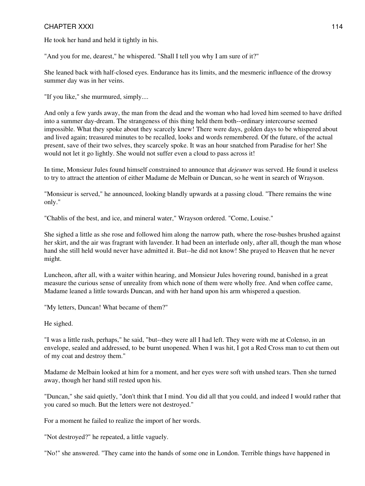He took her hand and held it tightly in his.

"And you for me, dearest," he whispered. "Shall I tell you why I am sure of it?"

She leaned back with half-closed eyes. Endurance has its limits, and the mesmeric influence of the drowsy summer day was in her veins.

"If you like," she murmured, simply....

And only a few yards away, the man from the dead and the woman who had loved him seemed to have drifted into a summer day-dream. The strangeness of this thing held them both--ordinary intercourse seemed impossible. What they spoke about they scarcely knew! There were days, golden days to be whispered about and lived again; treasured minutes to be recalled, looks and words remembered. Of the future, of the actual present, save of their two selves, they scarcely spoke. It was an hour snatched from Paradise for her! She would not let it go lightly. She would not suffer even a cloud to pass across it!

In time, Monsieur Jules found himself constrained to announce that *dejeuner* was served. He found it useless to try to attract the attention of either Madame de Melbain or Duncan, so he went in search of Wrayson.

"Monsieur is served," he announced, looking blandly upwards at a passing cloud. "There remains the wine only."

"Chablis of the best, and ice, and mineral water," Wrayson ordered. "Come, Louise."

She sighed a little as she rose and followed him along the narrow path, where the rose-bushes brushed against her skirt, and the air was fragrant with lavender. It had been an interlude only, after all, though the man whose hand she still held would never have admitted it. But--he did not know! She prayed to Heaven that he never might.

Luncheon, after all, with a waiter within hearing, and Monsieur Jules hovering round, banished in a great measure the curious sense of unreality from which none of them were wholly free. And when coffee came, Madame leaned a little towards Duncan, and with her hand upon his arm whispered a question.

"My letters, Duncan! What became of them?"

He sighed.

"I was a little rash, perhaps," he said, "but--they were all I had left. They were with me at Colenso, in an envelope, sealed and addressed, to be burnt unopened. When I was hit, I got a Red Cross man to cut them out of my coat and destroy them."

Madame de Melbain looked at him for a moment, and her eyes were soft with unshed tears. Then she turned away, though her hand still rested upon his.

"Duncan," she said quietly, "don't think that I mind. You did all that you could, and indeed I would rather that you cared so much. But the letters were not destroyed."

For a moment he failed to realize the import of her words.

"Not destroyed?" he repeated, a little vaguely.

"No!" she answered. "They came into the hands of some one in London. Terrible things have happened in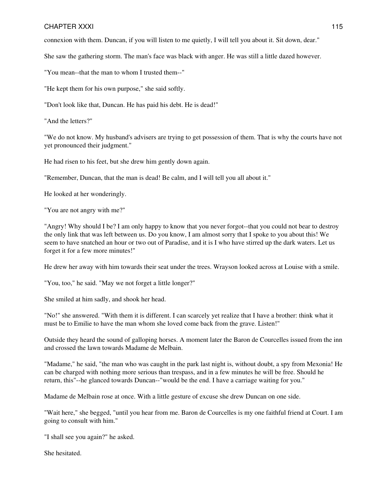connexion with them. Duncan, if you will listen to me quietly, I will tell you about it. Sit down, dear."

She saw the gathering storm. The man's face was black with anger. He was still a little dazed however.

"You mean--that the man to whom I trusted them--"

"He kept them for his own purpose," she said softly.

"Don't look like that, Duncan. He has paid his debt. He is dead!"

"And the letters?"

"We do not know. My husband's advisers are trying to get possession of them. That is why the courts have not yet pronounced their judgment."

He had risen to his feet, but she drew him gently down again.

"Remember, Duncan, that the man is dead! Be calm, and I will tell you all about it."

He looked at her wonderingly.

"You are not angry with me?"

"Angry! Why should I be? I am only happy to know that you never forgot--that you could not bear to destroy the only link that was left between us. Do you know, I am almost sorry that I spoke to you about this! We seem to have snatched an hour or two out of Paradise, and it is I who have stirred up the dark waters. Let us forget it for a few more minutes!"

He drew her away with him towards their seat under the trees. Wrayson looked across at Louise with a smile.

"You, too," he said. "May we not forget a little longer?"

She smiled at him sadly, and shook her head.

"No!" she answered. "With them it is different. I can scarcely yet realize that I have a brother: think what it must be to Emilie to have the man whom she loved come back from the grave. Listen!"

Outside they heard the sound of galloping horses. A moment later the Baron de Courcelles issued from the inn and crossed the lawn towards Madame de Melbain.

"Madame," he said, "the man who was caught in the park last night is, without doubt, a spy from Mexonia! He can be charged with nothing more serious than trespass, and in a few minutes he will be free. Should he return, this"--he glanced towards Duncan--"would be the end. I have a carriage waiting for you."

Madame de Melbain rose at once. With a little gesture of excuse she drew Duncan on one side.

"Wait here," she begged, "until you hear from me. Baron de Courcelles is my one faithful friend at Court. I am going to consult with him."

"I shall see you again?" he asked.

She hesitated.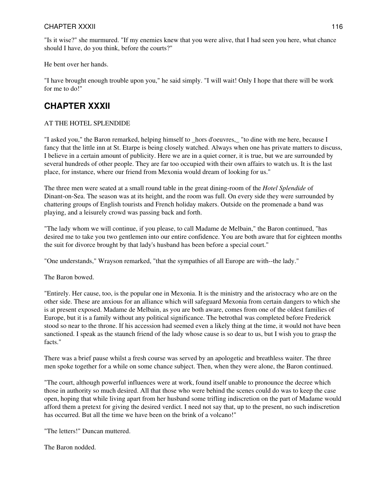#### CHAPTER XXXII 2000 116

"Is it wise?" she murmured. "If my enemies knew that you were alive, that I had seen you here, what chance should I have, do you think, before the courts?"

He bent over her hands.

"I have brought enough trouble upon you," he said simply. "I will wait! Only I hope that there will be work for me to do!"

# **CHAPTER XXXII**

#### AT THE HOTEL SPLENDIDE

"I asked you," the Baron remarked, helping himself to \_hors d'oeuvres,\_ "to dine with me here, because I fancy that the little inn at St. Etarpe is being closely watched. Always when one has private matters to discuss, I believe in a certain amount of publicity. Here we are in a quiet corner, it is true, but we are surrounded by several hundreds of other people. They are far too occupied with their own affairs to watch us. It is the last place, for instance, where our friend from Mexonia would dream of looking for us."

The three men were seated at a small round table in the great dining-room of the *Hotel Splendide* of Dinant-on-Sea. The season was at its height, and the room was full. On every side they were surrounded by chattering groups of English tourists and French holiday makers. Outside on the promenade a band was playing, and a leisurely crowd was passing back and forth.

"The lady whom we will continue, if you please, to call Madame de Melbain," the Baron continued, "has desired me to take you two gentlemen into our entire confidence. You are both aware that for eighteen months the suit for divorce brought by that lady's husband has been before a special court."

"One understands," Wrayson remarked, "that the sympathies of all Europe are with--the lady."

The Baron bowed.

"Entirely. Her cause, too, is the popular one in Mexonia. It is the ministry and the aristocracy who are on the other side. These are anxious for an alliance which will safeguard Mexonia from certain dangers to which she is at present exposed. Madame de Melbain, as you are both aware, comes from one of the oldest families of Europe, but it is a family without any political significance. The betrothal was completed before Frederick stood so near to the throne. If his accession had seemed even a likely thing at the time, it would not have been sanctioned. I speak as the staunch friend of the lady whose cause is so dear to us, but I wish you to grasp the facts."

There was a brief pause whilst a fresh course was served by an apologetic and breathless waiter. The three men spoke together for a while on some chance subject. Then, when they were alone, the Baron continued.

"The court, although powerful influences were at work, found itself unable to pronounce the decree which those in authority so much desired. All that those who were behind the scenes could do was to keep the case open, hoping that while living apart from her husband some trifling indiscretion on the part of Madame would afford them a pretext for giving the desired verdict. I need not say that, up to the present, no such indiscretion has occurred. But all the time we have been on the brink of a volcano!"

"The letters!" Duncan muttered.

The Baron nodded.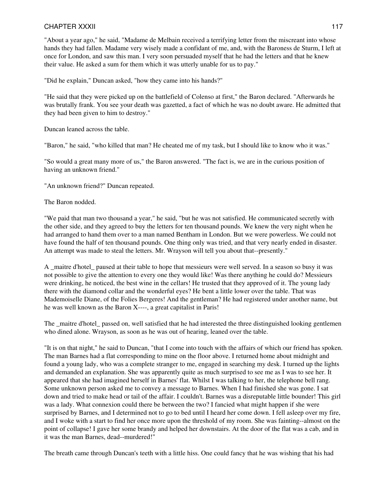"About a year ago," he said, "Madame de Melbain received a terrifying letter from the miscreant into whose hands they had fallen. Madame very wisely made a confidant of me, and, with the Baroness de Sturm, I left at once for London, and saw this man. I very soon persuaded myself that he had the letters and that he knew their value. He asked a sum for them which it was utterly unable for us to pay."

"Did he explain," Duncan asked, "how they came into his hands?"

"He said that they were picked up on the battlefield of Colenso at first," the Baron declared. "Afterwards he was brutally frank. You see your death was gazetted, a fact of which he was no doubt aware. He admitted that they had been given to him to destroy."

Duncan leaned across the table.

"Baron," he said, "who killed that man? He cheated me of my task, but I should like to know who it was."

"So would a great many more of us," the Baron answered. "The fact is, we are in the curious position of having an unknown friend."

"An unknown friend?" Duncan repeated.

The Baron nodded.

"We paid that man two thousand a year," he said, "but he was not satisfied. He communicated secretly with the other side, and they agreed to buy the letters for ten thousand pounds. We knew the very night when he had arranged to hand them over to a man named Bentham in London. But we were powerless. We could not have found the half of ten thousand pounds. One thing only was tried, and that very nearly ended in disaster. An attempt was made to steal the letters. Mr. Wrayson will tell you about that--presently."

A maitre d'hotel paused at their table to hope that messieurs were well served. In a season so busy it was not possible to give the attention to every one they would like! Was there anything he could do? Messieurs were drinking, he noticed, the best wine in the cellars! He trusted that they approved of it. The young lady there with the diamond collar and the wonderful eyes? He bent a little lower over the table. That was Mademoiselle Diane, of the Folies Bergeres! And the gentleman? He had registered under another name, but he was well known as the Baron X----, a great capitalist in Paris!

The \_maitre d'hotel\_ passed on, well satisfied that he had interested the three distinguished looking gentlemen who dined alone. Wrayson, as soon as he was out of hearing, leaned over the table.

"It is on that night," he said to Duncan, "that I come into touch with the affairs of which our friend has spoken. The man Barnes had a flat corresponding to mine on the floor above. I returned home about midnight and found a young lady, who was a complete stranger to me, engaged in searching my desk. I turned up the lights and demanded an explanation. She was apparently quite as much surprised to see me as I was to see her. It appeared that she had imagined herself in Barnes' flat. Whilst I was talking to her, the telephone bell rang. Some unknown person asked me to convey a message to Barnes. When I had finished she was gone. I sat down and tried to make head or tail of the affair. I couldn't. Barnes was a disreputable little bounder! This girl was a lady. What connexion could there be between the two? I fancied what might happen if she were surprised by Barnes, and I determined not to go to bed until I heard her come down. I fell asleep over my fire, and I woke with a start to find her once more upon the threshold of my room. She was fainting--almost on the point of collapse! I gave her some brandy and helped her downstairs. At the door of the flat was a cab, and in it was the man Barnes, dead--murdered!"

The breath came through Duncan's teeth with a little hiss. One could fancy that he was wishing that his had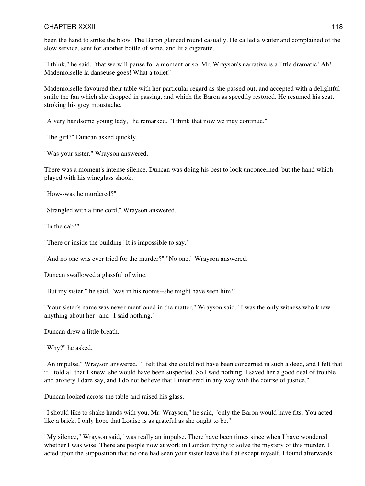been the hand to strike the blow. The Baron glanced round casually. He called a waiter and complained of the slow service, sent for another bottle of wine, and lit a cigarette.

"I think," he said, "that we will pause for a moment or so. Mr. Wrayson's narrative is a little dramatic! Ah! Mademoiselle la danseuse goes! What a toilet!"

Mademoiselle favoured their table with her particular regard as she passed out, and accepted with a delightful smile the fan which she dropped in passing, and which the Baron as speedily restored. He resumed his seat, stroking his grey moustache.

"A very handsome young lady," he remarked. "I think that now we may continue."

"The girl?" Duncan asked quickly.

"Was your sister," Wrayson answered.

There was a moment's intense silence. Duncan was doing his best to look unconcerned, but the hand which played with his wineglass shook.

"How--was he murdered?"

"Strangled with a fine cord," Wrayson answered.

"In the cab?"

"There or inside the building! It is impossible to say."

"And no one was ever tried for the murder?" "No one," Wrayson answered.

Duncan swallowed a glassful of wine.

"But my sister," he said, "was in his rooms--she might have seen him!"

"Your sister's name was never mentioned in the matter," Wrayson said. "I was the only witness who knew anything about her--and--I said nothing."

Duncan drew a little breath.

"Why?" he asked.

"An impulse," Wrayson answered. "I felt that she could not have been concerned in such a deed, and I felt that if I told all that I knew, she would have been suspected. So I said nothing. I saved her a good deal of trouble and anxiety I dare say, and I do not believe that I interfered in any way with the course of justice."

Duncan looked across the table and raised his glass.

"I should like to shake hands with you, Mr. Wrayson," he said, "only the Baron would have fits. You acted like a brick. I only hope that Louise is as grateful as she ought to be."

"My silence," Wrayson said, "was really an impulse. There have been times since when I have wondered whether I was wise. There are people now at work in London trying to solve the mystery of this murder. I acted upon the supposition that no one had seen your sister leave the flat except myself. I found afterwards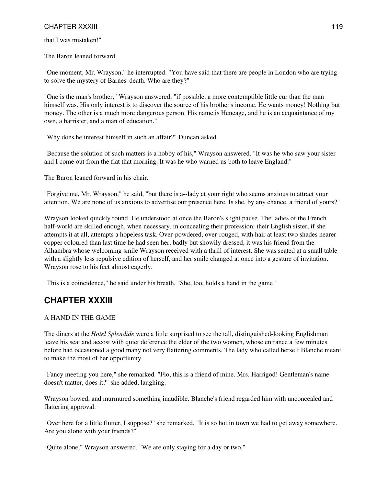that I was mistaken!"

The Baron leaned forward.

"One moment, Mr. Wrayson," he interrupted. "You have said that there are people in London who are trying to solve the mystery of Barnes' death. Who are they?"

"One is the man's brother," Wrayson answered, "if possible, a more contemptible little cur than the man himself was. His only interest is to discover the source of his brother's income. He wants money! Nothing but money. The other is a much more dangerous person. His name is Heneage, and he is an acquaintance of my own, a barrister, and a man of education."

"Why does he interest himself in such an affair?" Duncan asked.

"Because the solution of such matters is a hobby of his," Wrayson answered. "It was he who saw your sister and I come out from the flat that morning. It was he who warned us both to leave England."

The Baron leaned forward in his chair.

"Forgive me, Mr. Wrayson," he said, "but there is a--lady at your right who seems anxious to attract your attention. We are none of us anxious to advertise our presence here. Is she, by any chance, a friend of yours?"

Wrayson looked quickly round. He understood at once the Baron's slight pause. The ladies of the French half-world are skilled enough, when necessary, in concealing their profession: their English sister, if she attempts it at all, attempts a hopeless task. Over-powdered, over-rouged, with hair at least two shades nearer copper coloured than last time he had seen her, badly but showily dressed, it was his friend from the Alhambra whose welcoming smile Wrayson received with a thrill of interest. She was seated at a small table with a slightly less repulsive edition of herself, and her smile changed at once into a gesture of invitation. Wrayson rose to his feet almost eagerly.

"This is a coincidence," he said under his breath. "She, too, holds a hand in the game!"

# **CHAPTER XXXIII**

#### A HAND IN THE GAME

The diners at the *Hotel Splendide* were a little surprised to see the tall, distinguished-looking Englishman leave his seat and accost with quiet deference the elder of the two women, whose entrance a few minutes before had occasioned a good many not very flattering comments. The lady who called herself Blanche meant to make the most of her opportunity.

"Fancy meeting you here," she remarked. "Flo, this is a friend of mine. Mrs. Harrigod! Gentleman's name doesn't matter, does it?" she added, laughing.

Wrayson bowed, and murmured something inaudible. Blanche's friend regarded him with unconcealed and flattering approval.

"Over here for a little flutter, I suppose?" she remarked. "It is so hot in town we had to get away somewhere. Are you alone with your friends?"

"Quite alone," Wrayson answered. "We are only staying for a day or two."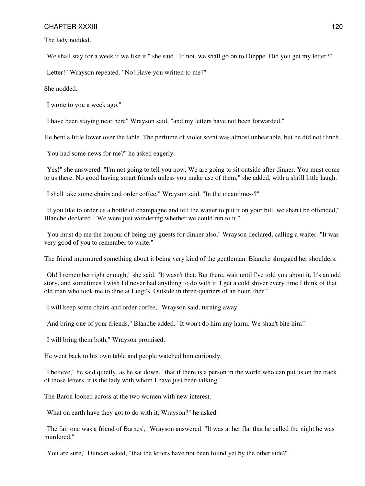The lady nodded.

"We shall stay for a week if we like it," she said. "If not, we shall go on to Dieppe. Did you get my letter?"

"Letter!" Wrayson repeated. "No! Have you written to me?"

She nodded.

"I wrote to you a week ago."

"I have been staying near here" Wrayson said, "and my letters have not been forwarded."

He bent a little lower over the table. The perfume of violet scent was almost unbearable, but he did not flinch.

"You had some news for me?" he asked eagerly.

"Yes!" she answered. "I'm not going to tell you now. We are going to sit outside after dinner. You must come to us there. No good having smart friends unless you make use of them," she added, with a shrill little laugh.

"I shall take some chairs and order coffee," Wrayson said. "In the meantime--?"

"If you like to order us a bottle of champagne and tell the waiter to put it on your bill, we shan't be offended," Blanche declared. "We were just wondering whether we could run to it."

"You must do me the honour of being my guests for dinner also," Wrayson declared, calling a waiter. "It was very good of you to remember to write."

The friend murmured something about it being very kind of the gentleman. Blanche shrugged her shoulders.

"Oh! I remember right enough," she said. "It wasn't that. But there, wait until I've told you about it. It's an odd story, and sometimes I wish I'd never had anything to do with it. I get a cold shiver every time I think of that old man who took me to dine at Luigi's. Outside in three-quarters of an hour, then!"

"I will keep some chairs and order coffee," Wrayson said, turning away.

"And bring one of your friends," Blanche added. "It won't do him any harm. We shan't bite him!"

"I will bring them both," Wrayson promised.

He went back to his own table and people watched him curiously.

"I believe," he said quietly, as he sat down, "that if there is a person in the world who can put us on the track of those letters, it is the lady with whom I have just been talking."

The Baron looked across at the two women with new interest.

"What on earth have they got to do with it, Wrayson?" he asked.

"The fair one was a friend of Barnes'," Wrayson answered. "It was at her flat that he called the night he was murdered."

"You are sure," Duncan asked, "that the letters have not been found yet by the other side?"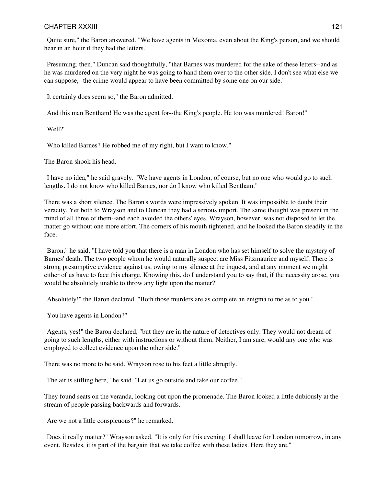"Quite sure," the Baron answered. "We have agents in Mexonia, even about the King's person, and we should hear in an hour if they had the letters."

"Presuming, then," Duncan said thoughtfully, "that Barnes was murdered for the sake of these letters--and as he was murdered on the very night he was going to hand them over to the other side, I don't see what else we can suppose,--the crime would appear to have been committed by some one on our side."

"It certainly does seem so," the Baron admitted.

"And this man Bentham! He was the agent for--the King's people. He too was murdered! Baron!"

"Well?"

"Who killed Barnes? He robbed me of my right, but I want to know."

The Baron shook his head.

"I have no idea," he said gravely. "We have agents in London, of course, but no one who would go to such lengths. I do not know who killed Barnes, nor do I know who killed Bentham."

There was a short silence. The Baron's words were impressively spoken. It was impossible to doubt their veracity. Yet both to Wrayson and to Duncan they had a serious import. The same thought was present in the mind of all three of them--and each avoided the others' eyes. Wrayson, however, was not disposed to let the matter go without one more effort. The corners of his mouth tightened, and he looked the Baron steadily in the face.

"Baron," he said, "I have told you that there is a man in London who has set himself to solve the mystery of Barnes' death. The two people whom he would naturally suspect are Miss Fitzmaurice and myself. There is strong presumptive evidence against us, owing to my silence at the inquest, and at any moment we might either of us have to face this charge. Knowing this, do I understand you to say that, if the necessity arose, you would be absolutely unable to throw any light upon the matter?"

"Absolutely!" the Baron declared. "Both those murders are as complete an enigma to me as to you."

"You have agents in London?"

"Agents, yes!" the Baron declared, "but they are in the nature of detectives only. They would not dream of going to such lengths, either with instructions or without them. Neither, I am sure, would any one who was employed to collect evidence upon the other side."

There was no more to be said. Wrayson rose to his feet a little abruptly.

"The air is stifling here," he said. "Let us go outside and take our coffee."

They found seats on the veranda, looking out upon the promenade. The Baron looked a little dubiously at the stream of people passing backwards and forwards.

"Are we not a little conspicuous?" he remarked.

"Does it really matter?" Wrayson asked. "It is only for this evening. I shall leave for London tomorrow, in any event. Besides, it is part of the bargain that we take coffee with these ladies. Here they are."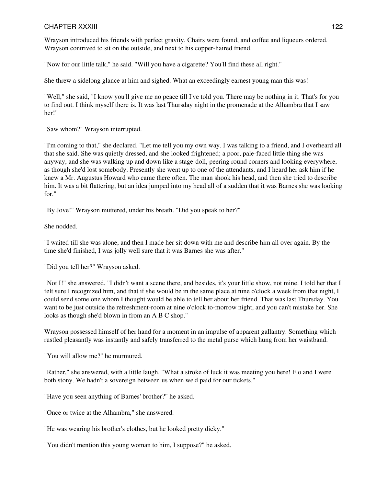Wrayson introduced his friends with perfect gravity. Chairs were found, and coffee and liqueurs ordered. Wrayson contrived to sit on the outside, and next to his copper-haired friend.

"Now for our little talk," he said. "Will you have a cigarette? You'll find these all right."

She threw a sidelong glance at him and sighed. What an exceedingly earnest young man this was!

"Well," she said, "I know you'll give me no peace till I've told you. There may be nothing in it. That's for you to find out. I think myself there is. It was last Thursday night in the promenade at the Alhambra that I saw her!"

"Saw whom?" Wrayson interrupted.

"I'm coming to that," she declared. "Let me tell you my own way. I was talking to a friend, and I overheard all that she said. She was quietly dressed, and she looked frightened; a poor, pale-faced little thing she was anyway, and she was walking up and down like a stage-doll, peering round corners and looking everywhere, as though she'd lost somebody. Presently she went up to one of the attendants, and I heard her ask him if he knew a Mr. Augustus Howard who came there often. The man shook his head, and then she tried to describe him. It was a bit flattering, but an idea jumped into my head all of a sudden that it was Barnes she was looking for."

"By Jove!" Wrayson muttered, under his breath. "Did you speak to her?"

She nodded.

"I waited till she was alone, and then I made her sit down with me and describe him all over again. By the time she'd finished, I was jolly well sure that it was Barnes she was after."

"Did you tell her?" Wrayson asked.

"Not I!" she answered. "I didn't want a scene there, and besides, it's your little show, not mine. I told her that I felt sure I recognized him, and that if she would be in the same place at nine o'clock a week from that night, I could send some one whom I thought would be able to tell her about her friend. That was last Thursday. You want to be just outside the refreshment-room at nine o'clock to-morrow night, and you can't mistake her. She looks as though she'd blown in from an A B C shop."

Wrayson possessed himself of her hand for a moment in an impulse of apparent gallantry. Something which rustled pleasantly was instantly and safely transferred to the metal purse which hung from her waistband.

"You will allow me?" he murmured.

"Rather," she answered, with a little laugh. "What a stroke of luck it was meeting you here! Flo and I were both stony. We hadn't a sovereign between us when we'd paid for our tickets."

"Have you seen anything of Barnes' brother?" he asked.

"Once or twice at the Alhambra," she answered.

"He was wearing his brother's clothes, but he looked pretty dicky."

"You didn't mention this young woman to him, I suppose?" he asked.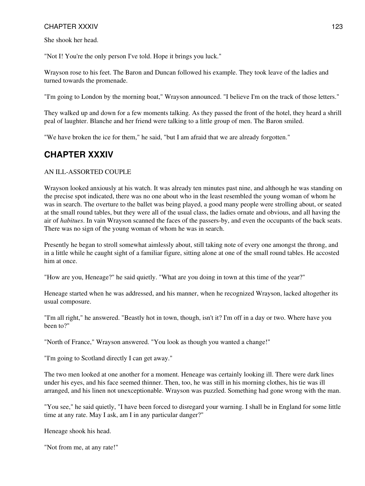She shook her head.

"Not I! You're the only person I've told. Hope it brings you luck."

Wrayson rose to his feet. The Baron and Duncan followed his example. They took leave of the ladies and turned towards the promenade.

"I'm going to London by the morning boat," Wrayson announced. "I believe I'm on the track of those letters."

They walked up and down for a few moments talking. As they passed the front of the hotel, they heard a shrill peal of laughter. Blanche and her friend were talking to a little group of men. The Baron smiled.

"We have broken the ice for them," he said, "but I am afraid that we are already forgotten."

# **CHAPTER XXXIV**

#### AN ILL-ASSORTED COUPLE

Wrayson looked anxiously at his watch. It was already ten minutes past nine, and although he was standing on the precise spot indicated, there was no one about who in the least resembled the young woman of whom he was in search. The overture to the ballet was being played, a good many people were strolling about, or seated at the small round tables, but they were all of the usual class, the ladies ornate and obvious, and all having the air of *habitues*. In vain Wrayson scanned the faces of the passers-by, and even the occupants of the back seats. There was no sign of the young woman of whom he was in search.

Presently he began to stroll somewhat aimlessly about, still taking note of every one amongst the throng, and in a little while he caught sight of a familiar figure, sitting alone at one of the small round tables. He accosted him at once.

"How are you, Heneage?" he said quietly. "What are you doing in town at this time of the year?"

Heneage started when he was addressed, and his manner, when he recognized Wrayson, lacked altogether its usual composure.

"I'm all right," he answered. "Beastly hot in town, though, isn't it? I'm off in a day or two. Where have you been to?"

"North of France," Wrayson answered. "You look as though you wanted a change!"

"I'm going to Scotland directly I can get away."

The two men looked at one another for a moment. Heneage was certainly looking ill. There were dark lines under his eyes, and his face seemed thinner. Then, too, he was still in his morning clothes, his tie was ill arranged, and his linen not unexceptionable. Wrayson was puzzled. Something had gone wrong with the man.

"You see," he said quietly, "I have been forced to disregard your warning. I shall be in England for some little time at any rate. May I ask, am I in any particular danger?"

Heneage shook his head.

"Not from me, at any rate!"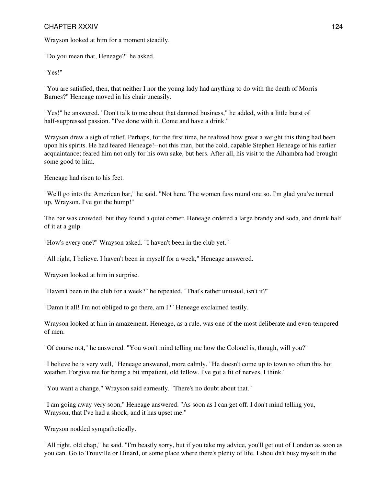#### CHAPTER XXXIV 8 and 24

Wrayson looked at him for a moment steadily.

"Do you mean that, Heneage?" he asked.

"Yes!"

"You are satisfied, then, that neither I nor the young lady had anything to do with the death of Morris Barnes?" Heneage moved in his chair uneasily.

"Yes!" he answered. "Don't talk to me about that damned business," he added, with a little burst of half-suppressed passion. "I've done with it. Come and have a drink."

Wrayson drew a sigh of relief. Perhaps, for the first time, he realized how great a weight this thing had been upon his spirits. He had feared Heneage!--not this man, but the cold, capable Stephen Heneage of his earlier acquaintance; feared him not only for his own sake, but hers. After all, his visit to the Alhambra had brought some good to him.

Heneage had risen to his feet.

"We'll go into the American bar," he said. "Not here. The women fuss round one so. I'm glad you've turned up, Wrayson. I've got the hump!"

The bar was crowded, but they found a quiet corner. Heneage ordered a large brandy and soda, and drunk half of it at a gulp.

"How's every one?" Wrayson asked. "I haven't been in the club yet."

"All right, I believe. I haven't been in myself for a week," Heneage answered.

Wrayson looked at him in surprise.

"Haven't been in the club for a week?" he repeated. "That's rather unusual, isn't it?"

"Damn it all! I'm not obliged to go there, am I?" Heneage exclaimed testily.

Wrayson looked at him in amazement. Heneage, as a rule, was one of the most deliberate and even-tempered of men.

"Of course not," he answered. "You won't mind telling me how the Colonel is, though, will you?"

"I believe he is very well," Heneage answered, more calmly. "He doesn't come up to town so often this hot weather. Forgive me for being a bit impatient, old fellow. I've got a fit of nerves, I think."

"You want a change," Wrayson said earnestly. "There's no doubt about that."

"I am going away very soon," Heneage answered. "As soon as I can get off. I don't mind telling you, Wrayson, that I've had a shock, and it has upset me."

Wrayson nodded sympathetically.

"All right, old chap," he said. "I'm beastly sorry, but if you take my advice, you'll get out of London as soon as you can. Go to Trouville or Dinard, or some place where there's plenty of life. I shouldn't busy myself in the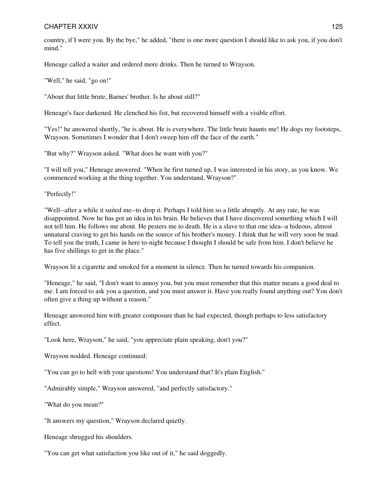country, if I were you. By the bye," he added, "there is one more question I should like to ask you, if you don't mind."

Heneage called a waiter and ordered more drinks. Then he turned to Wrayson.

"Well," he said, "go on!"

"About that little brute, Barnes' brother. Is he about still?"

Heneage's face darkened. He clenched his fist, but recovered himself with a visible effort.

"Yes!" he answered shortly, "he is about. He is everywhere. The little brute haunts me! He dogs my footsteps, Wrayson. Sometimes I wonder that I don't sweep him off the face of the earth."

"But why?" Wrayson asked. "What does he want with you?"

"I will tell you," Heneage answered. "When he first turned up, I was interested in his story, as you know. We commenced working at the thing together. You understand, Wrayson?"

"Perfectly!"

"Well--after a while it suited me--to drop it. Perhaps I told him so a little abruptly. At any rate, he was disappointed. Now he has got an idea in his brain. He believes that I have discovered something which I will not tell him. He follows me about. He pesters me to death. He is a slave to that one idea--a hideous, almost unnatural craving to get his hands on the source of his brother's money. I think that he will very soon be mad. To tell you the truth, I came in here to-night because I thought I should be safe from him. I don't believe he has five shillings to get in the place."

Wrayson lit a cigarette and smoked for a moment in silence. Then he turned towards his companion.

"Heneage," he said, "I don't want to annoy you, but you must remember that this matter means a good deal to me. I am forced to ask you a question, and you must answer it. Have you really found anything out? You don't often give a thing up without a reason."

Heneage answered him with greater composure than he had expected, though perhaps to less satisfactory effect.

"Look here, Wrayson," he said, "you appreciate plain speaking, don't you?"

Wrayson nodded. Heneage continued:

"You can go to hell with your questions! You understand that? It's plain English."

"Admirably simple," Wrayson answered, "and perfectly satisfactory."

"What do you mean?"

"It answers my question," Wrayson declared quietly.

Heneage shrugged his shoulders.

"You can get what satisfaction you like out of it," he said doggedly.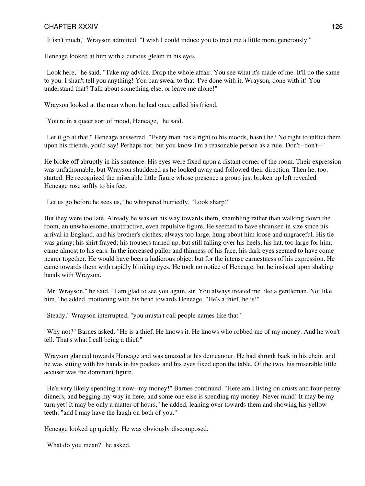"It isn't much," Wrayson admitted. "I wish I could induce you to treat me a little more generously."

Heneage looked at him with a curious gleam in his eyes.

"Look here," he said. "Take my advice. Drop the whole affair. You see what it's made of me. It'll do the same to you. I shan't tell you anything! You can swear to that. I've done with it, Wrayson, done with it! You understand that? Talk about something else, or leave me alone!"

Wrayson looked at the man whom he had once called his friend.

"You're in a queer sort of mood, Heneage," he said.

"Let it go at that," Heneage answered. "Every man has a right to his moods, hasn't he? No right to inflict them upon his friends, you'd say! Perhaps not, but you know I'm a reasonable person as a rule. Don't--don't--"

He broke off abruptly in his sentence. His eyes were fixed upon a distant corner of the room. Their expression was unfathomable, but Wrayson shuddered as he looked away and followed their direction. Then he, too, started. He recognized the miserable little figure whose presence a group just broken up left revealed. Heneage rose softly to his feet.

"Let us go before he sees us," he whispered hurriedly. "Look sharp!"

But they were too late. Already he was on his way towards them, shambling rather than walking down the room, an unwholesome, unattractive, even repulsive figure. He seemed to have shrunken in size since his arrival in England, and his brother's clothes, always too large, hung about him loose and ungraceful. His tie was grimy; his shirt frayed; his trousers turned up, but still falling over his heels; his hat, too large for him, came almost to his ears. In the increased pallor and thinness of his face, his dark eyes seemed to have come nearer together. He would have been a ludicrous object but for the intense earnestness of his expression. He came towards them with rapidly blinking eyes. He took no notice of Heneage, but he insisted upon shaking hands with Wrayson.

"Mr. Wrayson," he said, "I am glad to see you again, sir. You always treated me like a gentleman. Not like him," he added, motioning with his head towards Heneage. "He's a thief, he is!"

"Steady," Wrayson interrupted, "you mustn't call people names like that."

"Why not?" Barnes asked. "He is a thief. He knows it. He knows who robbed me of my money. And he won't tell. That's what I call being a thief."

Wrayson glanced towards Heneage and was amazed at his demeanour. He had shrunk back in his chair, and he was sitting with his hands in his pockets and his eyes fixed upon the table. Of the two, his miserable little accuser was the dominant figure.

"He's very likely spending it now--my money!" Barnes continued. "Here am I living on crusts and four-penny dinners, and begging my way in here, and some one else is spending my money. Never mind! It may be my turn yet! It may be only a matter of hours," he added, leaning over towards them and showing his yellow teeth, "and I may have the laugh on both of you."

Heneage looked up quickly. He was obviously discomposed.

"What do you mean?" he asked.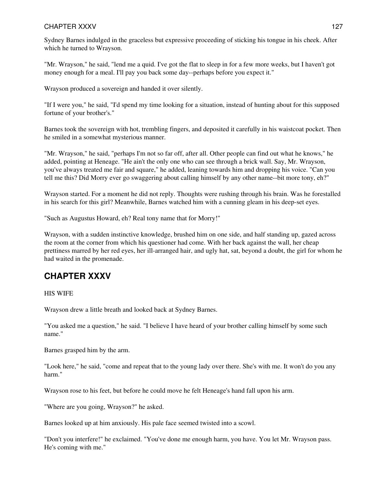Sydney Barnes indulged in the graceless but expressive proceeding of sticking his tongue in his cheek. After which he turned to Wrayson.

"Mr. Wrayson," he said, "lend me a quid. I've got the flat to sleep in for a few more weeks, but I haven't got money enough for a meal. I'll pay you back some day--perhaps before you expect it."

Wrayson produced a sovereign and handed it over silently.

"If I were you," he said, "I'd spend my time looking for a situation, instead of hunting about for this supposed fortune of your brother's."

Barnes took the sovereign with hot, trembling fingers, and deposited it carefully in his waistcoat pocket. Then he smiled in a somewhat mysterious manner.

"Mr. Wrayson," he said, "perhaps I'm not so far off, after all. Other people can find out what he knows," he added, pointing at Heneage. "He ain't the only one who can see through a brick wall. Say, Mr. Wrayson, you've always treated me fair and square," he added, leaning towards him and dropping his voice. "Can you tell me this? Did Morry ever go swaggering about calling himself by any other name--bit more tony, eh?"

Wrayson started. For a moment he did not reply. Thoughts were rushing through his brain. Was he forestalled in his search for this girl? Meanwhile, Barnes watched him with a cunning gleam in his deep-set eyes.

"Such as Augustus Howard, eh? Real tony name that for Morry!"

Wrayson, with a sudden instinctive knowledge, brushed him on one side, and half standing up, gazed across the room at the corner from which his questioner had come. With her back against the wall, her cheap prettiness marred by her red eyes, her ill-arranged hair, and ugly hat, sat, beyond a doubt, the girl for whom he had waited in the promenade.

### **CHAPTER XXXV**

HIS WIFE

Wrayson drew a little breath and looked back at Sydney Barnes.

"You asked me a question," he said. "I believe I have heard of your brother calling himself by some such name."

Barnes grasped him by the arm.

"Look here," he said, "come and repeat that to the young lady over there. She's with me. It won't do you any harm."

Wrayson rose to his feet, but before he could move he felt Heneage's hand fall upon his arm.

"Where are you going, Wrayson?" he asked.

Barnes looked up at him anxiously. His pale face seemed twisted into a scowl.

"Don't you interfere!" he exclaimed. "You've done me enough harm, you have. You let Mr. Wrayson pass. He's coming with me."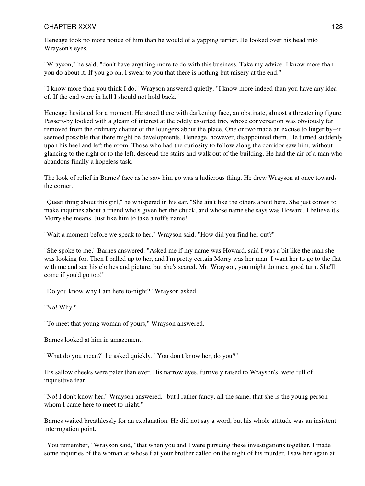Heneage took no more notice of him than he would of a yapping terrier. He looked over his head into Wrayson's eyes.

"Wrayson," he said, "don't have anything more to do with this business. Take my advice. I know more than you do about it. If you go on, I swear to you that there is nothing but misery at the end."

"I know more than you think I do," Wrayson answered quietly. "I know more indeed than you have any idea of. If the end were in hell I should not hold back."

Heneage hesitated for a moment. He stood there with darkening face, an obstinate, almost a threatening figure. Passers-by looked with a gleam of interest at the oddly assorted trio, whose conversation was obviously far removed from the ordinary chatter of the loungers about the place. One or two made an excuse to linger by--it seemed possible that there might be developments. Heneage, however, disappointed them. He turned suddenly upon his heel and left the room. Those who had the curiosity to follow along the corridor saw him, without glancing to the right or to the left, descend the stairs and walk out of the building. He had the air of a man who abandons finally a hopeless task.

The look of relief in Barnes' face as he saw him go was a ludicrous thing. He drew Wrayson at once towards the corner.

"Queer thing about this girl," he whispered in his ear. "She ain't like the others about here. She just comes to make inquiries about a friend who's given her the chuck, and whose name she says was Howard. I believe it's Morry she means. Just like him to take a toff's name!"

"Wait a moment before we speak to her," Wrayson said. "How did you find her out?"

"She spoke to me," Barnes answered. "Asked me if my name was Howard, said I was a bit like the man she was looking for. Then I palled up to her, and I'm pretty certain Morry was her man. I want her to go to the flat with me and see his clothes and picture, but she's scared. Mr. Wrayson, you might do me a good turn. She'll come if you'd go too!"

"Do you know why I am here to-night?" Wrayson asked.

"No! Why?"

"To meet that young woman of yours," Wrayson answered.

Barnes looked at him in amazement.

"What do you mean?" he asked quickly. "You don't know her, do you?"

His sallow cheeks were paler than ever. His narrow eyes, furtively raised to Wrayson's, were full of inquisitive fear.

"No! I don't know her," Wrayson answered, "but I rather fancy, all the same, that she is the young person whom I came here to meet to-night."

Barnes waited breathlessly for an explanation. He did not say a word, but his whole attitude was an insistent interrogation point.

"You remember," Wrayson said, "that when you and I were pursuing these investigations together, I made some inquiries of the woman at whose flat your brother called on the night of his murder. I saw her again at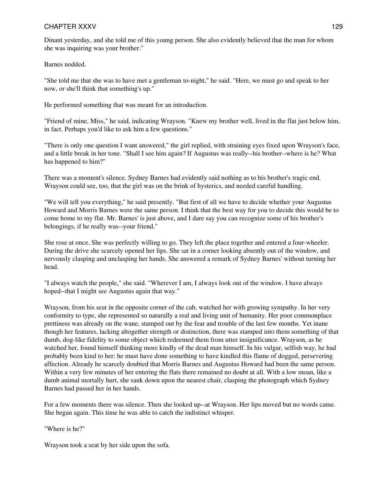Dinant yesterday, and she told me of this young person. She also evidently believed that the man for whom she was inquiring was your brother."

Barnes nodded.

"She told me that she was to have met a gentleman to-night," he said. "Here, we must go and speak to her now, or she'll think that something's up."

He performed something that was meant for an introduction.

"Friend of mine, Miss," he said, indicating Wrayson. "Knew my brother well, lived in the flat just below him, in fact. Perhaps you'd like to ask him a few questions."

"There is only one question I want answered," the girl replied, with straining eyes fixed upon Wrayson's face, and a little break in her tone. "Shall I see him again? If Augustus was really--his brother--where is he? What has happened to him?"

There was a moment's silence. Sydney Barnes had evidently said nothing as to his brother's tragic end. Wrayson could see, too, that the girl was on the brink of hysterics, and needed careful handling.

"We will tell you everything," he said presently. "But first of all we have to decide whether your Augustus Howard and Morris Barnes were the same person. I think that the best way for you to decide this would be to come home to my flat. Mr. Barnes' is just above, and I dare say you can recognize some of his brother's belongings, if he really was--your friend."

She rose at once. She was perfectly willing to go. They left the place together and entered a four-wheeler. During the drive she scarcely opened her lips. She sat in a corner looking absently out of the window, and nervously clasping and unclasping her hands. She answered a remark of Sydney Barnes' without turning her head.

"I always watch the people," she said. "Wherever I am, I always look out of the window. I have always hoped--that I might see Augustus again that way."

Wrayson, from his seat in the opposite corner of the cab, watched her with growing sympathy. In her very conformity to type, she represented so naturally a real and living unit of humanity. Her poor commonplace prettiness was already on the wane, stamped out by the fear and trouble of the last few months. Yet inane though her features, lacking altogether strength or distinction, there was stamped into them something of that dumb, dog-like fidelity to some object which redeemed them from utter insignificance. Wrayson, as he watched her, found himself thinking more kindly of the dead man himself. In his vulgar, selfish way, he had probably been kind to her: he must have done something to have kindled this flame of dogged, persevering affection. Already he scarcely doubted that Morris Barnes and Augustus Howard had been the same person. Within a very few minutes of her entering the flats there remained no doubt at all. With a low moan, like a dumb animal mortally hurt, she sank down upon the nearest chair, clasping the photograph which Sydney Barnes had passed her in her hands.

For a few moments there was silence. Then she looked up--at Wrayson. Her lips moved but no words came. She began again. This time he was able to catch the indistinct whisper.

"Where is he?"

Wrayson took a seat by her side upon the sofa.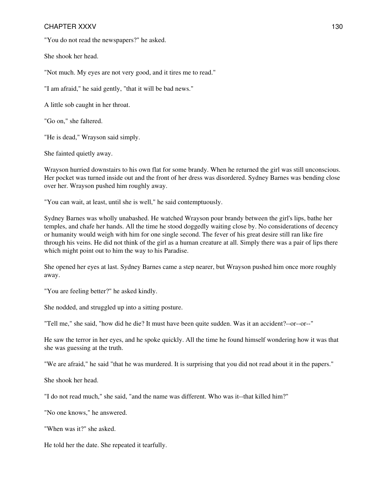"You do not read the newspapers?" he asked.

She shook her head.

"Not much. My eyes are not very good, and it tires me to read."

"I am afraid," he said gently, "that it will be bad news."

A little sob caught in her throat.

"Go on," she faltered.

"He is dead," Wrayson said simply.

She fainted quietly away.

Wrayson hurried downstairs to his own flat for some brandy. When he returned the girl was still unconscious. Her pocket was turned inside out and the front of her dress was disordered. Sydney Barnes was bending close over her. Wrayson pushed him roughly away.

"You can wait, at least, until she is well," he said contemptuously.

Sydney Barnes was wholly unabashed. He watched Wrayson pour brandy between the girl's lips, bathe her temples, and chafe her hands. All the time he stood doggedly waiting close by. No considerations of decency or humanity would weigh with him for one single second. The fever of his great desire still ran like fire through his veins. He did not think of the girl as a human creature at all. Simply there was a pair of lips there which might point out to him the way to his Paradise.

She opened her eyes at last. Sydney Barnes came a step nearer, but Wrayson pushed him once more roughly away.

"You are feeling better?" he asked kindly.

She nodded, and struggled up into a sitting posture.

"Tell me," she said, "how did he die? It must have been quite sudden. Was it an accident?--or--or--"

He saw the terror in her eyes, and he spoke quickly. All the time he found himself wondering how it was that she was guessing at the truth.

"We are afraid," he said "that he was murdered. It is surprising that you did not read about it in the papers."

She shook her head.

"I do not read much," she said, "and the name was different. Who was it--that killed him?"

"No one knows," he answered.

"When was it?" she asked.

He told her the date. She repeated it tearfully.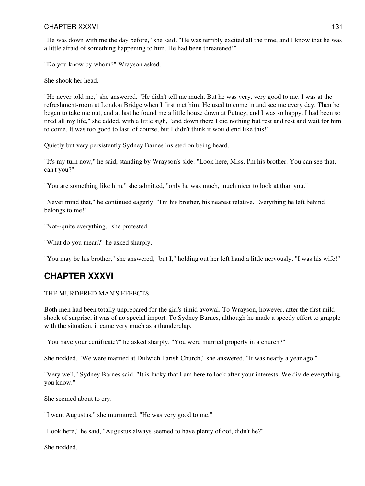"He was down with me the day before," she said. "He was terribly excited all the time, and I know that he was a little afraid of something happening to him. He had been threatened!"

"Do you know by whom?" Wrayson asked.

She shook her head.

"He never told me," she answered. "He didn't tell me much. But he was very, very good to me. I was at the refreshment-room at London Bridge when I first met him. He used to come in and see me every day. Then he began to take me out, and at last he found me a little house down at Putney, and I was so happy. I had been so tired all my life," she added, with a little sigh, "and down there I did nothing but rest and rest and wait for him to come. It was too good to last, of course, but I didn't think it would end like this!"

Quietly but very persistently Sydney Barnes insisted on being heard.

"It's my turn now," he said, standing by Wrayson's side. "Look here, Miss, I'm his brother. You can see that, can't you?"

"You are something like him," she admitted, "only he was much, much nicer to look at than you."

"Never mind that," he continued eagerly. "I'm his brother, his nearest relative. Everything he left behind belongs to me!"

"Not--quite everything," she protested.

"What do you mean?" he asked sharply.

"You may be his brother," she answered, "but I," holding out her left hand a little nervously, "I was his wife!"

# **CHAPTER XXXVI**

#### THE MURDERED MAN'S EFFECTS

Both men had been totally unprepared for the girl's timid avowal. To Wrayson, however, after the first mild shock of surprise, it was of no special import. To Sydney Barnes, although he made a speedy effort to grapple with the situation, it came very much as a thunderclap.

"You have your certificate?" he asked sharply. "You were married properly in a church?"

She nodded. "We were married at Dulwich Parish Church," she answered. "It was nearly a year ago."

"Very well," Sydney Barnes said. "It is lucky that I am here to look after your interests. We divide everything, you know."

She seemed about to cry.

"I want Augustus," she murmured. "He was very good to me."

"Look here," he said, "Augustus always seemed to have plenty of oof, didn't he?"

She nodded.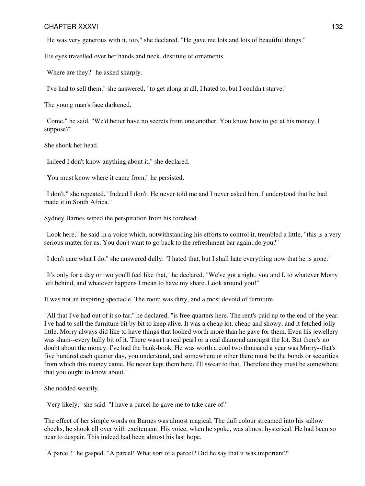"He was very generous with it, too," she declared. "He gave me lots and lots of beautiful things."

His eyes travelled over her hands and neck, destitute of ornaments.

"Where are they?" he asked sharply.

"I've had to sell them," she answered, "to get along at all, I hated to, but I couldn't starve."

The young man's face darkened.

"Come," he said. "We'd better have no secrets from one another. You know how to get at his money, I suppose?"

She shook her head.

"Indeed I don't know anything about it," she declared.

"You must know where it came from," he persisted.

"I don't," she repeated. "Indeed I don't. He never told me and I never asked him. I understood that he had made it in South Africa."

Sydney Barnes wiped the perspiration from his forehead.

"Look here," he said in a voice which, notwithstanding his efforts to control it, trembled a little, "this is a very serious matter for us. You don't want to go back to the refreshment bar again, do you?"

"I don't care what I do," she answered dully. "I hated that, but I shall hate everything now that he is gone."

"It's only for a day or two you'll feel like that," he declared. "We've got a right, you and I, to whatever Morry left behind, and whatever happens I mean to have my share. Look around you!"

It was not an inspiring spectacle. The room was dirty, and almost devoid of furniture.

"All that I've had out of it so far," he declared, "is free quarters here. The rent's paid up to the end of the year. I've had to sell the furniture bit by bit to keep alive. It was a cheap lot, cheap and showy, and it fetched jolly little. Morry always did like to have things that looked worth more than he gave for them. Even his jewellery was sham--every bally bit of it. There wasn't a real pearl or a real diamond amongst the lot. But there's no doubt about the money. I've had the bank-book. He was worth a cool two thousand a year was Morry--that's five hundred each quarter day, you understand, and somewhere or other there must be the bonds or securities from which this money came. He never kept them here. I'll swear to that. Therefore they must be somewhere that you ought to know about."

She nodded wearily.

"Very likely," she said. "I have a parcel he gave me to take care of."

The effect of her simple words on Barnes was almost magical. The dull colour streamed into his sallow cheeks, he shook all over with excitement. His voice, when he spoke, was almost hysterical. He had been so near to despair. This indeed had been almost his last hope.

"A parcel!" he gasped. "A parcel! What sort of a parcel? Did he say that it was important?"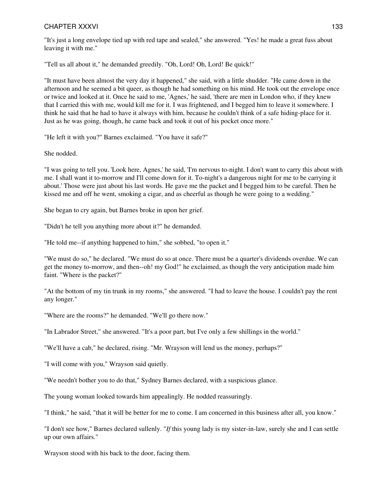"It's just a long envelope tied up with red tape and sealed," she answered. "Yes! he made a great fuss about leaving it with me."

"Tell us all about it," he demanded greedily. "Oh, Lord! Oh, Lord! Be quick!"

"It must have been almost the very day it happened," she said, with a little shudder. "He came down in the afternoon and he seemed a bit queer, as though he had something on his mind. He took out the envelope once or twice and looked at it. Once he said to me, 'Agnes,' he said, 'there are men in London who, if they knew that I carried this with me, would kill me for it. I was frightened, and I begged him to leave it somewhere. I think he said that he had to have it always with him, because he couldn't think of a safe hiding-place for it. Just as he was going, though, he came back and took it out of his pocket once more."

"He left it with you?" Barnes exclaimed. "You have it safe?"

She nodded.

"I was going to tell you. 'Look here, Agnes,' he said, 'I'm nervous to-night. I don't want to carry this about with me. I shall want it to-morrow and I'll come down for it. To-night's a dangerous night for me to be carrying it about.' Those were just about his last words. He gave me the packet and I begged him to be careful. Then he kissed me and off he went, smoking a cigar, and as cheerful as though he were going to a wedding."

She began to cry again, but Barnes broke in upon her grief.

"Didn't he tell you anything more about it?" he demanded.

"He told me--if anything happened to him," she sobbed, "to open it."

"We must do so," he declared. "We must do so at once. There must be a quarter's dividends overdue. We can get the money to-morrow, and then--oh! my God!" he exclaimed, as though the very anticipation made him faint. "Where is the packet?"

"At the bottom of my tin trunk in my rooms," she answered. "I had to leave the house. I couldn't pay the rent any longer."

"Where are the rooms?" he demanded. "We'll go there now."

"In Labrador Street," she answered. "It's a poor part, but I've only a few shillings in the world."

"We'll have a cab," he declared, rising. "Mr. Wrayson will lend us the money, perhaps?"

"I will come with you," Wrayson said quietly.

"We needn't bother you to do that," Sydney Barnes declared, with a suspicious glance.

The young woman looked towards him appealingly. He nodded reassuringly.

"I think," he said, "that it will be better for me to come. I am concerned in this business after all, you know."

"I don't see how," Barnes declared sullenly. "*If* this young lady is my sister-in-law, surely she and I can settle up our own affairs."

Wrayson stood with his back to the door, facing them.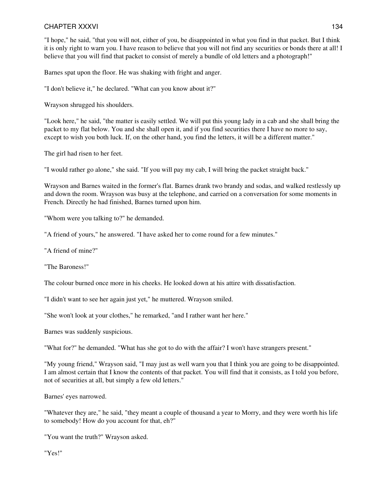"I hope," he said, "that you will not, either of you, be disappointed in what you find in that packet. But I think it is only right to warn you. I have reason to believe that you will not find any securities or bonds there at all! I believe that you will find that packet to consist of merely a bundle of old letters and a photograph!"

Barnes spat upon the floor. He was shaking with fright and anger.

"I don't believe it," he declared. "What can you know about it?"

Wrayson shrugged his shoulders.

"Look here," he said, "the matter is easily settled. We will put this young lady in a cab and she shall bring the packet to my flat below. You and she shall open it, and if you find securities there I have no more to say, except to wish you both luck. If, on the other hand, you find the letters, it will be a different matter."

The girl had risen to her feet.

"I would rather go alone," she said. "If you will pay my cab, I will bring the packet straight back."

Wrayson and Barnes waited in the former's flat. Barnes drank two brandy and sodas, and walked restlessly up and down the room. Wrayson was busy at the telephone, and carried on a conversation for some moments in French. Directly he had finished, Barnes turned upon him.

"Whom were you talking to?" he demanded.

"A friend of yours," he answered. "I have asked her to come round for a few minutes."

"A friend of mine?"

"The Baroness!"

The colour burned once more in his cheeks. He looked down at his attire with dissatisfaction.

"I didn't want to see her again just yet," he muttered. Wrayson smiled.

"She won't look at your clothes," he remarked, "and I rather want her here."

Barnes was suddenly suspicious.

"What for?" he demanded. "What has she got to do with the affair? I won't have strangers present."

"My young friend," Wrayson said, "I may just as well warn you that I think you are going to be disappointed. I am almost certain that I know the contents of that packet. You will find that it consists, as I told you before, not of securities at all, but simply a few old letters."

Barnes' eyes narrowed.

"Whatever they are," he said, "they meant a couple of thousand a year to Morry, and they were worth his life to somebody! How do you account for that, eh?"

"You want the truth?" Wrayson asked.

"Yes!"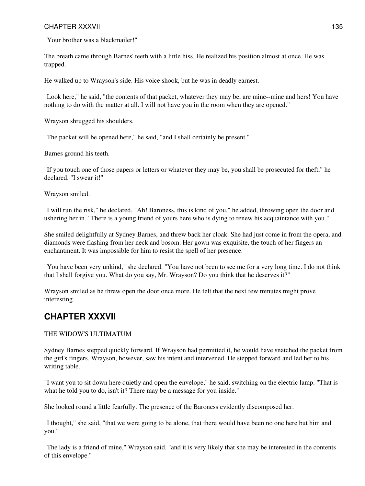"Your brother was a blackmailer!"

The breath came through Barnes' teeth with a little hiss. He realized his position almost at once. He was trapped.

He walked up to Wrayson's side. His voice shook, but he was in deadly earnest.

"Look here," he said, "the contents of that packet, whatever they may be, are mine--mine and hers! You have nothing to do with the matter at all. I will not have you in the room when they are opened."

Wrayson shrugged his shoulders.

"The packet will be opened here," he said, "and I shall certainly be present."

Barnes ground his teeth.

"If you touch one of those papers or letters or whatever they may be, you shall be prosecuted for theft," he declared. "I swear it!"

Wrayson smiled.

"I will run the risk," he declared. "Ah! Baroness, this is kind of you," he added, throwing open the door and ushering her in. "There is a young friend of yours here who is dying to renew his acquaintance with you."

She smiled delightfully at Sydney Barnes, and threw back her cloak. She had just come in from the opera, and diamonds were flashing from her neck and bosom. Her gown was exquisite, the touch of her fingers an enchantment. It was impossible for him to resist the spell of her presence.

"You have been very unkind," she declared. "You have not been to see me for a very long time. I do not think that I shall forgive you. What do you say, Mr. Wrayson? Do you think that he deserves it?"

Wrayson smiled as he threw open the door once more. He felt that the next few minutes might prove interesting.

# **CHAPTER XXXVII**

#### THE WIDOW'S ULTIMATUM

Sydney Barnes stepped quickly forward. If Wrayson had permitted it, he would have snatched the packet from the girl's fingers. Wrayson, however, saw his intent and intervened. He stepped forward and led her to his writing table.

"I want you to sit down here quietly and open the envelope," he said, switching on the electric lamp. "That is what he told you to do, isn't it? There may be a message for you inside."

She looked round a little fearfully. The presence of the Baroness evidently discomposed her.

"I thought," she said, "that we were going to be alone, that there would have been no one here but him and you."

"The lady is a friend of mine," Wrayson said, "and it is very likely that she may be interested in the contents of this envelope."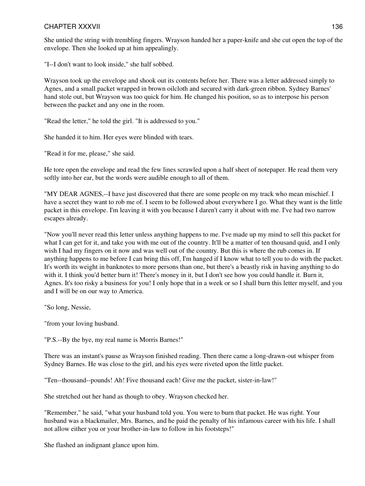She untied the string with trembling fingers. Wrayson handed her a paper-knife and she cut open the top of the envelope. Then she looked up at him appealingly.

"I--I don't want to look inside," she half sobbed.

Wrayson took up the envelope and shook out its contents before her. There was a letter addressed simply to Agnes, and a small packet wrapped in brown oilcloth and secured with dark-green ribbon. Sydney Barnes' hand stole out, but Wrayson was too quick for him. He changed his position, so as to interpose his person between the packet and any one in the room.

"Read the letter," he told the girl. "It is addressed to you."

She handed it to him. Her eyes were blinded with tears.

"Read it for me, please," she said.

He tore open the envelope and read the few lines scrawled upon a half sheet of notepaper. He read them very softly into her ear, but the words were audible enough to all of them.

"MY DEAR AGNES,--I have just discovered that there are some people on my track who mean mischief. I have a secret they want to rob me of. I seem to be followed about everywhere I go. What they want is the little packet in this envelope. I'm leaving it with you because I daren't carry it about with me. I've had two narrow escapes already.

"Now you'll never read this letter unless anything happens to me. I've made up my mind to sell this packet for what I can get for it, and take you with me out of the country. It'll be a matter of ten thousand quid, and I only wish I had my fingers on it now and was well out of the country. But this is where the rub comes in. If anything happens to me before I can bring this off, I'm hanged if I know what to tell you to do with the packet. It's worth its weight in banknotes to more persons than one, but there's a beastly risk in having anything to do with it. I think you'd better burn it! There's money in it, but I don't see how you could handle it. Burn it, Agnes. It's too risky a business for you! I only hope that in a week or so I shall burn this letter myself, and you and I will be on our way to America.

"So long, Nessie,

"from your loving husband.

"P.S.--By the bye, my real name is Morris Barnes!"

There was an instant's pause as Wrayson finished reading. Then there came a long-drawn-out whisper from Sydney Barnes. He was close to the girl, and his eyes were riveted upon the little packet.

"Ten--thousand--pounds! Ah! Five thousand each! Give me the packet, sister-in-law!"

She stretched out her hand as though to obey. Wrayson checked her.

"Remember," he said, "what your husband told you. You were to burn that packet. He was right. Your husband was a blackmailer, Mrs. Barnes, and he paid the penalty of his infamous career with his life. I shall not allow either you or your brother-in-law to follow in his footsteps!"

She flashed an indignant glance upon him.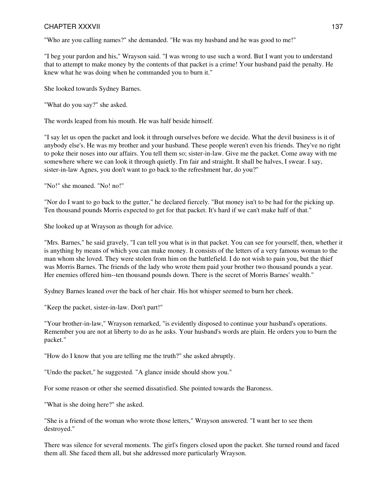"Who are you calling names?" she demanded. "He was my husband and he was good to me!"

"I beg your pardon and his," Wrayson said. "I was wrong to use such a word. But I want you to understand that to attempt to make money by the contents of that packet is a crime! Your husband paid the penalty. He knew what he was doing when he commanded you to burn it."

She looked towards Sydney Barnes.

"What do you say?" she asked.

The words leaped from his mouth. He was half beside himself.

"I say let us open the packet and look it through ourselves before we decide. What the devil business is it of anybody else's. He was my brother and your husband. These people weren't even his friends. They've no right to poke their noses into our affairs. You tell them so; sister-in-law. Give me the packet. Come away with me somewhere where we can look it through quietly. I'm fair and straight. It shall be halves, I swear. I say, sister-in-law Agnes, you don't want to go back to the refreshment bar, do you?"

"No!" she moaned. "No! no!"

"Nor do I want to go back to the gutter," he declared fiercely. "But money isn't to be had for the picking up. Ten thousand pounds Morris expected to get for that packet. It's hard if we can't make half of that."

She looked up at Wrayson as though for advice.

"Mrs. Barnes," he said gravely, "I can tell you what is in that packet. You can see for yourself, then, whether it is anything by means of which you can make money. It consists of the letters of a very famous woman to the man whom she loved. They were stolen from him on the battlefield. I do not wish to pain you, but the thief was Morris Barnes. The friends of the lady who wrote them paid your brother two thousand pounds a year. Her enemies offered him--ten thousand pounds down. There is the secret of Morris Barnes' wealth."

Sydney Barnes leaned over the back of her chair. His hot whisper seemed to burn her cheek.

"Keep the packet, sister-in-law. Don't part!"

"Your brother-in-law," Wrayson remarked, "is evidently disposed to continue your husband's operations. Remember you are not at liberty to do as he asks. Your husband's words are plain. He orders you to burn the packet."

"How do I know that you are telling me the truth?" she asked abruptly.

"Undo the packet," he suggested. "A glance inside should show you."

For some reason or other she seemed dissatisfied. She pointed towards the Baroness.

"What is she doing here?" she asked.

"She is a friend of the woman who wrote those letters," Wrayson answered. "I want her to see them destroyed."

There was silence for several moments. The girl's fingers closed upon the packet. She turned round and faced them all. She faced them all, but she addressed more particularly Wrayson.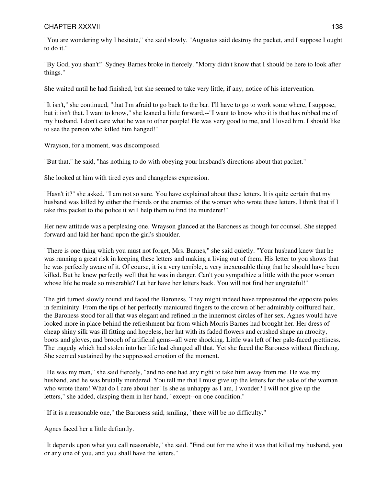"You are wondering why I hesitate," she said slowly. "Augustus said destroy the packet, and I suppose I ought to do it."

"By God, you shan't!" Sydney Barnes broke in fiercely. "Morry didn't know that I should be here to look after things."

She waited until he had finished, but she seemed to take very little, if any, notice of his intervention.

"It isn't," she continued, "that I'm afraid to go back to the bar. I'll have to go to work some where, I suppose, but it isn't that. I want to know," she leaned a little forward,--"I want to know who it is that has robbed me of my husband. I don't care what he was to other people! He was very good to me, and I loved him. I should like to see the person who killed him hanged!"

Wrayson, for a moment, was discomposed.

"But that," he said, "has nothing to do with obeying your husband's directions about that packet."

She looked at him with tired eyes and changeless expression.

"Hasn't it?" she asked. "I am not so sure. You have explained about these letters. It is quite certain that my husband was killed by either the friends or the enemies of the woman who wrote these letters. I think that if I take this packet to the police it will help them to find the murderer!"

Her new attitude was a perplexing one. Wrayson glanced at the Baroness as though for counsel. She stepped forward and laid her hand upon the girl's shoulder.

"There is one thing which you must not forget, Mrs. Barnes," she said quietly. "Your husband knew that he was running a great risk in keeping these letters and making a living out of them. His letter to you shows that he was perfectly aware of it. Of course, it is a very terrible, a very inexcusable thing that he should have been killed. But he knew perfectly well that he was in danger. Can't you sympathize a little with the poor woman whose life he made so miserable? Let her have her letters back. You will not find her ungrateful!"

The girl turned slowly round and faced the Baroness. They might indeed have represented the opposite poles in femininity. From the tips of her perfectly manicured fingers to the crown of her admirably coiffured hair, the Baroness stood for all that was elegant and refined in the innermost circles of her sex. Agnes would have looked more in place behind the refreshment bar from which Morris Barnes had brought her. Her dress of cheap shiny silk was ill fitting and hopeless, her hat with its faded flowers and crushed shape an atrocity, boots and gloves, and brooch of artificial gems--all were shocking. Little was left of her pale-faced prettiness. The tragedy which had stolen into her life had changed all that. Yet she faced the Baroness without flinching. She seemed sustained by the suppressed emotion of the moment.

"He was my man," she said fiercely, "and no one had any right to take him away from me. He was my husband, and he was brutally murdered. You tell me that I must give up the letters for the sake of the woman who wrote them! What do I care about her! Is she as unhappy as I am, I wonder? I will not give up the letters," she added, clasping them in her hand, "except--on one condition."

"If it is a reasonable one," the Baroness said, smiling, "there will be no difficulty."

Agnes faced her a little defiantly.

"It depends upon what you call reasonable," she said. "Find out for me who it was that killed my husband, you or any one of you, and you shall have the letters."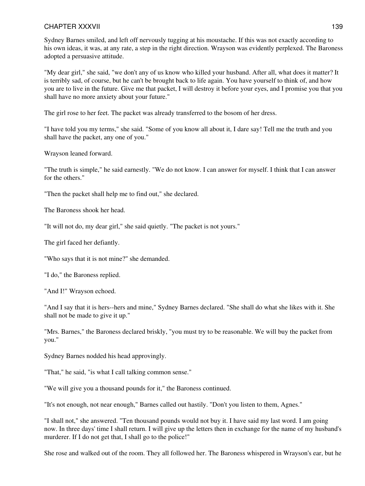Sydney Barnes smiled, and left off nervously tugging at his moustache. If this was not exactly according to his own ideas, it was, at any rate, a step in the right direction. Wrayson was evidently perplexed. The Baroness adopted a persuasive attitude.

"My dear girl," she said, "we don't any of us know who killed your husband. After all, what does it matter? It is terribly sad, of course, but he can't be brought back to life again. You have yourself to think of, and how you are to live in the future. Give me that packet, I will destroy it before your eyes, and I promise you that you shall have no more anxiety about your future."

The girl rose to her feet. The packet was already transferred to the bosom of her dress.

"I have told you my terms," she said. "Some of you know all about it, I dare say! Tell me the truth and you shall have the packet, any one of you."

Wrayson leaned forward.

"The truth is simple," he said earnestly. "We do not know. I can answer for myself. I think that I can answer for the others."

"Then the packet shall help me to find out," she declared.

The Baroness shook her head.

"It will not do, my dear girl," she said quietly. "The packet is not yours."

The girl faced her defiantly.

"Who says that it is not mine?" she demanded.

"I do," the Baroness replied.

"And I!" Wrayson echoed.

"And I say that it is hers--hers and mine," Sydney Barnes declared. "She shall do what she likes with it. She shall not be made to give it up."

"Mrs. Barnes," the Baroness declared briskly, "you must try to be reasonable. We will buy the packet from you."

Sydney Barnes nodded his head approvingly.

"That," he said, "is what I call talking common sense."

"We will give you a thousand pounds for it," the Baroness continued.

"It's not enough, not near enough," Barnes called out hastily. "Don't you listen to them, Agnes."

"I shall not," she answered. "Ten thousand pounds would not buy it. I have said my last word. I am going now. In three days' time I shall return. I will give up the letters then in exchange for the name of my husband's murderer. If I do not get that, I shall go to the police!"

She rose and walked out of the room. They all followed her. The Baroness whispered in Wrayson's ear, but he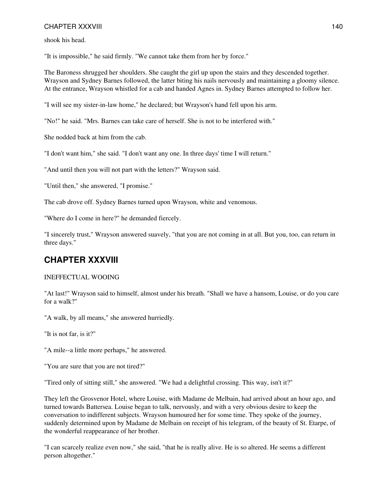shook his head.

"It is impossible," he said firmly. "We cannot take them from her by force."

The Baroness shrugged her shoulders. She caught the girl up upon the stairs and they descended together. Wrayson and Sydney Barnes followed, the latter biting his nails nervously and maintaining a gloomy silence. At the entrance, Wrayson whistled for a cab and handed Agnes in. Sydney Barnes attempted to follow her.

"I will see my sister-in-law home," he declared; but Wrayson's hand fell upon his arm.

"No!" he said. "Mrs. Barnes can take care of herself. She is not to be interfered with."

She nodded back at him from the cab.

"I don't want him," she said. "I don't want any one. In three days' time I will return."

"And until then you will not part with the letters?" Wrayson said.

"Until then," she answered, "I promise."

The cab drove off. Sydney Barnes turned upon Wrayson, white and venomous.

"Where do I come in here?" he demanded fiercely.

"I sincerely trust," Wrayson answered suavely, "that you are not coming in at all. But you, too, can return in three days."

### **CHAPTER XXXVIII**

#### INEFFECTUAL WOOING

"At last!" Wrayson said to himself, almost under his breath. "Shall we have a hansom, Louise, or do you care for a walk?"

"A walk, by all means," she answered hurriedly.

"It is not far, is it?"

"A mile--a little more perhaps," he answered.

"You are sure that you are not tired?"

"Tired only of sitting still," she answered. "We had a delightful crossing. This way, isn't it?"

They left the Grosvenor Hotel, where Louise, with Madame de Melbain, had arrived about an hour ago, and turned towards Battersea. Louise began to talk, nervously, and with a very obvious desire to keep the conversation to indifferent subjects. Wrayson humoured her for some time. They spoke of the journey, suddenly determined upon by Madame de Melbain on receipt of his telegram, of the beauty of St. Etarpe, of the wonderful reappearance of her brother.

"I can scarcely realize even now," she said, "that he is really alive. He is so altered. He seems a different person altogether."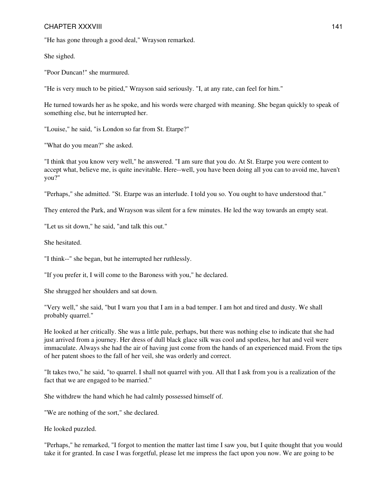"He has gone through a good deal," Wrayson remarked.

She sighed.

"Poor Duncan!" she murmured.

"He is very much to be pitied," Wrayson said seriously. "I, at any rate, can feel for him."

He turned towards her as he spoke, and his words were charged with meaning. She began quickly to speak of something else, but he interrupted her.

"Louise," he said, "is London so far from St. Etarpe?"

"What do you mean?" she asked.

"I think that you know very well," he answered. "I am sure that you do. At St. Etarpe you were content to accept what, believe me, is quite inevitable. Here--well, you have been doing all you can to avoid me, haven't you?"

"Perhaps," she admitted. "St. Etarpe was an interlude. I told you so. You ought to have understood that."

They entered the Park, and Wrayson was silent for a few minutes. He led the way towards an empty seat.

"Let us sit down," he said, "and talk this out."

She hesitated.

"I think--" she began, but he interrupted her ruthlessly.

"If you prefer it, I will come to the Baroness with you," he declared.

She shrugged her shoulders and sat down.

"Very well," she said, "but I warn you that I am in a bad temper. I am hot and tired and dusty. We shall probably quarrel."

He looked at her critically. She was a little pale, perhaps, but there was nothing else to indicate that she had just arrived from a journey. Her dress of dull black glace silk was cool and spotless, her hat and veil were immaculate. Always she had the air of having just come from the hands of an experienced maid. From the tips of her patent shoes to the fall of her veil, she was orderly and correct.

"It takes two," he said, "to quarrel. I shall not quarrel with you. All that I ask from you is a realization of the fact that we are engaged to be married."

She withdrew the hand which he had calmly possessed himself of.

"We are nothing of the sort," she declared.

He looked puzzled.

"Perhaps," he remarked, "I forgot to mention the matter last time I saw you, but I quite thought that you would take it for granted. In case I was forgetful, please let me impress the fact upon you now. We are going to be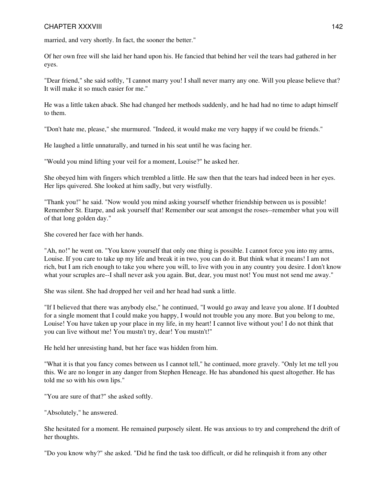married, and very shortly. In fact, the sooner the better."

Of her own free will she laid her hand upon his. He fancied that behind her veil the tears had gathered in her eyes.

"Dear friend," she said softly, "I cannot marry you! I shall never marry any one. Will you please believe that? It will make it so much easier for me."

He was a little taken aback. She had changed her methods suddenly, and he had had no time to adapt himself to them.

"Don't hate me, please," she murmured. "Indeed, it would make me very happy if we could be friends."

He laughed a little unnaturally, and turned in his seat until he was facing her.

"Would you mind lifting your veil for a moment, Louise?" he asked her.

She obeyed him with fingers which trembled a little. He saw then that the tears had indeed been in her eyes. Her lips quivered. She looked at him sadly, but very wistfully.

"Thank you!" he said. "Now would you mind asking yourself whether friendship between us is possible! Remember St. Etarpe, and ask yourself that! Remember our seat amongst the roses--remember what you will of that long golden day."

She covered her face with her hands.

"Ah, no!" he went on. "You know yourself that only one thing is possible. I cannot force you into my arms, Louise. If you care to take up my life and break it in two, you can do it. But think what it means! I am not rich, but I am rich enough to take you where you will, to live with you in any country you desire. I don't know what your scruples are--I shall never ask you again. But, dear, you must not! You must not send me away."

She was silent. She had dropped her veil and her head had sunk a little.

"If I believed that there was anybody else," he continued, "I would go away and leave you alone. If I doubted for a single moment that I could make you happy, I would not trouble you any more. But you belong to me, Louise! You have taken up your place in my life, in my heart! I cannot live without you! I do not think that you can live without me! You mustn't try, dear! You mustn't!"

He held her unresisting hand, but her face was hidden from him.

"What it is that you fancy comes between us I cannot tell," he continued, more gravely. "Only let me tell you this. We are no longer in any danger from Stephen Heneage. He has abandoned his quest altogether. He has told me so with his own lips."

"You are sure of that?" she asked softly.

"Absolutely," he answered.

She hesitated for a moment. He remained purposely silent. He was anxious to try and comprehend the drift of her thoughts.

"Do you know why?" she asked. "Did he find the task too difficult, or did he relinquish it from any other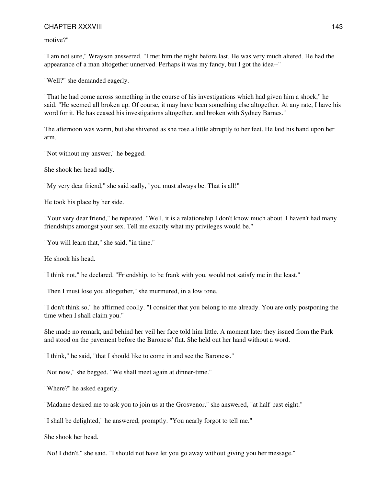motive?"

"I am not sure," Wrayson answered. "I met him the night before last. He was very much altered. He had the appearance of a man altogether unnerved. Perhaps it was my fancy, but I got the idea--"

"Well?" she demanded eagerly.

"That he had come across something in the course of his investigations which had given him a shock," he said. "He seemed all broken up. Of course, it may have been something else altogether. At any rate, I have his word for it. He has ceased his investigations altogether, and broken with Sydney Barnes."

The afternoon was warm, but she shivered as she rose a little abruptly to her feet. He laid his hand upon her arm.

"Not without my answer," he begged.

She shook her head sadly.

"My very dear friend," she said sadly, "you must always be. That is all!"

He took his place by her side.

"Your very dear friend," he repeated. "Well, it is a relationship I don't know much about. I haven't had many friendships amongst your sex. Tell me exactly what my privileges would be."

"You will learn that," she said, "in time."

He shook his head.

"I think not," he declared. "Friendship, to be frank with you, would not satisfy me in the least."

"Then I must lose you altogether," she murmured, in a low tone.

"I don't think so," he affirmed coolly. "I consider that you belong to me already. You are only postponing the time when I shall claim you."

She made no remark, and behind her veil her face told him little. A moment later they issued from the Park and stood on the pavement before the Baroness' flat. She held out her hand without a word.

"I think," he said, "that I should like to come in and see the Baroness."

"Not now," she begged. "We shall meet again at dinner-time."

"Where?" he asked eagerly.

"Madame desired me to ask you to join us at the Grosvenor," she answered, "at half-past eight."

"I shall be delighted," he answered, promptly. "You nearly forgot to tell me."

She shook her head.

"No! I didn't," she said. "I should not have let you go away without giving you her message."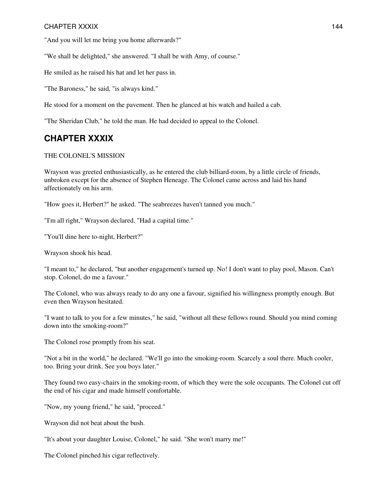"And you will let me bring you home afterwards?"

"We shall be delighted," she answered. "I shall be with Amy, of course."

He smiled as he raised his hat and let her pass in.

"The Baroness," he said, "is always kind."

He stood for a moment on the pavement. Then he glanced at his watch and hailed a cab.

"The Sheridan Club," he told the man. He had decided to appeal to the Colonel.

### **CHAPTER XXXIX**

#### THE COLONEL'S MISSION

Wrayson was greeted enthusiastically, as he entered the club billiard-room, by a little circle of friends, unbroken except for the absence of Stephen Heneage. The Colonel came across and laid his hand affectionately on his arm.

"How goes it, Herbert?" he asked. "The seabreezes haven't tanned you much."

"I'm all right," Wrayson declared. "Had a capital time."

"You'll dine here to-night, Herbert?"

Wrayson shook his head.

"I meant to," he declared, "but another engagement's turned up. No! I don't want to play pool, Mason. Can't stop. Colonel, do me a favour."

The Colonel, who was always ready to do any one a favour, signified his willingness promptly enough. But even then Wrayson hesitated.

"I want to talk to you for a few minutes," he said, "without all these fellows round. Should you mind coming down into the smoking-room?"

The Colonel rose promptly from his seat.

"Not a bit in the world," he declared. "We'll go into the smoking-room. Scarcely a soul there. Much cooler, too. Bring your drink. See you boys later."

They found two easy-chairs in the smoking-room, of which they were the sole occupants. The Colonel cut off the end of his cigar and made himself comfortable.

"Now, my young friend," he said, "proceed."

Wrayson did not beat about the bush.

"It's about your daughter Louise, Colonel," he said. "She won't marry me!"

The Colonel pinched his cigar reflectively.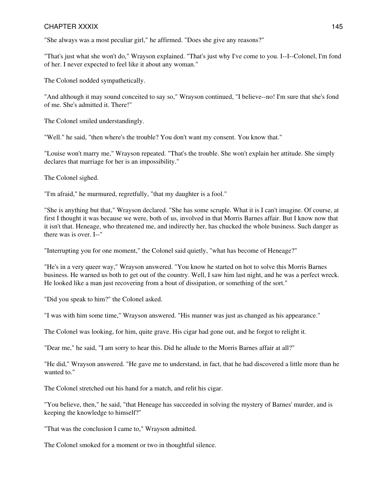#### CHAPTER XXXIX 145

"She always was a most peculiar girl," he affirmed. "Does she give any reasons?"

"That's just what she won't do," Wrayson explained. "That's just why I've come to you. I--I--Colonel, I'm fond of her. I never expected to feel like it about any woman."

The Colonel nodded sympathetically.

"And although it may sound conceited to say so," Wrayson continued, "I believe--no! I'm sure that she's fond of me. She's admitted it. There!"

The Colonel smiled understandingly.

"Well." he said, "then where's the trouble? You don't want my consent. You know that."

"Louise won't marry me," Wrayson repeated. "That's the trouble. She won't explain her attitude. She simply declares that marriage for her is an impossibility."

The Colonel sighed.

"I'm afraid," he murmured, regretfully, "that my daughter is a fool."

"She is anything but that," Wrayson declared. "She has some scruple. What it is I can't imagine. Of course, at first I thought it was because we were, both of us, involved in that Morris Barnes affair. But I know now that it isn't that. Heneage, who threatened me, and indirectly her, has chucked the whole business. Such danger as there was is over. I--"

"Interrupting you for one moment," the Colonel said quietly, "what has become of Heneage?"

"He's in a very queer way," Wrayson answered. "You know he started on hot to solve this Morris Barnes business. He warned us both to get out of the country. Well, I saw him last night, and he was a perfect wreck. He looked like a man just recovering from a bout of dissipation, or something of the sort."

"Did you speak to him?" the Colonel asked.

"I was with him some time," Wrayson answered. "His manner was just as changed as his appearance."

The Colonel was looking, for him, quite grave. His cigar had gone out, and he forgot to relight it.

"Dear me," he said, "I am sorry to hear this. Did he allude to the Morris Barnes affair at all?"

"He did," Wrayson answered. "He gave me to understand, in fact, that he had discovered a little more than he wanted to."

The Colonel stretched out his hand for a match, and relit his cigar.

"You believe, then," he said, "that Heneage has succeeded in solving the mystery of Barnes' murder, and is keeping the knowledge to himself?"

"That was the conclusion I came to," Wrayson admitted.

The Colonel smoked for a moment or two in thoughtful silence.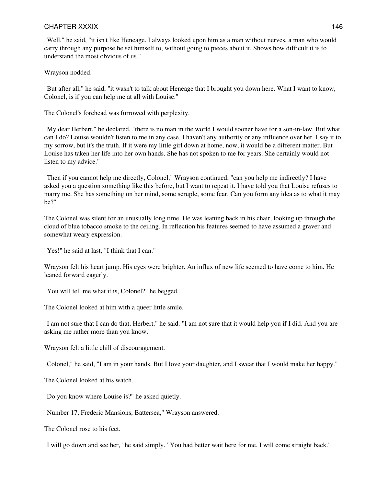#### CHAPTER XXXIX 146

"Well," he said, "it isn't like Heneage. I always looked upon him as a man without nerves, a man who would carry through any purpose he set himself to, without going to pieces about it. Shows how difficult it is to understand the most obvious of us."

Wrayson nodded.

"But after all," he said, "it wasn't to talk about Heneage that I brought you down here. What I want to know, Colonel, is if you can help me at all with Louise."

The Colonel's forehead was furrowed with perplexity.

"My dear Herbert," he declared, "there is no man in the world I would sooner have for a son-in-law. But what can I do? Louise wouldn't listen to me in any case. I haven't any authority or any influence over her. I say it to my sorrow, but it's the truth. If it were my little girl down at home, now, it would be a different matter. But Louise has taken her life into her own hands. She has not spoken to me for years. She certainly would not listen to my advice."

"Then if you cannot help me directly, Colonel," Wrayson continued, "can you help me indirectly? I have asked you a question something like this before, but I want to repeat it. I have told you that Louise refuses to marry me. She has something on her mind, some scruple, some fear. Can you form any idea as to what it may be?"

The Colonel was silent for an unusually long time. He was leaning back in his chair, looking up through the cloud of blue tobacco smoke to the ceiling. In reflection his features seemed to have assumed a graver and somewhat weary expression.

"Yes!" he said at last, "I think that I can."

Wrayson felt his heart jump. His eyes were brighter. An influx of new life seemed to have come to him. He leaned forward eagerly.

"You will tell me what it is, Colonel?" he begged.

The Colonel looked at him with a queer little smile.

"I am not sure that I can do that, Herbert," he said. "I am not sure that it would help you if I did. And you are asking me rather more than you know."

Wrayson felt a little chill of discouragement.

"Colonel," he said, "I am in your hands. But I love your daughter, and I swear that I would make her happy."

The Colonel looked at his watch.

"Do you know where Louise is?" he asked quietly.

"Number 17, Frederic Mansions, Battersea," Wrayson answered.

The Colonel rose to his feet.

"I will go down and see her," he said simply. "You had better wait here for me. I will come straight back."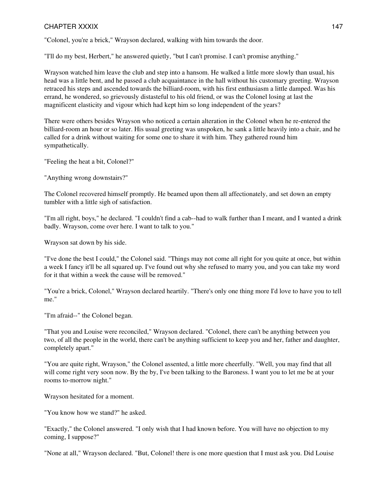#### CHAPTER XXXIX 147

"Colonel, you're a brick," Wrayson declared, walking with him towards the door.

"I'll do my best, Herbert," he answered quietly, "but I can't promise. I can't promise anything."

Wrayson watched him leave the club and step into a hansom. He walked a little more slowly than usual, his head was a little bent, and he passed a club acquaintance in the hall without his customary greeting. Wrayson retraced his steps and ascended towards the billiard-room, with his first enthusiasm a little damped. Was his errand, he wondered, so grievously distasteful to his old friend, or was the Colonel losing at last the magnificent elasticity and vigour which had kept him so long independent of the years?

There were others besides Wrayson who noticed a certain alteration in the Colonel when he re-entered the billiard-room an hour or so later. His usual greeting was unspoken, he sank a little heavily into a chair, and he called for a drink without waiting for some one to share it with him. They gathered round him sympathetically.

"Feeling the heat a bit, Colonel?"

"Anything wrong downstairs?"

The Colonel recovered himself promptly. He beamed upon them all affectionately, and set down an empty tumbler with a little sigh of satisfaction.

"I'm all right, boys," he declared. "I couldn't find a cab--had to walk further than I meant, and I wanted a drink badly. Wrayson, come over here. I want to talk to you."

Wrayson sat down by his side.

"I've done the best I could," the Colonel said. "Things may not come all right for you quite at once, but within a week I fancy it'll be all squared up. I've found out why she refused to marry you, and you can take my word for it that within a week the cause will be removed."

"You're a brick, Colonel," Wrayson declared heartily. "There's only one thing more I'd love to have you to tell me."

"I'm afraid--" the Colonel began.

"That you and Louise were reconciled," Wrayson declared. "Colonel, there can't be anything between you two, of all the people in the world, there can't be anything sufficient to keep you and her, father and daughter, completely apart."

"You are quite right, Wrayson," the Colonel assented, a little more cheerfully. "Well, you may find that all will come right very soon now. By the by, I've been talking to the Baroness. I want you to let me be at your rooms to-morrow night."

Wrayson hesitated for a moment.

"You know how we stand?" he asked.

"Exactly," the Colonel answered. "I only wish that I had known before. You will have no objection to my coming, I suppose?"

"None at all," Wrayson declared. "But, Colonel! there is one more question that I must ask you. Did Louise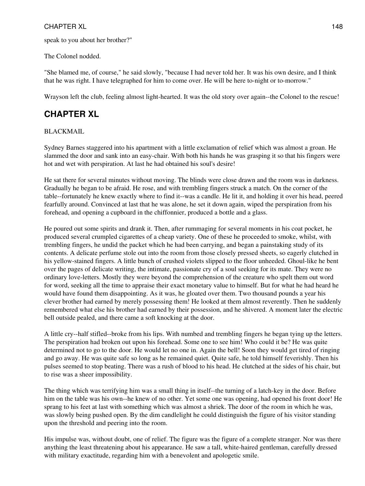speak to you about her brother?"

The Colonel nodded.

"She blamed me, of course," he said slowly, "because I had never told her. It was his own desire, and I think that he was right. I have telegraphed for him to come over. He will be here to-night or to-morrow."

Wrayson left the club, feeling almost light-hearted. It was the old story over again--the Colonel to the rescue!

## **CHAPTER XL**

#### BLACKMAIL

Sydney Barnes staggered into his apartment with a little exclamation of relief which was almost a groan. He slammed the door and sank into an easy-chair. With both his hands he was grasping it so that his fingers were hot and wet with perspiration. At last he had obtained his soul's desire!

He sat there for several minutes without moving. The blinds were close drawn and the room was in darkness. Gradually he began to be afraid. He rose, and with trembling fingers struck a match. On the corner of the table--fortunately he knew exactly where to find it--was a candle. He lit it, and holding it over his head, peered fearfully around. Convinced at last that he was alone, he set it down again, wiped the perspiration from his forehead, and opening a cupboard in the chiffonnier, produced a bottle and a glass.

He poured out some spirits and drank it. Then, after rummaging for several moments in his coat pocket, he produced several crumpled cigarettes of a cheap variety. One of these he proceeded to smoke, whilst, with trembling fingers, he undid the packet which he had been carrying, and began a painstaking study of its contents. A delicate perfume stole out into the room from those closely pressed sheets, so eagerly clutched in his yellow-stained fingers. A little bunch of crushed violets slipped to the floor unheeded. Ghoul-like he bent over the pages of delicate writing, the intimate, passionate cry of a soul seeking for its mate. They were no ordinary love-letters. Mostly they were beyond the comprehension of the creature who spelt them out word for word, seeking all the time to appraise their exact monetary value to himself. But for what he had heard he would have found them disappointing. As it was, he gloated over them. Two thousand pounds a year his clever brother had earned by merely possessing them! He looked at them almost reverently. Then he suddenly remembered what else his brother had earned by their possession, and he shivered. A moment later the electric bell outside pealed, and there came a soft knocking at the door.

A little cry--half stifled--broke from his lips. With numbed and trembling fingers he began tying up the letters. The perspiration had broken out upon his forehead. Some one to see him! Who could it be? He was quite determined not to go to the door. He would let no one in. Again the bell! Soon they would get tired of ringing and go away. He was quite safe so long as he remained quiet. Quite safe, he told himself feverishly. Then his pulses seemed to stop beating. There was a rush of blood to his head. He clutched at the sides of his chair, but to rise was a sheer impossibility.

The thing which was terrifying him was a small thing in itself--the turning of a latch-key in the door. Before him on the table was his own--he knew of no other. Yet some one was opening, had opened his front door! He sprang to his feet at last with something which was almost a shriek. The door of the room in which he was, was slowly being pushed open. By the dim candlelight he could distinguish the figure of his visitor standing upon the threshold and peering into the room.

His impulse was, without doubt, one of relief. The figure was the figure of a complete stranger. Nor was there anything the least threatening about his appearance. He saw a tall, white-haired gentleman, carefully dressed with military exactitude, regarding him with a benevolent and apologetic smile.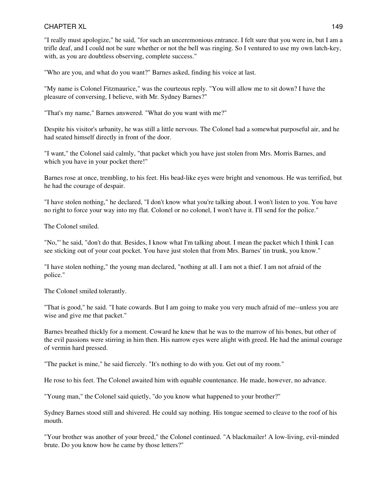"I really must apologize," he said, "for such an unceremonious entrance. I felt sure that you were in, but I am a trifle deaf, and I could not be sure whether or not the bell was ringing. So I ventured to use my own latch-key, with, as you are doubtless observing, complete success."

"Who are you, and what do you want?" Barnes asked, finding his voice at last.

"My name is Colonel Fitzmaurice," was the courteous reply. "You will allow me to sit down? I have the pleasure of conversing, I believe, with Mr. Sydney Barnes?"

"That's my name," Barnes answered. "What do you want with me?"

Despite his visitor's urbanity, he was still a little nervous. The Colonel had a somewhat purposeful air, and he had seated himself directly in front of the door.

"I want," the Colonel said calmly, "that packet which you have just stolen from Mrs. Morris Barnes, and which you have in your pocket there!"

Barnes rose at once, trembling, to his feet. His bead-like eyes were bright and venomous. He was terrified, but he had the courage of despair.

"I have stolen nothing," he declared, "I don't know what you're talking about. I won't listen to you. You have no right to force your way into my flat. Colonel or no colonel, I won't have it. I'll send for the police."

The Colonel smiled.

"No,"' he said, "don't do that. Besides, I know what I'm talking about. I mean the packet which I think I can see sticking out of your coat pocket. You have just stolen that from Mrs. Barnes' tin trunk, you know."

"I have stolen nothing," the young man declared, "nothing at all. I am not a thief. I am not afraid of the police."

The Colonel smiled tolerantly.

"That is good," he said. "I hate cowards. But I am going to make you very much afraid of me--unless you are wise and give me that packet."

Barnes breathed thickly for a moment. Coward he knew that he was to the marrow of his bones, but other of the evil passions were stirring in him then. His narrow eyes were alight with greed. He had the animal courage of vermin hard pressed.

"The packet is mine," he said fiercely. "It's nothing to do with you. Get out of my room."

He rose to his feet. The Colonel awaited him with equable countenance. He made, however, no advance.

"Young man," the Colonel said quietly, "do you know what happened to your brother?"

Sydney Barnes stood still and shivered. He could say nothing. His tongue seemed to cleave to the roof of his mouth.

"Your brother was another of your breed," the Colonel continued. "A blackmailer! A low-living, evil-minded brute. Do you know how he came by those letters?"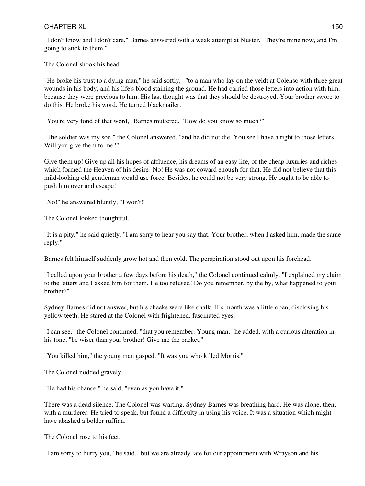"I don't know and I don't care," Barnes answered with a weak attempt at bluster. "They're mine now, and I'm going to stick to them."

The Colonel shook his head.

"He broke his trust to a dying man," he said softly,--"to a man who lay on the veldt at Colenso with three great wounds in his body, and his life's blood staining the ground. He had carried those letters into action with him, because they were precious to him. His last thought was that they should be destroyed. Your brother swore to do this. He broke his word. He turned blackmailer."

"You're very fond of that word," Barnes muttered. "How do you know so much?"

"The soldier was my son," the Colonel answered, "and he did not die. You see I have a right to those letters. Will you give them to me?"

Give them up! Give up all his hopes of affluence, his dreams of an easy life, of the cheap luxuries and riches which formed the Heaven of his desire! No! He was not coward enough for that. He did not believe that this mild-looking old gentleman would use force. Besides, he could not be very strong. He ought to be able to push him over and escape!

"No!" he answered bluntly, "I won't!"

The Colonel looked thoughtful.

"It is a pity," he said quietly. "I am sorry to hear you say that. Your brother, when I asked him, made the same reply."

Barnes felt himself suddenly grow hot and then cold. The perspiration stood out upon his forehead.

"I called upon your brother a few days before his death," the Colonel continued calmly. "I explained my claim to the letters and I asked him for them. He too refused! Do you remember, by the by, what happened to your brother?"

Sydney Barnes did not answer, but his cheeks were like chalk. His mouth was a little open, disclosing his yellow teeth. He stared at the Colonel with frightened, fascinated eyes.

"I can see," the Colonel continued, "that you remember. Young man," he added, with a curious alteration in his tone, "be wiser than your brother! Give me the packet."

"You killed him," the young man gasped. "It was you who killed Morris."

The Colonel nodded gravely.

"He had his chance," he said, "even as you have it."

There was a dead silence. The Colonel was waiting. Sydney Barnes was breathing hard. He was alone, then, with a murderer. He tried to speak, but found a difficulty in using his voice. It was a situation which might have abashed a bolder ruffian.

The Colonel rose to his feet.

"I am sorry to hurry you," he said, "but we are already late for our appointment with Wrayson and his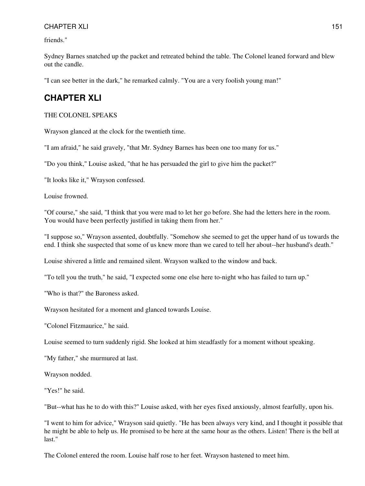friends."

Sydney Barnes snatched up the packet and retreated behind the table. The Colonel leaned forward and blew out the candle.

"I can see better in the dark," he remarked calmly. "You are a very foolish young man!"

### **CHAPTER XLI**

#### THE COLONEL SPEAKS

Wrayson glanced at the clock for the twentieth time.

"I am afraid," he said gravely, "that Mr. Sydney Barnes has been one too many for us."

"Do you think," Louise asked, "that he has persuaded the girl to give him the packet?"

"It looks like it," Wrayson confessed.

Louise frowned.

"Of course," she said, "I think that you were mad to let her go before. She had the letters here in the room. You would have been perfectly justified in taking them from her."

"I suppose so," Wrayson assented, doubtfully. "Somehow she seemed to get the upper hand of us towards the end. I think she suspected that some of us knew more than we cared to tell her about--her husband's death."

Louise shivered a little and remained silent. Wrayson walked to the window and back.

"To tell you the truth," he said, "I expected some one else here to-night who has failed to turn up."

"Who is that?" the Baroness asked.

Wrayson hesitated for a moment and glanced towards Louise.

"Colonel Fitzmaurice," he said.

Louise seemed to turn suddenly rigid. She looked at him steadfastly for a moment without speaking.

"My father," she murmured at last.

Wrayson nodded.

"Yes!" he said.

"But--what has he to do with this?" Louise asked, with her eyes fixed anxiously, almost fearfully, upon his.

"I went to him for advice," Wrayson said quietly. "He has been always very kind, and I thought it possible that he might be able to help us. He promised to be here at the same hour as the others. Listen! There is the bell at last."

The Colonel entered the room. Louise half rose to her feet. Wrayson hastened to meet him.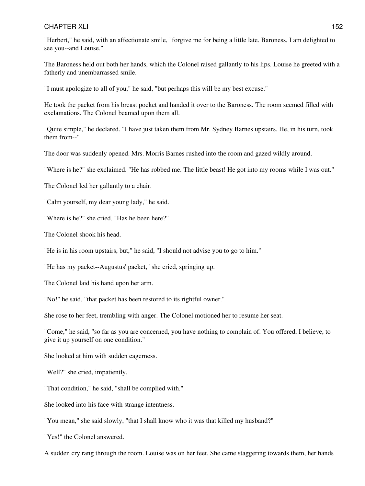"Herbert," he said, with an affectionate smile, "forgive me for being a little late. Baroness, I am delighted to see you--and Louise."

The Baroness held out both her hands, which the Colonel raised gallantly to his lips. Louise he greeted with a fatherly and unembarrassed smile.

"I must apologize to all of you," he said, "but perhaps this will be my best excuse."

He took the packet from his breast pocket and handed it over to the Baroness. The room seemed filled with exclamations. The Colonel beamed upon them all.

"Quite simple," he declared. "I have just taken them from Mr. Sydney Barnes upstairs. He, in his turn, took them from--"

The door was suddenly opened. Mrs. Morris Barnes rushed into the room and gazed wildly around.

"Where is he?" she exclaimed. "He has robbed me. The little beast! He got into my rooms while I was out."

The Colonel led her gallantly to a chair.

"Calm yourself, my dear young lady," he said.

"Where is he?" she cried. "Has he been here?"

The Colonel shook his head.

"He is in his room upstairs, but," he said, "I should not advise you to go to him."

"He has my packet--Augustus' packet," she cried, springing up.

The Colonel laid his hand upon her arm.

"No!" he said, "that packet has been restored to its rightful owner."

She rose to her feet, trembling with anger. The Colonel motioned her to resume her seat.

"Come," he said, "so far as you are concerned, you have nothing to complain of. You offered, I believe, to give it up yourself on one condition."

She looked at him with sudden eagerness.

"Well?" she cried, impatiently.

"That condition," he said, "shall be complied with."

She looked into his face with strange intentness.

"You mean," she said slowly, "that I shall know who it was that killed my husband?"

"Yes!" the Colonel answered.

A sudden cry rang through the room. Louise was on her feet. She came staggering towards them, her hands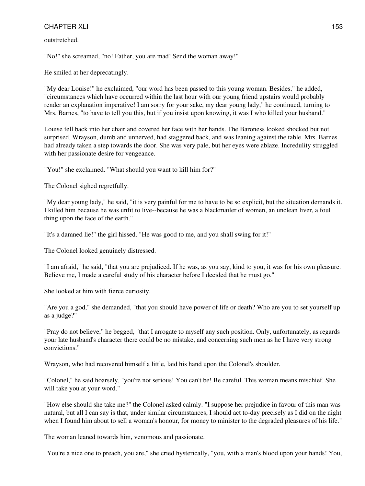outstretched.

"No!" she screamed, "no! Father, you are mad! Send the woman away!"

He smiled at her deprecatingly.

"My dear Louise!" he exclaimed, "our word has been passed to this young woman. Besides," he added, "circumstances which have occurred within the last hour with our young friend upstairs would probably render an explanation imperative! I am sorry for your sake, my dear young lady," he continued, turning to Mrs. Barnes, "to have to tell you this, but if you insist upon knowing, it was I who killed your husband."

Louise fell back into her chair and covered her face with her hands. The Baroness looked shocked but not surprised. Wrayson, dumb and unnerved, had staggered back, and was leaning against the table. Mrs. Barnes had already taken a step towards the door. She was very pale, but her eyes were ablaze. Incredulity struggled with her passionate desire for vengeance.

"You!" she exclaimed. "What should you want to kill him for?"

The Colonel sighed regretfully.

"My dear young lady," he said, "it is very painful for me to have to be so explicit, but the situation demands it. I killed him because he was unfit to live--because he was a blackmailer of women, an unclean liver, a foul thing upon the face of the earth."

"It's a damned lie!" the girl hissed. "He was good to me, and you shall swing for it!"

The Colonel looked genuinely distressed.

"I am afraid," he said, "that you are prejudiced. If he was, as you say, kind to you, it was for his own pleasure. Believe me, I made a careful study of his character before I decided that he must go."

She looked at him with fierce curiosity.

"Are you a god," she demanded, "that you should have power of life or death? Who are you to set yourself up as a judge?"

"Pray do not believe," he begged, "that I arrogate to myself any such position. Only, unfortunately, as regards your late husband's character there could be no mistake, and concerning such men as he I have very strong convictions."

Wrayson, who had recovered himself a little, laid his hand upon the Colonel's shoulder.

"Colonel," he said hoarsely, "you're not serious! You can't be! Be careful. This woman means mischief. She will take you at your word."

"How else should she take me?" the Colonel asked calmly. "I suppose her prejudice in favour of this man was natural, but all I can say is that, under similar circumstances, I should act to-day precisely as I did on the night when I found him about to sell a woman's honour, for money to minister to the degraded pleasures of his life."

The woman leaned towards him, venomous and passionate.

"You're a nice one to preach, you are," she cried hysterically, "you, with a man's blood upon your hands! You,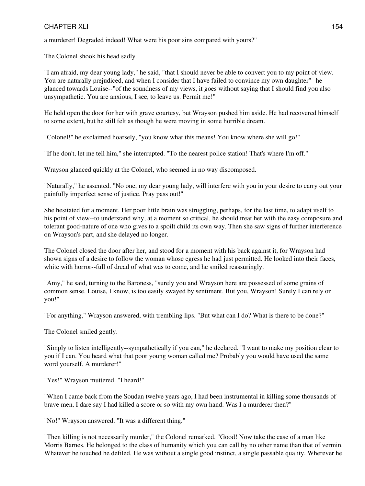a murderer! Degraded indeed! What were his poor sins compared with yours?"

The Colonel shook his head sadly.

"I am afraid, my dear young lady," he said, "that I should never be able to convert you to my point of view. You are naturally prejudiced, and when I consider that I have failed to convince my own daughter"--he glanced towards Louise--"of the soundness of my views, it goes without saying that I should find you also unsympathetic. You are anxious, I see, to leave us. Permit me!"

He held open the door for her with grave courtesy, but Wrayson pushed him aside. He had recovered himself to some extent, but he still felt as though he were moving in some horrible dream.

"Colonel!" he exclaimed hoarsely, "you know what this means! You know where she will go!"

"If he don't, let me tell him," she interrupted. "To the nearest police station! That's where I'm off."

Wrayson glanced quickly at the Colonel, who seemed in no way discomposed.

"Naturally," he assented. "No one, my dear young lady, will interfere with you in your desire to carry out your painfully imperfect sense of justice. Pray pass out!"

She hesitated for a moment. Her poor little brain was struggling, perhaps, for the last time, to adapt itself to his point of view--to understand why, at a moment so critical, he should treat her with the easy composure and tolerant good-nature of one who gives to a spoilt child its own way. Then she saw signs of further interference on Wrayson's part, and she delayed no longer.

The Colonel closed the door after her, and stood for a moment with his back against it, for Wrayson had shown signs of a desire to follow the woman whose egress he had just permitted. He looked into their faces, white with horror--full of dread of what was to come, and he smiled reassuringly.

"Amy," he said, turning to the Baroness, "surely you and Wrayson here are possessed of some grains of common sense. Louise, I know, is too easily swayed by sentiment. But you, Wrayson! Surely I can rely on you!"

"For anything," Wrayson answered, with trembling lips. "But what can I do? What is there to be done?"

The Colonel smiled gently.

"Simply to listen intelligently--sympathetically if you can," he declared. "I want to make my position clear to you if I can. You heard what that poor young woman called me? Probably you would have used the same word yourself. A murderer!"

"Yes!" Wrayson muttered. "I heard!"

"When I came back from the Soudan twelve years ago, I had been instrumental in killing some thousands of brave men, I dare say I had killed a score or so with my own hand. Was I a murderer then?"

"No!" Wrayson answered. "It was a different thing."

"Then killing is not necessarily murder," the Colonel remarked. "Good! Now take the case of a man like Morris Barnes. He belonged to the class of humanity which you can call by no other name than that of vermin. Whatever he touched he defiled. He was without a single good instinct, a single passable quality. Wherever he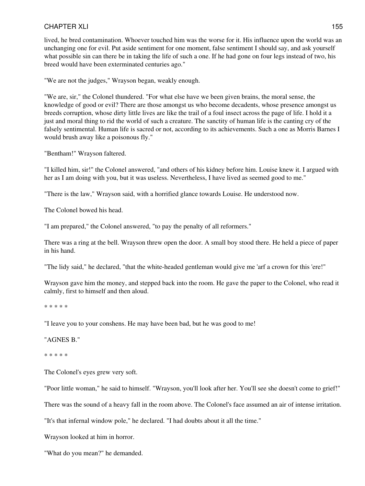lived, he bred contamination. Whoever touched him was the worse for it. His influence upon the world was an unchanging one for evil. Put aside sentiment for one moment, false sentiment I should say, and ask yourself what possible sin can there be in taking the life of such a one. If he had gone on four legs instead of two, his breed would have been exterminated centuries ago."

"We are not the judges," Wrayson began, weakly enough.

"We are, sir," the Colonel thundered. "For what else have we been given brains, the moral sense, the knowledge of good or evil? There are those amongst us who become decadents, whose presence amongst us breeds corruption, whose dirty little lives are like the trail of a foul insect across the page of life. I hold it a just and moral thing to rid the world of such a creature. The sanctity of human life is the canting cry of the falsely sentimental. Human life is sacred or not, according to its achievements. Such a one as Morris Barnes I would brush away like a poisonous fly."

"Bentham!" Wrayson faltered.

"I killed him, sir!" the Colonel answered, "and others of his kidney before him. Louise knew it. I argued with her as I am doing with you, but it was useless. Nevertheless, I have lived as seemed good to me."

"There is the law," Wrayson said, with a horrified glance towards Louise. He understood now.

The Colonel bowed his head.

"I am prepared," the Colonel answered, "to pay the penalty of all reformers."

There was a ring at the bell. Wrayson threw open the door. A small boy stood there. He held a piece of paper in his hand.

"The lidy said," he declared, "that the white-headed gentleman would give me 'arf a crown for this 'ere!"

Wrayson gave him the money, and stepped back into the room. He gave the paper to the Colonel, who read it calmly, first to himself and then aloud.

\* \* \* \* \*

"I leave you to your conshens. He may have been bad, but he was good to me!

"AGNES B."

\* \* \* \* \*

The Colonel's eyes grew very soft.

"Poor little woman," he said to himself. "Wrayson, you'll look after her. You'll see she doesn't come to grief!"

There was the sound of a heavy fall in the room above. The Colonel's face assumed an air of intense irritation.

"It's that infernal window pole," he declared. "I had doubts about it all the time."

Wrayson looked at him in horror.

"What do you mean?" he demanded.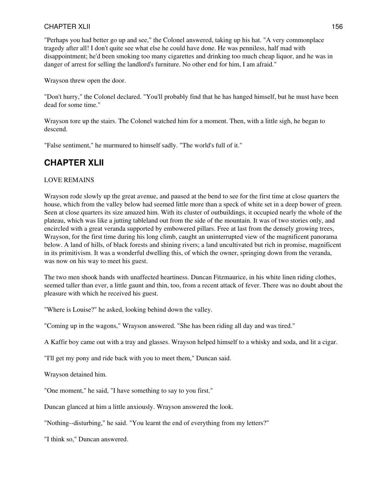"Perhaps you had better go up and see," the Colonel answered, taking up his hat. "A very commonplace tragedy after all! I don't quite see what else he could have done. He was penniless, half mad with disappointment; he'd been smoking too many cigarettes and drinking too much cheap liquor, and he was in danger of arrest for selling the landlord's furniture. No other end for him, I am afraid."

Wrayson threw open the door.

"Don't hurry," the Colonel declared. "You'll probably find that he has hanged himself, but he must have been dead for some time."

Wrayson tore up the stairs. The Colonel watched him for a moment. Then, with a little sigh, he began to descend.

"False sentiment," he murmured to himself sadly. "The world's full of it."

## **CHAPTER XLII**

#### LOVE REMAINS

Wrayson rode slowly up the great avenue, and paused at the bend to see for the first time at close quarters the house, which from the valley below had seemed little more than a speck of white set in a deep bower of green. Seen at close quarters its size amazed him. With its cluster of outbuildings, it occupied nearly the whole of the plateau, which was like a jutting tableland out from the side of the mountain. It was of two stories only, and encircled with a great veranda supported by embowered pillars. Free at last from the densely growing trees, Wrayson, for the first time during his long climb, caught an uninterrupted view of the magnificent panorama below. A land of hills, of black forests and shining rivers; a land uncultivated but rich in promise, magnificent in its primitivism. It was a wonderful dwelling this, of which the owner, springing down from the veranda, was now on his way to meet his guest.

The two men shook hands with unaffected heartiness. Duncan Fitzmaurice, in his white linen riding clothes, seemed taller than ever, a little gaunt and thin, too, from a recent attack of fever. There was no doubt about the pleasure with which he received his guest.

"Where is Louise?" he asked, looking behind down the valley.

"Coming up in the wagons," Wrayson answered. "She has been riding all day and was tired."

A Kaffir boy came out with a tray and glasses. Wrayson helped himself to a whisky and soda, and lit a cigar.

"I'll get my pony and ride back with you to meet them," Duncan said.

Wrayson detained him.

"One moment," he said, "I have something to say to you first."

Duncan glanced at him a little anxiously. Wrayson answered the look.

"Nothing--disturbing," he said. "You learnt the end of everything from my letters?"

"I think so," Duncan answered.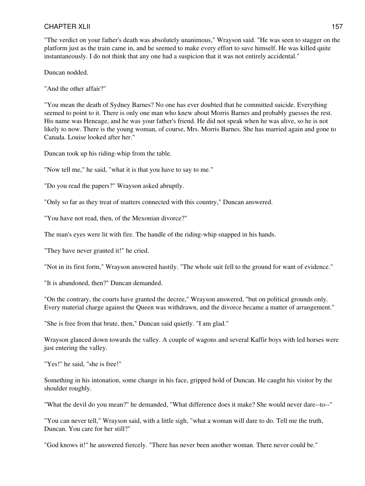"The verdict on your father's death was absolutely unanimous," Wrayson said. "He was seen to stagger on the platform just as the train came in, and he seemed to make every effort to save himself. He was killed quite instantaneously. I do not think that any one had a suspicion that it was not entirely accidental."

Duncan nodded.

"And the other affair?"

"You mean the death of Sydney Barnes? No one has ever doubted that he committed suicide. Everything seemed to point to it. There is only one man who knew about Morris Barnes and probably guesses the rest. His name was Heneage, and he was your father's friend. He did not speak when he was alive, so he is not likely to now. There is the young woman, of course, Mrs. Morris Barnes. She has married again and gone to Canada. Louise looked after her."

Duncan took up his riding-whip from the table.

"Now tell me," he said, "what it is that you have to say to me."

"Do you read the papers?" Wrayson asked abruptly.

"Only so far as they treat of matters connected with this country," Duncan answered.

"You have not read, then, of the Mexonian divorce?"

The man's eyes were lit with fire. The handle of the riding-whip snapped in his hands.

"They have never granted it!" he cried.

"Not in its first form," Wrayson answered hastily. "The whole suit fell to the ground for want of evidence."

"It is abandoned, then?" Duncan demanded.

"On the contrary, the courts have granted the decree," Wrayson answered, "but on political grounds only. Every material charge against the Queen was withdrawn, and the divorce became a matter of arrangement."

"She is free from that brute, then," Duncan said quietly. "I am glad."

Wrayson glanced down towards the valley. A couple of wagons and several Kaffir boys with led horses were just entering the valley.

"Yes!" he said, "she is free!"

Something in his intonation, some change in his face, gripped hold of Duncan. He caught his visitor by the shoulder roughly.

"What the devil do you mean?" he demanded, "What difference does it make? She would never dare--to--"

"You can never tell," Wrayson said, with a little sigh, "what a woman will dare to do. Tell me the truth, Duncan. You care for her still?"

"God knows it!" he answered fiercely. "There has never been another woman. There never could be."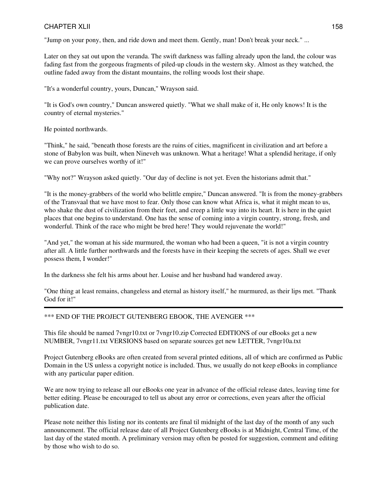"Jump on your pony, then, and ride down and meet them. Gently, man! Don't break your neck." ...

Later on they sat out upon the veranda. The swift darkness was falling already upon the land, the colour was fading fast from the gorgeous fragments of piled-up clouds in the western sky. Almost as they watched, the outline faded away from the distant mountains, the rolling woods lost their shape.

"It's a wonderful country, yours, Duncan," Wrayson said.

"It is God's own country," Duncan answered quietly. "What we shall make of it, He only knows! It is the country of eternal mysteries."

He pointed northwards.

"Think," he said, "beneath those forests are the ruins of cities, magnificent in civilization and art before a stone of Babylon was built, when Nineveh was unknown. What a heritage! What a splendid heritage, if only we can prove ourselves worthy of it!"

"Why not?" Wrayson asked quietly. "Our day of decline is not yet. Even the historians admit that."

"It is the money-grabbers of the world who belittle empire," Duncan answered. "It is from the money-grabbers of the Transvaal that we have most to fear. Only those can know what Africa is, what it might mean to us, who shake the dust of civilization from their feet, and creep a little way into its heart. It is here in the quiet places that one begins to understand. One has the sense of coming into a virgin country, strong, fresh, and wonderful. Think of the race who might be bred here! They would rejuvenate the world!"

"And yet," the woman at his side murmured, the woman who had been a queen, "it is not a virgin country after all. A little further northwards and the forests have in their keeping the secrets of ages. Shall we ever possess them, I wonder!"

In the darkness she felt his arms about her. Louise and her husband had wandered away.

"One thing at least remains, changeless and eternal as history itself," he murmured, as their lips met. "Thank God for it!"

\*\*\* END OF THE PROJECT GUTENBERG EBOOK, THE AVENGER \*\*\*

This file should be named 7vngr10.txt or 7vngr10.zip Corrected EDITIONS of our eBooks get a new NUMBER, 7vngr11.txt VERSIONS based on separate sources get new LETTER, 7vngr10a.txt

Project Gutenberg eBooks are often created from several printed editions, all of which are confirmed as Public Domain in the US unless a copyright notice is included. Thus, we usually do not keep eBooks in compliance with any particular paper edition.

We are now trying to release all our eBooks one year in advance of the official release dates, leaving time for better editing. Please be encouraged to tell us about any error or corrections, even years after the official publication date.

Please note neither this listing nor its contents are final til midnight of the last day of the month of any such announcement. The official release date of all Project Gutenberg eBooks is at Midnight, Central Time, of the last day of the stated month. A preliminary version may often be posted for suggestion, comment and editing by those who wish to do so.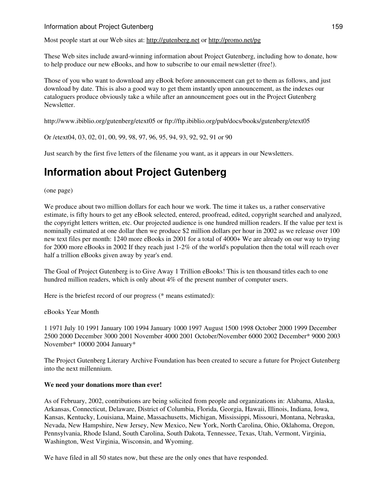#### Information about Project Gutenberg 159

Most people start at our Web sites at: <http://gutenberg.net> or <http://promo.net/pg>

These Web sites include award-winning information about Project Gutenberg, including how to donate, how to help produce our new eBooks, and how to subscribe to our email newsletter (free!).

Those of you who want to download any eBook before announcement can get to them as follows, and just download by date. This is also a good way to get them instantly upon announcement, as the indexes our cataloguers produce obviously take a while after an announcement goes out in the Project Gutenberg Newsletter.

http://www.ibiblio.org/gutenberg/etext05 or ftp://ftp.ibiblio.org/pub/docs/books/gutenberg/etext05

Or /etext04, 03, 02, 01, 00, 99, 98, 97, 96, 95, 94, 93, 92, 92, 91 or 90

Just search by the first five letters of the filename you want, as it appears in our Newsletters.

# **Information about Project Gutenberg**

(one page)

We produce about two million dollars for each hour we work. The time it takes us, a rather conservative estimate, is fifty hours to get any eBook selected, entered, proofread, edited, copyright searched and analyzed, the copyright letters written, etc. Our projected audience is one hundred million readers. If the value per text is nominally estimated at one dollar then we produce \$2 million dollars per hour in 2002 as we release over 100 new text files per month: 1240 more eBooks in 2001 for a total of 4000+ We are already on our way to trying for 2000 more eBooks in 2002 If they reach just 1-2% of the world's population then the total will reach over half a trillion eBooks given away by year's end.

The Goal of Project Gutenberg is to Give Away 1 Trillion eBooks! This is ten thousand titles each to one hundred million readers, which is only about 4% of the present number of computer users.

Here is the briefest record of our progress (\* means estimated):

eBooks Year Month

1 1971 July 10 1991 January 100 1994 January 1000 1997 August 1500 1998 October 2000 1999 December 2500 2000 December 3000 2001 November 4000 2001 October/November 6000 2002 December\* 9000 2003 November\* 10000 2004 January\*

The Project Gutenberg Literary Archive Foundation has been created to secure a future for Project Gutenberg into the next millennium.

#### **We need your donations more than ever!**

As of February, 2002, contributions are being solicited from people and organizations in: Alabama, Alaska, Arkansas, Connecticut, Delaware, District of Columbia, Florida, Georgia, Hawaii, Illinois, Indiana, Iowa, Kansas, Kentucky, Louisiana, Maine, Massachusetts, Michigan, Mississippi, Missouri, Montana, Nebraska, Nevada, New Hampshire, New Jersey, New Mexico, New York, North Carolina, Ohio, Oklahoma, Oregon, Pennsylvania, Rhode Island, South Carolina, South Dakota, Tennessee, Texas, Utah, Vermont, Virginia, Washington, West Virginia, Wisconsin, and Wyoming.

We have filed in all 50 states now, but these are the only ones that have responded.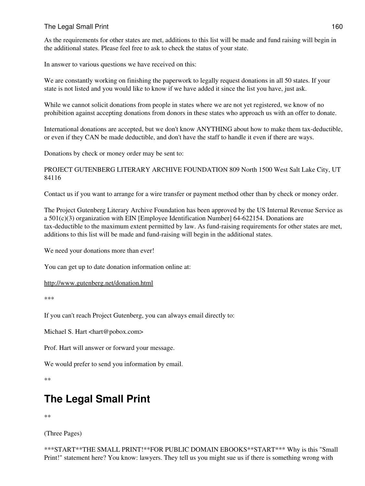As the requirements for other states are met, additions to this list will be made and fund raising will begin in the additional states. Please feel free to ask to check the status of your state.

In answer to various questions we have received on this:

We are constantly working on finishing the paperwork to legally request donations in all 50 states. If your state is not listed and you would like to know if we have added it since the list you have, just ask.

While we cannot solicit donations from people in states where we are not yet registered, we know of no prohibition against accepting donations from donors in these states who approach us with an offer to donate.

International donations are accepted, but we don't know ANYTHING about how to make them tax-deductible, or even if they CAN be made deductible, and don't have the staff to handle it even if there are ways.

Donations by check or money order may be sent to:

PROJECT GUTENBERG LITERARY ARCHIVE FOUNDATION 809 North 1500 West Salt Lake City, UT 84116

Contact us if you want to arrange for a wire transfer or payment method other than by check or money order.

The Project Gutenberg Literary Archive Foundation has been approved by the US Internal Revenue Service as a 501(c)(3) organization with EIN [Employee Identification Number] 64-622154. Donations are tax-deductible to the maximum extent permitted by law. As fund-raising requirements for other states are met, additions to this list will be made and fund-raising will begin in the additional states.

We need your donations more than ever!

You can get up to date donation information online at:

<http://www.gutenberg.net/donation.html>

\*\*\*

If you can't reach Project Gutenberg, you can always email directly to:

Michael S. Hart <hart@pobox.com>

Prof. Hart will answer or forward your message.

We would prefer to send you information by email.

\*\*

# **The Legal Small Print**

\*\*

(Three Pages)

```
***START**THE SMALL PRINT!**FOR PUBLIC DOMAIN EBOOKS**START*** Why is this "Small
Print!" statement here? You know: lawyers. They tell us you might sue us if there is something wrong with
```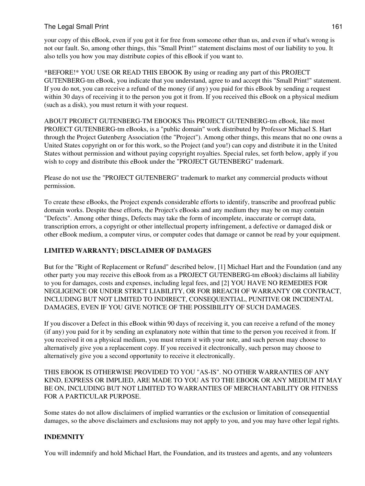your copy of this eBook, even if you got it for free from someone other than us, and even if what's wrong is not our fault. So, among other things, this "Small Print!" statement disclaims most of our liability to you. It also tells you how you may distribute copies of this eBook if you want to.

\*BEFORE!\* YOU USE OR READ THIS EBOOK By using or reading any part of this PROJECT GUTENBERG-tm eBook, you indicate that you understand, agree to and accept this "Small Print!" statement. If you do not, you can receive a refund of the money (if any) you paid for this eBook by sending a request within 30 days of receiving it to the person you got it from. If you received this eBook on a physical medium (such as a disk), you must return it with your request.

ABOUT PROJECT GUTENBERG-TM EBOOKS This PROJECT GUTENBERG-tm eBook, like most PROJECT GUTENBERG-tm eBooks, is a "public domain" work distributed by Professor Michael S. Hart through the Project Gutenberg Association (the "Project"). Among other things, this means that no one owns a United States copyright on or for this work, so the Project (and you!) can copy and distribute it in the United States without permission and without paying copyright royalties. Special rules, set forth below, apply if you wish to copy and distribute this eBook under the "PROJECT GUTENBERG" trademark.

Please do not use the "PROJECT GUTENBERG" trademark to market any commercial products without permission.

To create these eBooks, the Project expends considerable efforts to identify, transcribe and proofread public domain works. Despite these efforts, the Project's eBooks and any medium they may be on may contain "Defects". Among other things, Defects may take the form of incomplete, inaccurate or corrupt data, transcription errors, a copyright or other intellectual property infringement, a defective or damaged disk or other eBook medium, a computer virus, or computer codes that damage or cannot be read by your equipment.

#### **LIMITED WARRANTY; DISCLAIMER OF DAMAGES**

But for the "Right of Replacement or Refund" described below, [1] Michael Hart and the Foundation (and any other party you may receive this eBook from as a PROJECT GUTENBERG-tm eBook) disclaims all liability to you for damages, costs and expenses, including legal fees, and [2] YOU HAVE NO REMEDIES FOR NEGLIGENCE OR UNDER STRICT LIABILITY, OR FOR BREACH OF WARRANTY OR CONTRACT, INCLUDING BUT NOT LIMITED TO INDIRECT, CONSEQUENTIAL, PUNITIVE OR INCIDENTAL DAMAGES, EVEN IF YOU GIVE NOTICE OF THE POSSIBILITY OF SUCH DAMAGES.

If you discover a Defect in this eBook within 90 days of receiving it, you can receive a refund of the money (if any) you paid for it by sending an explanatory note within that time to the person you received it from. If you received it on a physical medium, you must return it with your note, and such person may choose to alternatively give you a replacement copy. If you received it electronically, such person may choose to alternatively give you a second opportunity to receive it electronically.

THIS EBOOK IS OTHERWISE PROVIDED TO YOU "AS-IS". NO OTHER WARRANTIES OF ANY KIND, EXPRESS OR IMPLIED, ARE MADE TO YOU AS TO THE EBOOK OR ANY MEDIUM IT MAY BE ON, INCLUDING BUT NOT LIMITED TO WARRANTIES OF MERCHANTABILITY OR FITNESS FOR A PARTICULAR PURPOSE.

Some states do not allow disclaimers of implied warranties or the exclusion or limitation of consequential damages, so the above disclaimers and exclusions may not apply to you, and you may have other legal rights.

#### **INDEMNITY**

You will indemnify and hold Michael Hart, the Foundation, and its trustees and agents, and any volunteers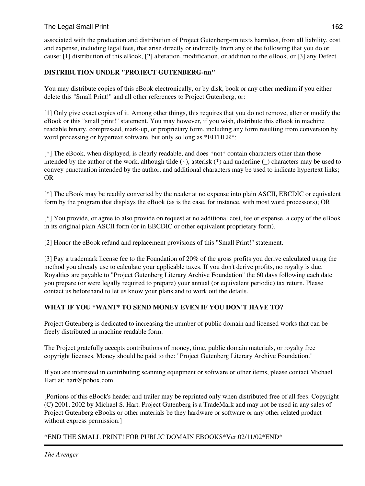associated with the production and distribution of Project Gutenberg-tm texts harmless, from all liability, cost and expense, including legal fees, that arise directly or indirectly from any of the following that you do or cause: [1] distribution of this eBook, [2] alteration, modification, or addition to the eBook, or [3] any Defect.

#### **DISTRIBUTION UNDER "PROJECT GUTENBERG-tm"**

You may distribute copies of this eBook electronically, or by disk, book or any other medium if you either delete this "Small Print!" and all other references to Project Gutenberg, or:

[1] Only give exact copies of it. Among other things, this requires that you do not remove, alter or modify the eBook or this "small print!" statement. You may however, if you wish, distribute this eBook in machine readable binary, compressed, mark-up, or proprietary form, including any form resulting from conversion by word processing or hypertext software, but only so long as \*EITHER\*:

[\*] The eBook, when displayed, is clearly readable, and does \*not\* contain characters other than those intended by the author of the work, although tilde (~), asterisk (\*) and underline (\_) characters may be used to convey punctuation intended by the author, and additional characters may be used to indicate hypertext links; OR

[\*] The eBook may be readily converted by the reader at no expense into plain ASCII, EBCDIC or equivalent form by the program that displays the eBook (as is the case, for instance, with most word processors); OR

[\*] You provide, or agree to also provide on request at no additional cost, fee or expense, a copy of the eBook in its original plain ASCII form (or in EBCDIC or other equivalent proprietary form).

[2] Honor the eBook refund and replacement provisions of this "Small Print!" statement.

[3] Pay a trademark license fee to the Foundation of 20% of the gross profits you derive calculated using the method you already use to calculate your applicable taxes. If you don't derive profits, no royalty is due. Royalties are payable to "Project Gutenberg Literary Archive Foundation" the 60 days following each date you prepare (or were legally required to prepare) your annual (or equivalent periodic) tax return. Please contact us beforehand to let us know your plans and to work out the details.

#### **WHAT IF YOU \*WANT\* TO SEND MONEY EVEN IF YOU DON'T HAVE TO?**

Project Gutenberg is dedicated to increasing the number of public domain and licensed works that can be freely distributed in machine readable form.

The Project gratefully accepts contributions of money, time, public domain materials, or royalty free copyright licenses. Money should be paid to the: "Project Gutenberg Literary Archive Foundation."

If you are interested in contributing scanning equipment or software or other items, please contact Michael Hart at: hart@pobox.com

[Portions of this eBook's header and trailer may be reprinted only when distributed free of all fees. Copyright (C) 2001, 2002 by Michael S. Hart. Project Gutenberg is a TradeMark and may not be used in any sales of Project Gutenberg eBooks or other materials be they hardware or software or any other related product without express permission.]

#### \*END THE SMALL PRINT! FOR PUBLIC DOMAIN EBOOKS\*Ver.02/11/02\*END\*